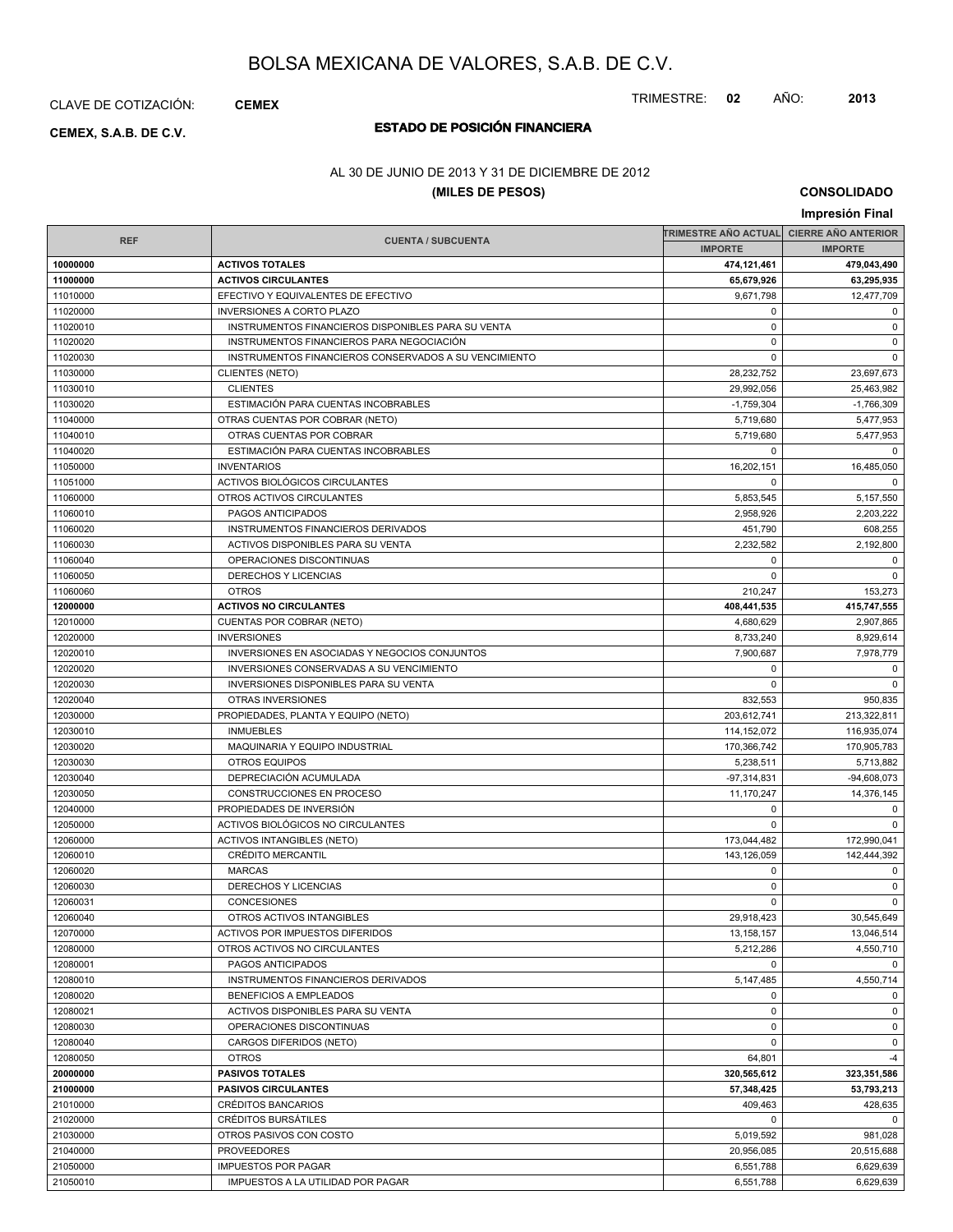CLAVE DE COTIZACIÓN: **CEMEX**

# **ESTADO DE POSICIÓN FINANCIERA CEMEX, S.A.B. DE C.V.**

### AL 30 DE JUNIO DE 2013 Y 31 DE DICIEMBRE DE 2012

### **(MILES DE PESOS)**

**CONSOLIDADO**

TRIMESTRE: **02** AÑO: **2013**

|                      |                                                         |                          | Impresión Final            |
|----------------------|---------------------------------------------------------|--------------------------|----------------------------|
|                      |                                                         | TRIMESTRE AÑO ACTUAL     | <b>CIERRE AÑO ANTERIOR</b> |
| <b>REF</b>           | <b>CUENTA / SUBCUENTA</b>                               | <b>IMPORTE</b>           | <b>IMPORTE</b>             |
| 10000000             | <b>ACTIVOS TOTALES</b>                                  | 474,121,461              | 479,043,490                |
| 11000000             | <b>ACTIVOS CIRCULANTES</b>                              | 65,679,926               | 63,295,935                 |
| 11010000             | EFECTIVO Y EQUIVALENTES DE EFECTIVO                     | 9,671,798                | 12,477,709                 |
| 11020000             | <b>INVERSIONES A CORTO PLAZO</b>                        | 0                        | $\mathbf 0$                |
| 11020010             | INSTRUMENTOS FINANCIEROS DISPONIBLES PARA SU VENTA      | $\mathbf 0$              | $\mathbf 0$                |
| 11020020             | INSTRUMENTOS FINANCIEROS PARA NEGOCIACIÓN               | $\mathbf 0$              | $\mathbf 0$                |
| 11020030             | INSTRUMENTOS FINANCIEROS CONSERVADOS A SU VENCIMIENTO   | 0                        | $\mathbf 0$                |
| 11030000             | <b>CLIENTES (NETO)</b>                                  | 28,232,752               | 23,697,673                 |
| 11030010             | <b>CLIENTES</b>                                         | 29,992,056               | 25,463,982                 |
| 11030020             | ESTIMACIÓN PARA CUENTAS INCOBRABLES                     | $-1,759,304$             | $-1,766,309$               |
| 11040000             | OTRAS CUENTAS POR COBRAR (NETO)                         | 5,719,680                | 5,477,953                  |
| 11040010             | OTRAS CUENTAS POR COBRAR                                | 5,719,680                | 5,477,953                  |
| 11040020             | ESTIMACIÓN PARA CUENTAS INCOBRABLES                     | $\mathbf 0$              | $\mathbf 0$                |
| 11050000             | <b>INVENTARIOS</b>                                      | 16,202,151               | 16,485,050                 |
| 11051000             | ACTIVOS BIOLÓGICOS CIRCULANTES                          | $\mathbf 0$              | 0                          |
| 11060000             | OTROS ACTIVOS CIRCULANTES                               | 5,853,545                | 5,157,550                  |
| 11060010             | PAGOS ANTICIPADOS                                       | 2,958,926                | 2,203,222                  |
| 11060020             | INSTRUMENTOS FINANCIEROS DERIVADOS                      | 451,790                  | 608,255                    |
| 11060030             | ACTIVOS DISPONIBLES PARA SU VENTA                       | 2,232,582                | 2,192,800                  |
| 11060040             | OPERACIONES DISCONTINUAS                                | 0                        | 0                          |
| 11060050             | DERECHOS Y LICENCIAS                                    | $\Omega$                 | $\mathbf 0$                |
| 11060060             | <b>OTROS</b>                                            | 210,247                  | 153,273                    |
| 12000000             | <b>ACTIVOS NO CIRCULANTES</b>                           | 408,441,535              | 415,747,555                |
| 12010000             | CUENTAS POR COBRAR (NETO)                               | 4,680,629                | 2,907,865                  |
| 12020000             | <b>INVERSIONES</b>                                      | 8,733,240                | 8,929,614                  |
| 12020010             | INVERSIONES EN ASOCIADAS Y NEGOCIOS CONJUNTOS           | 7,900,687                | 7,978,779                  |
| 12020020             | INVERSIONES CONSERVADAS A SU VENCIMIENTO                | $\mathbf 0$              | 0                          |
| 12020030             | <b>INVERSIONES DISPONIBLES PARA SU VENTA</b>            | 0                        | $\mathbf 0$                |
| 12020040             | OTRAS INVERSIONES                                       | 832,553                  | 950,835                    |
| 12030000             | PROPIEDADES, PLANTA Y EQUIPO (NETO)<br><b>INMUEBLES</b> | 203,612,741              | 213,322,811                |
| 12030010             |                                                         | 114,152,072              | 116,935,074                |
| 12030020<br>12030030 | MAQUINARIA Y EQUIPO INDUSTRIAL<br><b>OTROS EQUIPOS</b>  | 170,366,742<br>5,238,511 | 170,905,783<br>5,713,882   |
| 12030040             | DEPRECIACIÓN ACUMULADA                                  | $-97,314,831$            | $-94,608,073$              |
| 12030050             | CONSTRUCCIONES EN PROCESO                               | 11,170,247               | 14,376,145                 |
| 12040000             | PROPIEDADES DE INVERSIÓN                                | 0                        | 0                          |
| 12050000             | ACTIVOS BIOLÓGICOS NO CIRCULANTES                       | 0                        | 0                          |
| 12060000             | <b>ACTIVOS INTANGIBLES (NETO)</b>                       | 173,044,482              | 172,990,041                |
| 12060010             | <b>CRÉDITO MERCANTIL</b>                                | 143,126,059              | 142,444,392                |
| 12060020             | <b>MARCAS</b>                                           | 0                        | 0                          |
| 12060030             | DERECHOS Y LICENCIAS                                    | $\mathbf 0$              | $\mathbf 0$                |
| 12060031             | CONCESIONES                                             | 0                        | $\mathbf 0$                |
| 12060040             | OTROS ACTIVOS INTANGIBLES                               | 29,918,423               | 30,545,649                 |
| 12070000             | ACTIVOS POR IMPUESTOS DIFERIDOS                         | 13,158,157               | 13,046,514                 |
| 12080000             | OTROS ACTIVOS NO CIRCULANTES                            | 5,212,286                | 4,550,710                  |
| 12080001             | PAGOS ANTICIPADOS                                       | 0                        | $\mathbf 0$                |
| 12080010             | INSTRUMENTOS FINANCIEROS DERIVADOS                      | 5,147,485                | 4,550,714                  |
| 12080020             | BENEFICIOS A EMPLEADOS                                  | $\mathbf 0$              | 0                          |
| 12080021             | ACTIVOS DISPONIBLES PARA SU VENTA                       | 0                        | $\mathbf 0$                |
| 12080030             | OPERACIONES DISCONTINUAS                                | $\mathbf 0$              | $\mathbf 0$                |
| 12080040             | CARGOS DIFERIDOS (NETO)                                 | $\mathbf 0$              | $\mathbf 0$                |
| 12080050             | <b>OTROS</b>                                            | 64,801                   | $-4$                       |
| 20000000             | <b>PASIVOS TOTALES</b>                                  | 320,565,612              | 323,351,586                |
| 21000000             | <b>PASIVOS CIRCULANTES</b>                              | 57,348,425               | 53,793,213                 |
| 21010000             | CRÉDITOS BANCARIOS                                      | 409,463                  | 428,635                    |
| 21020000             | CRÉDITOS BURSÁTILES                                     | 0                        | $\mathbf{0}$               |
| 21030000             | OTROS PASIVOS CON COSTO                                 | 5,019,592                | 981,028                    |
| 21040000             | <b>PROVEEDORES</b>                                      | 20,956,085               | 20,515,688                 |
| 21050000             | <b>IMPUESTOS POR PAGAR</b>                              | 6,551,788                | 6,629,639                  |
| 21050010             | IMPUESTOS A LA UTILIDAD POR PAGAR                       | 6,551,788                | 6,629,639                  |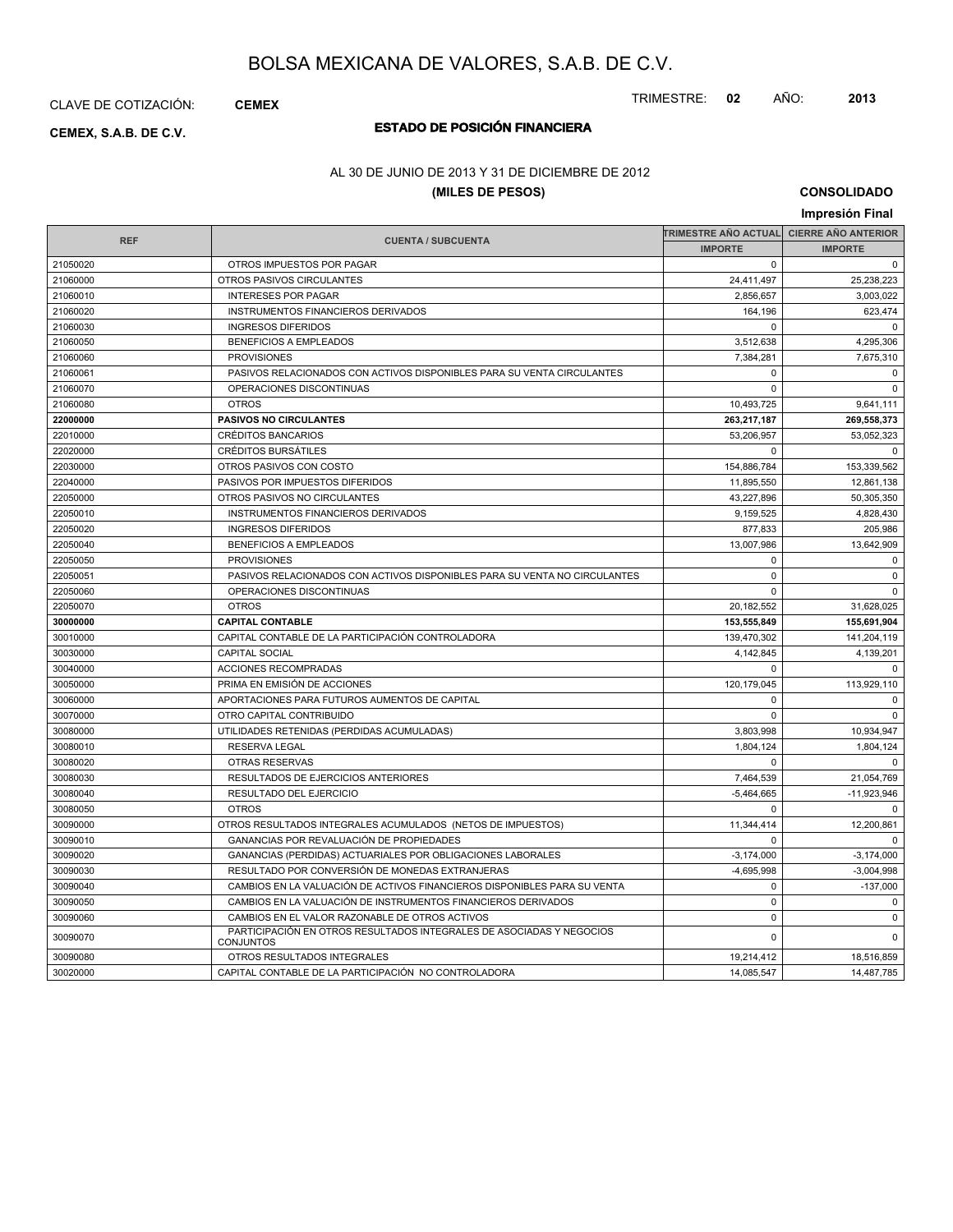CLAVE DE COTIZACIÓN: **CEMEX**

# **ESTADO DE POSICIÓN FINANCIERA CEMEX, S.A.B. DE C.V.**

### AL 30 DE JUNIO DE 2013 Y 31 DE DICIEMBRE DE 2012

### **(MILES DE PESOS)**

**CONSOLIDADO**

|            |                                                                                          |                          | Impresión Final            |  |
|------------|------------------------------------------------------------------------------------------|--------------------------|----------------------------|--|
|            |                                                                                          | TRIMESTRE AÑO ACTUAL     | <b>CIERRE AÑO ANTERIOR</b> |  |
| <b>REF</b> | <b>CUENTA / SUBCUENTA</b>                                                                | <b>IMPORTE</b>           | <b>IMPORTE</b>             |  |
| 21050020   | OTROS IMPUESTOS POR PAGAR                                                                | $\Omega$                 | $\mathbf 0$                |  |
| 21060000   | OTROS PASIVOS CIRCULANTES                                                                | 24,411,497               | 25,238,223                 |  |
| 21060010   | <b>INTERESES POR PAGAR</b>                                                               | 2,856,657                | 3,003,022                  |  |
| 21060020   | INSTRUMENTOS FINANCIEROS DERIVADOS                                                       | 164,196                  | 623,474                    |  |
| 21060030   | <b>INGRESOS DIFERIDOS</b>                                                                | $\Omega$                 | $\Omega$                   |  |
| 21060050   | <b>BENEFICIOS A EMPLEADOS</b>                                                            | 3,512,638                | 4,295,306                  |  |
| 21060060   | <b>PROVISIONES</b>                                                                       | 7,384,281                | 7,675,310                  |  |
| 21060061   | PASIVOS RELACIONADOS CON ACTIVOS DISPONIBLES PARA SU VENTA CIRCULANTES                   | $\Omega$                 | $\mathbf 0$                |  |
| 21060070   | OPERACIONES DISCONTINUAS                                                                 | $\Omega$                 | $\mathbf 0$                |  |
| 21060080   | <b>OTROS</b>                                                                             | 10,493,725               | 9,641,111                  |  |
| 22000000   | <b>PASIVOS NO CIRCULANTES</b>                                                            | 263,217,187              | 269,558,373                |  |
| 22010000   | <b>CRÉDITOS BANCARIOS</b>                                                                | 53,206,957               | 53,052,323                 |  |
| 22020000   | <b>CRÉDITOS BURSÁTILES</b>                                                               | $\Omega$                 | $\Omega$                   |  |
| 22030000   | OTROS PASIVOS CON COSTO                                                                  | 154,886,784              | 153,339,562                |  |
| 22040000   | PASIVOS POR IMPUESTOS DIFERIDOS                                                          | 11,895,550               | 12,861,138                 |  |
| 22050000   | OTROS PASIVOS NO CIRCULANTES                                                             | 43,227,896               | 50,305,350                 |  |
| 22050010   | INSTRUMENTOS FINANCIEROS DERIVADOS                                                       | 9,159,525                | 4,828,430                  |  |
| 22050020   | <b>INGRESOS DIFERIDOS</b>                                                                | 877,833                  | 205.986                    |  |
| 22050040   | <b>BENEFICIOS A EMPLEADOS</b>                                                            | 13,007,986               | 13,642,909                 |  |
| 22050050   | <b>PROVISIONES</b>                                                                       | $\Omega$                 | $\Omega$                   |  |
| 22050051   | PASIVOS RELACIONADOS CON ACTIVOS DISPONIBLES PARA SU VENTA NO CIRCULANTES                | $\mathbf 0$              | $\mathbf 0$                |  |
| 22050060   | OPERACIONES DISCONTINUAS                                                                 | $\Omega$                 |                            |  |
| 22050070   | <b>OTROS</b>                                                                             | 20,182,552               | 31,628,025                 |  |
| 30000000   | <b>CAPITAL CONTABLE</b>                                                                  | 153,555,849              | 155,691,904                |  |
| 30010000   | CAPITAL CONTABLE DE LA PARTICIPACIÓN CONTROLADORA                                        | 139,470,302              | 141,204,119                |  |
| 30030000   | <b>CAPITAL SOCIAL</b>                                                                    | 4,142,845                | 4,139,201                  |  |
| 30040000   | ACCIONES RECOMPRADAS                                                                     | $\Omega$                 | $\Omega$                   |  |
| 30050000   | PRIMA EN EMISIÓN DE ACCIONES                                                             | 120,179,045              | 113,929,110                |  |
| 30060000   | APORTACIONES PARA FUTUROS AUMENTOS DE CAPITAL                                            | $\mathbf 0$              | $\mathbf 0$                |  |
| 30070000   | OTRO CAPITAL CONTRIBUIDO                                                                 | $\Omega$                 | $\Omega$                   |  |
| 30080000   | UTILIDADES RETENIDAS (PERDIDAS ACUMULADAS)                                               | 3,803,998                | 10,934,947                 |  |
| 30080010   | <b>RESERVA LEGAL</b>                                                                     | 1.804.124                | 1.804.124                  |  |
| 30080020   | <b>OTRAS RESERVAS</b>                                                                    | $\Omega$                 | $\Omega$                   |  |
| 30080030   | RESULTADOS DE EJERCICIOS ANTERIORES                                                      | 7,464,539                | 21,054,769                 |  |
| 30080040   | <b>RESULTADO DEL EJERCICIO</b>                                                           | $-5,464,665$             | $-11,923,946$              |  |
| 30080050   | <b>OTROS</b>                                                                             | $\Omega$                 | $\Omega$                   |  |
| 30090000   | OTROS RESULTADOS INTEGRALES ACUMULADOS (NETOS DE IMPUESTOS)                              | 11,344,414               | 12.200.861                 |  |
| 30090010   | GANANCIAS POR REVALUACIÓN DE PROPIEDADES                                                 | $\Omega$                 | $\Omega$                   |  |
| 30090020   | GANANCIAS (PERDIDAS) ACTUARIALES POR OBLIGACIONES LABORALES                              | $-3,174,000$             | $-3,174,000$               |  |
| 30090030   | RESULTADO POR CONVERSIÓN DE MONEDAS EXTRANJERAS                                          | $-4.695.998$             | $-3,004,998$               |  |
| 30090040   | CAMBIOS EN LA VALUACIÓN DE ACTIVOS FINANCIEROS DISPONIBLES PARA SU VENTA                 | $\mathbf 0$              | $-137,000$                 |  |
| 30090050   | CAMBIOS EN LA VALUACIÓN DE INSTRUMENTOS FINANCIEROS DERIVADOS                            | $\Omega$                 | $\Omega$                   |  |
| 30090060   | CAMBIOS EN EL VALOR RAZONABLE DE OTROS ACTIVOS                                           | $\mathbf 0$              | $\mathbf 0$                |  |
| 30090070   | PARTICIPACIÓN EN OTROS RESULTADOS INTEGRALES DE ASOCIADAS Y NEGOCIOS<br><b>CONJUNTOS</b> | $\mathbf 0$              | $\mathbf 0$                |  |
| 30090080   | OTROS RESULTADOS INTEGRALES                                                              | 19,214,412               | 18,516,859                 |  |
| 30020000   | CAPITAL CONTABLE DE LA PARTICIPACIÓN NO CONTROLADORA                                     | 14,085,547<br>14,487,785 |                            |  |

TRIMESTRE: **02** AÑO: **2013**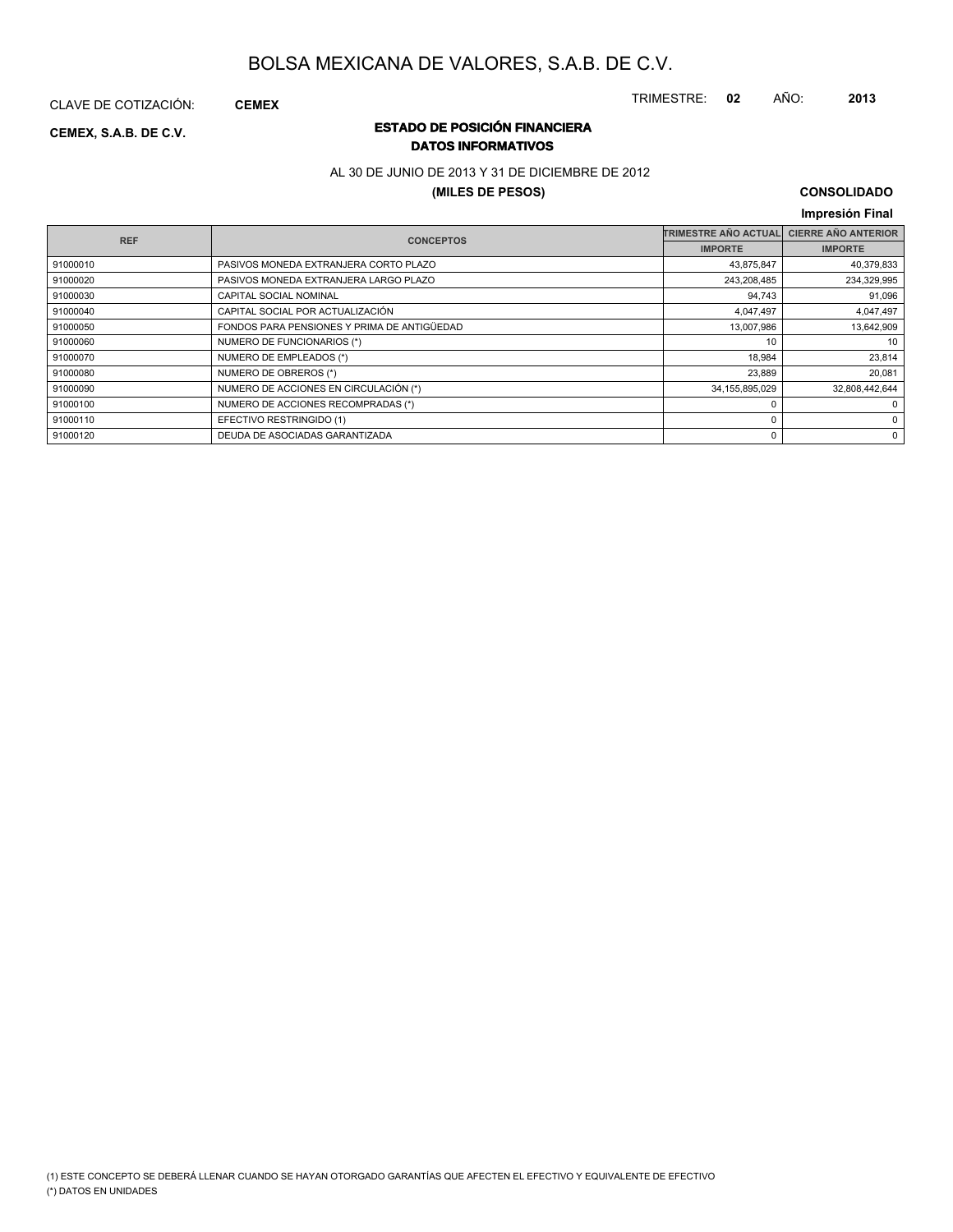CLAVE DE COTIZACIÓN: **CEMEX**

### **ESTADO DE POSICIÓN FINANCIERA CEMEX, S.A.B. DE C.V. DATOS INFORMATIVOS**

### AL 30 DE JUNIO DE 2013 Y 31 DE DICIEMBRE DE 2012

### **(MILES DE PESOS)**

### **CONSOLIDADO**

TRIMESTRE: **02** AÑO: **2013**

### **Impresión Final**

| <b>REF</b> | <b>CONCEPTOS</b>                            | <b>TRIMESTRE AÑO ACTUAL</b> | <b>CIERRE AÑO ANTERIOR</b> |
|------------|---------------------------------------------|-----------------------------|----------------------------|
|            |                                             | <b>IMPORTE</b>              | <b>IMPORTE</b>             |
| 91000010   | PASIVOS MONEDA EXTRANJERA CORTO PLAZO       | 43,875,847                  | 40,379,833                 |
| 91000020   | PASIVOS MONEDA EXTRANJERA LARGO PLAZO       | 243,208,485                 | 234,329,995                |
| 91000030   | CAPITAL SOCIAL NOMINAL                      | 94,743                      | 91,096                     |
| 91000040   | CAPITAL SOCIAL POR ACTUALIZACIÓN            | 4,047,497                   | 4,047,497                  |
| 91000050   | FONDOS PARA PENSIONES Y PRIMA DE ANTIGÜEDAD | 13,007,986                  | 13,642,909                 |
| 91000060   | NUMERO DE FUNCIONARIOS (*)                  | 10                          | 10                         |
| 91000070   | NUMERO DE EMPLEADOS (*)                     | 18,984                      | 23,814                     |
| 91000080   | NUMERO DE OBREROS (*)                       | 23,889                      | 20,081                     |
| 91000090   | NUMERO DE ACCIONES EN CIRCULACIÓN (*)       | 34, 155, 895, 029           | 32,808,442,644             |
| 91000100   | NUMERO DE ACCIONES RECOMPRADAS (*)          |                             | 0                          |
| 91000110   | EFECTIVO RESTRINGIDO (1)                    |                             | 0                          |
| 91000120   | DEUDA DE ASOCIADAS GARANTIZADA              |                             | 0                          |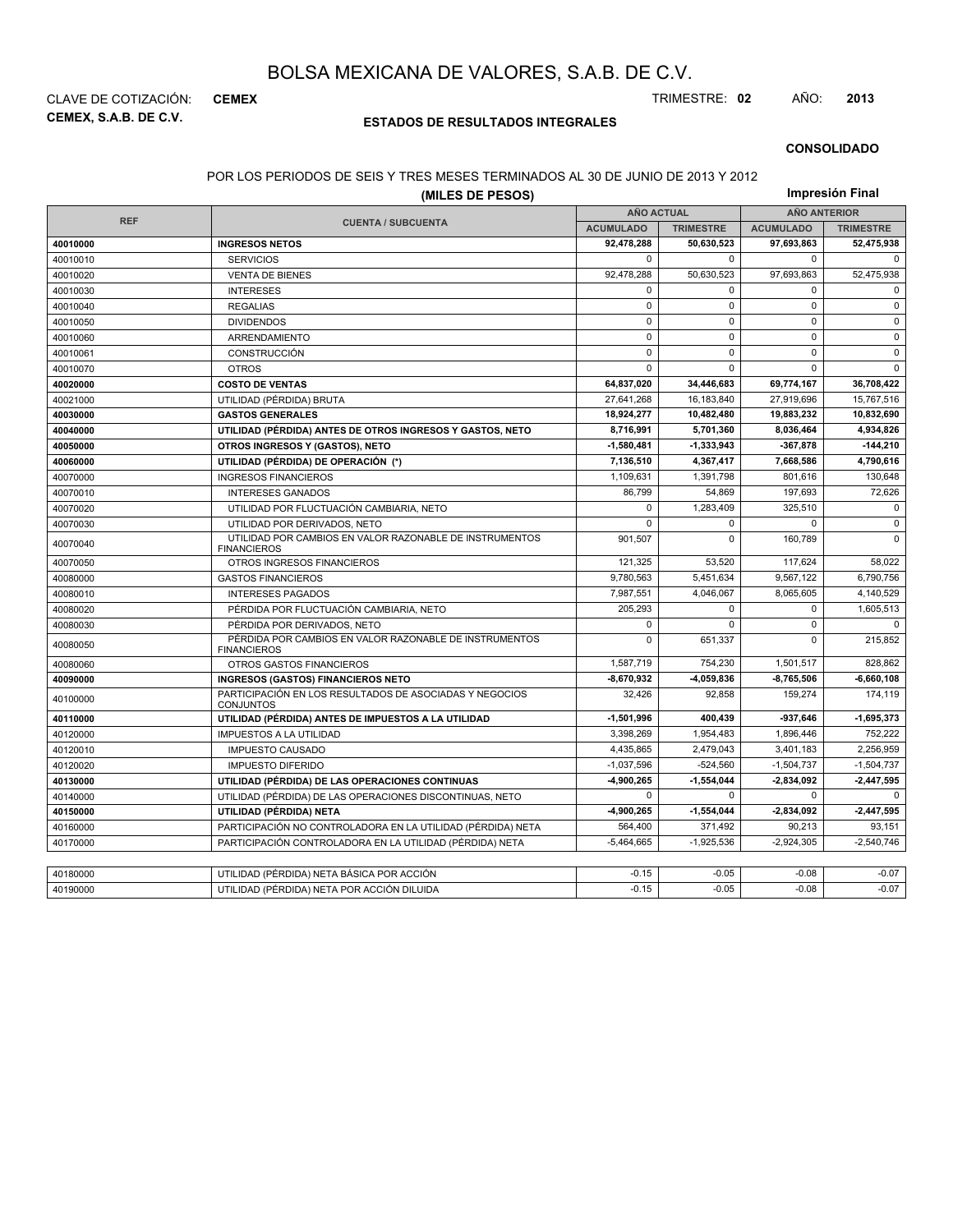**CEMEX, S.A.B. DE C.V.** CLAVE DE COTIZACIÓN: **CEMEX** TRIMESTRE: **02** AÑO: **2013**

### **ESTADOS DE RESULTADOS INTEGRALES**

#### **CONSOLIDADO**

### POR LOS PERIODOS DE SEIS Y TRES MESES TERMINADOS AL 30 DE JUNIO DE 2013 Y 2012

|            | PUR LUS PERIUDUS DE SEIS T-TRES MESES TERMINADUS AL 30 DE JUNIU DE ZUTS T-ZUTZ<br>(MILES DE PESOS) |                         |                  |                     | Impresión Final  |
|------------|----------------------------------------------------------------------------------------------------|-------------------------|------------------|---------------------|------------------|
|            |                                                                                                    | <b>AÑO ACTUAL</b>       |                  | <b>AÑO ANTERIOR</b> |                  |
| <b>REF</b> | <b>CUENTA / SUBCUENTA</b>                                                                          | <b>ACUMULADO</b>        | <b>TRIMESTRE</b> | <b>ACUMULADO</b>    | <b>TRIMESTRE</b> |
| 40010000   | <b>INGRESOS NETOS</b>                                                                              | 92,478,288              | 50,630,523       | 97,693,863          | 52,475,938       |
| 40010010   | <b>SERVICIOS</b>                                                                                   | $\mathbf 0$             | $\mathbf 0$      | $\mathbf 0$         | $\mathbf 0$      |
| 40010020   | <b>VENTA DE BIENES</b>                                                                             | 92,478,288              | 50,630,523       | 97,693,863          | 52,475,938       |
| 40010030   | <b>INTERESES</b>                                                                                   | $\mathsf 0$             | 0                | 0                   | $\mathsf 0$      |
| 40010040   | <b>REGALIAS</b>                                                                                    | $\mathsf 0$             | $\mathbf 0$      | 0                   | $\pmb{0}$        |
| 40010050   | <b>DIVIDENDOS</b>                                                                                  | $\mathbf 0$             | $\mathbf 0$      | $\mathbf 0$         | $\mathbf 0$      |
| 40010060   | ARRENDAMIENTO                                                                                      | $\mathbf 0$             | $\mathbf 0$      | 0                   | $\mathbf 0$      |
| 40010061   | CONSTRUCCIÓN                                                                                       | $\mathsf 0$             | $\mathbf 0$      | 0                   | $\mathsf 0$      |
| 40010070   | <b>OTROS</b>                                                                                       | $\mathbf 0$             | $\Omega$         | $\mathbf 0$         | $\mathbf 0$      |
| 40020000   | <b>COSTO DE VENTAS</b>                                                                             | 64,837,020              | 34,446,683       | 69,774,167          | 36,708,422       |
| 40021000   | UTILIDAD (PÉRDIDA) BRUTA                                                                           | 27.641.268              | 16,183,840       | 27,919,696          | 15,767,516       |
| 40030000   | <b>GASTOS GENERALES</b>                                                                            | 18,924,277              | 10,482,480       | 19,883,232          | 10,832,690       |
| 40040000   | UTILIDAD (PÉRDIDA) ANTES DE OTROS INGRESOS Y GASTOS, NETO                                          | 8,716,991               | 5,701,360        | 8,036,464           | 4,934,826        |
| 40050000   | OTROS INGRESOS Y (GASTOS), NETO                                                                    | 1,580,481               | $-1,333,943$     | -367,878            | $-144,210$       |
| 40060000   | UTILIDAD (PÉRDIDA) DE OPERACIÓN (*)                                                                | 7,136,510               | 4,367,417        | 7,668,586           | 4,790,616        |
| 40070000   | <b>INGRESOS FINANCIEROS</b>                                                                        | 1,109,631               | 1,391,798        | 801,616             | 130,648          |
| 40070010   | <b>INTERESES GANADOS</b>                                                                           | 86,799                  | 54,869           | 197,693             | 72,626           |
| 40070020   | UTILIDAD POR FLUCTUACIÓN CAMBIARIA, NETO                                                           | $\mathbf 0$             | 1,283,409        | 325,510             | $\mathbf 0$      |
| 40070030   | UTILIDAD POR DERIVADOS, NETO                                                                       | $\Omega$                | 0                | $\Omega$            | $\mathbf 0$      |
| 40070040   | UTILIDAD POR CAMBIOS EN VALOR RAZONABLE DE INSTRUMENTOS<br><b>FINANCIEROS</b>                      | 901,507                 | $\mathbf 0$      | 160,789             | $\mathbf 0$      |
| 40070050   | OTROS INGRESOS FINANCIEROS                                                                         | 121,325                 | 53,520           | 117,624             | 58,022           |
| 40080000   | <b>GASTOS FINANCIEROS</b>                                                                          | 9,780,563               | 5,451,634        | 9,567,122           | 6,790,756        |
| 40080010   | <b>INTERESES PAGADOS</b>                                                                           | 7,987,551               | 4,046,067        | 8,065,605           | 4,140,529        |
| 40080020   | PÉRDIDA POR FLUCTUACIÓN CAMBIARIA, NETO                                                            | 205,293                 | $\Omega$         | 0                   | 1,605,513        |
| 40080030   | PÉRDIDA POR DERIVADOS, NETO                                                                        | $\mathbf 0$             | $\Omega$         | $\Omega$            | $\mathbf 0$      |
| 40080050   | PÉRDIDA POR CAMBIOS EN VALOR RAZONABLE DE INSTRUMENTOS<br><b>FINANCIEROS</b>                       | $\mathbf 0$             | 651,337          | $\Omega$            | 215,852          |
| 40080060   | OTROS GASTOS FINANCIEROS                                                                           | 1,587,719               | 754,230          | 1,501,517           | 828,862          |
| 40090000   | <b>INGRESOS (GASTOS) FINANCIEROS NETO</b>                                                          | $-8,670,932$            | -4,059,836       | 8,765,506           | $-6,660,108$     |
| 40100000   | PARTICIPACIÓN EN LOS RESULTADOS DE ASOCIADAS Y NEGOCIOS<br><b>CONJUNTOS</b>                        | 32,426                  | 92,858           |                     | 174,119          |
| 40110000   | UTILIDAD (PÉRDIDA) ANTES DE IMPUESTOS A LA UTILIDAD                                                | $-1,501,996$<br>400,439 |                  | -937,646            | $-1,695,373$     |
| 40120000   | <b>IMPUESTOS A LA UTILIDAD</b>                                                                     | 3,398,269               | 1,954,483        | 1,896,446           | 752,222          |
| 40120010   | <b>IMPUESTO CAUSADO</b>                                                                            | 4,435,865               | 2,479,043        | 3,401,183           | 2,256,959        |
| 40120020   | $-1,037,596$<br>$-524,560$<br><b>IMPUESTO DIFERIDO</b>                                             |                         |                  | $-1,504,737$        | $-1,504,737$     |
| 40130000   | UTILIDAD (PÉRDIDA) DE LAS OPERACIONES CONTINUAS                                                    | -4.900.265              | $-1.554.044$     | -2.834.092          | $-2,447,595$     |
| 40140000   | UTILIDAD (PÉRDIDA) DE LAS OPERACIONES DISCONTINUAS, NETO                                           | $\mathbf 0$             | $\mathbf 0$      | $\mathbf 0$         | $\mathbf 0$      |
| 40150000   | UTILIDAD (PÉRDIDA) NETA                                                                            | -4,900,265              | $-1,554,044$     | -2,834,092          | $-2,447,595$     |
| 40160000   | PARTICIPACIÓN NO CONTROLADORA EN LA UTILIDAD (PÉRDIDA) NETA                                        | 564,400                 | 371,492          | 90,213              | 93,151           |
| 40170000   | PARTICIPACIÓN CONTROLADORA EN LA UTILIDAD (PÉRDIDA) NETA                                           | $-5,464,665$            | $-1,925,536$     | $-2,924,305$        | $-2,540,746$     |
|            |                                                                                                    |                         |                  |                     |                  |
| 40180000   | UTILIDAD (PÉRDIDA) NETA BÁSICA POR ACCIÓN                                                          | $-0.15$                 | $-0.05$          | $-0.08$             | $-0.07$          |
| 40190000   | UTILIDAD (PÉRDIDA) NETA POR ACCIÓN DILUIDA                                                         | $-0.15$                 | $-0.05$          | $-0.08$             | $-0.07$          |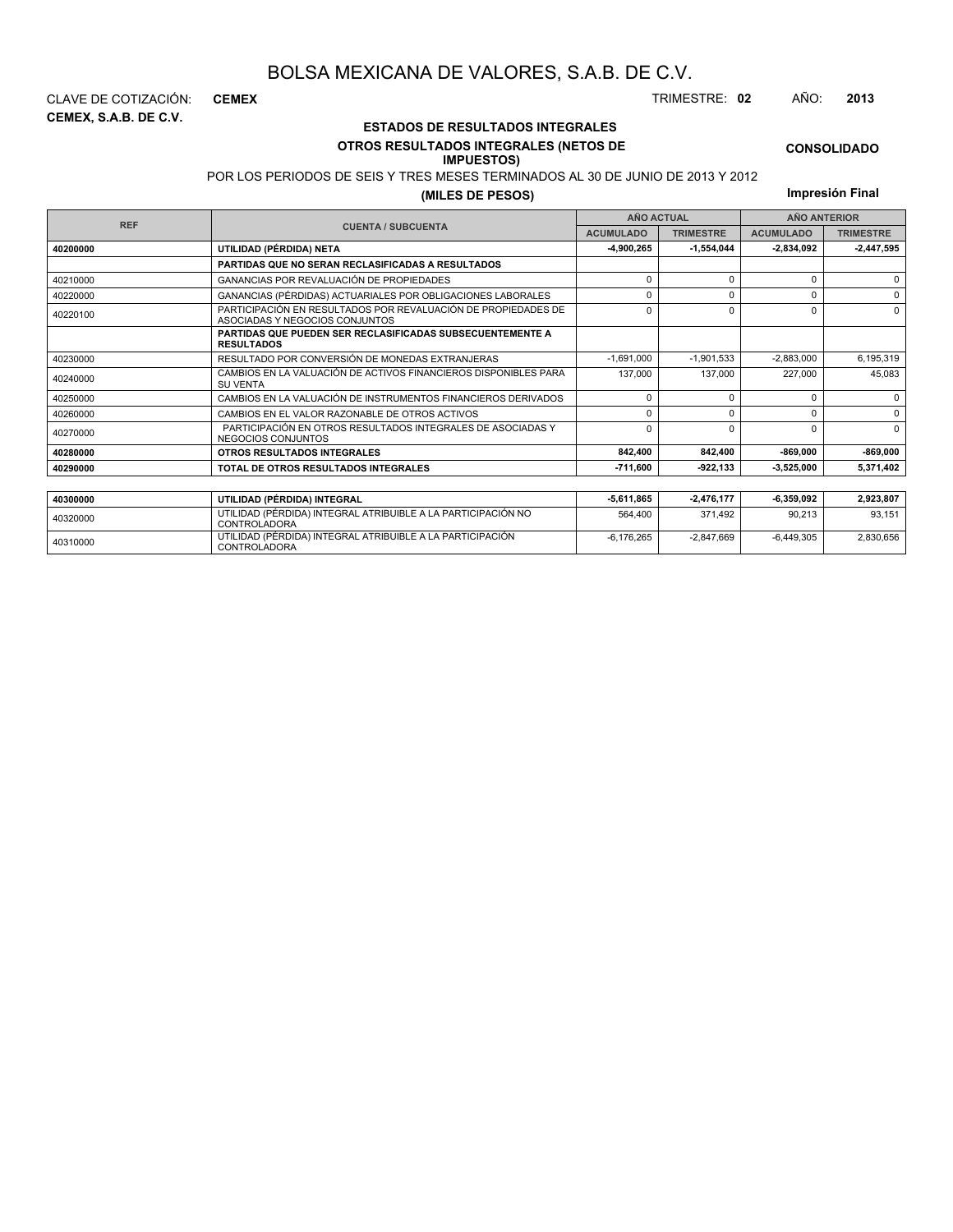### **ESTADOS DE RESULTADOS INTEGRALES OTROS RESULTADOS INTEGRALES (NETOS DE**

### **IMPUESTOS)**

POR LOS PERIODOS DE SEIS Y TRES MESES TERMINADOS AL 30 DE JUNIO DE 2013 Y 2012

**(MILES DE PESOS)**

**Impresión Final**

-6,176,265 -2,847,669 -6,449,305 2,830,656

|            |                                                                                                 |                  | <b>AÑO ACTUAL</b> | <b>AÑO ANTERIOR</b> |                  |  |
|------------|-------------------------------------------------------------------------------------------------|------------------|-------------------|---------------------|------------------|--|
| <b>REF</b> | <b>CUENTA / SUBCUENTA</b>                                                                       | <b>ACUMULADO</b> | <b>TRIMESTRE</b>  | <b>ACUMULADO</b>    | <b>TRIMESTRE</b> |  |
| 40200000   | UTILIDAD (PÉRDIDA) NETA                                                                         | -4,900,265       | $-1,554,044$      | 2,834,092           | $-2,447,595$     |  |
|            | PARTIDAS QUE NO SERAN RECLASIFICADAS A RESULTADOS                                               |                  |                   |                     |                  |  |
| 40210000   | <b>GANANCIAS POR REVALUACIÓN DE PROPIEDADES</b>                                                 | $\Omega$         | U                 | $\Omega$            |                  |  |
| 40220000   | GANANCIAS (PÉRDIDAS) ACTUARIALES POR OBLIGACIONES LABORALES                                     | $\Omega$         | 0                 | $\Omega$            | $\Omega$         |  |
| 40220100   | PARTICIPACIÓN EN RESULTADOS POR REVALUACIÓN DE PROPIEDADES DE<br>ASOCIADAS Y NEGOCIOS CONJUNTOS | U                |                   |                     |                  |  |
|            | <b>PARTIDAS QUE PUEDEN SER RECLASIFICADAS SUBSECUENTEMENTE A</b><br><b>RESULTADOS</b>           |                  |                   |                     |                  |  |
| 40230000   | RESULTADO POR CONVERSIÓN DE MONEDAS EXTRANJERAS                                                 | $-1,691,000$     | $-1,901,533$      | $-2,883,000$        | 6,195,319        |  |
| 40240000   | CAMBIOS EN LA VALUACIÓN DE ACTIVOS FINANCIEROS DISPONIBLES PARA<br><b>SU VENTA</b>              | 137.000          |                   | 227,000             | 45,083           |  |
| 40250000   | CAMBIOS EN LA VALUACIÓN DE INSTRUMENTOS FINANCIEROS DERIVADOS                                   | 0                | $\Omega$          | $\Omega$            | $\Omega$         |  |
| 40260000   | CAMBIOS EN EL VALOR RAZONABLE DE OTROS ACTIVOS                                                  | $\Omega$         | U                 | $\Omega$            | $\Omega$         |  |
| 40270000   | PARTICIPACIÓN EN OTROS RESULTADOS INTEGRALES DE ASOCIADAS Y<br>NEGOCIOS CONJUNTOS               |                  | U                 | $\Omega$            | $\Omega$         |  |
| 40280000   | OTROS RESULTADOS INTEGRALES                                                                     | 842,400          | 842,400           | $-869,000$          | $-869,000$       |  |
| 40290000   | TOTAL DE OTROS RESULTADOS INTEGRALES                                                            | -711,600         | $-922, 133$       | 3,525,000           | 5,371,402        |  |
|            |                                                                                                 |                  |                   |                     |                  |  |
| 40300000   | UTILIDAD (PÉRDIDA) INTEGRAL                                                                     | $-5,611,865$     | $-2,476,177$      | $-6,359,092$        | 2,923,807        |  |
| 40320000   | UTILIDAD (PÉRDIDA) INTEGRAL ATRIBUIBLE A LA PARTICIPACIÓN NO<br><b>CONTROLADORA</b>             | 564,400          | 371.492           | 90,213              | 93,151           |  |

<sup>40310000</sup> UTILIDAD (PÉRDIDA) INTEGRAL ATRIBUIBLE A LA PARTICIPACIÓN CONTROLADORA

**CEMEX, S.A.B. DE C.V.** CLAVE DE COTIZACIÓN: **CEMEX** TRIMESTRE: **02** AÑO: **2013**

**CONSOLIDADO**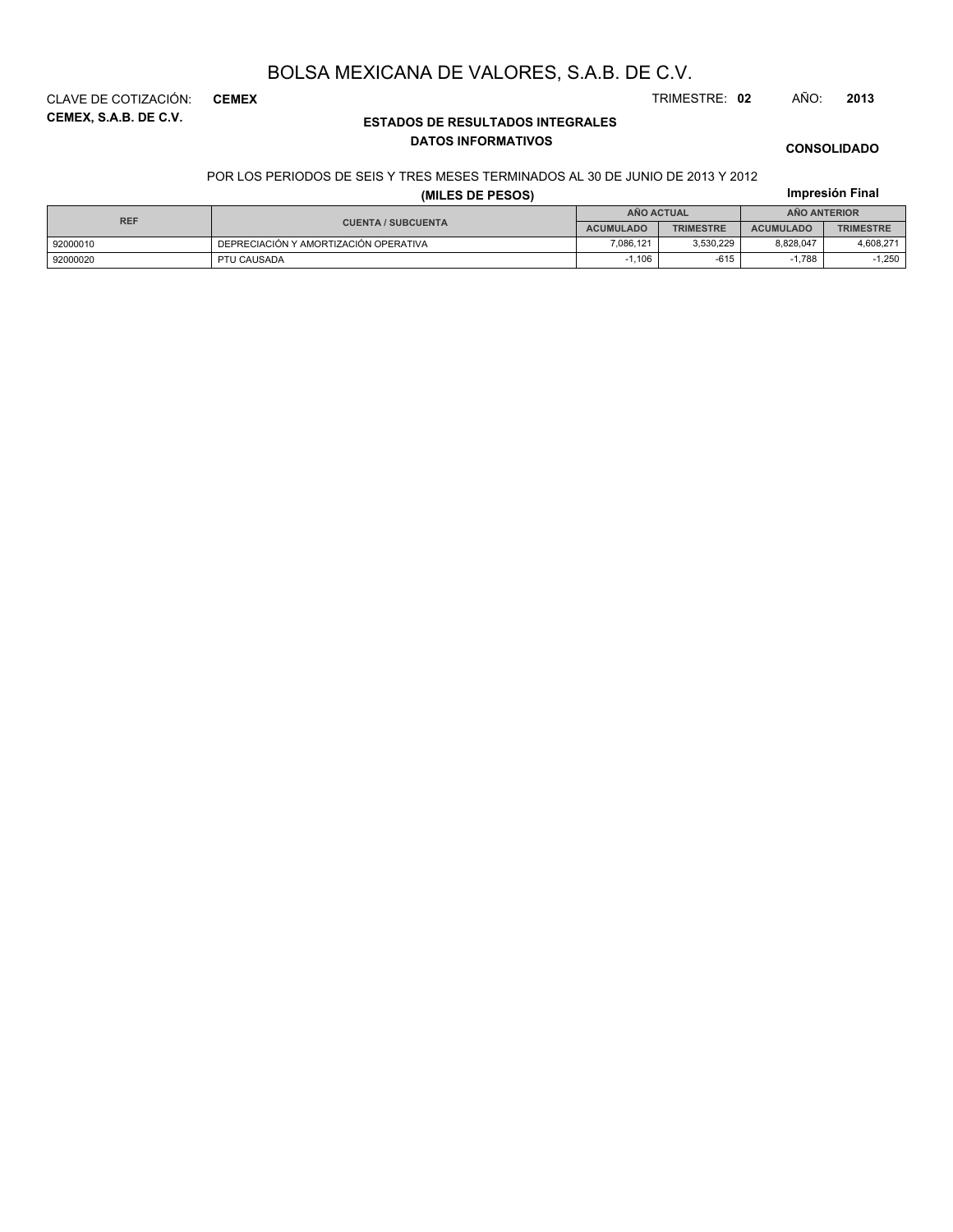**CEMEX, S.A.B. DE C.V.** CLAVE DE COTIZACIÓN: **CEMEX** TRIMESTRE: **02** AÑO: **2013**

### **ESTADOS DE RESULTADOS INTEGRALES DATOS INFORMATIVOS**

#### **CONSOLIDADO**

**Impresión Final**

#### POR LOS PERIODOS DE SEIS Y TRES MESES TERMINADOS AL 30 DE JUNIO DE 2013 Y 2012

### **(MILES DE PESOS)**

| <b>REF</b> |                                       |                  | <b>AÑO ACTUAL</b> | <b>ANO ANTERIOR</b> |                  |  |
|------------|---------------------------------------|------------------|-------------------|---------------------|------------------|--|
|            | <b>CUENTA / SUBCUENTA</b>             | <b>ACUMULADO</b> | <b>TRIMESTRE</b>  | <b>ACUMULADO</b>    | <b>TRIMESTRE</b> |  |
| 92000010   | DEPRECIACIÓN Y AMORTIZACIÓN OPERATIVA | 7.086.121        | 3.530.229         | 8.828.047           | 4,608,271        |  |
| 92000020   | PTU CAUSADA                           | .106             | $-615$            | 1.788               | .250             |  |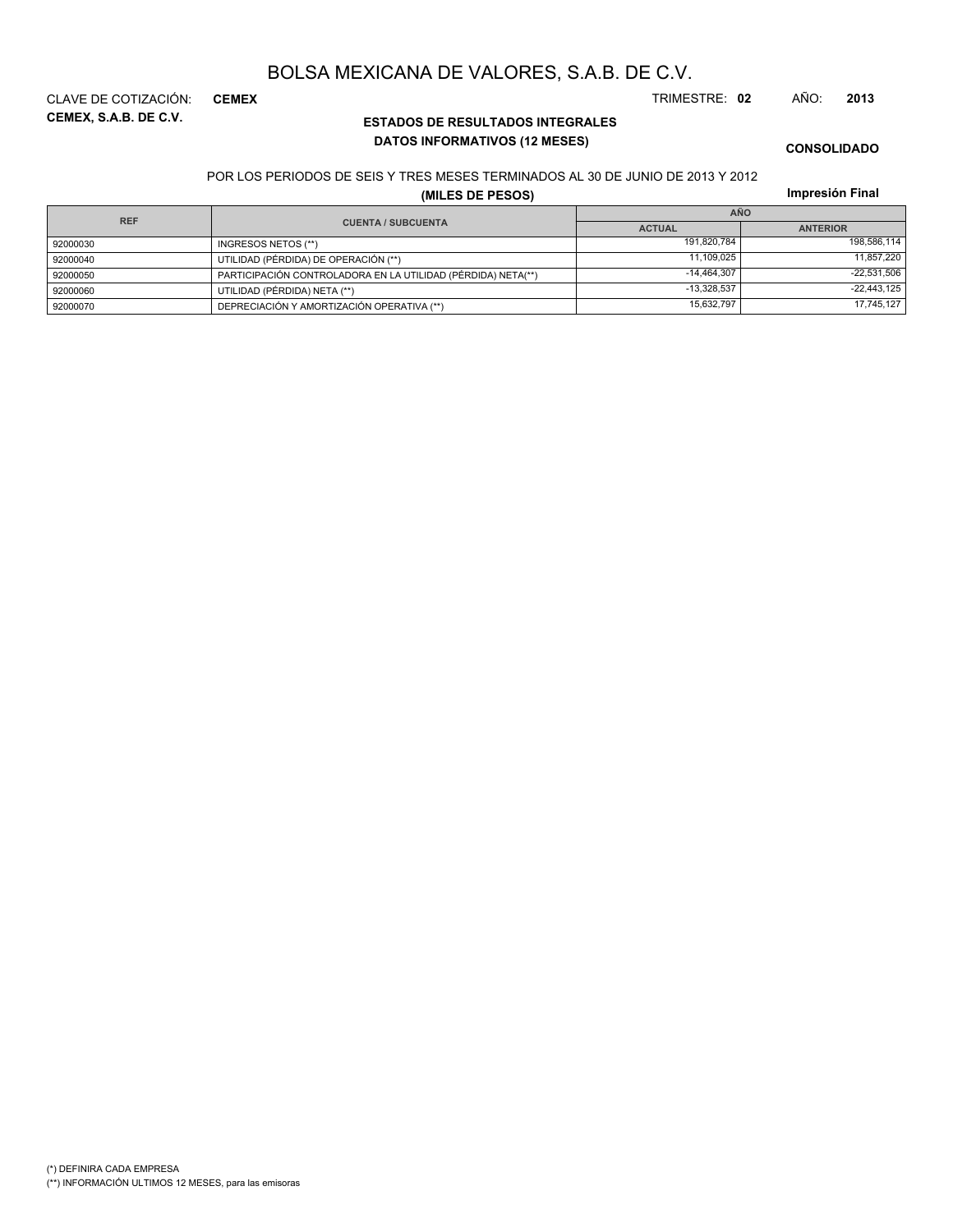**CEMEX, S.A.B. DE C.V.** CLAVE DE COTIZACIÓN: **CEMEX** TRIMESTRE: **02** AÑO: **2013**

### **ESTADOS DE RESULTADOS INTEGRALES DATOS INFORMATIVOS (12 MESES)**

### **CONSOLIDADO**

#### POR LOS PERIODOS DE SEIS Y TRES MESES TERMINADOS AL 30 DE JUNIO DE 2013 Y 2012

**(MILES DE PESOS)**

| <b>REF</b> |                                                              | <b>AÑO</b>    |                 |
|------------|--------------------------------------------------------------|---------------|-----------------|
|            | <b>CUENTA / SUBCUENTA</b>                                    | <b>ACTUAL</b> | <b>ANTERIOR</b> |
| 92000030   | INGRESOS NETOS (**)                                          | 191.820.784   | 198,586,114     |
| 92000040   | UTILIDAD (PÉRDIDA) DE OPERACIÓN (**)                         | 11.109.025    | 11,857,220      |
| 92000050   | PARTICIPACIÓN CONTROLADORA EN LA UTILIDAD (PÉRDIDA) NETA(**) | $-14.464.307$ | $-22,531,506$   |
| 92000060   | UTILIDAD (PÉRDIDA) NETA (**)                                 | $-13.328.537$ | $-22,443,125$   |
| 92000070   | DEPRECIACIÓN Y AMORTIZACIÓN OPERATIVA (**)                   | 15,632,797    | 17,745,127      |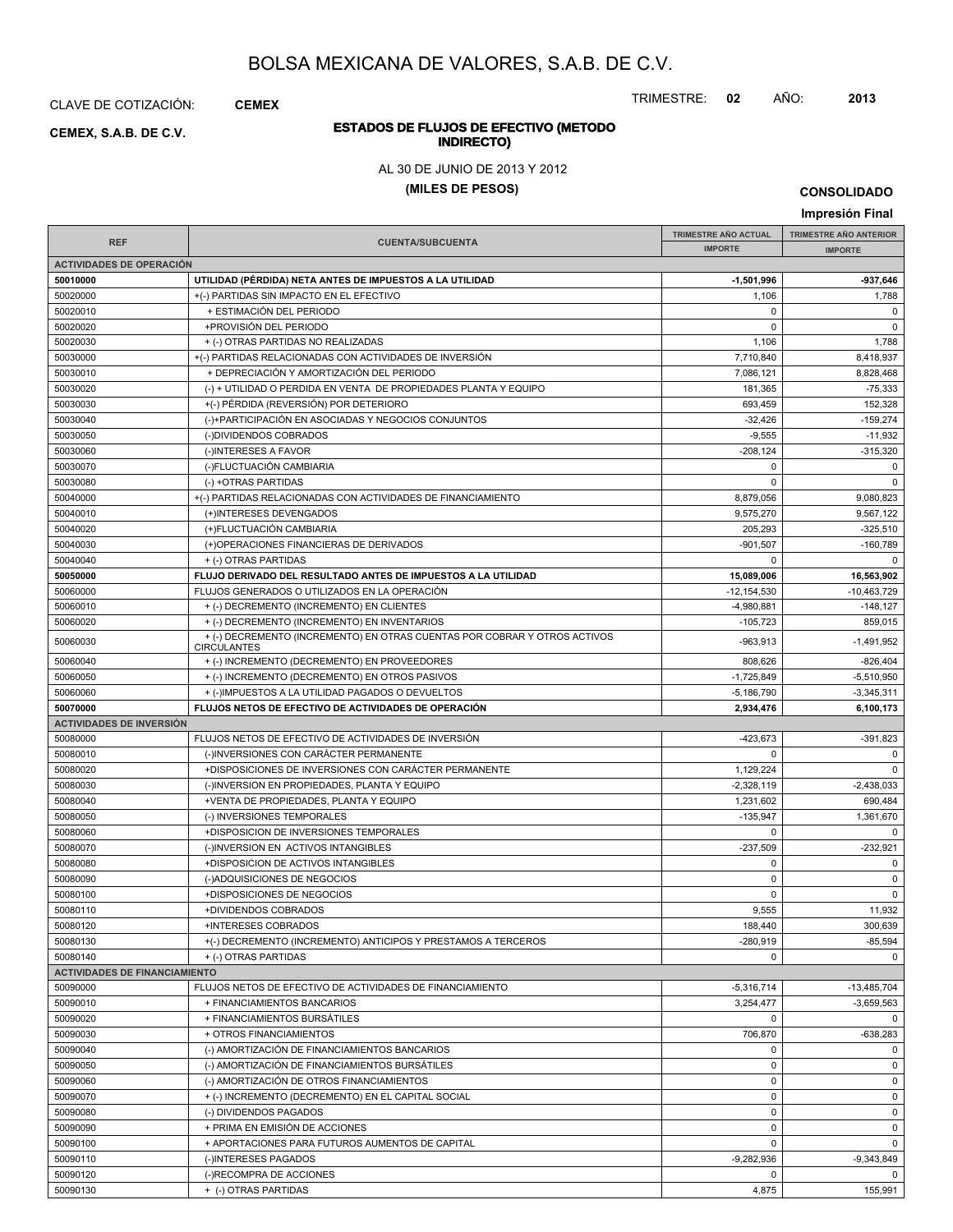CLAVE DE COTIZACIÓN: **CEMEX**

**INDIRECTO) CEMEX, S.A.B. DE C.V.**

TRIMESTRE: **02** AÑO: **2013**

# **ESTADOS DE FLUJOS DE EFECTIVO (METODO**

AL 30 DE JUNIO DE 2013 Y 2012

**(MILES DE PESOS)**

**Impresión Final**

|                                      |                                                                                                                           | TRIMESTRE AÑO ACTUAL     | TRIMESTRE AÑO ANTERIOR  |
|--------------------------------------|---------------------------------------------------------------------------------------------------------------------------|--------------------------|-------------------------|
| <b>REF</b>                           | <b>CUENTA/SUBCUENTA</b>                                                                                                   | <b>IMPORTE</b>           | <b>IMPORTE</b>          |
| <b>ACTIVIDADES DE OPERACIÓN</b>      |                                                                                                                           |                          |                         |
| 50010000                             | UTILIDAD (PÉRDIDA) NETA ANTES DE IMPUESTOS A LA UTILIDAD                                                                  | $-1,501,996$             | -937,646                |
| 50020000                             | +(-) PARTIDAS SIN IMPACTO EN EL EFECTIVO                                                                                  | 1,106                    | 1,788                   |
| 50020010                             | + ESTIMACIÓN DEL PERIODO                                                                                                  | 0                        | $\mathbf 0$             |
| 50020020                             | +PROVISIÓN DEL PERIODO                                                                                                    | 0                        | $\mathbf 0$             |
| 50020030                             | + (-) OTRAS PARTIDAS NO REALIZADAS                                                                                        | 1,106                    | 1,788                   |
| 50030000                             | +(-) PARTIDAS RELACIONADAS CON ACTIVIDADES DE INVERSIÓN                                                                   | 7,710,840                | 8,418,937               |
| 50030010                             | + DEPRECIACIÓN Y AMORTIZACIÓN DEL PERIODO                                                                                 | 7,086,121                | 8,828,468               |
| 50030020                             | (-) + UTILIDAD O PERDIDA EN VENTA DE PROPIEDADES PLANTA Y EQUIPO                                                          | 181,365                  | $-75,333$               |
| 50030030                             | +(-) PÉRDIDA (REVERSIÓN) POR DETERIORO                                                                                    | 693,459                  | 152,328                 |
| 50030040                             | (-)+PARTICIPACIÓN EN ASOCIADAS Y NEGOCIOS CONJUNTOS                                                                       | $-32,426$                | $-159,274$              |
| 50030050                             | (-)DIVIDENDOS COBRADOS                                                                                                    | $-9,555$                 | $-11,932$               |
| 50030060                             | (-)INTERESES A FAVOR                                                                                                      | $-208, 124$              | $-315,320$              |
| 50030070                             | (-)FLUCTUACIÓN CAMBIARIA                                                                                                  | $\mathbf 0$              | $\mathbf 0$             |
| 50030080                             | (-) +OTRAS PARTIDAS                                                                                                       | $\Omega$                 | $\mathbf 0$             |
| 50040000                             | +(-) PARTIDAS RELACIONADAS CON ACTIVIDADES DE FINANCIAMIENTO                                                              | 8,879,056                | 9,080,823               |
| 50040010                             | (+)INTERESES DEVENGADOS                                                                                                   | 9,575,270                | 9,567,122               |
| 50040020                             | (+)FLUCTUACIÓN CAMBIARIA                                                                                                  | 205,293                  | $-325,510$              |
| 50040030                             | (+)OPERACIONES FINANCIERAS DE DERIVADOS                                                                                   | $-901,507$               | $-160,789$              |
| 50040040                             | + (-) OTRAS PARTIDAS                                                                                                      | 0                        | $\mathbf 0$             |
| 50050000                             | FLUJO DERIVADO DEL RESULTADO ANTES DE IMPUESTOS A LA UTILIDAD                                                             | 15,089,006               | 16,563,902              |
| 50060000                             | FLUJOS GENERADOS O UTILIZADOS EN LA OPERACIÓN                                                                             | $-12, 154, 530$          | $-10,463,729$           |
|                                      |                                                                                                                           |                          |                         |
| 50060010                             | + (-) DECREMENTO (INCREMENTO) EN CLIENTES                                                                                 | -4,980,881               | $-148,127$              |
| 50060020<br>50060030                 | + (-) DECREMENTO (INCREMENTO) EN INVENTARIOS<br>+ (-) DECREMENTO (INCREMENTO) EN OTRAS CUENTAS POR COBRAR Y OTROS ACTIVOS | $-105,723$<br>$-963,913$ | 859,015<br>$-1,491,952$ |
| 50060040                             | <b>CIRCULANTES</b><br>+ (-) INCREMENTO (DECREMENTO) EN PROVEEDORES                                                        | 808,626                  | $-826,404$              |
| 50060050                             | + (-) INCREMENTO (DECREMENTO) EN OTROS PASIVOS                                                                            | $-1,725,849$             | $-5,510,950$            |
| 50060060                             |                                                                                                                           | $-5,186,790$             | $-3,345,311$            |
| 50070000                             | + (-)IMPUESTOS A LA UTILIDAD PAGADOS O DEVUELTOS<br>FLUJOS NETOS DE EFECTIVO DE ACTIVIDADES DE OPERACIÓN                  | 2,934,476                | 6,100,173               |
| <b>ACTIVIDADES DE INVERSIÓN</b>      |                                                                                                                           |                          |                         |
| 50080000                             | FLUJOS NETOS DE EFECTIVO DE ACTIVIDADES DE INVERSIÓN                                                                      | $-423,673$               | $-391,823$              |
|                                      | (-)INVERSIONES CON CARÁCTER PERMANENTE                                                                                    | 0                        | $\mathbf 0$             |
| 50080010<br>50080020                 | +DISPOSICIONES DE INVERSIONES CON CARÁCTER PERMANENTE                                                                     |                          | $\mathbf 0$             |
|                                      |                                                                                                                           | 1,129,224                |                         |
| 50080030                             | (-)INVERSION EN PROPIEDADES, PLANTA Y EQUIPO                                                                              | $-2,328,119$             | $-2,438,033$            |
| 50080040                             | +VENTA DE PROPIEDADES, PLANTA Y EQUIPO                                                                                    | 1,231,602                | 690,484                 |
| 50080050                             | (-) INVERSIONES TEMPORALES                                                                                                | $-135,947$               | 1,361,670               |
| 50080060                             | +DISPOSICION DE INVERSIONES TEMPORALES                                                                                    | $\mathbf 0$              | $\mathbf 0$             |
| 50080070                             | (-)INVERSION EN ACTIVOS INTANGIBLES                                                                                       | $-237,509$               | $-232,921$              |
| 50080080                             | +DISPOSICION DE ACTIVOS INTANGIBLES                                                                                       | $\mathbf 0$              | $\mathsf 0$             |
| 50080090                             | (-)ADQUISICIONES DE NEGOCIOS                                                                                              | $\mathbf 0$              | $\mathbf 0$             |
| 50080100                             | +DISPOSICIONES DE NEGOCIOS                                                                                                | 0                        | $\mathbf 0$             |
| 50080110                             | +DIVIDENDOS COBRADOS                                                                                                      | 9,555                    | 11,932                  |
| 50080120                             | +INTERESES COBRADOS                                                                                                       | 188,440                  | 300,639                 |
| 50080130                             | +(-) DECREMENTO (INCREMENTO) ANTICIPOS Y PRESTAMOS A TERCEROS                                                             | $-280,919$               | $-85,594$               |
| 50080140                             | + (-) OTRAS PARTIDAS                                                                                                      | 0                        | $\mathbf 0$             |
| <b>ACTIVIDADES DE FINANCIAMIENTO</b> |                                                                                                                           |                          |                         |
| 50090000                             | FLUJOS NETOS DE EFECTIVO DE ACTIVIDADES DE FINANCIAMIENTO                                                                 | $-5,316,714$             | $-13,485,704$           |
| 50090010                             | + FINANCIAMIENTOS BANCARIOS                                                                                               | 3,254,477                | $-3,659,563$            |
| 50090020                             | + FINANCIAMIENTOS BURSÁTILES                                                                                              | $\mathbf 0$              | $\mathbf 0$             |
| 50090030                             | + OTROS FINANCIAMIENTOS                                                                                                   | 706,870                  | $-638,283$              |
| 50090040                             | (-) AMORTIZACIÓN DE FINANCIAMIENTOS BANCARIOS                                                                             | 0                        | $\mathbf 0$             |
| 50090050                             | (-) AMORTIZACIÓN DE FINANCIAMIENTOS BURSÁTILES                                                                            | $\pmb{0}$                | 0                       |
| 50090060                             | (-) AMORTIZACIÓN DE OTROS FINANCIAMIENTOS                                                                                 | $\pmb{0}$                | 0                       |
| 50090070                             | + (-) INCREMENTO (DECREMENTO) EN EL CAPITAL SOCIAL                                                                        | $\mathbf 0$              | $\mathbf 0$             |
| 50090080                             | (-) DIVIDENDOS PAGADOS                                                                                                    | $\pmb{0}$                | 0                       |
| 50090090                             | + PRIMA EN EMISIÓN DE ACCIONES                                                                                            | $\pmb{0}$                | 0                       |
| 50090100                             | + APORTACIONES PARA FUTUROS AUMENTOS DE CAPITAL                                                                           | $\mathbf 0$              | $\mathbf 0$             |
| 50090110                             | (-)INTERESES PAGADOS                                                                                                      | $-9,282,936$             | -9,343,849              |
| 50090120                             | (-)RECOMPRA DE ACCIONES                                                                                                   | 0                        | $\mathbf 0$             |
| 50090130                             | + (-) OTRAS PARTIDAS                                                                                                      | 4,875                    | 155,991                 |

**CONSOLIDADO**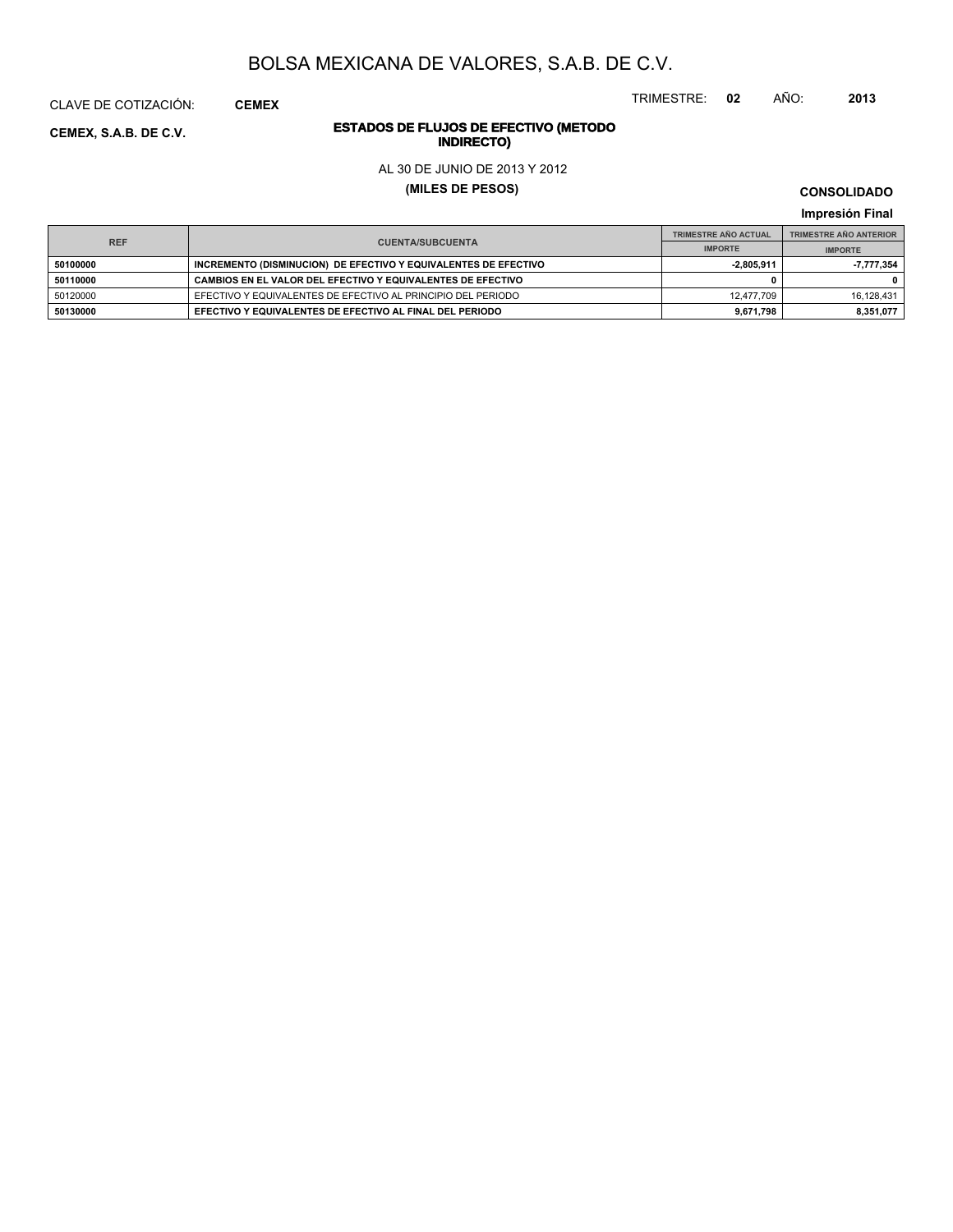TRIMESTRE: **02** AÑO: **2013**

# **ESTADOS DE FLUJOS DE EFECTIVO (METODO**

AL 30 DE JUNIO DE 2013 Y 2012

**(MILES DE PESOS)**

**CONSOLIDADO Impresión Final**

|          | <b>REF</b><br><b>CUENTA/SUBCUENTA</b>                           |              | <b>TRIMESTRE AÑO ANTERIOR</b> |
|----------|-----------------------------------------------------------------|--------------|-------------------------------|
|          |                                                                 |              | <b>IMPORTE</b>                |
| 50100000 | INCREMENTO (DISMINUCION) DE EFECTIVO Y EQUIVALENTES DE EFECTIVO | $-2.805.911$ | 7.777.354                     |
| 50110000 | CAMBIOS EN EL VALOR DEL EFECTIVO Y EQUIVALENTES DE EFECTIVO     |              |                               |
| 50120000 | EFECTIVO Y EQUIVALENTES DE EFECTIVO AL PRINCIPIO DEL PERIODO    | 12.477.709   | 16.128.431                    |
| 50130000 | EFECTIVO Y EQUIVALENTES DE EFECTIVO AL FINAL DEL PERIODO        | 9.671.798    | 8.351.077                     |

**INDIRECTO) CEMEX, S.A.B. DE C.V.**

CLAVE DE COTIZACIÓN: **CEMEX**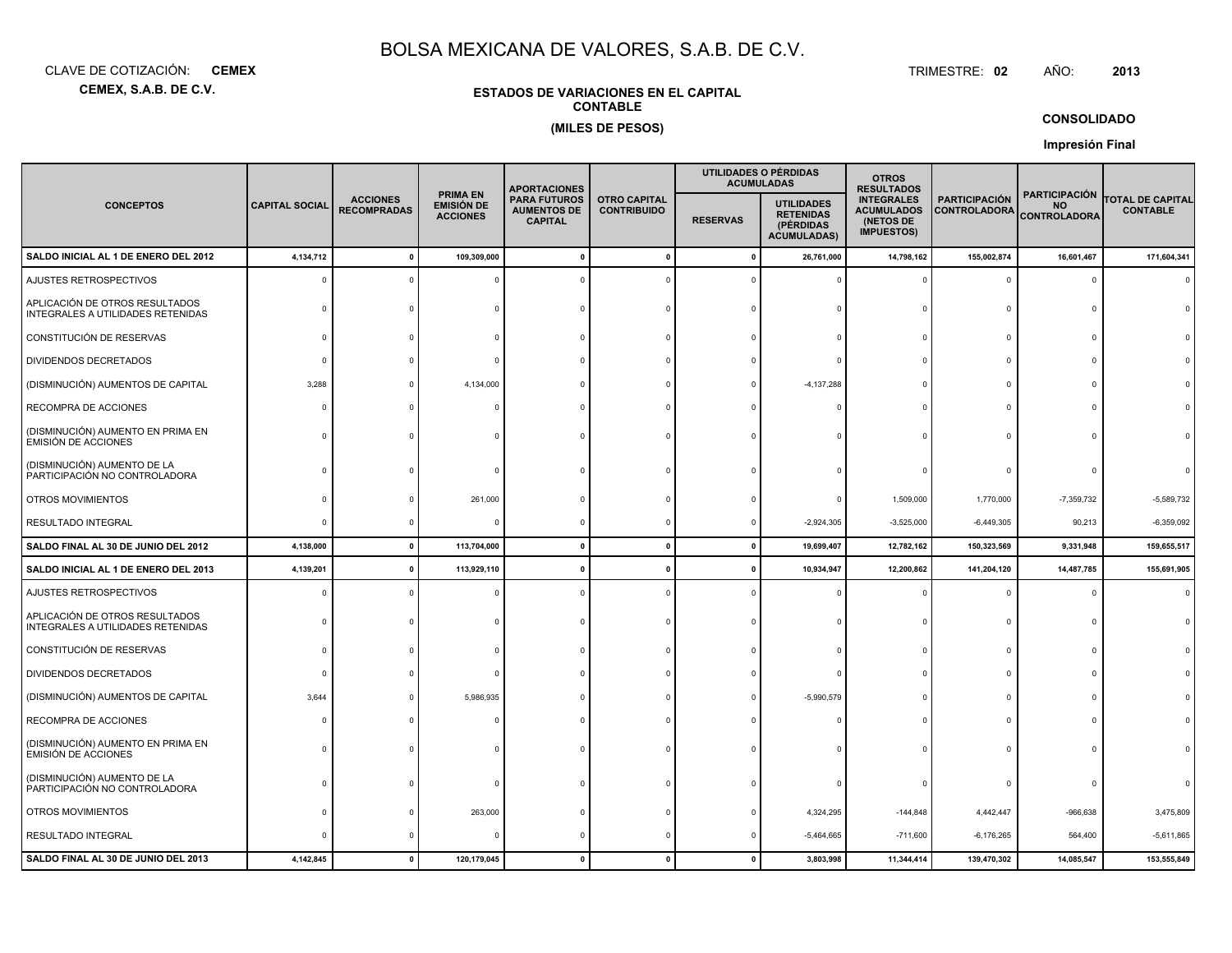**CEMEX, S.A.B. DE C.V.**CLAVE DE COTIZACIÓN:**CEMEX**: **CEMEX** TRIMESTRE:

#### TRIMESTRE: 02 AÑO: **<sup>2013</sup>**

### **ESTADOS DE VARIACIONES EN EL CAPITALCONTABLE(MILES DE PESOS)**

### **CONSOLIDADO**

**Impresión Final**

|                                                                     |                       |                                       |                                                         | <b>APORTACIONES</b>                                         |                                           |                 | UTILIDADES O PÉRDIDAS<br><b>ACUMULADAS</b>                               | <b>OTROS</b><br><b>RESULTADOS</b>                                        |                                             |                                                   |                                            |
|---------------------------------------------------------------------|-----------------------|---------------------------------------|---------------------------------------------------------|-------------------------------------------------------------|-------------------------------------------|-----------------|--------------------------------------------------------------------------|--------------------------------------------------------------------------|---------------------------------------------|---------------------------------------------------|--------------------------------------------|
| <b>CONCEPTOS</b>                                                    | <b>CAPITAL SOCIAL</b> | <b>ACCIONES</b><br><b>RECOMPRADAS</b> | <b>PRIMA EN</b><br><b>EMISIÓN DE</b><br><b>ACCIONES</b> | <b>PARA FUTUROS</b><br><b>AUMENTOS DE</b><br><b>CAPITAL</b> | <b>OTRO CAPITAL</b><br><b>CONTRIBUIDO</b> | <b>RESERVAS</b> | <b>UTILIDADES</b><br><b>RETENIDAS</b><br>(PÉRDIDAS<br><b>ACUMULADAS)</b> | <b>INTEGRALES</b><br><b>ACUMULADOS</b><br>(NETOS DE<br><b>IMPUESTOS)</b> | <b>PARTICIPACIÓN</b><br><b>CONTROLADORA</b> | PARTICIPACIÓN<br><b>NO</b><br><b>CONTROLADORA</b> | <b>TOTAL DE CAPITAL</b><br><b>CONTABLE</b> |
| SALDO INICIAL AL 1 DE ENERO DEL 2012                                | 4,134,712             | 0                                     | 109,309,000                                             |                                                             | $\mathbf{0}$                              | 0               | 26,761,000                                                               | 14,798,162                                                               | 155,002,874                                 | 16,601,467                                        | 171,604,341                                |
| AJUSTES RETROSPECTIVOS                                              |                       |                                       |                                                         |                                                             |                                           |                 |                                                                          |                                                                          | $\Omega$                                    | $\Omega$                                          |                                            |
| APLICACIÓN DE OTROS RESULTADOS<br>INTEGRALES A UTILIDADES RETENIDAS |                       |                                       |                                                         |                                                             |                                           |                 |                                                                          |                                                                          | $\Omega$                                    |                                                   |                                            |
| CONSTITUCIÓN DE RESERVAS                                            |                       |                                       |                                                         |                                                             |                                           |                 |                                                                          |                                                                          | $\Omega$                                    | $\Omega$                                          |                                            |
| <b>DIVIDENDOS DECRETADOS</b>                                        |                       |                                       |                                                         |                                                             |                                           |                 |                                                                          |                                                                          | $\Omega$                                    |                                                   |                                            |
| (DISMINUCIÓN) AUMENTOS DE CAPITAL                                   | 3,288                 |                                       | 4,134,000                                               |                                                             |                                           |                 | $-4, 137, 288$                                                           |                                                                          | $\Omega$                                    |                                                   |                                            |
| RECOMPRA DE ACCIONES                                                |                       |                                       |                                                         |                                                             |                                           |                 |                                                                          |                                                                          | $\Omega$                                    |                                                   |                                            |
| (DISMINUCIÓN) AUMENTO EN PRIMA EN<br><b>EMISIÓN DE ACCIONES</b>     |                       |                                       |                                                         |                                                             |                                           |                 |                                                                          |                                                                          | $\Omega$                                    |                                                   |                                            |
| (DISMINUCIÓN) AUMENTO DE LA<br>PARTICIPACIÓN NO CONTROLADORA        |                       |                                       |                                                         |                                                             |                                           |                 |                                                                          |                                                                          |                                             |                                                   |                                            |
| OTROS MOVIMIENTOS                                                   |                       |                                       | 261,000                                                 |                                                             |                                           |                 |                                                                          | 1,509,000                                                                | 1,770,000                                   | $-7,359,732$                                      | $-5,589,732$                               |
| <b>RESULTADO INTEGRAL</b>                                           |                       |                                       |                                                         |                                                             |                                           |                 | $-2,924,305$                                                             | $-3,525,000$                                                             | $-6,449,305$                                | 90,213                                            | $-6,359,092$                               |
| SALDO FINAL AL 30 DE JUNIO DEL 2012                                 | 4,138,000             | $\mathbf 0$                           | 113,704,000                                             |                                                             | $\mathbf 0$                               | $\mathbf 0$     | 19,699,407                                                               | 12,782,162                                                               | 150,323,569                                 | 9,331,948                                         | 159,655,517                                |
| SALDO INICIAL AL 1 DE ENERO DEL 2013                                | 4,139,201             | 0                                     | 113,929,110                                             |                                                             | $\Omega$                                  |                 | 10,934,947                                                               | 12,200,862                                                               | 141,204,120                                 | 14,487,785                                        | 155,691,905                                |
| AJUSTES RETROSPECTIVOS                                              |                       |                                       |                                                         |                                                             |                                           |                 |                                                                          |                                                                          | $\Omega$                                    | $\Omega$                                          |                                            |
| APLICACIÓN DE OTROS RESULTADOS<br>INTEGRALES A UTILIDADES RETENIDAS |                       |                                       |                                                         |                                                             |                                           |                 |                                                                          |                                                                          | $\Omega$                                    | $\Omega$                                          |                                            |
| CONSTITUCIÓN DE RESERVAS                                            |                       |                                       |                                                         |                                                             |                                           |                 |                                                                          |                                                                          | $\Omega$                                    |                                                   |                                            |
| DIVIDENDOS DECRETADOS                                               |                       |                                       |                                                         |                                                             |                                           |                 |                                                                          |                                                                          | $\mathbf 0$                                 |                                                   |                                            |
| (DISMINUCIÓN) AUMENTOS DE CAPITAL                                   | 3,644                 |                                       | 5,986,935                                               |                                                             |                                           |                 | $-5,990,579$                                                             |                                                                          | $\Omega$                                    |                                                   |                                            |
| RECOMPRA DE ACCIONES                                                |                       |                                       |                                                         |                                                             |                                           |                 |                                                                          |                                                                          | $\Omega$                                    |                                                   |                                            |
| (DISMINUCIÓN) AUMENTO EN PRIMA EN<br><b>EMISIÓN DE ACCIONES</b>     |                       |                                       |                                                         |                                                             |                                           |                 |                                                                          |                                                                          |                                             |                                                   |                                            |
| (DISMINUCIÓN) AUMENTO DE LA<br>PARTICIPACIÓN NO CONTROLADORA        |                       |                                       |                                                         |                                                             |                                           |                 |                                                                          |                                                                          |                                             |                                                   |                                            |
| OTROS MOVIMIENTOS                                                   |                       |                                       | 263,000                                                 |                                                             |                                           |                 | 4,324,295                                                                | $-144,848$                                                               | 4,442,447                                   | $-966,638$                                        | 3,475,809                                  |
| RESULTADO INTEGRAL                                                  |                       |                                       |                                                         |                                                             |                                           |                 | $-5,464,665$                                                             | $-711,600$                                                               | $-6,176,265$                                | 564,400                                           | $-5,611,865$                               |
| SALDO FINAL AL 30 DE JUNIO DEL 2013                                 | 4,142,845             |                                       | 120,179,045                                             |                                                             |                                           |                 | 3,803,998                                                                | 11,344,414                                                               | 139,470,302                                 | 14,085,547                                        | 153,555,849                                |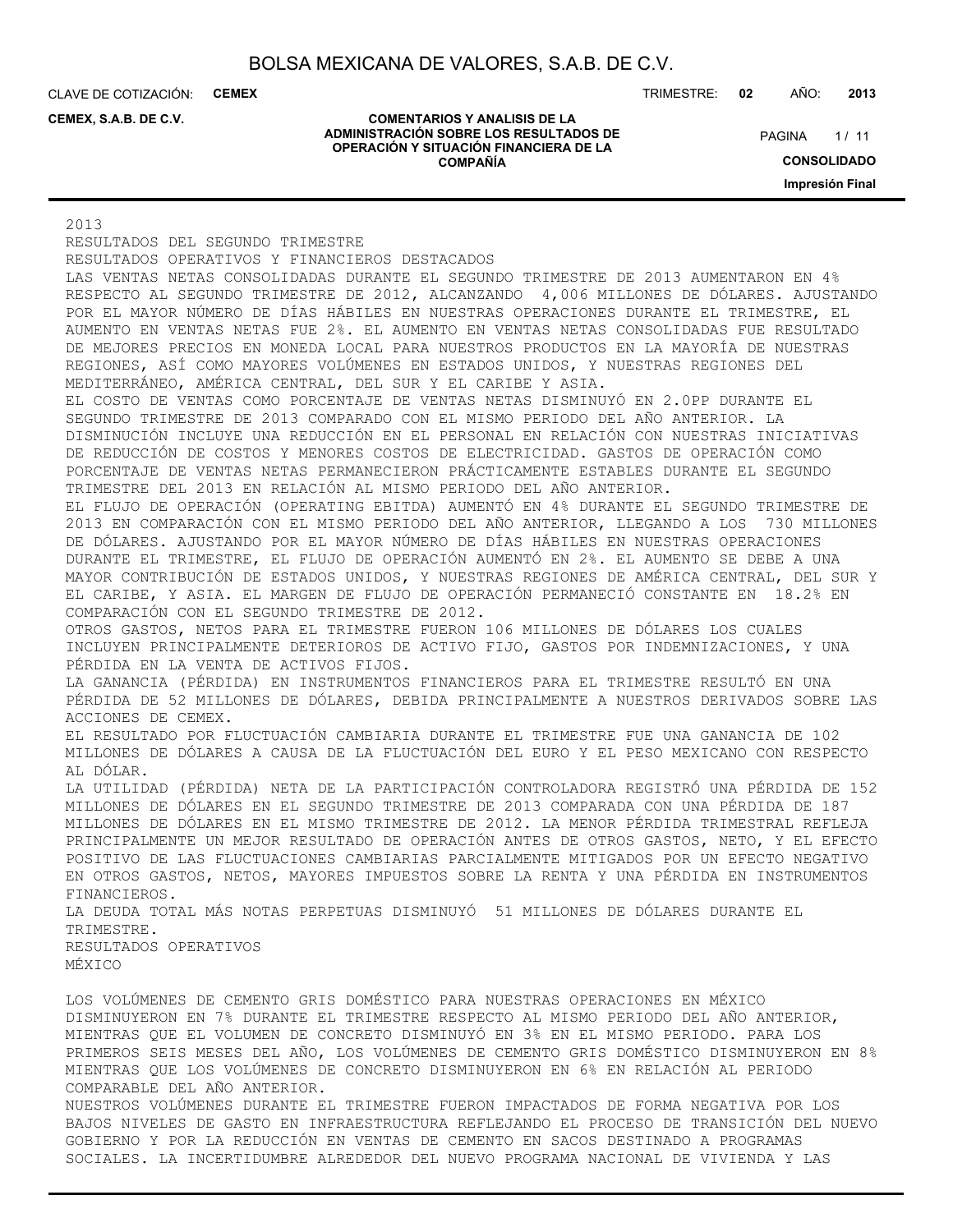**COMENTARIOS Y ANALISIS DE LA ADMINISTRACIÓN SOBRE LOS RESULTADOS DE OPERACIÓN Y SITUACIÓN FINANCIERA DE LA COMPAÑÍA**

CLAVE DE COTIZACIÓN: **CEMEX**

**CEMEX, S.A.B. DE C.V.**

TRIMESTRE: **02** AÑO: **2013**

 $1/11$ **PAGINA** 

> **CONSOLIDADO Impresión Final**

#### 2013

RESULTADOS DEL SEGUNDO TRIMESTRE RESULTADOS OPERATIVOS Y FINANCIEROS DESTACADOS LAS VENTAS NETAS CONSOLIDADAS DURANTE EL SEGUNDO TRIMESTRE DE 2013 AUMENTARON EN 4% RESPECTO AL SEGUNDO TRIMESTRE DE 2012, ALCANZANDO 4,006 MILLONES DE DÓLARES. AJUSTANDO POR EL MAYOR NÚMERO DE DÍAS HÁBILES EN NUESTRAS OPERACIONES DURANTE EL TRIMESTRE, EL AUMENTO EN VENTAS NETAS FUE 2%. EL AUMENTO EN VENTAS NETAS CONSOLIDADAS FUE RESULTADO DE MEJORES PRECIOS EN MONEDA LOCAL PARA NUESTROS PRODUCTOS EN LA MAYORÍA DE NUESTRAS REGIONES, ASÍ COMO MAYORES VOLÚMENES EN ESTADOS UNIDOS, Y NUESTRAS REGIONES DEL MEDITERRÁNEO, AMÉRICA CENTRAL, DEL SUR Y EL CARIBE Y ASIA. EL COSTO DE VENTAS COMO PORCENTAJE DE VENTAS NETAS DISMINUYÓ EN 2.0PP DURANTE EL SEGUNDO TRIMESTRE DE 2013 COMPARADO CON EL MISMO PERIODO DEL AÑO ANTERIOR. LA DISMINUCIÓN INCLUYE UNA REDUCCIÓN EN EL PERSONAL EN RELACIÓN CON NUESTRAS INICIATIVAS DE REDUCCIÓN DE COSTOS Y MENORES COSTOS DE ELECTRICIDAD. GASTOS DE OPERACIÓN COMO PORCENTAJE DE VENTAS NETAS PERMANECIERON PRÁCTICAMENTE ESTABLES DURANTE EL SEGUNDO TRIMESTRE DEL 2013 EN RELACIÓN AL MISMO PERIODO DEL AÑO ANTERIOR. EL FLUJO DE OPERACIÓN (OPERATING EBITDA) AUMENTÓ EN 4% DURANTE EL SEGUNDO TRIMESTRE DE 2013 EN COMPARACIÓN CON EL MISMO PERIODO DEL AÑO ANTERIOR, LLEGANDO A LOS 730 MILLONES DE DÓLARES. AJUSTANDO POR EL MAYOR NÚMERO DE DÍAS HÁBILES EN NUESTRAS OPERACIONES DURANTE EL TRIMESTRE, EL FLUJO DE OPERACIÓN AUMENTÓ EN 2%. EL AUMENTO SE DEBE A UNA MAYOR CONTRIBUCIÓN DE ESTADOS UNIDOS, Y NUESTRAS REGIONES DE AMÉRICA CENTRAL, DEL SUR Y EL CARIBE, Y ASIA. EL MARGEN DE FLUJO DE OPERACIÓN PERMANECIÓ CONSTANTE EN 18.2% EN COMPARACIÓN CON EL SEGUNDO TRIMESTRE DE 2012. OTROS GASTOS, NETOS PARA EL TRIMESTRE FUERON 106 MILLONES DE DÓLARES LOS CUALES INCLUYEN PRINCIPALMENTE DETERIOROS DE ACTIVO FIJO, GASTOS POR INDEMNIZACIONES, Y UNA PÉRDIDA EN LA VENTA DE ACTIVOS FIJOS. LA GANANCIA (PÉRDIDA) EN INSTRUMENTOS FINANCIEROS PARA EL TRIMESTRE RESULTÓ EN UNA PÉRDIDA DE 52 MILLONES DE DÓLARES, DEBIDA PRINCIPALMENTE A NUESTROS DERIVADOS SOBRE LAS ACCIONES DE CEMEX. EL RESULTADO POR FLUCTUACIÓN CAMBIARIA DURANTE EL TRIMESTRE FUE UNA GANANCIA DE 102 MILLONES DE DÓLARES A CAUSA DE LA FLUCTUACIÓN DEL EURO Y EL PESO MEXICANO CON RESPECTO AL DÓLAR. LA UTILIDAD (PÉRDIDA) NETA DE LA PARTICIPACIÓN CONTROLADORA REGISTRÓ UNA PÉRDIDA DE 152 MILLONES DE DÓLARES EN EL SEGUNDO TRIMESTRE DE 2013 COMPARADA CON UNA PÉRDIDA DE 187 MILLONES DE DÓLARES EN EL MISMO TRIMESTRE DE 2012. LA MENOR PÉRDIDA TRIMESTRAL REFLEJA PRINCIPALMENTE UN MEJOR RESULTADO DE OPERACIÓN ANTES DE OTROS GASTOS, NETO, Y EL EFECTO POSITIVO DE LAS FLUCTUACIONES CAMBIARIAS PARCIALMENTE MITIGADOS POR UN EFECTO NEGATIVO EN OTROS GASTOS, NETOS, MAYORES IMPUESTOS SOBRE LA RENTA Y UNA PÉRDIDA EN INSTRUMENTOS FINANCIEROS. LA DEUDA TOTAL MÁS NOTAS PERPETUAS DISMINUYÓ 51 MILLONES DE DÓLARES DURANTE EL TRIMESTRE. RESULTADOS OPERATIVOS MÉXICO

LOS VOLÚMENES DE CEMENTO GRIS DOMÉSTICO PARA NUESTRAS OPERACIONES EN MÉXICO DISMINUYERON EN 7% DURANTE EL TRIMESTRE RESPECTO AL MISMO PERIODO DEL AÑO ANTERIOR, MIENTRAS QUE EL VOLUMEN DE CONCRETO DISMINUYÓ EN 3% EN EL MISMO PERIODO. PARA LOS PRIMEROS SEIS MESES DEL AÑO, LOS VOLÚMENES DE CEMENTO GRIS DOMÉSTICO DISMINUYERON EN 8% MIENTRAS QUE LOS VOLÚMENES DE CONCRETO DISMINUYERON EN 6% EN RELACIÓN AL PERIODO COMPARABLE DEL AÑO ANTERIOR.

NUESTROS VOLÚMENES DURANTE EL TRIMESTRE FUERON IMPACTADOS DE FORMA NEGATIVA POR LOS BAJOS NIVELES DE GASTO EN INFRAESTRUCTURA REFLEJANDO EL PROCESO DE TRANSICIÓN DEL NUEVO GOBIERNO Y POR LA REDUCCIÓN EN VENTAS DE CEMENTO EN SACOS DESTINADO A PROGRAMAS SOCIALES. LA INCERTIDUMBRE ALREDEDOR DEL NUEVO PROGRAMA NACIONAL DE VIVIENDA Y LAS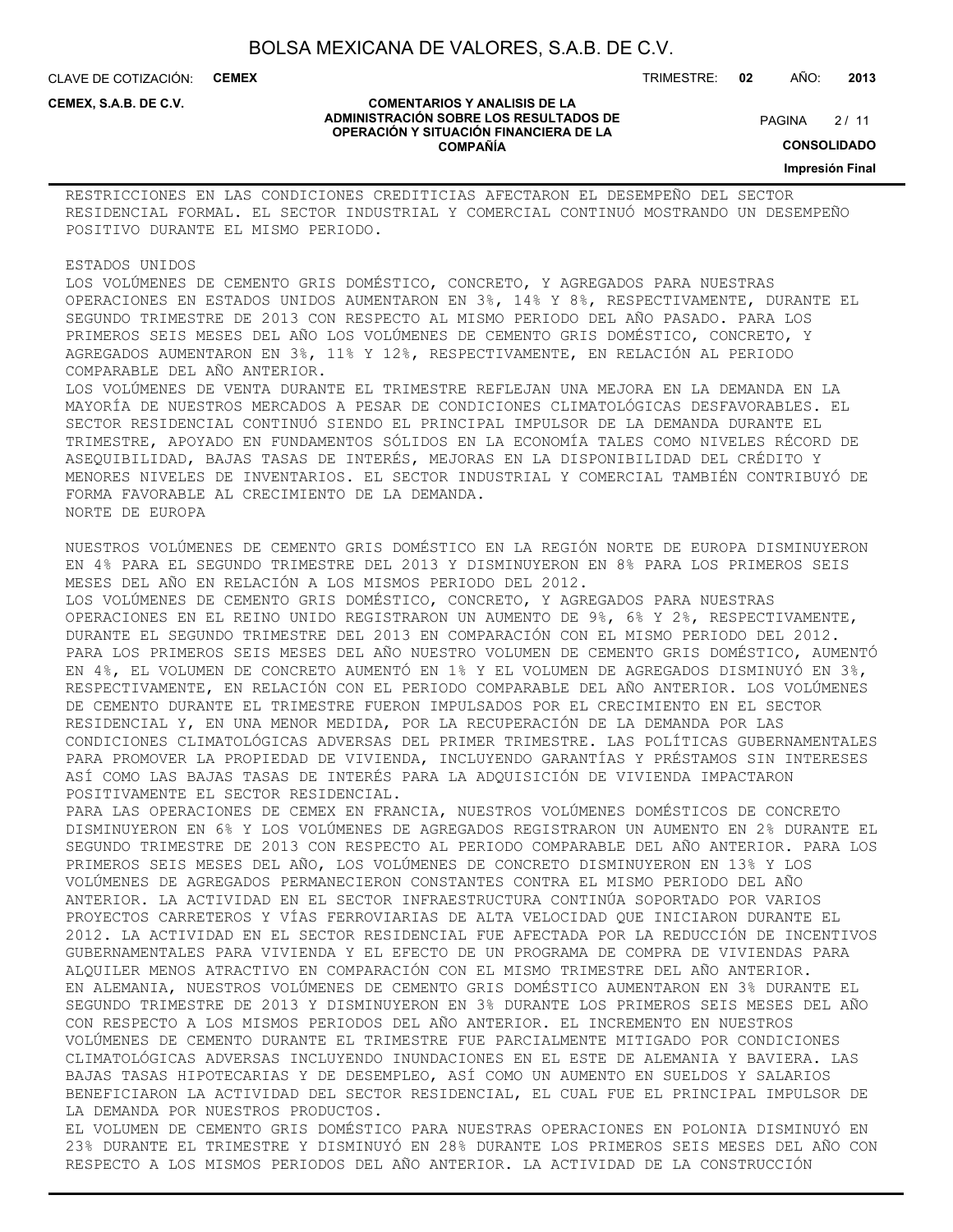**COMENTARIOS Y ANALISIS DE LA ADMINISTRACIÓN SOBRE LOS RESULTADOS DE OPERACIÓN Y SITUACIÓN FINANCIERA DE LA COMPAÑÍA**

CLAVE DE COTIZACIÓN: **CEMEX**

**CEMEX, S.A.B. DE C.V.**

TRIMESTRE: **02** AÑO: **2013**

 $2/11$ **PAGINA** 

**CONSOLIDADO**

**Impresión Final**

RESTRICCIONES EN LAS CONDICIONES CREDITICIAS AFECTARON EL DESEMPEÑO DEL SECTOR RESIDENCIAL FORMAL. EL SECTOR INDUSTRIAL Y COMERCIAL CONTINUÓ MOSTRANDO UN DESEMPEÑO POSITIVO DURANTE EL MISMO PERIODO.

ESTADOS UNIDOS

LOS VOLÚMENES DE CEMENTO GRIS DOMÉSTICO, CONCRETO, Y AGREGADOS PARA NUESTRAS OPERACIONES EN ESTADOS UNIDOS AUMENTARON EN 3%, 14% Y 8%, RESPECTIVAMENTE, DURANTE EL SEGUNDO TRIMESTRE DE 2013 CON RESPECTO AL MISMO PERIODO DEL AÑO PASADO. PARA LOS PRIMEROS SEIS MESES DEL AÑO LOS VOLÚMENES DE CEMENTO GRIS DOMÉSTICO, CONCRETO, Y AGREGADOS AUMENTARON EN 3%, 11% Y 12%, RESPECTIVAMENTE, EN RELACIÓN AL PERIODO COMPARABLE DEL AÑO ANTERIOR.

LOS VOLÚMENES DE VENTA DURANTE EL TRIMESTRE REFLEJAN UNA MEJORA EN LA DEMANDA EN LA MAYORÍA DE NUESTROS MERCADOS A PESAR DE CONDICIONES CLIMATOLÓGICAS DESFAVORABLES. EL SECTOR RESIDENCIAL CONTINUÓ SIENDO EL PRINCIPAL IMPULSOR DE LA DEMANDA DURANTE EL TRIMESTRE, APOYADO EN FUNDAMENTOS SÓLIDOS EN LA ECONOMÍA TALES COMO NIVELES RÉCORD DE ASEQUIBILIDAD, BAJAS TASAS DE INTERÉS, MEJORAS EN LA DISPONIBILIDAD DEL CRÉDITO Y MENORES NIVELES DE INVENTARIOS. EL SECTOR INDUSTRIAL Y COMERCIAL TAMBIÉN CONTRIBUYÓ DE FORMA FAVORABLE AL CRECIMIENTO DE LA DEMANDA. NORTE DE EUROPA

NUESTROS VOLÚMENES DE CEMENTO GRIS DOMÉSTICO EN LA REGIÓN NORTE DE EUROPA DISMINUYERON EN 4% PARA EL SEGUNDO TRIMESTRE DEL 2013 Y DISMINUYERON EN 8% PARA LOS PRIMEROS SEIS MESES DEL AÑO EN RELACIÓN A LOS MISMOS PERIODO DEL 2012.

LOS VOLÚMENES DE CEMENTO GRIS DOMÉSTICO, CONCRETO, Y AGREGADOS PARA NUESTRAS OPERACIONES EN EL REINO UNIDO REGISTRARON UN AUMENTO DE 9%, 6% Y 2%, RESPECTIVAMENTE, DURANTE EL SEGUNDO TRIMESTRE DEL 2013 EN COMPARACIÓN CON EL MISMO PERIODO DEL 2012. PARA LOS PRIMEROS SEIS MESES DEL AÑO NUESTRO VOLUMEN DE CEMENTO GRIS DOMÉSTICO, AUMENTÓ EN 4%, EL VOLUMEN DE CONCRETO AUMENTÓ EN 1% Y EL VOLUMEN DE AGREGADOS DISMINUYÓ EN 3%, RESPECTIVAMENTE, EN RELACIÓN CON EL PERIODO COMPARABLE DEL AÑO ANTERIOR. LOS VOLÚMENES DE CEMENTO DURANTE EL TRIMESTRE FUERON IMPULSADOS POR EL CRECIMIENTO EN EL SECTOR RESIDENCIAL Y, EN UNA MENOR MEDIDA, POR LA RECUPERACIÓN DE LA DEMANDA POR LAS CONDICIONES CLIMATOLÓGICAS ADVERSAS DEL PRIMER TRIMESTRE. LAS POLÍTICAS GUBERNAMENTALES PARA PROMOVER LA PROPIEDAD DE VIVIENDA, INCLUYENDO GARANTÍAS Y PRÉSTAMOS SIN INTERESES ASÍ COMO LAS BAJAS TASAS DE INTERÉS PARA LA ADQUISICIÓN DE VIVIENDA IMPACTARON POSITIVAMENTE EL SECTOR RESIDENCIAL.

PARA LAS OPERACIONES DE CEMEX EN FRANCIA, NUESTROS VOLÚMENES DOMÉSTICOS DE CONCRETO DISMINUYERON EN 6% Y LOS VOLÚMENES DE AGREGADOS REGISTRARON UN AUMENTO EN 2% DURANTE EL SEGUNDO TRIMESTRE DE 2013 CON RESPECTO AL PERIODO COMPARABLE DEL AÑO ANTERIOR. PARA LOS PRIMEROS SEIS MESES DEL AÑO, LOS VOLÚMENES DE CONCRETO DISMINUYERON EN 13% Y LOS VOLÚMENES DE AGREGADOS PERMANECIERON CONSTANTES CONTRA EL MISMO PERIODO DEL AÑO ANTERIOR. LA ACTIVIDAD EN EL SECTOR INFRAESTRUCTURA CONTINÚA SOPORTADO POR VARIOS PROYECTOS CARRETEROS Y VÍAS FERROVIARIAS DE ALTA VELOCIDAD QUE INICIARON DURANTE EL 2012. LA ACTIVIDAD EN EL SECTOR RESIDENCIAL FUE AFECTADA POR LA REDUCCIÓN DE INCENTIVOS GUBERNAMENTALES PARA VIVIENDA Y EL EFECTO DE UN PROGRAMA DE COMPRA DE VIVIENDAS PARA ALQUILER MENOS ATRACTIVO EN COMPARACIÓN CON EL MISMO TRIMESTRE DEL AÑO ANTERIOR. EN ALEMANIA, NUESTROS VOLÚMENES DE CEMENTO GRIS DOMÉSTICO AUMENTARON EN 3% DURANTE EL SEGUNDO TRIMESTRE DE 2013 Y DISMINUYERON EN 3% DURANTE LOS PRIMEROS SEIS MESES DEL AÑO CON RESPECTO A LOS MISMOS PERIODOS DEL AÑO ANTERIOR. EL INCREMENTO EN NUESTROS VOLÚMENES DE CEMENTO DURANTE EL TRIMESTRE FUE PARCIALMENTE MITIGADO POR CONDICIONES CLIMATOLÓGICAS ADVERSAS INCLUYENDO INUNDACIONES EN EL ESTE DE ALEMANIA Y BAVIERA. LAS BAJAS TASAS HIPOTECARIAS Y DE DESEMPLEO, ASÍ COMO UN AUMENTO EN SUELDOS Y SALARIOS BENEFICIARON LA ACTIVIDAD DEL SECTOR RESIDENCIAL, EL CUAL FUE EL PRINCIPAL IMPULSOR DE LA DEMANDA POR NUESTROS PRODUCTOS.

EL VOLUMEN DE CEMENTO GRIS DOMÉSTICO PARA NUESTRAS OPERACIONES EN POLONIA DISMINUYÓ EN 23% DURANTE EL TRIMESTRE Y DISMINUYÓ EN 28% DURANTE LOS PRIMEROS SEIS MESES DEL AÑO CON RESPECTO A LOS MISMOS PERIODOS DEL AÑO ANTERIOR. LA ACTIVIDAD DE LA CONSTRUCCIÓN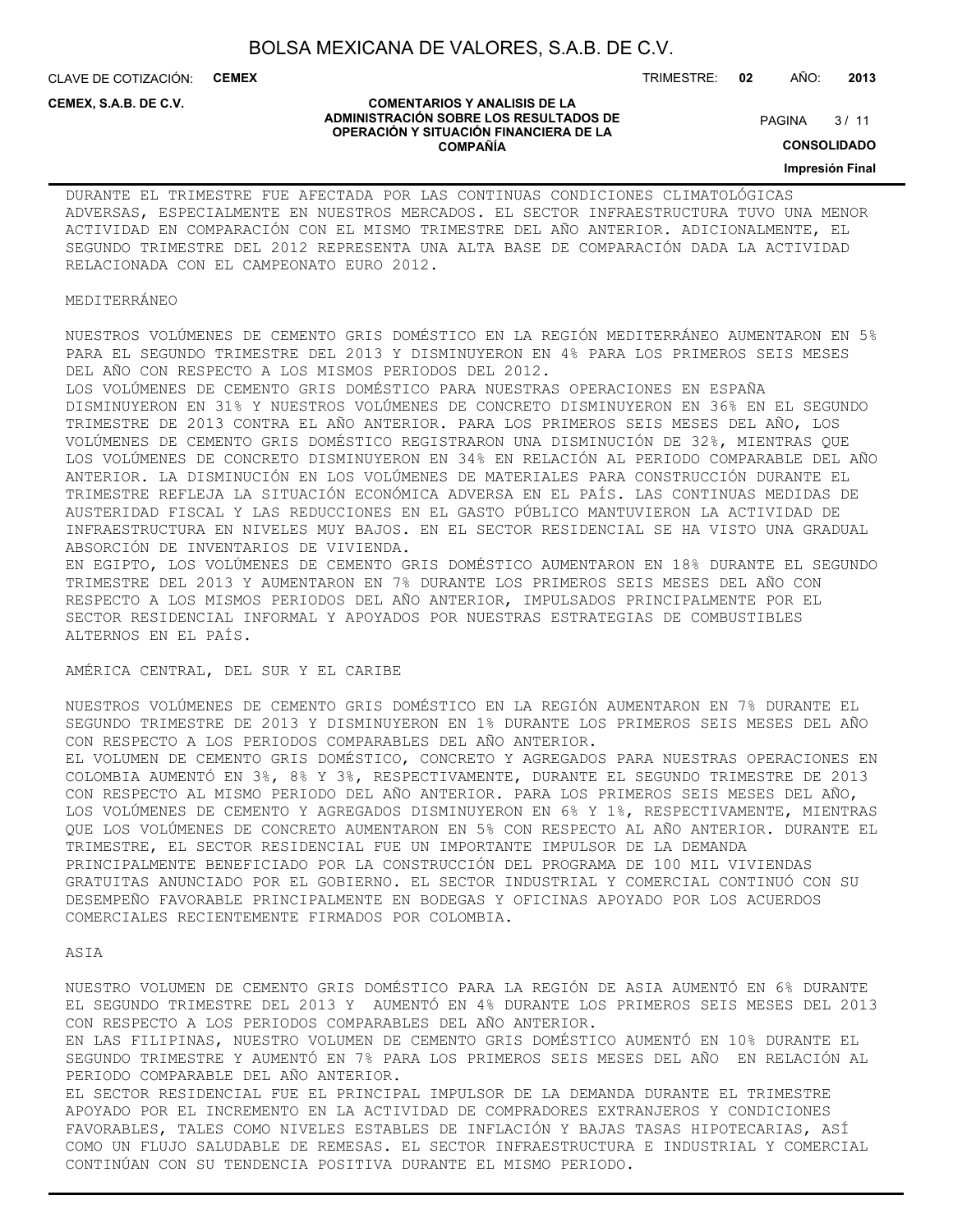**COMENTARIOS Y ANALISIS DE LA ADMINISTRACIÓN SOBRE LOS RESULTADOS DE OPERACIÓN Y SITUACIÓN FINANCIERA DE LA COMPAÑÍA**

CLAVE DE COTIZACIÓN: **CEMEX**

**CEMEX, S.A.B. DE C.V.**

#### TRIMESTRE: **02** AÑO: **2013**

 $3/11$ **PAGINA** 

**CONSOLIDADO**

#### **Impresión Final**

DURANTE EL TRIMESTRE FUE AFECTADA POR LAS CONTINUAS CONDICIONES CLIMATOLÓGICAS ADVERSAS, ESPECIALMENTE EN NUESTROS MERCADOS. EL SECTOR INFRAESTRUCTURA TUVO UNA MENOR ACTIVIDAD EN COMPARACIÓN CON EL MISMO TRIMESTRE DEL AÑO ANTERIOR. ADICIONALMENTE, EL SEGUNDO TRIMESTRE DEL 2012 REPRESENTA UNA ALTA BASE DE COMPARACIÓN DADA LA ACTIVIDAD RELACIONADA CON EL CAMPEONATO EURO 2012.

#### MEDITERRÁNEO

NUESTROS VOLÚMENES DE CEMENTO GRIS DOMÉSTICO EN LA REGIÓN MEDITERRÁNEO AUMENTARON EN 5% PARA EL SEGUNDO TRIMESTRE DEL 2013 Y DISMINUYERON EN 4% PARA LOS PRIMEROS SEIS MESES DEL AÑO CON RESPECTO A LOS MISMOS PERIODOS DEL 2012.

LOS VOLÚMENES DE CEMENTO GRIS DOMÉSTICO PARA NUESTRAS OPERACIONES EN ESPAÑA DISMINUYERON EN 31% Y NUESTROS VOLÚMENES DE CONCRETO DISMINUYERON EN 36% EN EL SEGUNDO TRIMESTRE DE 2013 CONTRA EL AÑO ANTERIOR. PARA LOS PRIMEROS SEIS MESES DEL AÑO, LOS VOLÚMENES DE CEMENTO GRIS DOMÉSTICO REGISTRARON UNA DISMINUCIÓN DE 32%, MIENTRAS QUE LOS VOLÚMENES DE CONCRETO DISMINUYERON EN 34% EN RELACIÓN AL PERIODO COMPARABLE DEL AÑO ANTERIOR. LA DISMINUCIÓN EN LOS VOLÚMENES DE MATERIALES PARA CONSTRUCCIÓN DURANTE EL TRIMESTRE REFLEJA LA SITUACIÓN ECONÓMICA ADVERSA EN EL PAÍS. LAS CONTINUAS MEDIDAS DE AUSTERIDAD FISCAL Y LAS REDUCCIONES EN EL GASTO PÚBLICO MANTUVIERON LA ACTIVIDAD DE INFRAESTRUCTURA EN NIVELES MUY BAJOS. EN EL SECTOR RESIDENCIAL SE HA VISTO UNA GRADUAL ABSORCIÓN DE INVENTARIOS DE VIVIENDA.

EN EGIPTO, LOS VOLÚMENES DE CEMENTO GRIS DOMÉSTICO AUMENTARON EN 18% DURANTE EL SEGUNDO TRIMESTRE DEL 2013 Y AUMENTARON EN 7% DURANTE LOS PRIMEROS SEIS MESES DEL AÑO CON RESPECTO A LOS MISMOS PERIODOS DEL AÑO ANTERIOR, IMPULSADOS PRINCIPALMENTE POR EL SECTOR RESIDENCIAL INFORMAL Y APOYADOS POR NUESTRAS ESTRATEGIAS DE COMBUSTIBLES ALTERNOS EN EL PAÍS.

AMÉRICA CENTRAL, DEL SUR Y EL CARIBE

NUESTROS VOLÚMENES DE CEMENTO GRIS DOMÉSTICO EN LA REGIÓN AUMENTARON EN 7% DURANTE EL SEGUNDO TRIMESTRE DE 2013 Y DISMINUYERON EN 1% DURANTE LOS PRIMEROS SEIS MESES DEL AÑO CON RESPECTO A LOS PERIODOS COMPARABLES DEL AÑO ANTERIOR. EL VOLUMEN DE CEMENTO GRIS DOMÉSTICO, CONCRETO Y AGREGADOS PARA NUESTRAS OPERACIONES EN COLOMBIA AUMENTÓ EN 3%, 8% Y 3%, RESPECTIVAMENTE, DURANTE EL SEGUNDO TRIMESTRE DE 2013 CON RESPECTO AL MISMO PERIODO DEL AÑO ANTERIOR. PARA LOS PRIMEROS SEIS MESES DEL AÑO, LOS VOLÚMENES DE CEMENTO Y AGREGADOS DISMINUYERON EN 6% Y 1%, RESPECTIVAMENTE, MIENTRAS QUE LOS VOLÚMENES DE CONCRETO AUMENTARON EN 5% CON RESPECTO AL AÑO ANTERIOR. DURANTE EL TRIMESTRE, EL SECTOR RESIDENCIAL FUE UN IMPORTANTE IMPULSOR DE LA DEMANDA PRINCIPALMENTE BENEFICIADO POR LA CONSTRUCCIÓN DEL PROGRAMA DE 100 MIL VIVIENDAS GRATUITAS ANUNCIADO POR EL GOBIERNO. EL SECTOR INDUSTRIAL Y COMERCIAL CONTINUÓ CON SU DESEMPEÑO FAVORABLE PRINCIPALMENTE EN BODEGAS Y OFICINAS APOYADO POR LOS ACUERDOS COMERCIALES RECIENTEMENTE FIRMADOS POR COLOMBIA.

#### ASIA

NUESTRO VOLUMEN DE CEMENTO GRIS DOMÉSTICO PARA LA REGIÓN DE ASIA AUMENTÓ EN 6% DURANTE EL SEGUNDO TRIMESTRE DEL 2013 Y AUMENTÓ EN 4% DURANTE LOS PRIMEROS SEIS MESES DEL 2013 CON RESPECTO A LOS PERIODOS COMPARABLES DEL AÑO ANTERIOR. EN LAS FILIPINAS, NUESTRO VOLUMEN DE CEMENTO GRIS DOMÉSTICO AUMENTÓ EN 10% DURANTE EL SEGUNDO TRIMESTRE Y AUMENTÓ EN 7% PARA LOS PRIMEROS SEIS MESES DEL AÑO EN RELACIÓN AL PERIODO COMPARABLE DEL AÑO ANTERIOR. EL SECTOR RESIDENCIAL FUE EL PRINCIPAL IMPULSOR DE LA DEMANDA DURANTE EL TRIMESTRE APOYADO POR EL INCREMENTO EN LA ACTIVIDAD DE COMPRADORES EXTRANJEROS Y CONDICIONES FAVORABLES, TALES COMO NIVELES ESTABLES DE INFLACIÓN Y BAJAS TASAS HIPOTECARIAS, ASÍ COMO UN FLUJO SALUDABLE DE REMESAS. EL SECTOR INFRAESTRUCTURA E INDUSTRIAL Y COMERCIAL CONTINÚAN CON SU TENDENCIA POSITIVA DURANTE EL MISMO PERIODO.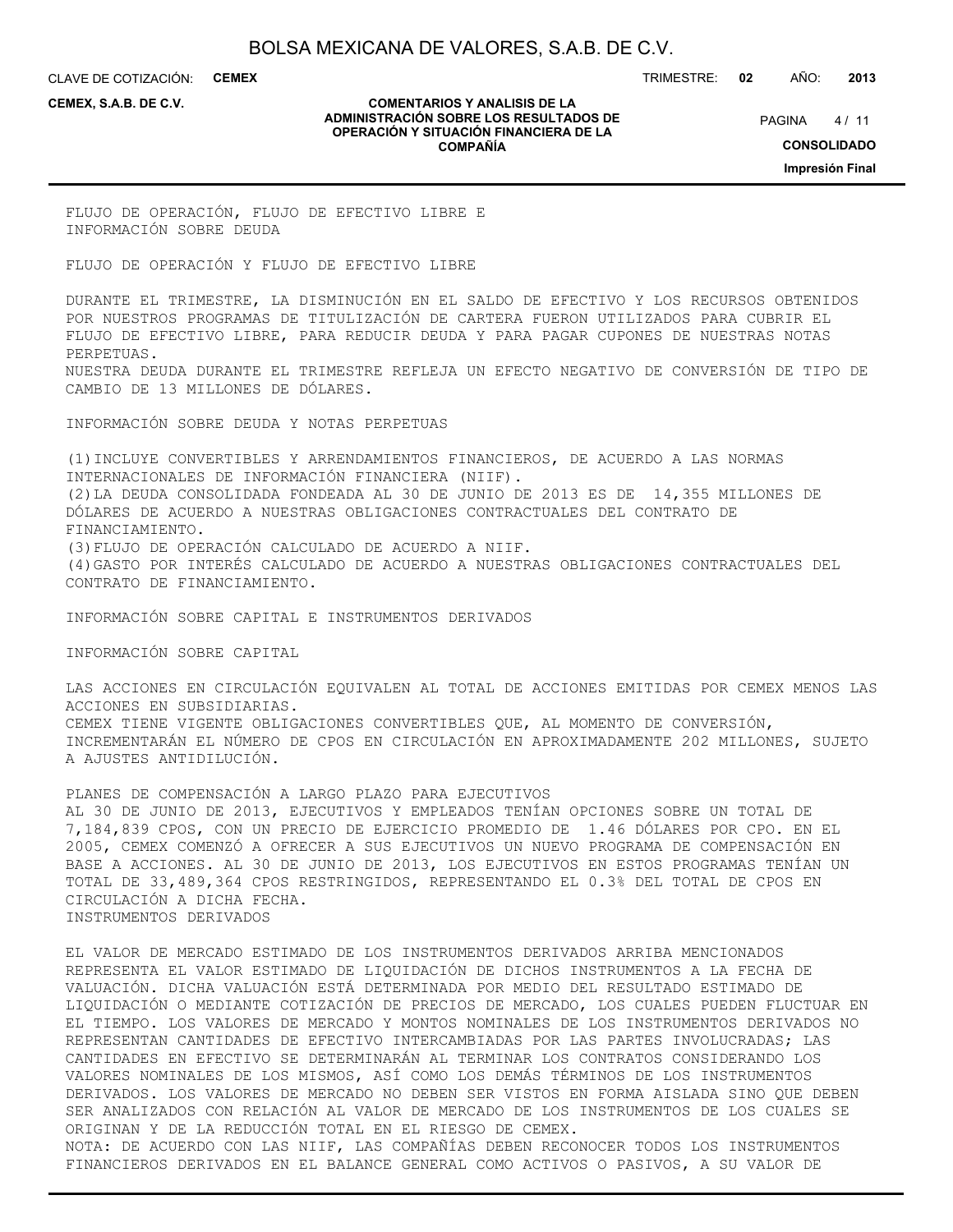CLAVE DE COTIZACIÓN: **CEMEX** TRIMESTRE: **02** AÑO: **2013**

**CEMEX, S.A.B. DE C.V.**

#### **COMENTARIOS Y ANALISIS DE LA ADMINISTRACIÓN SOBRE LOS RESULTADOS DE OPERACIÓN Y SITUACIÓN FINANCIERA DE LA COMPAÑÍA**

 $4/11$ **PAGINA** 

**CONSOLIDADO**

**Impresión Final**

FLUJO DE OPERACIÓN, FLUJO DE EFECTIVO LIBRE E INFORMACIÓN SOBRE DEUDA

FLUJO DE OPERACIÓN Y FLUJO DE EFECTIVO LIBRE

DURANTE EL TRIMESTRE, LA DISMINUCIÓN EN EL SALDO DE EFECTIVO Y LOS RECURSOS OBTENIDOS POR NUESTROS PROGRAMAS DE TITULIZACIÓN DE CARTERA FUERON UTILIZADOS PARA CUBRIR EL FLUJO DE EFECTIVO LIBRE, PARA REDUCIR DEUDA Y PARA PAGAR CUPONES DE NUESTRAS NOTAS PERPETUAS. NUESTRA DEUDA DURANTE EL TRIMESTRE REFLEJA UN EFECTO NEGATIVO DE CONVERSIÓN DE TIPO DE CAMBIO DE 13 MILLONES DE DÓLARES.

INFORMACIÓN SOBRE DEUDA Y NOTAS PERPETUAS

(1)INCLUYE CONVERTIBLES Y ARRENDAMIENTOS FINANCIEROS, DE ACUERDO A LAS NORMAS INTERNACIONALES DE INFORMACIÓN FINANCIERA (NIIF). (2)LA DEUDA CONSOLIDADA FONDEADA AL 30 DE JUNIO DE 2013 ES DE 14,355 MILLONES DE DÓLARES DE ACUERDO A NUESTRAS OBLIGACIONES CONTRACTUALES DEL CONTRATO DE FINANCIAMIENTO. (3)FLUJO DE OPERACIÓN CALCULADO DE ACUERDO A NIIF. (4)GASTO POR INTERÉS CALCULADO DE ACUERDO A NUESTRAS OBLIGACIONES CONTRACTUALES DEL CONTRATO DE FINANCIAMIENTO.

INFORMACIÓN SOBRE CAPITAL E INSTRUMENTOS DERIVADOS

INFORMACIÓN SOBRE CAPITAL

LAS ACCIONES EN CIRCULACIÓN EQUIVALEN AL TOTAL DE ACCIONES EMITIDAS POR CEMEX MENOS LAS ACCIONES EN SUBSIDIARIAS. CEMEX TIENE VIGENTE OBLIGACIONES CONVERTIBLES QUE, AL MOMENTO DE CONVERSIÓN, INCREMENTARÁN EL NÚMERO DE CPOS EN CIRCULACIÓN EN APROXIMADAMENTE 202 MILLONES, SUJETO A AJUSTES ANTIDILUCIÓN.

PLANES DE COMPENSACIÓN A LARGO PLAZO PARA EJECUTIVOS AL 30 DE JUNIO DE 2013, EJECUTIVOS Y EMPLEADOS TENÍAN OPCIONES SOBRE UN TOTAL DE 7,184,839 CPOS, CON UN PRECIO DE EJERCICIO PROMEDIO DE 1.46 DÓLARES POR CPO. EN EL 2005, CEMEX COMENZÓ A OFRECER A SUS EJECUTIVOS UN NUEVO PROGRAMA DE COMPENSACIÓN EN BASE A ACCIONES. AL 30 DE JUNIO DE 2013, LOS EJECUTIVOS EN ESTOS PROGRAMAS TENÍAN UN TOTAL DE 33,489,364 CPOS RESTRINGIDOS, REPRESENTANDO EL 0.3% DEL TOTAL DE CPOS EN CIRCULACIÓN A DICHA FECHA. INSTRUMENTOS DERIVADOS

EL VALOR DE MERCADO ESTIMADO DE LOS INSTRUMENTOS DERIVADOS ARRIBA MENCIONADOS REPRESENTA EL VALOR ESTIMADO DE LIQUIDACIÓN DE DICHOS INSTRUMENTOS A LA FECHA DE VALUACIÓN. DICHA VALUACIÓN ESTÁ DETERMINADA POR MEDIO DEL RESULTADO ESTIMADO DE LIQUIDACIÓN O MEDIANTE COTIZACIÓN DE PRECIOS DE MERCADO, LOS CUALES PUEDEN FLUCTUAR EN EL TIEMPO. LOS VALORES DE MERCADO Y MONTOS NOMINALES DE LOS INSTRUMENTOS DERIVADOS NO REPRESENTAN CANTIDADES DE EFECTIVO INTERCAMBIADAS POR LAS PARTES INVOLUCRADAS; LAS CANTIDADES EN EFECTIVO SE DETERMINARÁN AL TERMINAR LOS CONTRATOS CONSIDERANDO LOS VALORES NOMINALES DE LOS MISMOS, ASÍ COMO LOS DEMÁS TÉRMINOS DE LOS INSTRUMENTOS DERIVADOS. LOS VALORES DE MERCADO NO DEBEN SER VISTOS EN FORMA AISLADA SINO QUE DEBEN SER ANALIZADOS CON RELACIÓN AL VALOR DE MERCADO DE LOS INSTRUMENTOS DE LOS CUALES SE ORIGINAN Y DE LA REDUCCIÓN TOTAL EN EL RIESGO DE CEMEX. NOTA: DE ACUERDO CON LAS NIIF, LAS COMPAÑÍAS DEBEN RECONOCER TODOS LOS INSTRUMENTOS FINANCIEROS DERIVADOS EN EL BALANCE GENERAL COMO ACTIVOS O PASIVOS, A SU VALOR DE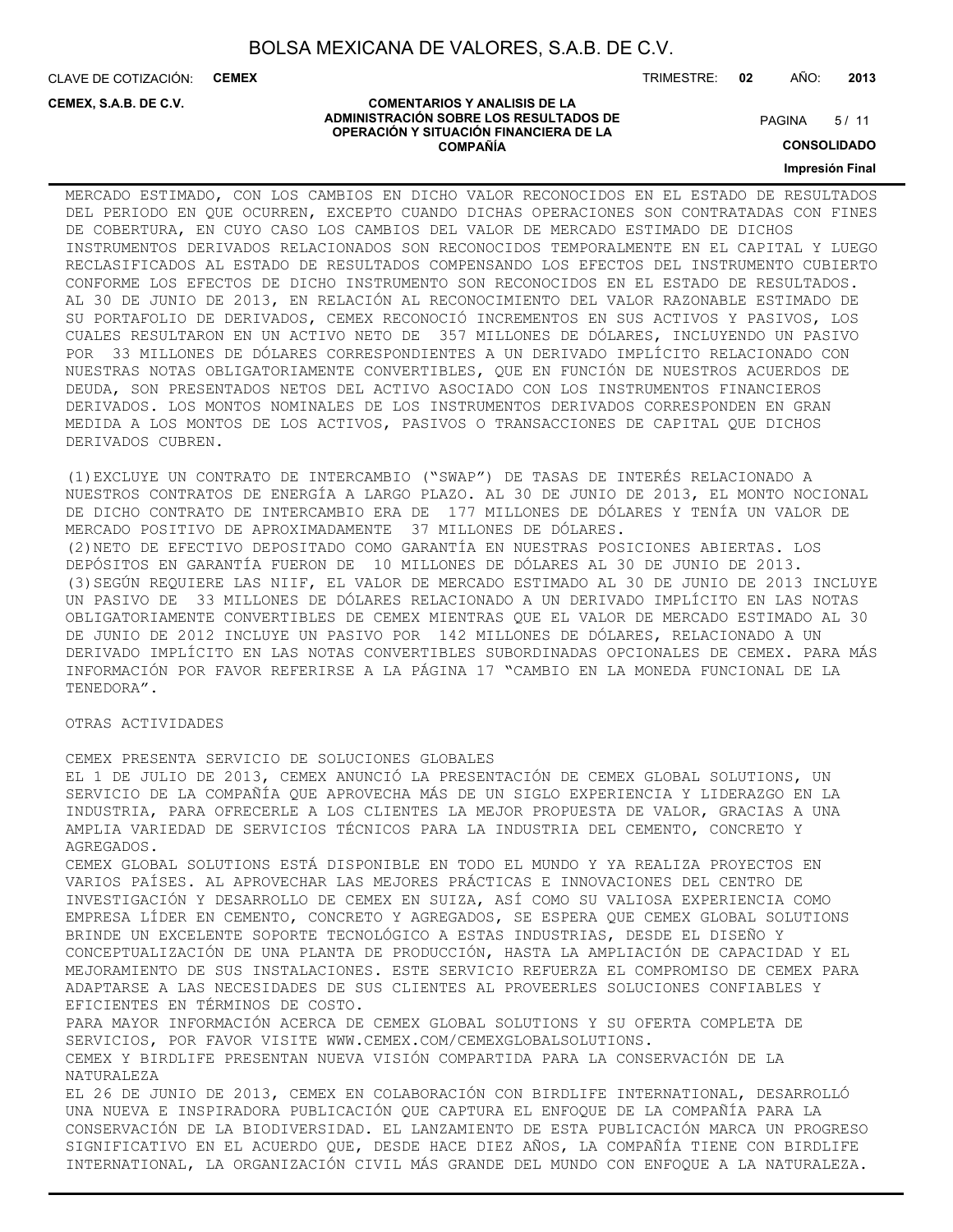CLAVE DE COTIZACIÓN: **CEMEX**

**CEMEX, S.A.B. DE C.V.**

TRIMESTRE: **02** AÑO: **2013**

 $5/11$ **PAGINA** 

#### **ADMINISTRACIÓN SOBRE LOS RESULTADOS DE OPERACIÓN Y SITUACIÓN FINANCIERA DE LA COMPAÑÍA**

**COMENTARIOS Y ANALISIS DE LA**

**CONSOLIDADO Impresión Final**

MERCADO ESTIMADO, CON LOS CAMBIOS EN DICHO VALOR RECONOCIDOS EN EL ESTADO DE RESULTADOS DEL PERIODO EN QUE OCURREN, EXCEPTO CUANDO DICHAS OPERACIONES SON CONTRATADAS CON FINES DE COBERTURA, EN CUYO CASO LOS CAMBIOS DEL VALOR DE MERCADO ESTIMADO DE DICHOS INSTRUMENTOS DERIVADOS RELACIONADOS SON RECONOCIDOS TEMPORALMENTE EN EL CAPITAL Y LUEGO RECLASIFICADOS AL ESTADO DE RESULTADOS COMPENSANDO LOS EFECTOS DEL INSTRUMENTO CUBIERTO CONFORME LOS EFECTOS DE DICHO INSTRUMENTO SON RECONOCIDOS EN EL ESTADO DE RESULTADOS. AL 30 DE JUNIO DE 2013, EN RELACIÓN AL RECONOCIMIENTO DEL VALOR RAZONABLE ESTIMADO DE SU PORTAFOLIO DE DERIVADOS, CEMEX RECONOCIÓ INCREMENTOS EN SUS ACTIVOS Y PASIVOS, LOS CUALES RESULTARON EN UN ACTIVO NETO DE 357 MILLONES DE DÓLARES, INCLUYENDO UN PASIVO POR 33 MILLONES DE DÓLARES CORRESPONDIENTES A UN DERIVADO IMPLÍCITO RELACIONADO CON NUESTRAS NOTAS OBLIGATORIAMENTE CONVERTIBLES, QUE EN FUNCIÓN DE NUESTROS ACUERDOS DE DEUDA, SON PRESENTADOS NETOS DEL ACTIVO ASOCIADO CON LOS INSTRUMENTOS FINANCIEROS DERIVADOS. LOS MONTOS NOMINALES DE LOS INSTRUMENTOS DERIVADOS CORRESPONDEN EN GRAN MEDIDA A LOS MONTOS DE LOS ACTIVOS, PASIVOS O TRANSACCIONES DE CAPITAL QUE DICHOS DERIVADOS CUBREN.

(1)EXCLUYE UN CONTRATO DE INTERCAMBIO ("SWAP") DE TASAS DE INTERÉS RELACIONADO A NUESTROS CONTRATOS DE ENERGÍA A LARGO PLAZO. AL 30 DE JUNIO DE 2013, EL MONTO NOCIONAL DE DICHO CONTRATO DE INTERCAMBIO ERA DE 177 MILLONES DE DÓLARES Y TENÍA UN VALOR DE MERCADO POSITIVO DE APROXIMADAMENTE 37 MILLONES DE DÓLARES. (2)NETO DE EFECTIVO DEPOSITADO COMO GARANTÍA EN NUESTRAS POSICIONES ABIERTAS. LOS DEPÓSITOS EN GARANTÍA FUERON DE 10 MILLONES DE DÓLARES AL 30 DE JUNIO DE 2013. (3)SEGÚN REQUIERE LAS NIIF, EL VALOR DE MERCADO ESTIMADO AL 30 DE JUNIO DE 2013 INCLUYE UN PASIVO DE 33 MILLONES DE DÓLARES RELACIONADO A UN DERIVADO IMPLÍCITO EN LAS NOTAS OBLIGATORIAMENTE CONVERTIBLES DE CEMEX MIENTRAS QUE EL VALOR DE MERCADO ESTIMADO AL 30 DE JUNIO DE 2012 INCLUYE UN PASIVO POR 142 MILLONES DE DÓLARES, RELACIONADO A UN DERIVADO IMPLÍCITO EN LAS NOTAS CONVERTIBLES SUBORDINADAS OPCIONALES DE CEMEX. PARA MÁS INFORMACIÓN POR FAVOR REFERIRSE A LA PÁGINA 17 "CAMBIO EN LA MONEDA FUNCIONAL DE LA TENEDORA".

#### OTRAS ACTIVIDADES

CEMEX PRESENTA SERVICIO DE SOLUCIONES GLOBALES EL 1 DE JULIO DE 2013, CEMEX ANUNCIÓ LA PRESENTACIÓN DE CEMEX GLOBAL SOLUTIONS, UN SERVICIO DE LA COMPAÑÍA QUE APROVECHA MÁS DE UN SIGLO EXPERIENCIA Y LIDERAZGO EN LA INDUSTRIA, PARA OFRECERLE A LOS CLIENTES LA MEJOR PROPUESTA DE VALOR, GRACIAS A UNA AMPLIA VARIEDAD DE SERVICIOS TÉCNICOS PARA LA INDUSTRIA DEL CEMENTO, CONCRETO Y AGREGADOS. CEMEX GLOBAL SOLUTIONS ESTÁ DISPONIBLE EN TODO EL MUNDO Y YA REALIZA PROYECTOS EN VARIOS PAÍSES. AL APROVECHAR LAS MEJORES PRÁCTICAS E INNOVACIONES DEL CENTRO DE INVESTIGACIÓN Y DESARROLLO DE CEMEX EN SUIZA, ASÍ COMO SU VALIOSA EXPERIENCIA COMO EMPRESA LÍDER EN CEMENTO, CONCRETO Y AGREGADOS, SE ESPERA QUE CEMEX GLOBAL SOLUTIONS BRINDE UN EXCELENTE SOPORTE TECNOLÓGICO A ESTAS INDUSTRIAS, DESDE EL DISEÑO Y CONCEPTUALIZACIÓN DE UNA PLANTA DE PRODUCCIÓN, HASTA LA AMPLIACIÓN DE CAPACIDAD Y EL MEJORAMIENTO DE SUS INSTALACIONES. ESTE SERVICIO REFUERZA EL COMPROMISO DE CEMEX PARA ADAPTARSE A LAS NECESIDADES DE SUS CLIENTES AL PROVEERLES SOLUCIONES CONFIABLES Y EFICIENTES EN TÉRMINOS DE COSTO. PARA MAYOR INFORMACIÓN ACERCA DE CEMEX GLOBAL SOLUTIONS Y SU OFERTA COMPLETA DE SERVICIOS, POR FAVOR VISITE WWW.CEMEX.COM/CEMEXGLOBALSOLUTIONS. CEMEX Y BIRDLIFE PRESENTAN NUEVA VISIÓN COMPARTIDA PARA LA CONSERVACIÓN DE LA NATURALEZA EL 26 DE JUNIO DE 2013, CEMEX EN COLABORACIÓN CON BIRDLIFE INTERNATIONAL, DESARROLLÓ

UNA NUEVA E INSPIRADORA PUBLICACIÓN QUE CAPTURA EL ENFOQUE DE LA COMPAÑÍA PARA LA CONSERVACIÓN DE LA BIODIVERSIDAD. EL LANZAMIENTO DE ESTA PUBLICACIÓN MARCA UN PROGRESO SIGNIFICATIVO EN EL ACUERDO QUE, DESDE HACE DIEZ AÑOS, LA COMPAÑÍA TIENE CON BIRDLIFE INTERNATIONAL, LA ORGANIZACIÓN CIVIL MÁS GRANDE DEL MUNDO CON ENFOQUE A LA NATURALEZA.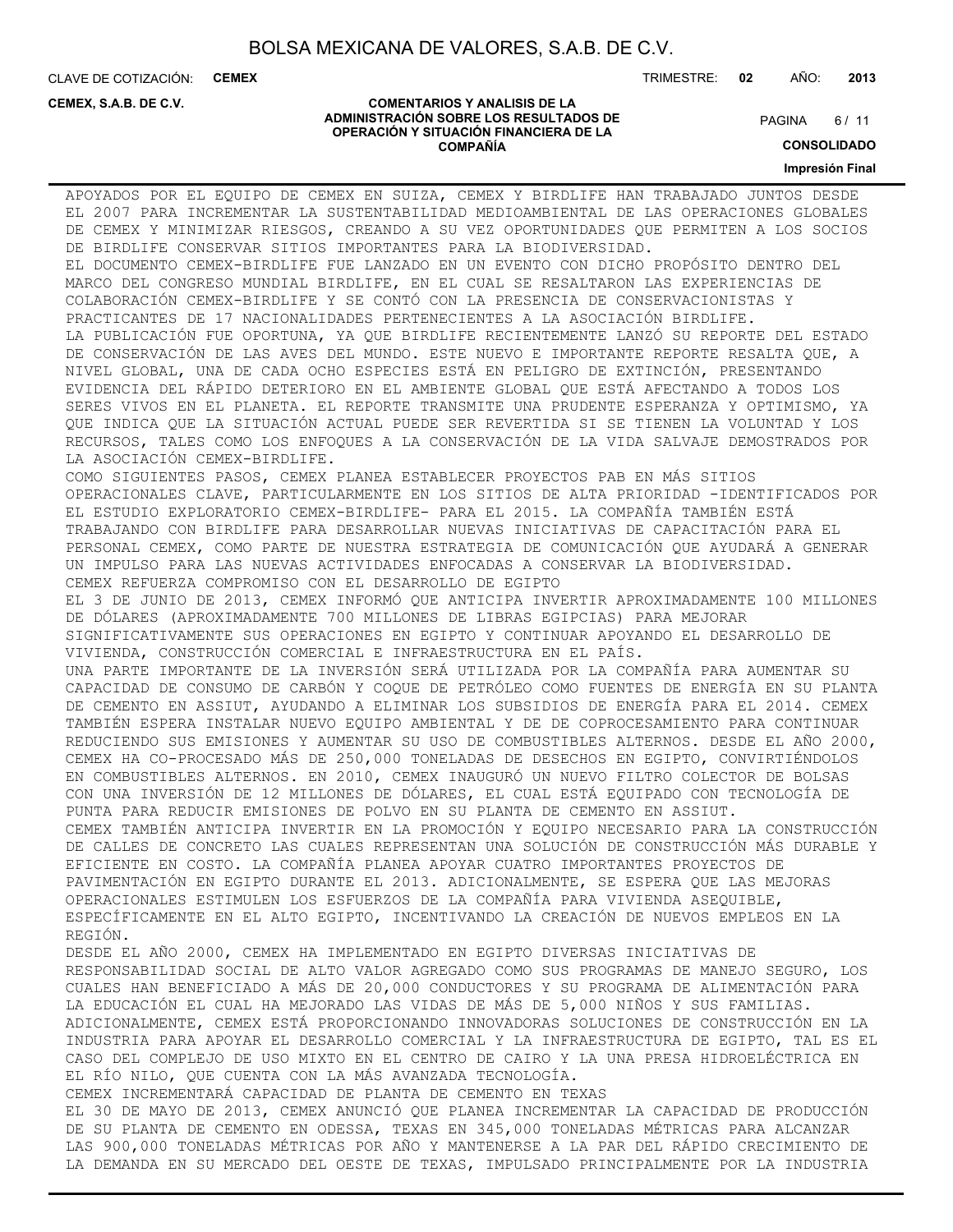**COMPAÑÍA**

CLAVE DE COTIZACIÓN: **CEMEX**

**CEMEX, S.A.B. DE C.V.**

TRIMESTRE: **02** AÑO: **2013**

#### **COMENTARIOS Y ANALISIS DE LA ADMINISTRACIÓN SOBRE LOS RESULTADOS DE OPERACIÓN Y SITUACIÓN FINANCIERA DE LA**

 $6/11$ **PAGINA** 

**CONSOLIDADO**

**Impresión Final**

APOYADOS POR EL EQUIPO DE CEMEX EN SUIZA, CEMEX Y BIRDLIFE HAN TRABAJADO JUNTOS DESDE EL 2007 PARA INCREMENTAR LA SUSTENTABILIDAD MEDIOAMBIENTAL DE LAS OPERACIONES GLOBALES DE CEMEX Y MINIMIZAR RIESGOS, CREANDO A SU VEZ OPORTUNIDADES QUE PERMITEN A LOS SOCIOS DE BIRDLIFE CONSERVAR SITIOS IMPORTANTES PARA LA BIODIVERSIDAD. EL DOCUMENTO CEMEX-BIRDLIFE FUE LANZADO EN UN EVENTO CON DICHO PROPÓSITO DENTRO DEL MARCO DEL CONGRESO MUNDIAL BIRDLIFE, EN EL CUAL SE RESALTARON LAS EXPERIENCIAS DE COLABORACIÓN CEMEX-BIRDLIFE Y SE CONTÓ CON LA PRESENCIA DE CONSERVACIONISTAS Y PRACTICANTES DE 17 NACIONALIDADES PERTENECIENTES A LA ASOCIACIÓN BIRDLIFE. LA PUBLICACIÓN FUE OPORTUNA, YA QUE BIRDLIFE RECIENTEMENTE LANZÓ SU REPORTE DEL ESTADO DE CONSERVACIÓN DE LAS AVES DEL MUNDO. ESTE NUEVO E IMPORTANTE REPORTE RESALTA QUE, A NIVEL GLOBAL, UNA DE CADA OCHO ESPECIES ESTÁ EN PELIGRO DE EXTINCIÓN, PRESENTANDO EVIDENCIA DEL RÁPIDO DETERIORO EN EL AMBIENTE GLOBAL QUE ESTÁ AFECTANDO A TODOS LOS SERES VIVOS EN EL PLANETA. EL REPORTE TRANSMITE UNA PRUDENTE ESPERANZA Y OPTIMISMO, YA QUE INDICA QUE LA SITUACIÓN ACTUAL PUEDE SER REVERTIDA SI SE TIENEN LA VOLUNTAD Y LOS RECURSOS, TALES COMO LOS ENFOQUES A LA CONSERVACIÓN DE LA VIDA SALVAJE DEMOSTRADOS POR LA ASOCIACIÓN CEMEX-BIRDLIFE. COMO SIGUIENTES PASOS, CEMEX PLANEA ESTABLECER PROYECTOS PAB EN MÁS SITIOS OPERACIONALES CLAVE, PARTICULARMENTE EN LOS SITIOS DE ALTA PRIORIDAD -IDENTIFICADOS POR EL ESTUDIO EXPLORATORIO CEMEX-BIRDLIFE- PARA EL 2015. LA COMPAÑÍA TAMBIÉN ESTÁ TRABAJANDO CON BIRDLIFE PARA DESARROLLAR NUEVAS INICIATIVAS DE CAPACITACIÓN PARA EL PERSONAL CEMEX, COMO PARTE DE NUESTRA ESTRATEGIA DE COMUNICACIÓN QUE AYUDARÁ A GENERAR UN IMPULSO PARA LAS NUEVAS ACTIVIDADES ENFOCADAS A CONSERVAR LA BIODIVERSIDAD. CEMEX REFUERZA COMPROMISO CON EL DESARROLLO DE EGIPTO EL 3 DE JUNIO DE 2013, CEMEX INFORMÓ QUE ANTICIPA INVERTIR APROXIMADAMENTE 100 MILLONES DE DÓLARES (APROXIMADAMENTE 700 MILLONES DE LIBRAS EGIPCIAS) PARA MEJORAR SIGNIFICATIVAMENTE SUS OPERACIONES EN EGIPTO Y CONTINUAR APOYANDO EL DESARROLLO DE VIVIENDA, CONSTRUCCIÓN COMERCIAL E INFRAESTRUCTURA EN EL PAÍS. UNA PARTE IMPORTANTE DE LA INVERSIÓN SERÁ UTILIZADA POR LA COMPAÑÍA PARA AUMENTAR SU CAPACIDAD DE CONSUMO DE CARBÓN Y COQUE DE PETRÓLEO COMO FUENTES DE ENERGÍA EN SU PLANTA DE CEMENTO EN ASSIUT, AYUDANDO A ELIMINAR LOS SUBSIDIOS DE ENERGÍA PARA EL 2014. CEMEX TAMBIÉN ESPERA INSTALAR NUEVO EQUIPO AMBIENTAL Y DE DE COPROCESAMIENTO PARA CONTINUAR REDUCIENDO SUS EMISIONES Y AUMENTAR SU USO DE COMBUSTIBLES ALTERNOS. DESDE EL AÑO 2000, CEMEX HA CO-PROCESADO MÁS DE 250,000 TONELADAS DE DESECHOS EN EGIPTO, CONVIRTIÉNDOLOS EN COMBUSTIBLES ALTERNOS. EN 2010, CEMEX INAUGURÓ UN NUEVO FILTRO COLECTOR DE BOLSAS CON UNA INVERSIÓN DE 12 MILLONES DE DÓLARES, EL CUAL ESTÁ EQUIPADO CON TECNOLOGÍA DE PUNTA PARA REDUCIR EMISIONES DE POLVO EN SU PLANTA DE CEMENTO EN ASSIUT. CEMEX TAMBIÉN ANTICIPA INVERTIR EN LA PROMOCIÓN Y EQUIPO NECESARIO PARA LA CONSTRUCCIÓN DE CALLES DE CONCRETO LAS CUALES REPRESENTAN UNA SOLUCIÓN DE CONSTRUCCIÓN MÁS DURABLE Y EFICIENTE EN COSTO. LA COMPAÑÍA PLANEA APOYAR CUATRO IMPORTANTES PROYECTOS DE PAVIMENTACIÓN EN EGIPTO DURANTE EL 2013. ADICIONALMENTE, SE ESPERA QUE LAS MEJORAS OPERACIONALES ESTIMULEN LOS ESFUERZOS DE LA COMPAÑÍA PARA VIVIENDA ASEQUIBLE, ESPECÍFICAMENTE EN EL ALTO EGIPTO, INCENTIVANDO LA CREACIÓN DE NUEVOS EMPLEOS EN LA REGIÓN. DESDE EL AÑO 2000, CEMEX HA IMPLEMENTADO EN EGIPTO DIVERSAS INICIATIVAS DE RESPONSABILIDAD SOCIAL DE ALTO VALOR AGREGADO COMO SUS PROGRAMAS DE MANEJO SEGURO, LOS CUALES HAN BENEFICIADO A MÁS DE 20,000 CONDUCTORES Y SU PROGRAMA DE ALIMENTACIÓN PARA LA EDUCACIÓN EL CUAL HA MEJORADO LAS VIDAS DE MÁS DE 5,000 NIÑOS Y SUS FAMILIAS. ADICIONALMENTE, CEMEX ESTÁ PROPORCIONANDO INNOVADORAS SOLUCIONES DE CONSTRUCCIÓN EN LA INDUSTRIA PARA APOYAR EL DESARROLLO COMERCIAL Y LA INFRAESTRUCTURA DE EGIPTO, TAL ES EL CASO DEL COMPLEJO DE USO MIXTO EN EL CENTRO DE CAIRO Y LA UNA PRESA HIDROELÉCTRICA EN EL RÍO NILO, QUE CUENTA CON LA MÁS AVANZADA TECNOLOGÍA. CEMEX INCREMENTARÁ CAPACIDAD DE PLANTA DE CEMENTO EN TEXAS EL 30 DE MAYO DE 2013, CEMEX ANUNCIÓ QUE PLANEA INCREMENTAR LA CAPACIDAD DE PRODUCCIÓN DE SU PLANTA DE CEMENTO EN ODESSA, TEXAS EN 345,000 TONELADAS MÉTRICAS PARA ALCANZAR LAS 900,000 TONELADAS MÉTRICAS POR AÑO Y MANTENERSE A LA PAR DEL RÁPIDO CRECIMIENTO DE LA DEMANDA EN SU MERCADO DEL OESTE DE TEXAS, IMPULSADO PRINCIPALMENTE POR LA INDUSTRIA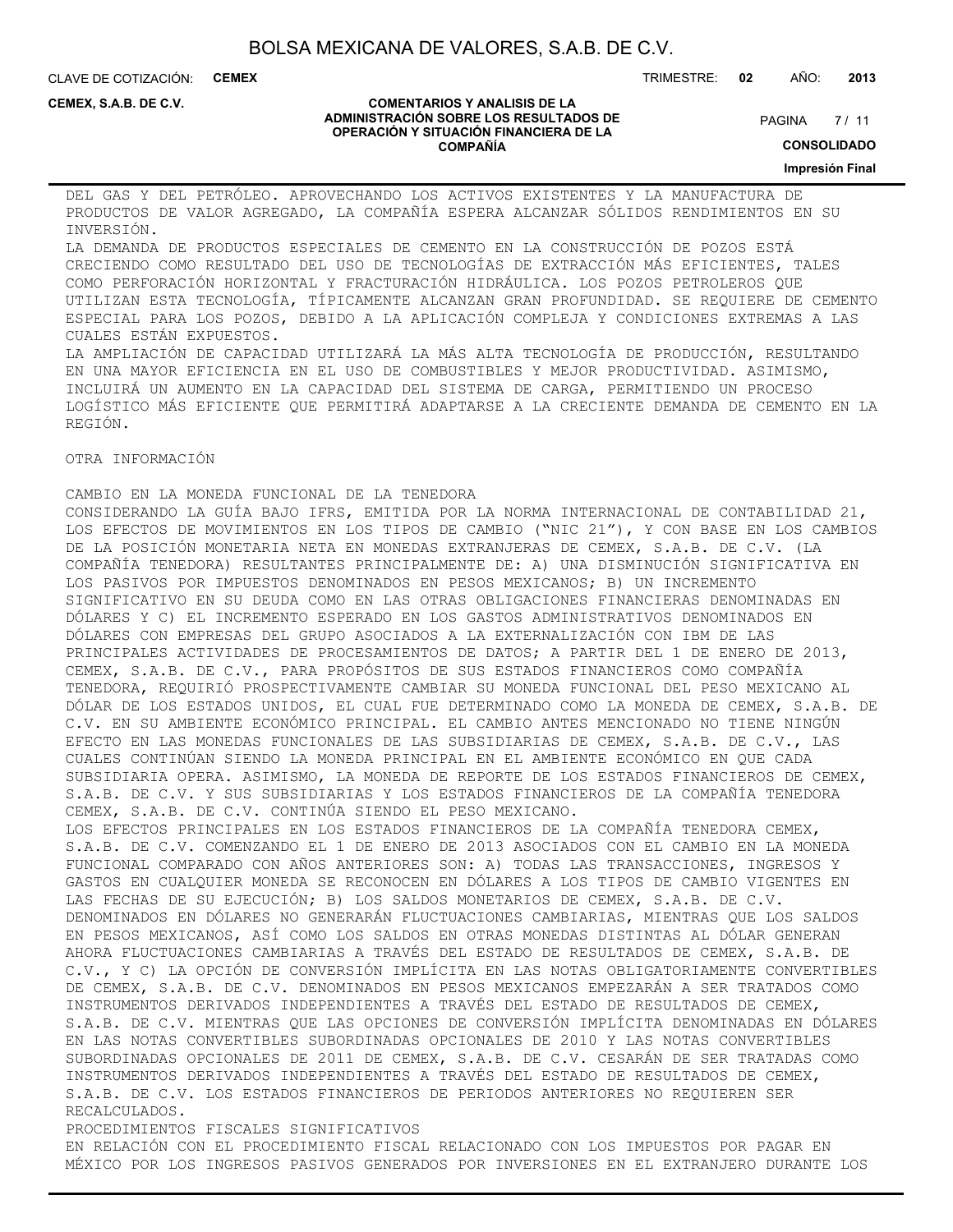CLAVE DE COTIZACIÓN: **CEMEX** TRIMESTRE: **02** AÑO: **2013**

**CEMEX, S.A.B. DE C.V.**

#### **COMENTARIOS Y ANALISIS DE LA ADMINISTRACIÓN SOBRE LOS RESULTADOS DE OPERACIÓN Y SITUACIÓN FINANCIERA DE LA COMPAÑÍA**

 $7/11$ **PAGINA** 

**CONSOLIDADO**

**Impresión Final**

DEL GAS Y DEL PETRÓLEO. APROVECHANDO LOS ACTIVOS EXISTENTES Y LA MANUFACTURA DE PRODUCTOS DE VALOR AGREGADO, LA COMPAÑÍA ESPERA ALCANZAR SÓLIDOS RENDIMIENTOS EN SU INVERSIÓN.

LA DEMANDA DE PRODUCTOS ESPECIALES DE CEMENTO EN LA CONSTRUCCIÓN DE POZOS ESTÁ CRECIENDO COMO RESULTADO DEL USO DE TECNOLOGÍAS DE EXTRACCIÓN MÁS EFICIENTES, TALES COMO PERFORACIÓN HORIZONTAL Y FRACTURACIÓN HIDRÁULICA. LOS POZOS PETROLEROS QUE UTILIZAN ESTA TECNOLOGÍA, TÍPICAMENTE ALCANZAN GRAN PROFUNDIDAD. SE REQUIERE DE CEMENTO ESPECIAL PARA LOS POZOS, DEBIDO A LA APLICACIÓN COMPLEJA Y CONDICIONES EXTREMAS A LAS CUALES ESTÁN EXPUESTOS. LA AMPLIACIÓN DE CAPACIDAD UTILIZARÁ LA MÁS ALTA TECNOLOGÍA DE PRODUCCIÓN, RESULTANDO

EN UNA MAYOR EFICIENCIA EN EL USO DE COMBUSTIBLES Y MEJOR PRODUCTIVIDAD. ASIMISMO, INCLUIRÁ UN AUMENTO EN LA CAPACIDAD DEL SISTEMA DE CARGA, PERMITIENDO UN PROCESO LOGÍSTICO MÁS EFICIENTE QUE PERMITIRÁ ADAPTARSE A LA CRECIENTE DEMANDA DE CEMENTO EN LA REGIÓN.

OTRA INFORMACIÓN

CAMBIO EN LA MONEDA FUNCIONAL DE LA TENEDORA CONSIDERANDO LA GUÍA BAJO IFRS, EMITIDA POR LA NORMA INTERNACIONAL DE CONTABILIDAD 21, LOS EFECTOS DE MOVIMIENTOS EN LOS TIPOS DE CAMBIO ("NIC 21"), Y CON BASE EN LOS CAMBIOS DE LA POSICIÓN MONETARIA NETA EN MONEDAS EXTRANJERAS DE CEMEX, S.A.B. DE C.V. (LA COMPAÑÍA TENEDORA) RESULTANTES PRINCIPALMENTE DE: A) UNA DISMINUCIÓN SIGNIFICATIVA EN LOS PASIVOS POR IMPUESTOS DENOMINADOS EN PESOS MEXICANOS; B) UN INCREMENTO SIGNIFICATIVO EN SU DEUDA COMO EN LAS OTRAS OBLIGACIONES FINANCIERAS DENOMINADAS EN DÓLARES Y C) EL INCREMENTO ESPERADO EN LOS GASTOS ADMINISTRATIVOS DENOMINADOS EN DÓLARES CON EMPRESAS DEL GRUPO ASOCIADOS A LA EXTERNALIZACIÓN CON IBM DE LAS PRINCIPALES ACTIVIDADES DE PROCESAMIENTOS DE DATOS; A PARTIR DEL 1 DE ENERO DE 2013, CEMEX, S.A.B. DE C.V., PARA PROPÓSITOS DE SUS ESTADOS FINANCIEROS COMO COMPAÑÍA TENEDORA, REQUIRIÓ PROSPECTIVAMENTE CAMBIAR SU MONEDA FUNCIONAL DEL PESO MEXICANO AL DÓLAR DE LOS ESTADOS UNIDOS, EL CUAL FUE DETERMINADO COMO LA MONEDA DE CEMEX, S.A.B. DE C.V. EN SU AMBIENTE ECONÓMICO PRINCIPAL. EL CAMBIO ANTES MENCIONADO NO TIENE NINGÚN EFECTO EN LAS MONEDAS FUNCIONALES DE LAS SUBSIDIARIAS DE CEMEX, S.A.B. DE C.V., LAS CUALES CONTINÚAN SIENDO LA MONEDA PRINCIPAL EN EL AMBIENTE ECONÓMICO EN QUE CADA SUBSIDIARIA OPERA. ASIMISMO, LA MONEDA DE REPORTE DE LOS ESTADOS FINANCIEROS DE CEMEX, S.A.B. DE C.V. Y SUS SUBSIDIARIAS Y LOS ESTADOS FINANCIEROS DE LA COMPAÑÍA TENEDORA CEMEX, S.A.B. DE C.V. CONTINÚA SIENDO EL PESO MEXICANO. LOS EFECTOS PRINCIPALES EN LOS ESTADOS FINANCIEROS DE LA COMPAÑÍA TENEDORA CEMEX, S.A.B. DE C.V. COMENZANDO EL 1 DE ENERO DE 2013 ASOCIADOS CON EL CAMBIO EN LA MONEDA FUNCIONAL COMPARADO CON AÑOS ANTERIORES SON: A) TODAS LAS TRANSACCIONES, INGRESOS Y GASTOS EN CUALQUIER MONEDA SE RECONOCEN EN DÓLARES A LOS TIPOS DE CAMBIO VIGENTES EN LAS FECHAS DE SU EJECUCIÓN; B) LOS SALDOS MONETARIOS DE CEMEX, S.A.B. DE C.V. DENOMINADOS EN DÓLARES NO GENERARÁN FLUCTUACIONES CAMBIARIAS, MIENTRAS QUE LOS SALDOS EN PESOS MEXICANOS, ASÍ COMO LOS SALDOS EN OTRAS MONEDAS DISTINTAS AL DÓLAR GENERAN AHORA FLUCTUACIONES CAMBIARIAS A TRAVÉS DEL ESTADO DE RESULTADOS DE CEMEX, S.A.B. DE C.V., Y C) LA OPCIÓN DE CONVERSIÓN IMPLÍCITA EN LAS NOTAS OBLIGATORIAMENTE CONVERTIBLES DE CEMEX, S.A.B. DE C.V. DENOMINADOS EN PESOS MEXICANOS EMPEZARÁN A SER TRATADOS COMO INSTRUMENTOS DERIVADOS INDEPENDIENTES A TRAVÉS DEL ESTADO DE RESULTADOS DE CEMEX, S.A.B. DE C.V. MIENTRAS QUE LAS OPCIONES DE CONVERSIÓN IMPLÍCITA DENOMINADAS EN DÓLARES EN LAS NOTAS CONVERTIBLES SUBORDINADAS OPCIONALES DE 2010 Y LAS NOTAS CONVERTIBLES SUBORDINADAS OPCIONALES DE 2011 DE CEMEX, S.A.B. DE C.V. CESARÁN DE SER TRATADAS COMO INSTRUMENTOS DERIVADOS INDEPENDIENTES A TRAVÉS DEL ESTADO DE RESULTADOS DE CEMEX, S.A.B. DE C.V. LOS ESTADOS FINANCIEROS DE PERIODOS ANTERIORES NO REQUIEREN SER RECALCULADOS. PROCEDIMIENTOS FISCALES SIGNIFICATIVOS

EN RELACIÓN CON EL PROCEDIMIENTO FISCAL RELACIONADO CON LOS IMPUESTOS POR PAGAR EN MÉXICO POR LOS INGRESOS PASIVOS GENERADOS POR INVERSIONES EN EL EXTRANJERO DURANTE LOS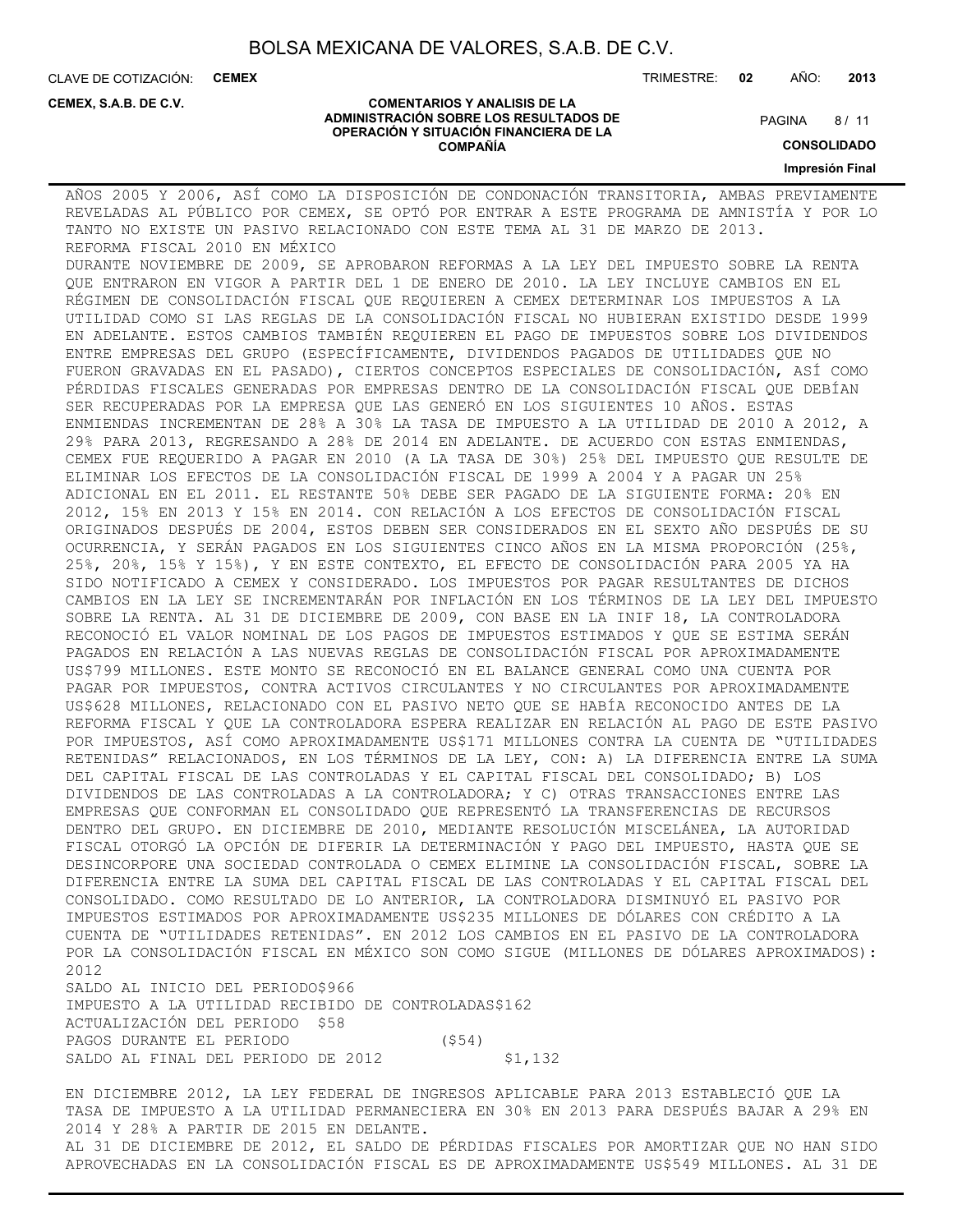**COMENTARIOS Y ANALISIS DE LA ADMINISTRACIÓN SOBRE LOS RESULTADOS DE OPERACIÓN Y SITUACIÓN FINANCIERA DE LA COMPAÑÍA**

CLAVE DE COTIZACIÓN: **CEMEX**

**CEMEX, S.A.B. DE C.V.**

TRIMESTRE: **02** AÑO: **2013**

 $8/11$ **PAGINA** 

**CONSOLIDADO**

**Impresión Final**

### AÑOS 2005 Y 2006, ASÍ COMO LA DISPOSICIÓN DE CONDONACIÓN TRANSITORIA, AMBAS PREVIAMENTE REVELADAS AL PÚBLICO POR CEMEX, SE OPTÓ POR ENTRAR A ESTE PROGRAMA DE AMNISTÍA Y POR LO TANTO NO EXISTE UN PASIVO RELACIONADO CON ESTE TEMA AL 31 DE MARZO DE 2013. REFORMA FISCAL 2010 EN MÉXICO DURANTE NOVIEMBRE DE 2009, SE APROBARON REFORMAS A LA LEY DEL IMPUESTO SOBRE LA RENTA QUE ENTRARON EN VIGOR A PARTIR DEL 1 DE ENERO DE 2010. LA LEY INCLUYE CAMBIOS EN EL RÉGIMEN DE CONSOLIDACIÓN FISCAL QUE REQUIEREN A CEMEX DETERMINAR LOS IMPUESTOS A LA UTILIDAD COMO SI LAS REGLAS DE LA CONSOLIDACIÓN FISCAL NO HUBIERAN EXISTIDO DESDE 1999 EN ADELANTE. ESTOS CAMBIOS TAMBIÉN REQUIEREN EL PAGO DE IMPUESTOS SOBRE LOS DIVIDENDOS ENTRE EMPRESAS DEL GRUPO (ESPECÍFICAMENTE, DIVIDENDOS PAGADOS DE UTILIDADES QUE NO FUERON GRAVADAS EN EL PASADO), CIERTOS CONCEPTOS ESPECIALES DE CONSOLIDACIÓN, ASÍ COMO PÉRDIDAS FISCALES GENERADAS POR EMPRESAS DENTRO DE LA CONSOLIDACIÓN FISCAL QUE DEBÍAN SER RECUPERADAS POR LA EMPRESA QUE LAS GENERÓ EN LOS SIGUIENTES 10 AÑOS. ESTAS ENMIENDAS INCREMENTAN DE 28% A 30% LA TASA DE IMPUESTO A LA UTILIDAD DE 2010 A 2012, A 29% PARA 2013, REGRESANDO A 28% DE 2014 EN ADELANTE. DE ACUERDO CON ESTAS ENMIENDAS, CEMEX FUE REQUERIDO A PAGAR EN 2010 (A LA TASA DE 30%) 25% DEL IMPUESTO QUE RESULTE DE ELIMINAR LOS EFECTOS DE LA CONSOLIDACIÓN FISCAL DE 1999 A 2004 Y A PAGAR UN 25% ADICIONAL EN EL 2011. EL RESTANTE 50% DEBE SER PAGADO DE LA SIGUIENTE FORMA: 20% EN 2012, 15% EN 2013 Y 15% EN 2014. CON RELACIÓN A LOS EFECTOS DE CONSOLIDACIÓN FISCAL ORIGINADOS DESPUÉS DE 2004, ESTOS DEBEN SER CONSIDERADOS EN EL SEXTO AÑO DESPUÉS DE SU OCURRENCIA, Y SERÁN PAGADOS EN LOS SIGUIENTES CINCO AÑOS EN LA MISMA PROPORCIÓN (25%, 25%, 20%, 15% Y 15%), Y EN ESTE CONTEXTO, EL EFECTO DE CONSOLIDACIÓN PARA 2005 YA HA SIDO NOTIFICADO A CEMEX Y CONSIDERADO. LOS IMPUESTOS POR PAGAR RESULTANTES DE DICHOS CAMBIOS EN LA LEY SE INCREMENTARÁN POR INFLACIÓN EN LOS TÉRMINOS DE LA LEY DEL IMPUESTO SOBRE LA RENTA. AL 31 DE DICIEMBRE DE 2009, CON BASE EN LA INIF 18, LA CONTROLADORA RECONOCIÓ EL VALOR NOMINAL DE LOS PAGOS DE IMPUESTOS ESTIMADOS Y QUE SE ESTIMA SERÁN PAGADOS EN RELACIÓN A LAS NUEVAS REGLAS DE CONSOLIDACIÓN FISCAL POR APROXIMADAMENTE US\$799 MILLONES. ESTE MONTO SE RECONOCIÓ EN EL BALANCE GENERAL COMO UNA CUENTA POR PAGAR POR IMPUESTOS, CONTRA ACTIVOS CIRCULANTES Y NO CIRCULANTES POR APROXIMADAMENTE US\$628 MILLONES, RELACIONADO CON EL PASIVO NETO QUE SE HABÍA RECONOCIDO ANTES DE LA REFORMA FISCAL Y QUE LA CONTROLADORA ESPERA REALIZAR EN RELACIÓN AL PAGO DE ESTE PASIVO POR IMPUESTOS, ASÍ COMO APROXIMADAMENTE US\$171 MILLONES CONTRA LA CUENTA DE "UTILIDADES RETENIDAS" RELACIONADOS, EN LOS TÉRMINOS DE LA LEY, CON: A) LA DIFERENCIA ENTRE LA SUMA DEL CAPITAL FISCAL DE LAS CONTROLADAS Y EL CAPITAL FISCAL DEL CONSOLIDADO; B) LOS DIVIDENDOS DE LAS CONTROLADAS A LA CONTROLADORA; Y C) OTRAS TRANSACCIONES ENTRE LAS EMPRESAS QUE CONFORMAN EL CONSOLIDADO QUE REPRESENTÓ LA TRANSFERENCIAS DE RECURSOS DENTRO DEL GRUPO. EN DICIEMBRE DE 2010, MEDIANTE RESOLUCIÓN MISCELÁNEA, LA AUTORIDAD FISCAL OTORGÓ LA OPCIÓN DE DIFERIR LA DETERMINACIÓN Y PAGO DEL IMPUESTO, HASTA QUE SE DESINCORPORE UNA SOCIEDAD CONTROLADA O CEMEX ELIMINE LA CONSOLIDACIÓN FISCAL, SOBRE LA DIFERENCIA ENTRE LA SUMA DEL CAPITAL FISCAL DE LAS CONTROLADAS Y EL CAPITAL FISCAL DEL CONSOLIDADO. COMO RESULTADO DE LO ANTERIOR, LA CONTROLADORA DISMINUYÓ EL PASIVO POR IMPUESTOS ESTIMADOS POR APROXIMADAMENTE US\$235 MILLONES DE DÓLARES CON CRÉDITO A LA CUENTA DE "UTILIDADES RETENIDAS". EN 2012 LOS CAMBIOS EN EL PASIVO DE LA CONTROLADORA POR LA CONSOLIDACIÓN FISCAL EN MÉXICO SON COMO SIGUE (MILLONES DE DÓLARES APROXIMADOS): 2012 SALDO AL INICIO DEL PERIODO\$966 IMPUESTO A LA UTILIDAD RECIBIDO DE CONTROLADAS\$162 ACTUALIZACIÓN DEL PERIODO \$58

PAGOS DURANTE EL PERIODO (\$54) SALDO AL FINAL DEL PERIODO DE 2012 \$1,132

EN DICIEMBRE 2012, LA LEY FEDERAL DE INGRESOS APLICABLE PARA 2013 ESTABLECIÓ QUE LA TASA DE IMPUESTO A LA UTILIDAD PERMANECIERA EN 30% EN 2013 PARA DESPUÉS BAJAR A 29% EN 2014 Y 28% A PARTIR DE 2015 EN DELANTE. AL 31 DE DICIEMBRE DE 2012, EL SALDO DE PÉRDIDAS FISCALES POR AMORTIZAR QUE NO HAN SIDO APROVECHADAS EN LA CONSOLIDACIÓN FISCAL ES DE APROXIMADAMENTE US\$549 MILLONES. AL 31 DE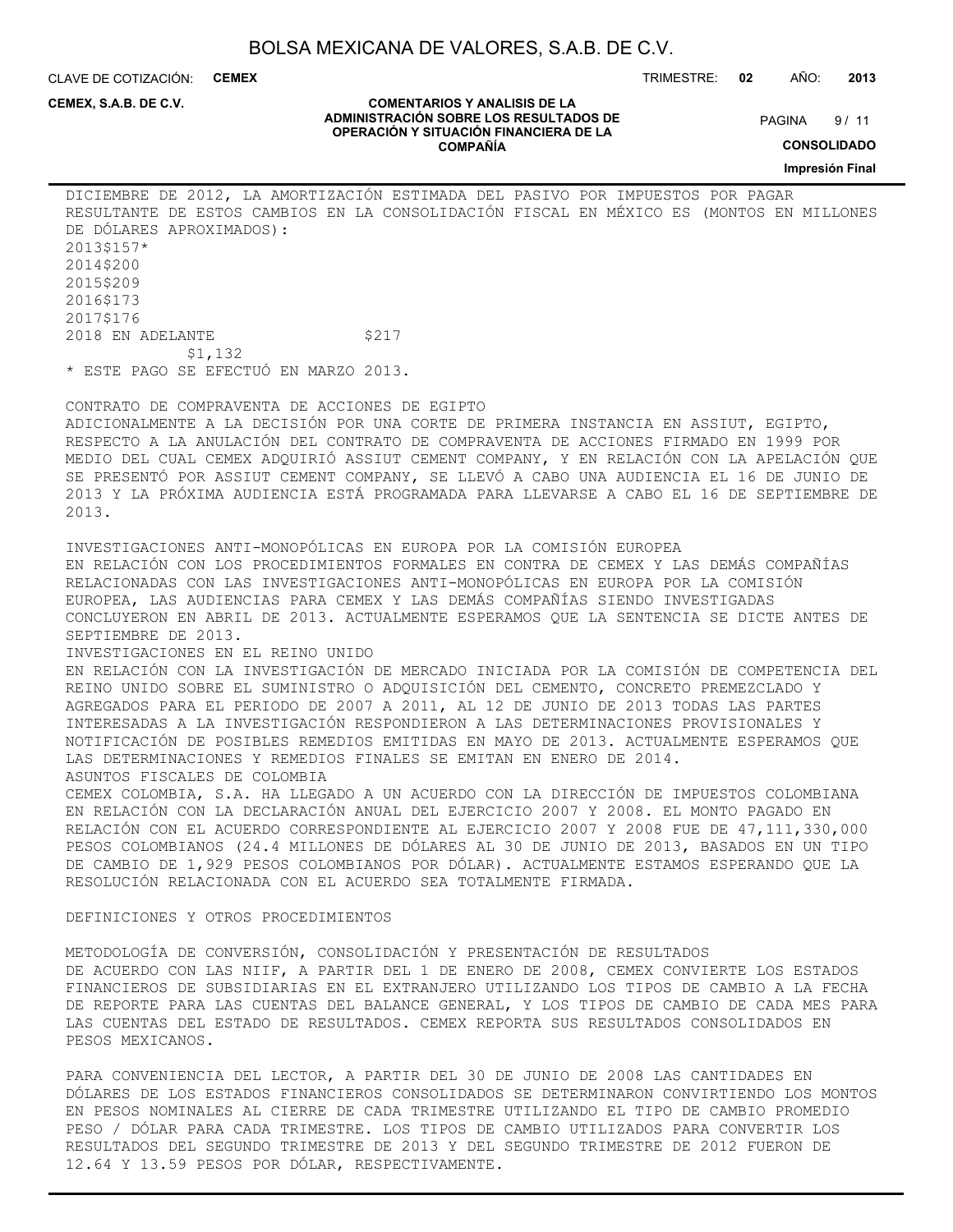**COMENTARIOS Y ANALISIS DE LA ADMINISTRACIÓN SOBRE LOS RESULTADOS DE OPERACIÓN Y SITUACIÓN FINANCIERA DE LA COMPAÑÍA**

CLAVE DE COTIZACIÓN: **CEMEX**

**CEMEX, S.A.B. DE C.V.**

TRIMESTRE: **02** AÑO: **2013**

 $9/11$ **PAGINA** 

**CONSOLIDADO**

**Impresión Final**

DICIEMBRE DE 2012, LA AMORTIZACIÓN ESTIMADA DEL PASIVO POR IMPUESTOS POR PAGAR RESULTANTE DE ESTOS CAMBIOS EN LA CONSOLIDACIÓN FISCAL EN MÉXICO ES (MONTOS EN MILLONES DE DÓLARES APROXIMADOS): 2013\$157\* 2014\$200 2015\$209 2016\$173 2017\$176 2018 EN ADELANTE \$217 \$1,132 \* ESTE PAGO SE EFECTUÓ EN MARZO 2013.

CONTRATO DE COMPRAVENTA DE ACCIONES DE EGIPTO ADICIONALMENTE A LA DECISIÓN POR UNA CORTE DE PRIMERA INSTANCIA EN ASSIUT, EGIPTO, RESPECTO A LA ANULACIÓN DEL CONTRATO DE COMPRAVENTA DE ACCIONES FIRMADO EN 1999 POR MEDIO DEL CUAL CEMEX ADQUIRIÓ ASSIUT CEMENT COMPANY, Y EN RELACIÓN CON LA APELACIÓN QUE SE PRESENTÓ POR ASSIUT CEMENT COMPANY, SE LLEVÓ A CABO UNA AUDIENCIA EL 16 DE JUNIO DE 2013 Y LA PRÓXIMA AUDIENCIA ESTÁ PROGRAMADA PARA LLEVARSE A CABO EL 16 DE SEPTIEMBRE DE 2013.

INVESTIGACIONES ANTI-MONOPÓLICAS EN EUROPA POR LA COMISIÓN EUROPEA EN RELACIÓN CON LOS PROCEDIMIENTOS FORMALES EN CONTRA DE CEMEX Y LAS DEMÁS COMPAÑÍAS RELACIONADAS CON LAS INVESTIGACIONES ANTI-MONOPÓLICAS EN EUROPA POR LA COMISIÓN EUROPEA, LAS AUDIENCIAS PARA CEMEX Y LAS DEMÁS COMPAÑÍAS SIENDO INVESTIGADAS CONCLUYERON EN ABRIL DE 2013. ACTUALMENTE ESPERAMOS QUE LA SENTENCIA SE DICTE ANTES DE SEPTIEMBRE DE 2013. INVESTIGACIONES EN EL REINO UNIDO EN RELACIÓN CON LA INVESTIGACIÓN DE MERCADO INICIADA POR LA COMISIÓN DE COMPETENCIA DEL REINO UNIDO SOBRE EL SUMINISTRO O ADQUISICIÓN DEL CEMENTO, CONCRETO PREMEZCLADO Y AGREGADOS PARA EL PERIODO DE 2007 A 2011, AL 12 DE JUNIO DE 2013 TODAS LAS PARTES INTERESADAS A LA INVESTIGACIÓN RESPONDIERON A LAS DETERMINACIONES PROVISIONALES Y NOTIFICACIÓN DE POSIBLES REMEDIOS EMITIDAS EN MAYO DE 2013. ACTUALMENTE ESPERAMOS QUE

LAS DETERMINACIONES Y REMEDIOS FINALES SE EMITAN EN ENERO DE 2014. ASUNTOS FISCALES DE COLOMBIA

CEMEX COLOMBIA, S.A. HA LLEGADO A UN ACUERDO CON LA DIRECCIÓN DE IMPUESTOS COLOMBIANA EN RELACIÓN CON LA DECLARACIÓN ANUAL DEL EJERCICIO 2007 Y 2008. EL MONTO PAGADO EN RELACIÓN CON EL ACUERDO CORRESPONDIENTE AL EJERCICIO 2007 Y 2008 FUE DE 47,111,330,000 PESOS COLOMBIANOS (24.4 MILLONES DE DÓLARES AL 30 DE JUNIO DE 2013, BASADOS EN UN TIPO DE CAMBIO DE 1,929 PESOS COLOMBIANOS POR DÓLAR). ACTUALMENTE ESTAMOS ESPERANDO QUE LA RESOLUCIÓN RELACIONADA CON EL ACUERDO SEA TOTALMENTE FIRMADA.

DEFINICIONES Y OTROS PROCEDIMIENTOS

METODOLOGÍA DE CONVERSIÓN, CONSOLIDACIÓN Y PRESENTACIÓN DE RESULTADOS DE ACUERDO CON LAS NIIF, A PARTIR DEL 1 DE ENERO DE 2008, CEMEX CONVIERTE LOS ESTADOS FINANCIEROS DE SUBSIDIARIAS EN EL EXTRANJERO UTILIZANDO LOS TIPOS DE CAMBIO A LA FECHA DE REPORTE PARA LAS CUENTAS DEL BALANCE GENERAL, Y LOS TIPOS DE CAMBIO DE CADA MES PARA LAS CUENTAS DEL ESTADO DE RESULTADOS. CEMEX REPORTA SUS RESULTADOS CONSOLIDADOS EN PESOS MEXICANOS.

PARA CONVENIENCIA DEL LECTOR, A PARTIR DEL 30 DE JUNIO DE 2008 LAS CANTIDADES EN DÓLARES DE LOS ESTADOS FINANCIEROS CONSOLIDADOS SE DETERMINARON CONVIRTIENDO LOS MONTOS EN PESOS NOMINALES AL CIERRE DE CADA TRIMESTRE UTILIZANDO EL TIPO DE CAMBIO PROMEDIO PESO / DÓLAR PARA CADA TRIMESTRE. LOS TIPOS DE CAMBIO UTILIZADOS PARA CONVERTIR LOS RESULTADOS DEL SEGUNDO TRIMESTRE DE 2013 Y DEL SEGUNDO TRIMESTRE DE 2012 FUERON DE 12.64 Y 13.59 PESOS POR DÓLAR, RESPECTIVAMENTE.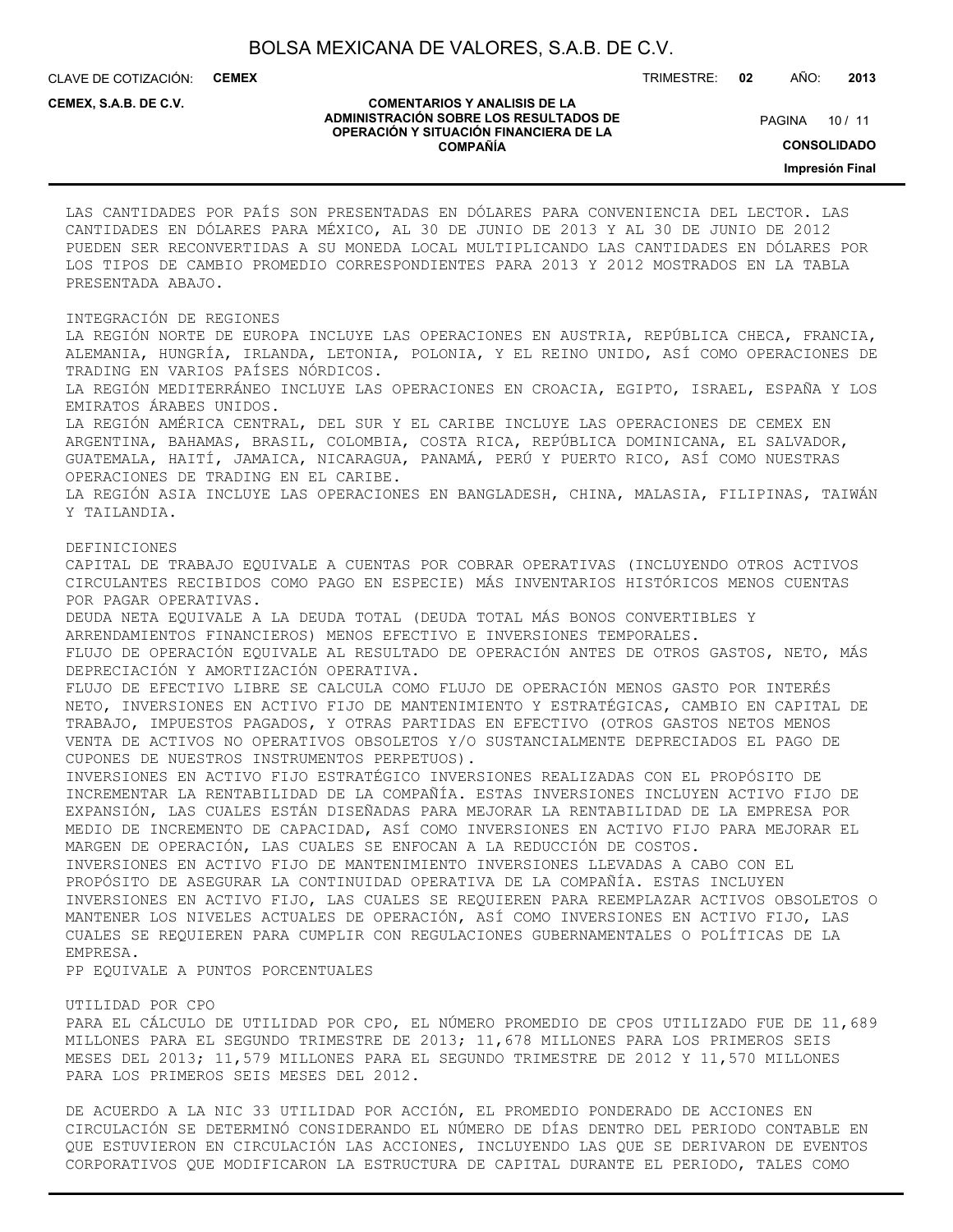CLAVE DE COTIZACIÓN: **CEMEX**

TRIMESTRE: **02** AÑO: **2013**

#### **CEMEX, S.A.B. DE C.V.**

#### **COMENTARIOS Y ANALISIS DE LA ADMINISTRACIÓN SOBRE LOS RESULTADOS DE OPERACIÓN Y SITUACIÓN FINANCIERA DE LA COMPAÑÍA**

PAGINA 10 / 11

**CONSOLIDADO**

**Impresión Final**

LAS CANTIDADES POR PAÍS SON PRESENTADAS EN DÓLARES PARA CONVENIENCIA DEL LECTOR. LAS CANTIDADES EN DÓLARES PARA MÉXICO, AL 30 DE JUNIO DE 2013 Y AL 30 DE JUNIO DE 2012 PUEDEN SER RECONVERTIDAS A SU MONEDA LOCAL MULTIPLICANDO LAS CANTIDADES EN DÓLARES POR LOS TIPOS DE CAMBIO PROMEDIO CORRESPONDIENTES PARA 2013 Y 2012 MOSTRADOS EN LA TABLA PRESENTADA ABAJO.

#### INTEGRACIÓN DE REGIONES

LA REGIÓN NORTE DE EUROPA INCLUYE LAS OPERACIONES EN AUSTRIA, REPÚBLICA CHECA, FRANCIA, ALEMANIA, HUNGRÍA, IRLANDA, LETONIA, POLONIA, Y EL REINO UNIDO, ASÍ COMO OPERACIONES DE TRADING EN VARIOS PAÍSES NÓRDICOS.

LA REGIÓN MEDITERRÁNEO INCLUYE LAS OPERACIONES EN CROACIA, EGIPTO, ISRAEL, ESPAÑA Y LOS EMIRATOS ÁRABES UNIDOS.

LA REGIÓN AMÉRICA CENTRAL, DEL SUR Y EL CARIBE INCLUYE LAS OPERACIONES DE CEMEX EN ARGENTINA, BAHAMAS, BRASIL, COLOMBIA, COSTA RICA, REPÚBLICA DOMINICANA, EL SALVADOR, GUATEMALA, HAITÍ, JAMAICA, NICARAGUA, PANAMÁ, PERÚ Y PUERTO RICO, ASÍ COMO NUESTRAS OPERACIONES DE TRADING EN EL CARIBE.

LA REGIÓN ASIA INCLUYE LAS OPERACIONES EN BANGLADESH, CHINA, MALASIA, FILIPINAS, TAIWÁN Y TAILANDIA.

#### DEFINICIONES

CAPITAL DE TRABAJO EQUIVALE A CUENTAS POR COBRAR OPERATIVAS (INCLUYENDO OTROS ACTIVOS CIRCULANTES RECIBIDOS COMO PAGO EN ESPECIE) MÁS INVENTARIOS HISTÓRICOS MENOS CUENTAS POR PAGAR OPERATIVAS. DEUDA NETA EQUIVALE A LA DEUDA TOTAL (DEUDA TOTAL MÁS BONOS CONVERTIBLES Y ARRENDAMIENTOS FINANCIEROS) MENOS EFECTIVO E INVERSIONES TEMPORALES. FLUJO DE OPERACIÓN EQUIVALE AL RESULTADO DE OPERACIÓN ANTES DE OTROS GASTOS, NETO, MÁS DEPRECIACIÓN Y AMORTIZACIÓN OPERATIVA. FLUJO DE EFECTIVO LIBRE SE CALCULA COMO FLUJO DE OPERACIÓN MENOS GASTO POR INTERÉS NETO, INVERSIONES EN ACTIVO FIJO DE MANTENIMIENTO Y ESTRATÉGICAS, CAMBIO EN CAPITAL DE TRABAJO, IMPUESTOS PAGADOS, Y OTRAS PARTIDAS EN EFECTIVO (OTROS GASTOS NETOS MENOS VENTA DE ACTIVOS NO OPERATIVOS OBSOLETOS Y/O SUSTANCIALMENTE DEPRECIADOS EL PAGO DE CUPONES DE NUESTROS INSTRUMENTOS PERPETUOS). INVERSIONES EN ACTIVO FIJO ESTRATÉGICO INVERSIONES REALIZADAS CON EL PROPÓSITO DE INCREMENTAR LA RENTABILIDAD DE LA COMPAÑÍA. ESTAS INVERSIONES INCLUYEN ACTIVO FIJO DE EXPANSIÓN, LAS CUALES ESTÁN DISEÑADAS PARA MEJORAR LA RENTABILIDAD DE LA EMPRESA POR

MEDIO DE INCREMENTO DE CAPACIDAD, ASÍ COMO INVERSIONES EN ACTIVO FIJO PARA MEJORAR EL MARGEN DE OPERACIÓN, LAS CUALES SE ENFOCAN A LA REDUCCIÓN DE COSTOS. INVERSIONES EN ACTIVO FIJO DE MANTENIMIENTO INVERSIONES LLEVADAS A CABO CON EL PROPÓSITO DE ASEGURAR LA CONTINUIDAD OPERATIVA DE LA COMPAÑÍA. ESTAS INCLUYEN INVERSIONES EN ACTIVO FIJO, LAS CUALES SE REQUIEREN PARA REEMPLAZAR ACTIVOS OBSOLETOS O MANTENER LOS NIVELES ACTUALES DE OPERACIÓN, ASÍ COMO INVERSIONES EN ACTIVO FIJO, LAS CUALES SE REQUIEREN PARA CUMPLIR CON REGULACIONES GUBERNAMENTALES O POLÍTICAS DE LA

### EMPRESA.

PP EQUIVALE A PUNTOS PORCENTUALES

#### UTILIDAD POR CPO

PARA EL CÁLCULO DE UTILIDAD POR CPO, EL NÚMERO PROMEDIO DE CPOS UTILIZADO FUE DE 11,689 MILLONES PARA EL SEGUNDO TRIMESTRE DE 2013; 11,678 MILLONES PARA LOS PRIMEROS SEIS MESES DEL 2013; 11,579 MILLONES PARA EL SEGUNDO TRIMESTRE DE 2012 Y 11,570 MILLONES PARA LOS PRIMEROS SEIS MESES DEL 2012.

DE ACUERDO A LA NIC 33 UTILIDAD POR ACCIÓN, EL PROMEDIO PONDERADO DE ACCIONES EN CIRCULACIÓN SE DETERMINÓ CONSIDERANDO EL NÚMERO DE DÍAS DENTRO DEL PERIODO CONTABLE EN QUE ESTUVIERON EN CIRCULACIÓN LAS ACCIONES, INCLUYENDO LAS QUE SE DERIVARON DE EVENTOS CORPORATIVOS QUE MODIFICARON LA ESTRUCTURA DE CAPITAL DURANTE EL PERIODO, TALES COMO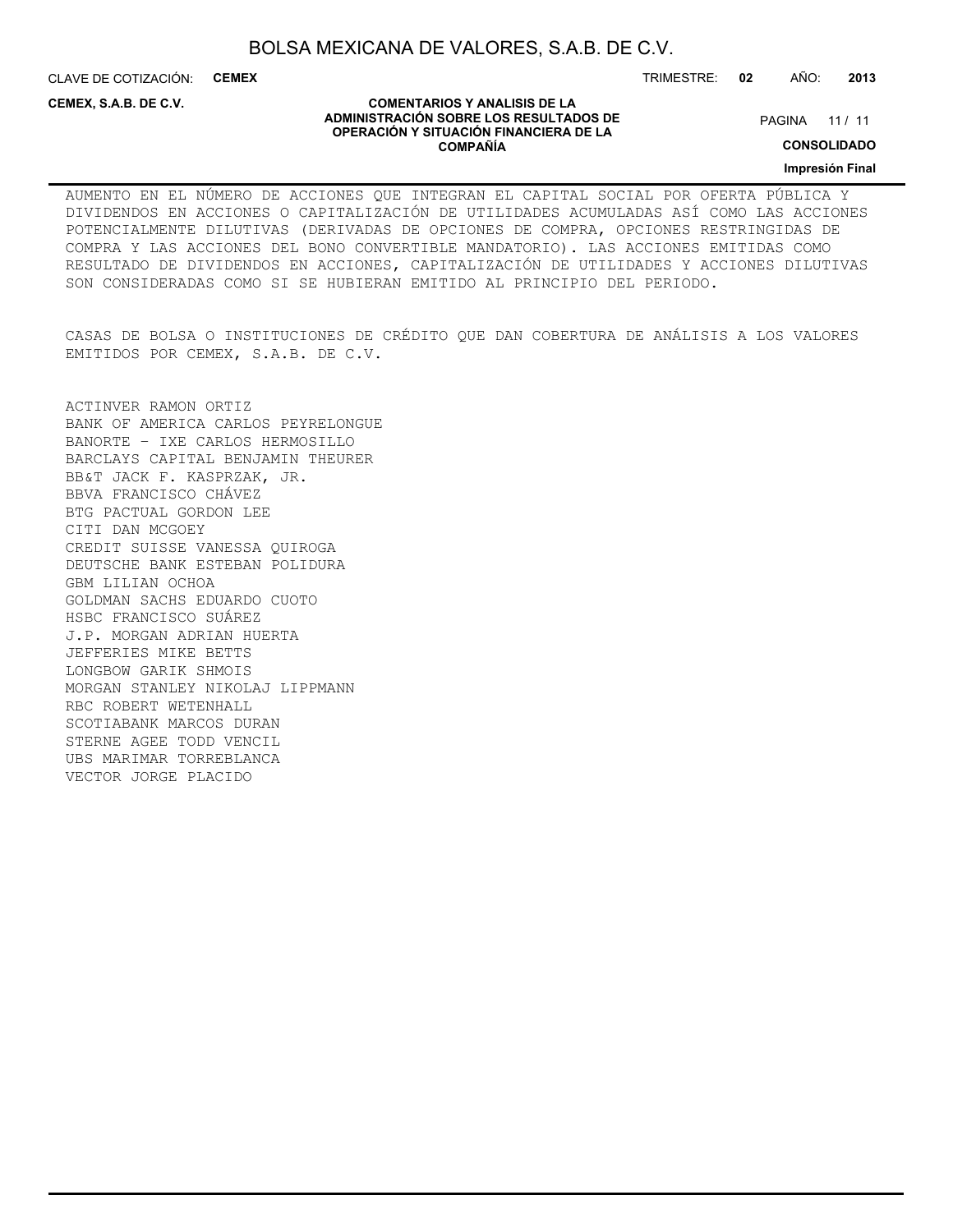CLAVE DE COTIZACIÓN: **CEMEX** TRIMESTRE: **02** AÑO: **2013**

**CEMEX, S.A.B. DE C.V.**

#### **COMENTARIOS Y ANALISIS DE LA ADMINISTRACIÓN SOBRE LOS RESULTADOS DE OPERACIÓN Y SITUACIÓN FINANCIERA DE LA COMPAÑÍA**

PAGINA 11 / 11

**CONSOLIDADO**

**Impresión Final**

AUMENTO EN EL NÚMERO DE ACCIONES QUE INTEGRAN EL CAPITAL SOCIAL POR OFERTA PÚBLICA Y DIVIDENDOS EN ACCIONES O CAPITALIZACIÓN DE UTILIDADES ACUMULADAS ASÍ COMO LAS ACCIONES POTENCIALMENTE DILUTIVAS (DERIVADAS DE OPCIONES DE COMPRA, OPCIONES RESTRINGIDAS DE COMPRA Y LAS ACCIONES DEL BONO CONVERTIBLE MANDATORIO). LAS ACCIONES EMITIDAS COMO RESULTADO DE DIVIDENDOS EN ACCIONES, CAPITALIZACIÓN DE UTILIDADES Y ACCIONES DILUTIVAS SON CONSIDERADAS COMO SI SE HUBIERAN EMITIDO AL PRINCIPIO DEL PERIODO.

CASAS DE BOLSA O INSTITUCIONES DE CRÉDITO QUE DAN COBERTURA DE ANÁLISIS A LOS VALORES EMITIDOS POR CEMEX, S.A.B. DE C.V.

ACTINVER RAMON ORTIZ BANK OF AMERICA CARLOS PEYRELONGUE BANORTE – IXE CARLOS HERMOSILLO BARCLAYS CAPITAL BENJAMIN THEURER BB&T JACK F. KASPRZAK, JR. BBVA FRANCISCO CHÁVEZ BTG PACTUAL GORDON LEE CITI DAN MCGOEY CREDIT SUISSE VANESSA QUIROGA DEUTSCHE BANK ESTEBAN POLIDURA GBM LILIAN OCHOA GOLDMAN SACHS EDUARDO CUOTO HSBC FRANCISCO SUÁREZ J.P. MORGAN ADRIAN HUERTA JEFFERIES MIKE BETTS LONGBOW GARIK SHMOIS MORGAN STANLEY NIKOLAJ LIPPMANN RBC ROBERT WETENHALL SCOTIABANK MARCOS DURAN STERNE AGEE TODD VENCIL UBS MARIMAR TORREBLANCA VECTOR JORGE PLACIDO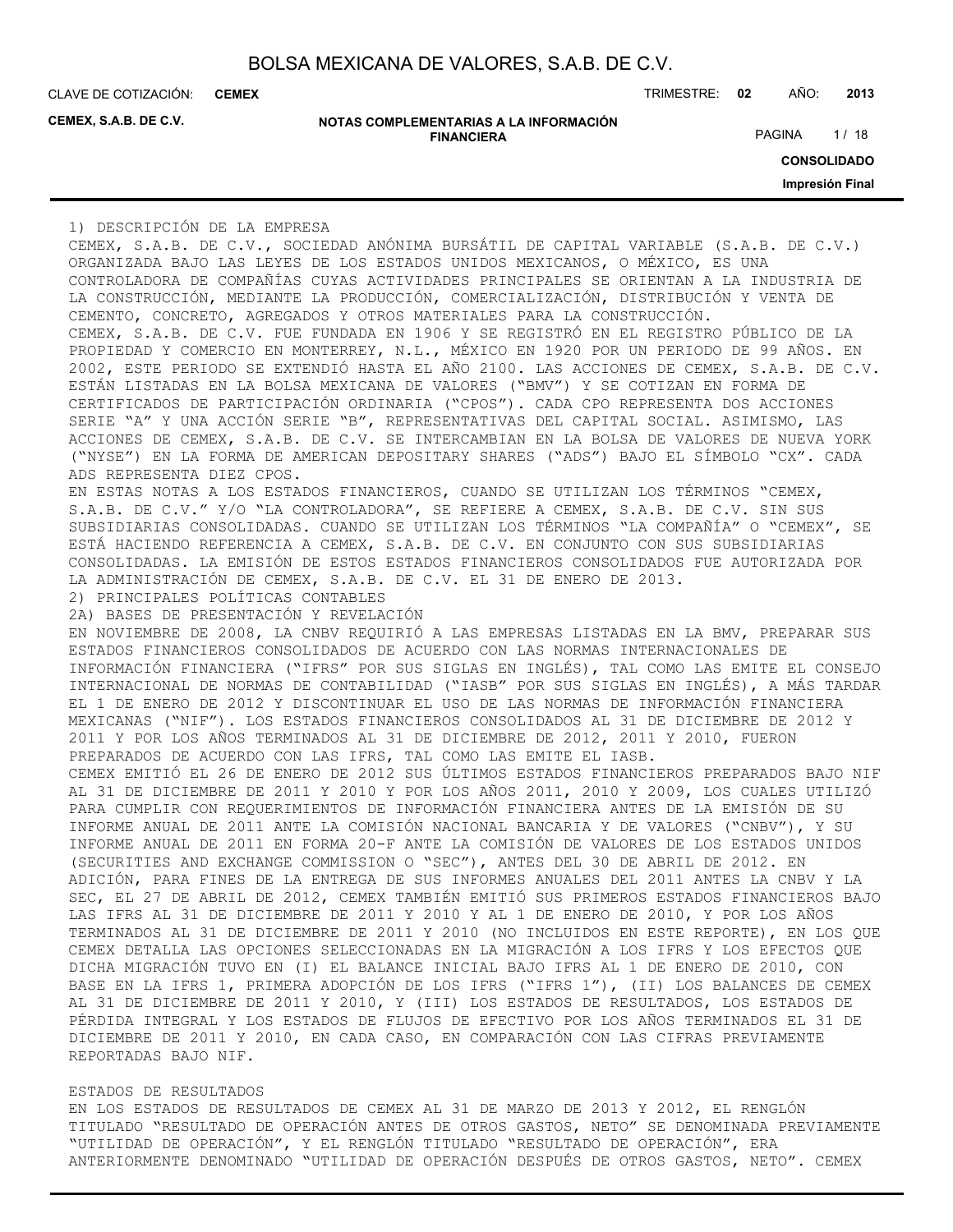**CEMEX**

**CEMEX, S.A.B. DE C.V.**

| NOTAS COMPLEMENTARIAS A LA INFORMACIÓN |
|----------------------------------------|
| <b>FINANCIERA</b>                      |

CLAVE DE COTIZACIÓN: TRIMESTRE: **02** AÑO: **2013**

PAGINA 1/18

**CONSOLIDADO**

**Impresión Final**

1) DESCRIPCIÓN DE LA EMPRESA

CEMEX, S.A.B. DE C.V., SOCIEDAD ANÓNIMA BURSÁTIL DE CAPITAL VARIABLE (S.A.B. DE C.V.) ORGANIZADA BAJO LAS LEYES DE LOS ESTADOS UNIDOS MEXICANOS, O MÉXICO, ES UNA CONTROLADORA DE COMPAÑÍAS CUYAS ACTIVIDADES PRINCIPALES SE ORIENTAN A LA INDUSTRIA DE LA CONSTRUCCIÓN, MEDIANTE LA PRODUCCIÓN, COMERCIALIZACIÓN, DISTRIBUCIÓN Y VENTA DE CEMENTO, CONCRETO, AGREGADOS Y OTROS MATERIALES PARA LA CONSTRUCCIÓN. CEMEX, S.A.B. DE C.V. FUE FUNDADA EN 1906 Y SE REGISTRÓ EN EL REGISTRO PÚBLICO DE LA PROPIEDAD Y COMERCIO EN MONTERREY, N.L., MÉXICO EN 1920 POR UN PERIODO DE 99 AÑOS. EN 2002, ESTE PERIODO SE EXTENDIÓ HASTA EL AÑO 2100. LAS ACCIONES DE CEMEX, S.A.B. DE C.V. ESTÁN LISTADAS EN LA BOLSA MEXICANA DE VALORES ("BMV") Y SE COTIZAN EN FORMA DE CERTIFICADOS DE PARTICIPACIÓN ORDINARIA ("CPOS"). CADA CPO REPRESENTA DOS ACCIONES SERIE "A" Y UNA ACCIÓN SERIE "B", REPRESENTATIVAS DEL CAPITAL SOCIAL. ASIMISMO, LAS ACCIONES DE CEMEX, S.A.B. DE C.V. SE INTERCAMBIAN EN LA BOLSA DE VALORES DE NUEVA YORK ("NYSE") EN LA FORMA DE AMERICAN DEPOSITARY SHARES ("ADS") BAJO EL SÍMBOLO "CX". CADA ADS REPRESENTA DIEZ CPOS. EN ESTAS NOTAS A LOS ESTADOS FINANCIEROS, CUANDO SE UTILIZAN LOS TÉRMINOS "CEMEX, S.A.B. DE C.V." Y/O "LA CONTROLADORA", SE REFIERE A CEMEX, S.A.B. DE C.V. SIN SUS SUBSIDIARIAS CONSOLIDADAS. CUANDO SE UTILIZAN LOS TÉRMINOS "LA COMPAÑÍA" O "CEMEX", SE ESTÁ HACIENDO REFERENCIA A CEMEX, S.A.B. DE C.V. EN CONJUNTO CON SUS SUBSIDIARIAS CONSOLIDADAS. LA EMISIÓN DE ESTOS ESTADOS FINANCIEROS CONSOLIDADOS FUE AUTORIZADA POR LA ADMINISTRACIÓN DE CEMEX, S.A.B. DE C.V. EL 31 DE ENERO DE 2013. 2) PRINCIPALES POLÍTICAS CONTABLES 2A) BASES DE PRESENTACIÓN Y REVELACIÓN EN NOVIEMBRE DE 2008, LA CNBV REQUIRIÓ A LAS EMPRESAS LISTADAS EN LA BMV, PREPARAR SUS ESTADOS FINANCIEROS CONSOLIDADOS DE ACUERDO CON LAS NORMAS INTERNACIONALES DE INFORMACIÓN FINANCIERA ("IFRS" POR SUS SIGLAS EN INGLÉS), TAL COMO LAS EMITE EL CONSEJO INTERNACIONAL DE NORMAS DE CONTABILIDAD ("IASB" POR SUS SIGLAS EN INGLÉS), A MÁS TARDAR EL 1 DE ENERO DE 2012 Y DISCONTINUAR EL USO DE LAS NORMAS DE INFORMACIÓN FINANCIERA MEXICANAS ("NIF"). LOS ESTADOS FINANCIEROS CONSOLIDADOS AL 31 DE DICIEMBRE DE 2012 Y 2011 Y POR LOS AÑOS TERMINADOS AL 31 DE DICIEMBRE DE 2012, 2011 Y 2010, FUERON PREPARADOS DE ACUERDO CON LAS IFRS, TAL COMO LAS EMITE EL IASB. CEMEX EMITIÓ EL 26 DE ENERO DE 2012 SUS ÚLTIMOS ESTADOS FINANCIEROS PREPARADOS BAJO NIF AL 31 DE DICIEMBRE DE 2011 Y 2010 Y POR LOS AÑOS 2011, 2010 Y 2009, LOS CUALES UTILIZÓ PARA CUMPLIR CON REQUERIMIENTOS DE INFORMACIÓN FINANCIERA ANTES DE LA EMISIÓN DE SU INFORME ANUAL DE 2011 ANTE LA COMISIÓN NACIONAL BANCARIA Y DE VALORES ("CNBV"), Y SU INFORME ANUAL DE 2011 EN FORMA 20-F ANTE LA COMISIÓN DE VALORES DE LOS ESTADOS UNIDOS (SECURITIES AND EXCHANGE COMMISSION O "SEC"), ANTES DEL 30 DE ABRIL DE 2012. EN ADICIÓN, PARA FINES DE LA ENTREGA DE SUS INFORMES ANUALES DEL 2011 ANTES LA CNBV Y LA SEC, EL 27 DE ABRIL DE 2012, CEMEX TAMBIÉN EMITIÓ SUS PRIMEROS ESTADOS FINANCIEROS BAJO LAS IFRS AL 31 DE DICIEMBRE DE 2011 Y 2010 Y AL 1 DE ENERO DE 2010, Y POR LOS AÑOS TERMINADOS AL 31 DE DICIEMBRE DE 2011 Y 2010 (NO INCLUIDOS EN ESTE REPORTE), EN LOS QUE CEMEX DETALLA LAS OPCIONES SELECCIONADAS EN LA MIGRACIÓN A LOS IFRS Y LOS EFECTOS QUE DICHA MIGRACIÓN TUVO EN (I) EL BALANCE INICIAL BAJO IFRS AL 1 DE ENERO DE 2010, CON BASE EN LA IFRS 1, PRIMERA ADOPCIÓN DE LOS IFRS ("IFRS 1"), (II) LOS BALANCES DE CEMEX AL 31 DE DICIEMBRE DE 2011 Y 2010, Y (III) LOS ESTADOS DE RESULTADOS, LOS ESTADOS DE PÉRDIDA INTEGRAL Y LOS ESTADOS DE FLUJOS DE EFECTIVO POR LOS AÑOS TERMINADOS EL 31 DE DICIEMBRE DE 2011 Y 2010, EN CADA CASO, EN COMPARACIÓN CON LAS CIFRAS PREVIAMENTE REPORTADAS BAJO NIF.

### ESTADOS DE RESULTADOS

EN LOS ESTADOS DE RESULTADOS DE CEMEX AL 31 DE MARZO DE 2013 Y 2012, EL RENGLÓN TITULADO "RESULTADO DE OPERACIÓN ANTES DE OTROS GASTOS, NETO" SE DENOMINADA PREVIAMENTE "UTILIDAD DE OPERACIÓN", Y EL RENGLÓN TITULADO "RESULTADO DE OPERACIÓN", ERA ANTERIORMENTE DENOMINADO "UTILIDAD DE OPERACIÓN DESPUÉS DE OTROS GASTOS, NETO". CEMEX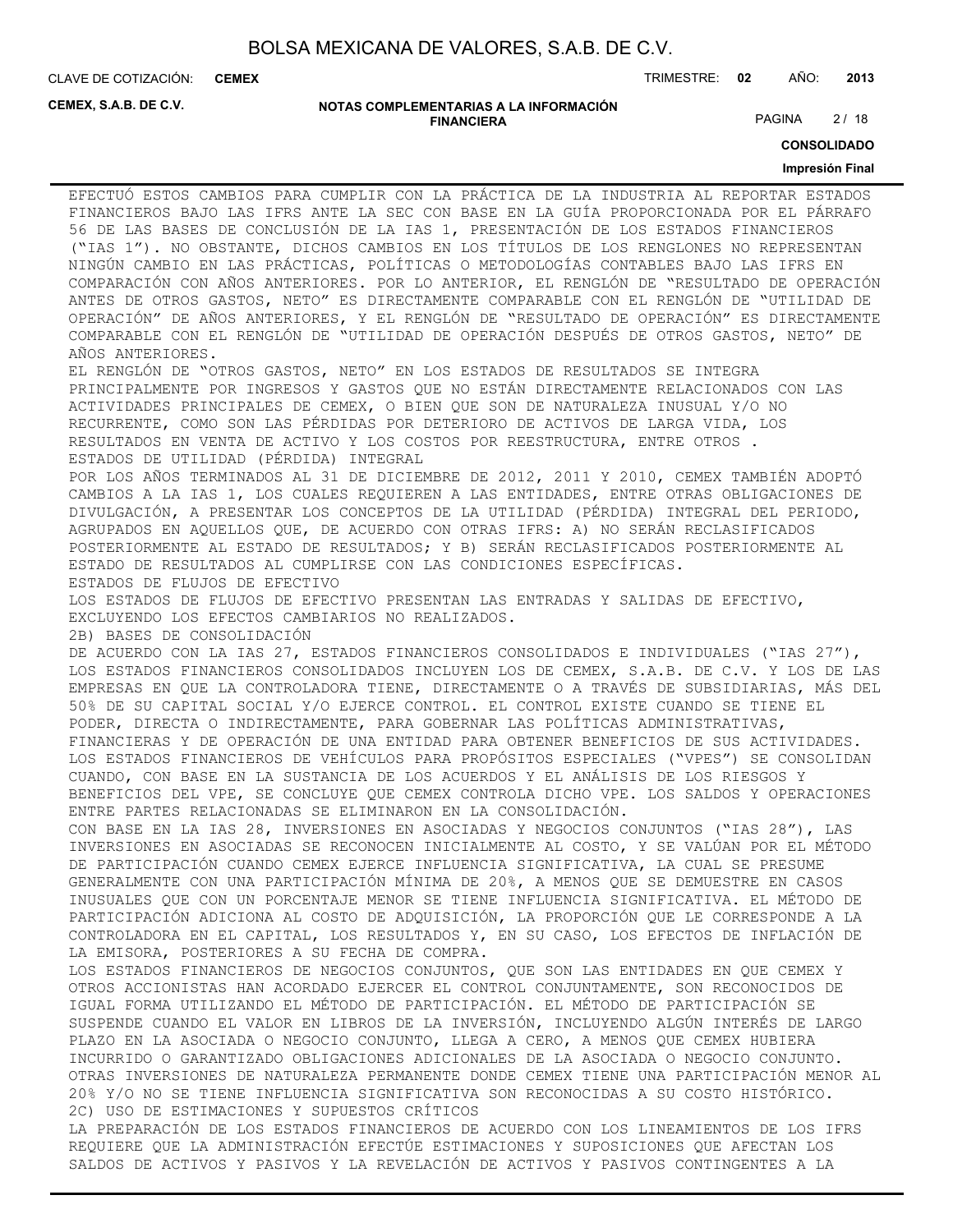**CEMEX**

CLAVE DE COTIZACIÓN: TRIMESTRE: **02** AÑO: **2013**

**CEMEX, S.A.B. DE C.V.**

**NOTAS COMPLEMENTARIAS A LA INFORMACIÓN FINANCIERA**

PAGINA 2/18

**CONSOLIDADO**

#### **Impresión Final**

EFECTUÓ ESTOS CAMBIOS PARA CUMPLIR CON LA PRÁCTICA DE LA INDUSTRIA AL REPORTAR ESTADOS FINANCIEROS BAJO LAS IFRS ANTE LA SEC CON BASE EN LA GUÍA PROPORCIONADA POR EL PÁRRAFO 56 DE LAS BASES DE CONCLUSIÓN DE LA IAS 1, PRESENTACIÓN DE LOS ESTADOS FINANCIEROS ("IAS 1"). NO OBSTANTE, DICHOS CAMBIOS EN LOS TÍTULOS DE LOS RENGLONES NO REPRESENTAN NINGÚN CAMBIO EN LAS PRÁCTICAS, POLÍTICAS O METODOLOGÍAS CONTABLES BAJO LAS IFRS EN COMPARACIÓN CON AÑOS ANTERIORES. POR LO ANTERIOR, EL RENGLÓN DE "RESULTADO DE OPERACIÓN ANTES DE OTROS GASTOS, NETO" ES DIRECTAMENTE COMPARABLE CON EL RENGLÓN DE "UTILIDAD DE OPERACIÓN" DE AÑOS ANTERIORES, Y EL RENGLÓN DE "RESULTADO DE OPERACIÓN" ES DIRECTAMENTE COMPARABLE CON EL RENGLÓN DE "UTILIDAD DE OPERACIÓN DESPUÉS DE OTROS GASTOS, NETO" DE AÑOS ANTERIORES. EL RENGLÓN DE "OTROS GASTOS, NETO" EN LOS ESTADOS DE RESULTADOS SE INTEGRA

PRINCIPALMENTE POR INGRESOS Y GASTOS QUE NO ESTÁN DIRECTAMENTE RELACIONADOS CON LAS ACTIVIDADES PRINCIPALES DE CEMEX, O BIEN QUE SON DE NATURALEZA INUSUAL Y/O NO RECURRENTE, COMO SON LAS PÉRDIDAS POR DETERIORO DE ACTIVOS DE LARGA VIDA, LOS RESULTADOS EN VENTA DE ACTIVO Y LOS COSTOS POR REESTRUCTURA, ENTRE OTROS . ESTADOS DE UTILIDAD (PÉRDIDA) INTEGRAL

POR LOS AÑOS TERMINADOS AL 31 DE DICIEMBRE DE 2012, 2011 Y 2010, CEMEX TAMBIÉN ADOPTÓ CAMBIOS A LA IAS 1, LOS CUALES REQUIEREN A LAS ENTIDADES, ENTRE OTRAS OBLIGACIONES DE DIVULGACIÓN, A PRESENTAR LOS CONCEPTOS DE LA UTILIDAD (PÉRDIDA) INTEGRAL DEL PERIODO, AGRUPADOS EN AQUELLOS QUE, DE ACUERDO CON OTRAS IFRS: A) NO SERÁN RECLASIFICADOS POSTERIORMENTE AL ESTADO DE RESULTADOS; Y B) SERÁN RECLASIFICADOS POSTERIORMENTE AL ESTADO DE RESULTADOS AL CUMPLIRSE CON LAS CONDICIONES ESPECÍFICAS. ESTADOS DE FLUJOS DE EFECTIVO

LOS ESTADOS DE FLUJOS DE EFECTIVO PRESENTAN LAS ENTRADAS Y SALIDAS DE EFECTIVO, EXCLUYENDO LOS EFECTOS CAMBIARIOS NO REALIZADOS.

2B) BASES DE CONSOLIDACIÓN

DE ACUERDO CON LA IAS 27, ESTADOS FINANCIEROS CONSOLIDADOS E INDIVIDUALES ("IAS 27"), LOS ESTADOS FINANCIEROS CONSOLIDADOS INCLUYEN LOS DE CEMEX, S.A.B. DE C.V. Y LOS DE LAS EMPRESAS EN QUE LA CONTROLADORA TIENE, DIRECTAMENTE O A TRAVÉS DE SUBSIDIARIAS, MÁS DEL 50% DE SU CAPITAL SOCIAL Y/O EJERCE CONTROL. EL CONTROL EXISTE CUANDO SE TIENE EL PODER, DIRECTA O INDIRECTAMENTE, PARA GOBERNAR LAS POLÍTICAS ADMINISTRATIVAS, FINANCIERAS Y DE OPERACIÓN DE UNA ENTIDAD PARA OBTENER BENEFICIOS DE SUS ACTIVIDADES. LOS ESTADOS FINANCIEROS DE VEHÍCULOS PARA PROPÓSITOS ESPECIALES ("VPES") SE CONSOLIDAN CUANDO, CON BASE EN LA SUSTANCIA DE LOS ACUERDOS Y EL ANÁLISIS DE LOS RIESGOS Y BENEFICIOS DEL VPE, SE CONCLUYE QUE CEMEX CONTROLA DICHO VPE. LOS SALDOS Y OPERACIONES ENTRE PARTES RELACIONADAS SE ELIMINARON EN LA CONSOLIDACIÓN.

CON BASE EN LA IAS 28, INVERSIONES EN ASOCIADAS Y NEGOCIOS CONJUNTOS ("IAS 28"), LAS INVERSIONES EN ASOCIADAS SE RECONOCEN INICIALMENTE AL COSTO, Y SE VALÚAN POR EL MÉTODO DE PARTICIPACIÓN CUANDO CEMEX EJERCE INFLUENCIA SIGNIFICATIVA, LA CUAL SE PRESUME GENERALMENTE CON UNA PARTICIPACIÓN MÍNIMA DE 20%, A MENOS QUE SE DEMUESTRE EN CASOS INUSUALES QUE CON UN PORCENTAJE MENOR SE TIENE INFLUENCIA SIGNIFICATIVA. EL MÉTODO DE PARTICIPACIÓN ADICIONA AL COSTO DE ADQUISICIÓN, LA PROPORCIÓN QUE LE CORRESPONDE A LA CONTROLADORA EN EL CAPITAL, LOS RESULTADOS Y, EN SU CASO, LOS EFECTOS DE INFLACIÓN DE LA EMISORA, POSTERIORES A SU FECHA DE COMPRA.

LOS ESTADOS FINANCIEROS DE NEGOCIOS CONJUNTOS, QUE SON LAS ENTIDADES EN QUE CEMEX Y OTROS ACCIONISTAS HAN ACORDADO EJERCER EL CONTROL CONJUNTAMENTE, SON RECONOCIDOS DE IGUAL FORMA UTILIZANDO EL MÉTODO DE PARTICIPACIÓN. EL MÉTODO DE PARTICIPACIÓN SE SUSPENDE CUANDO EL VALOR EN LIBROS DE LA INVERSIÓN, INCLUYENDO ALGÚN INTERÉS DE LARGO PLAZO EN LA ASOCIADA O NEGOCIO CONJUNTO, LLEGA A CERO, A MENOS QUE CEMEX HUBIERA INCURRIDO O GARANTIZADO OBLIGACIONES ADICIONALES DE LA ASOCIADA O NEGOCIO CONJUNTO. OTRAS INVERSIONES DE NATURALEZA PERMANENTE DONDE CEMEX TIENE UNA PARTICIPACIÓN MENOR AL 20% Y/O NO SE TIENE INFLUENCIA SIGNIFICATIVA SON RECONOCIDAS A SU COSTO HISTÓRICO. 2C) USO DE ESTIMACIONES Y SUPUESTOS CRÍTICOS

LA PREPARACIÓN DE LOS ESTADOS FINANCIEROS DE ACUERDO CON LOS LINEAMIENTOS DE LOS IFRS REQUIERE QUE LA ADMINISTRACIÓN EFECTÚE ESTIMACIONES Y SUPOSICIONES QUE AFECTAN LOS SALDOS DE ACTIVOS Y PASIVOS Y LA REVELACIÓN DE ACTIVOS Y PASIVOS CONTINGENTES A LA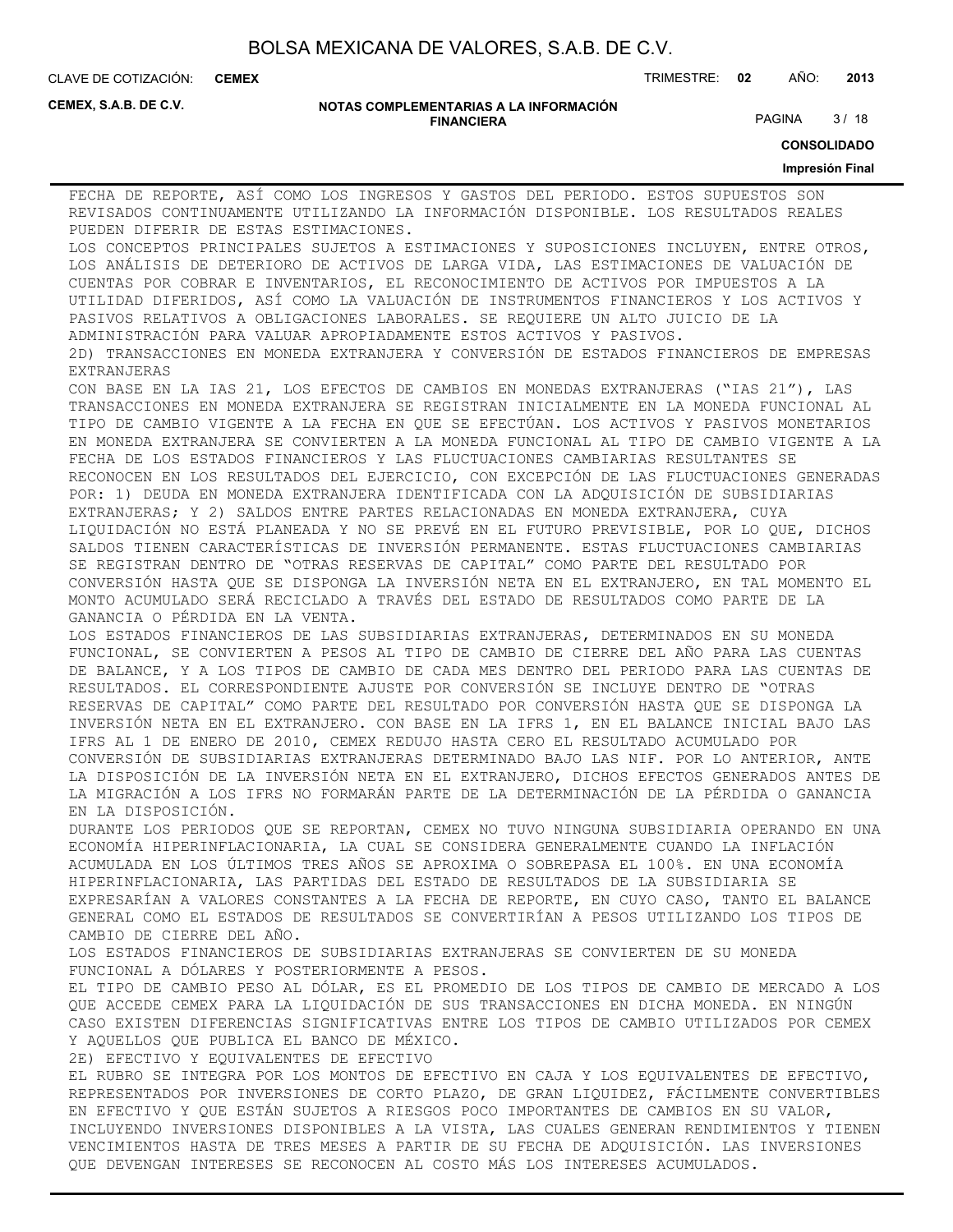**CEMEX**

CLAVE DE COTIZACIÓN: TRIMESTRE: **02** AÑO: **2013**

**CEMEX, S.A.B. DE C.V.**

#### **NOTAS COMPLEMENTARIAS A LA INFORMACIÓN FINANCIERA**

PAGINA 3/18

**CONSOLIDADO**

#### **Impresión Final**

FECHA DE REPORTE, ASÍ COMO LOS INGRESOS Y GASTOS DEL PERIODO. ESTOS SUPUESTOS SON REVISADOS CONTINUAMENTE UTILIZANDO LA INFORMACIÓN DISPONIBLE. LOS RESULTADOS REALES PUEDEN DIFERIR DE ESTAS ESTIMACIONES. LOS CONCEPTOS PRINCIPALES SUJETOS A ESTIMACIONES Y SUPOSICIONES INCLUYEN, ENTRE OTROS, LOS ANÁLISIS DE DETERIORO DE ACTIVOS DE LARGA VIDA, LAS ESTIMACIONES DE VALUACIÓN DE CUENTAS POR COBRAR E INVENTARIOS, EL RECONOCIMIENTO DE ACTIVOS POR IMPUESTOS A LA UTILIDAD DIFERIDOS, ASÍ COMO LA VALUACIÓN DE INSTRUMENTOS FINANCIEROS Y LOS ACTIVOS Y PASIVOS RELATIVOS A OBLIGACIONES LABORALES. SE REQUIERE UN ALTO JUICIO DE LA ADMINISTRACIÓN PARA VALUAR APROPIADAMENTE ESTOS ACTIVOS Y PASIVOS. 2D) TRANSACCIONES EN MONEDA EXTRANJERA Y CONVERSIÓN DE ESTADOS FINANCIEROS DE EMPRESAS EXTRANJERAS CON BASE EN LA IAS 21, LOS EFECTOS DE CAMBIOS EN MONEDAS EXTRANJERAS ("IAS 21"), LAS TRANSACCIONES EN MONEDA EXTRANJERA SE REGISTRAN INICIALMENTE EN LA MONEDA FUNCIONAL AL TIPO DE CAMBIO VIGENTE A LA FECHA EN QUE SE EFECTÚAN. LOS ACTIVOS Y PASIVOS MONETARIOS EN MONEDA EXTRANJERA SE CONVIERTEN A LA MONEDA FUNCIONAL AL TIPO DE CAMBIO VIGENTE A LA FECHA DE LOS ESTADOS FINANCIEROS Y LAS FLUCTUACIONES CAMBIARIAS RESULTANTES SE RECONOCEN EN LOS RESULTADOS DEL EJERCICIO, CON EXCEPCIÓN DE LAS FLUCTUACIONES GENERADAS POR: 1) DEUDA EN MONEDA EXTRANJERA IDENTIFICADA CON LA ADQUISICIÓN DE SUBSIDIARIAS EXTRANJERAS; Y 2) SALDOS ENTRE PARTES RELACIONADAS EN MONEDA EXTRANJERA, CUYA LIQUIDACIÓN NO ESTÁ PLANEADA Y NO SE PREVÉ EN EL FUTURO PREVISIBLE, POR LO QUE, DICHOS SALDOS TIENEN CARACTERÍSTICAS DE INVERSIÓN PERMANENTE. ESTAS FLUCTUACIONES CAMBIARIAS SE REGISTRAN DENTRO DE "OTRAS RESERVAS DE CAPITAL" COMO PARTE DEL RESULTADO POR CONVERSIÓN HASTA QUE SE DISPONGA LA INVERSIÓN NETA EN EL EXTRANJERO, EN TAL MOMENTO EL MONTO ACUMULADO SERÁ RECICLADO A TRAVÉS DEL ESTADO DE RESULTADOS COMO PARTE DE LA GANANCIA O PÉRDIDA EN LA VENTA. LOS ESTADOS FINANCIEROS DE LAS SUBSIDIARIAS EXTRANJERAS, DETERMINADOS EN SU MONEDA FUNCIONAL, SE CONVIERTEN A PESOS AL TIPO DE CAMBIO DE CIERRE DEL AÑO PARA LAS CUENTAS DE BALANCE, Y A LOS TIPOS DE CAMBIO DE CADA MES DENTRO DEL PERIODO PARA LAS CUENTAS DE RESULTADOS. EL CORRESPONDIENTE AJUSTE POR CONVERSIÓN SE INCLUYE DENTRO DE "OTRAS RESERVAS DE CAPITAL" COMO PARTE DEL RESULTADO POR CONVERSIÓN HASTA QUE SE DISPONGA LA INVERSIÓN NETA EN EL EXTRANJERO. CON BASE EN LA IFRS 1, EN EL BALANCE INICIAL BAJO LAS IFRS AL 1 DE ENERO DE 2010, CEMEX REDUJO HASTA CERO EL RESULTADO ACUMULADO POR CONVERSIÓN DE SUBSIDIARIAS EXTRANJERAS DETERMINADO BAJO LAS NIF. POR LO ANTERIOR, ANTE LA DISPOSICIÓN DE LA INVERSIÓN NETA EN EL EXTRANJERO, DICHOS EFECTOS GENERADOS ANTES DE LA MIGRACIÓN A LOS IFRS NO FORMARÁN PARTE DE LA DETERMINACIÓN DE LA PÉRDIDA O GANANCIA EN LA DISPOSICIÓN. DURANTE LOS PERIODOS QUE SE REPORTAN, CEMEX NO TUVO NINGUNA SUBSIDIARIA OPERANDO EN UNA ECONOMÍA HIPERINFLACIONARIA, LA CUAL SE CONSIDERA GENERALMENTE CUANDO LA INFLACIÓN ACUMULADA EN LOS ÚLTIMOS TRES AÑOS SE APROXIMA O SOBREPASA EL 100%. EN UNA ECONOMÍA HIPERINFLACIONARIA, LAS PARTIDAS DEL ESTADO DE RESULTADOS DE LA SUBSIDIARIA SE EXPRESARÍAN A VALORES CONSTANTES A LA FECHA DE REPORTE, EN CUYO CASO, TANTO EL BALANCE GENERAL COMO EL ESTADOS DE RESULTADOS SE CONVERTIRÍAN A PESOS UTILIZANDO LOS TIPOS DE CAMBIO DE CIERRE DEL AÑO. LOS ESTADOS FINANCIEROS DE SUBSIDIARIAS EXTRANJERAS SE CONVIERTEN DE SU MONEDA FUNCIONAL A DÓLARES Y POSTERIORMENTE A PESOS. EL TIPO DE CAMBIO PESO AL DÓLAR, ES EL PROMEDIO DE LOS TIPOS DE CAMBIO DE MERCADO A LOS QUE ACCEDE CEMEX PARA LA LIQUIDACIÓN DE SUS TRANSACCIONES EN DICHA MONEDA. EN NINGÚN CASO EXISTEN DIFERENCIAS SIGNIFICATIVAS ENTRE LOS TIPOS DE CAMBIO UTILIZADOS POR CEMEX Y AQUELLOS QUE PUBLICA EL BANCO DE MÉXICO. 2E) EFECTIVO Y EQUIVALENTES DE EFECTIVO EL RUBRO SE INTEGRA POR LOS MONTOS DE EFECTIVO EN CAJA Y LOS EQUIVALENTES DE EFECTIVO, REPRESENTADOS POR INVERSIONES DE CORTO PLAZO, DE GRAN LIQUIDEZ, FÁCILMENTE CONVERTIBLES EN EFECTIVO Y QUE ESTÁN SUJETOS A RIESGOS POCO IMPORTANTES DE CAMBIOS EN SU VALOR, INCLUYENDO INVERSIONES DISPONIBLES A LA VISTA, LAS CUALES GENERAN RENDIMIENTOS Y TIENEN VENCIMIENTOS HASTA DE TRES MESES A PARTIR DE SU FECHA DE ADQUISICIÓN. LAS INVERSIONES QUE DEVENGAN INTERESES SE RECONOCEN AL COSTO MÁS LOS INTERESES ACUMULADOS.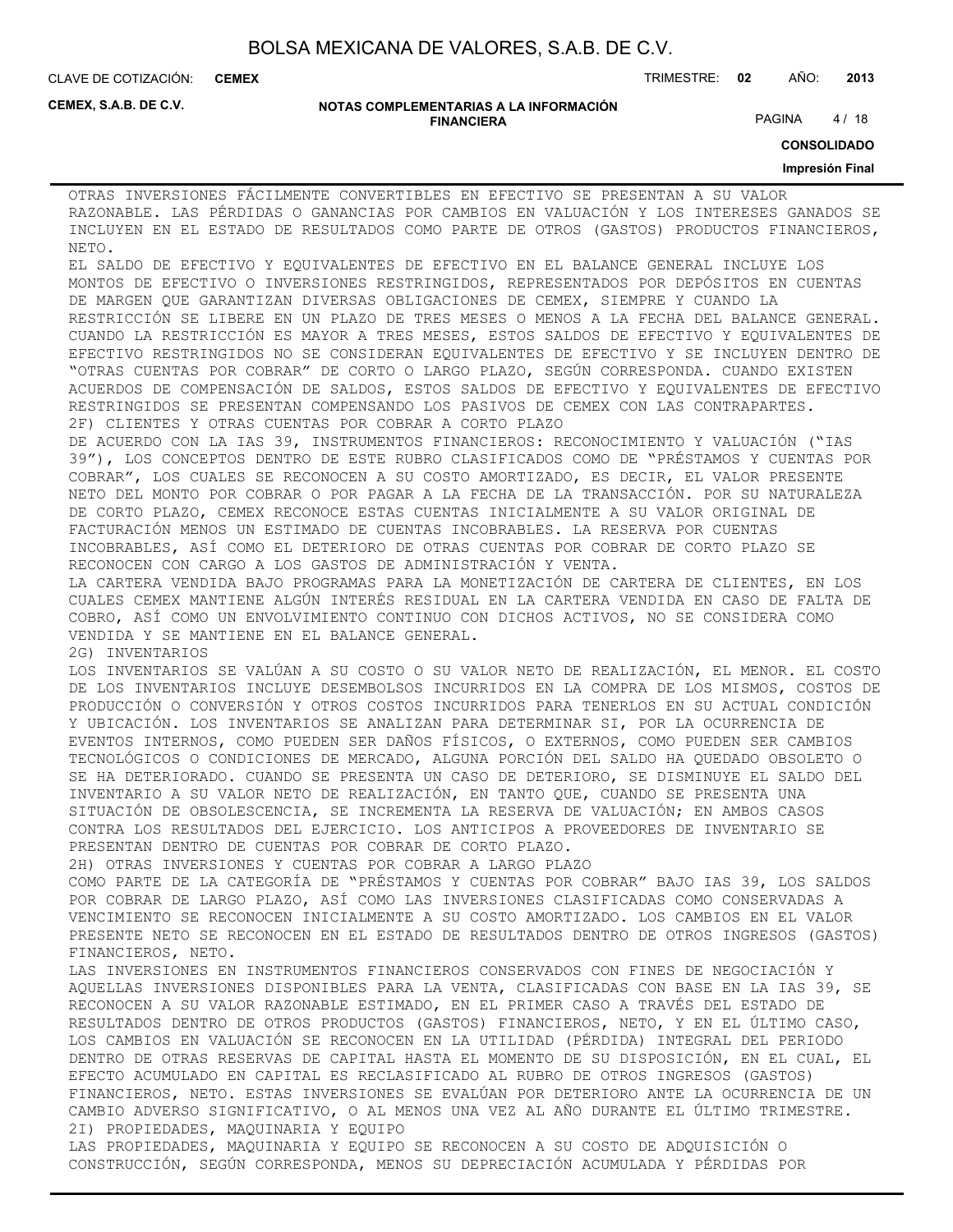**CEMEX**

CLAVE DE COTIZACIÓN: TRIMESTRE: **02** AÑO: **2013**

**CEMEX, S.A.B. DE C.V.**

#### **NOTAS COMPLEMENTARIAS A LA INFORMACIÓN FINANCIERA**

PAGINA 4/18

**CONSOLIDADO**

#### **Impresión Final**

OTRAS INVERSIONES FÁCILMENTE CONVERTIBLES EN EFECTIVO SE PRESENTAN A SU VALOR RAZONABLE. LAS PÉRDIDAS O GANANCIAS POR CAMBIOS EN VALUACIÓN Y LOS INTERESES GANADOS SE INCLUYEN EN EL ESTADO DE RESULTADOS COMO PARTE DE OTROS (GASTOS) PRODUCTOS FINANCIEROS, NETO.

EL SALDO DE EFECTIVO Y EQUIVALENTES DE EFECTIVO EN EL BALANCE GENERAL INCLUYE LOS MONTOS DE EFECTIVO O INVERSIONES RESTRINGIDOS, REPRESENTADOS POR DEPÓSITOS EN CUENTAS DE MARGEN QUE GARANTIZAN DIVERSAS OBLIGACIONES DE CEMEX, SIEMPRE Y CUANDO LA RESTRICCIÓN SE LIBERE EN UN PLAZO DE TRES MESES O MENOS A LA FECHA DEL BALANCE GENERAL. CUANDO LA RESTRICCIÓN ES MAYOR A TRES MESES, ESTOS SALDOS DE EFECTIVO Y EQUIVALENTES DE EFECTIVO RESTRINGIDOS NO SE CONSIDERAN EQUIVALENTES DE EFECTIVO Y SE INCLUYEN DENTRO DE "OTRAS CUENTAS POR COBRAR" DE CORTO O LARGO PLAZO, SEGÚN CORRESPONDA. CUANDO EXISTEN ACUERDOS DE COMPENSACIÓN DE SALDOS, ESTOS SALDOS DE EFECTIVO Y EQUIVALENTES DE EFECTIVO RESTRINGIDOS SE PRESENTAN COMPENSANDO LOS PASIVOS DE CEMEX CON LAS CONTRAPARTES. 2F) CLIENTES Y OTRAS CUENTAS POR COBRAR A CORTO PLAZO

DE ACUERDO CON LA IAS 39, INSTRUMENTOS FINANCIEROS: RECONOCIMIENTO Y VALUACIÓN ("IAS 39"), LOS CONCEPTOS DENTRO DE ESTE RUBRO CLASIFICADOS COMO DE "PRÉSTAMOS Y CUENTAS POR COBRAR", LOS CUALES SE RECONOCEN A SU COSTO AMORTIZADO, ES DECIR, EL VALOR PRESENTE NETO DEL MONTO POR COBRAR O POR PAGAR A LA FECHA DE LA TRANSACCIÓN. POR SU NATURALEZA DE CORTO PLAZO, CEMEX RECONOCE ESTAS CUENTAS INICIALMENTE A SU VALOR ORIGINAL DE FACTURACIÓN MENOS UN ESTIMADO DE CUENTAS INCOBRABLES. LA RESERVA POR CUENTAS INCOBRABLES, ASÍ COMO EL DETERIORO DE OTRAS CUENTAS POR COBRAR DE CORTO PLAZO SE RECONOCEN CON CARGO A LOS GASTOS DE ADMINISTRACIÓN Y VENTA.

LA CARTERA VENDIDA BAJO PROGRAMAS PARA LA MONETIZACIÓN DE CARTERA DE CLIENTES, EN LOS CUALES CEMEX MANTIENE ALGÚN INTERÉS RESIDUAL EN LA CARTERA VENDIDA EN CASO DE FALTA DE COBRO, ASÍ COMO UN ENVOLVIMIENTO CONTINUO CON DICHOS ACTIVOS, NO SE CONSIDERA COMO VENDIDA Y SE MANTIENE EN EL BALANCE GENERAL.

2G) INVENTARIOS

LOS INVENTARIOS SE VALÚAN A SU COSTO O SU VALOR NETO DE REALIZACIÓN, EL MENOR. EL COSTO DE LOS INVENTARIOS INCLUYE DESEMBOLSOS INCURRIDOS EN LA COMPRA DE LOS MISMOS, COSTOS DE PRODUCCIÓN O CONVERSIÓN Y OTROS COSTOS INCURRIDOS PARA TENERLOS EN SU ACTUAL CONDICIÓN Y UBICACIÓN. LOS INVENTARIOS SE ANALIZAN PARA DETERMINAR SI, POR LA OCURRENCIA DE EVENTOS INTERNOS, COMO PUEDEN SER DAÑOS FÍSICOS, O EXTERNOS, COMO PUEDEN SER CAMBIOS TECNOLÓGICOS O CONDICIONES DE MERCADO, ALGUNA PORCIÓN DEL SALDO HA QUEDADO OBSOLETO O SE HA DETERIORADO. CUANDO SE PRESENTA UN CASO DE DETERIORO, SE DISMINUYE EL SALDO DEL INVENTARIO A SU VALOR NETO DE REALIZACIÓN, EN TANTO QUE, CUANDO SE PRESENTA UNA SITUACIÓN DE OBSOLESCENCIA, SE INCREMENTA LA RESERVA DE VALUACIÓN; EN AMBOS CASOS CONTRA LOS RESULTADOS DEL EJERCICIO. LOS ANTICIPOS A PROVEEDORES DE INVENTARIO SE PRESENTAN DENTRO DE CUENTAS POR COBRAR DE CORTO PLAZO.

2H) OTRAS INVERSIONES Y CUENTAS POR COBRAR A LARGO PLAZO

COMO PARTE DE LA CATEGORÍA DE "PRÉSTAMOS Y CUENTAS POR COBRAR" BAJO IAS 39, LOS SALDOS POR COBRAR DE LARGO PLAZO, ASÍ COMO LAS INVERSIONES CLASIFICADAS COMO CONSERVADAS A VENCIMIENTO SE RECONOCEN INICIALMENTE A SU COSTO AMORTIZADO. LOS CAMBIOS EN EL VALOR PRESENTE NETO SE RECONOCEN EN EL ESTADO DE RESULTADOS DENTRO DE OTROS INGRESOS (GASTOS) FINANCIEROS, NETO.

LAS INVERSIONES EN INSTRUMENTOS FINANCIEROS CONSERVADOS CON FINES DE NEGOCIACIÓN Y AQUELLAS INVERSIONES DISPONIBLES PARA LA VENTA, CLASIFICADAS CON BASE EN LA IAS 39, SE RECONOCEN A SU VALOR RAZONABLE ESTIMADO, EN EL PRIMER CASO A TRAVÉS DEL ESTADO DE RESULTADOS DENTRO DE OTROS PRODUCTOS (GASTOS) FINANCIEROS, NETO, Y EN EL ÚLTIMO CASO, LOS CAMBIOS EN VALUACIÓN SE RECONOCEN EN LA UTILIDAD (PÉRDIDA) INTEGRAL DEL PERIODO DENTRO DE OTRAS RESERVAS DE CAPITAL HASTA EL MOMENTO DE SU DISPOSICIÓN, EN EL CUAL, EL EFECTO ACUMULADO EN CAPITAL ES RECLASIFICADO AL RUBRO DE OTROS INGRESOS (GASTOS) FINANCIEROS, NETO. ESTAS INVERSIONES SE EVALÚAN POR DETERIORO ANTE LA OCURRENCIA DE UN CAMBIO ADVERSO SIGNIFICATIVO, O AL MENOS UNA VEZ AL AÑO DURANTE EL ÚLTIMO TRIMESTRE. 2I) PROPIEDADES, MAQUINARIA Y EQUIPO LAS PROPIEDADES, MAQUINARIA Y EQUIPO SE RECONOCEN A SU COSTO DE ADQUISICIÓN O

CONSTRUCCIÓN, SEGÚN CORRESPONDA, MENOS SU DEPRECIACIÓN ACUMULADA Y PÉRDIDAS POR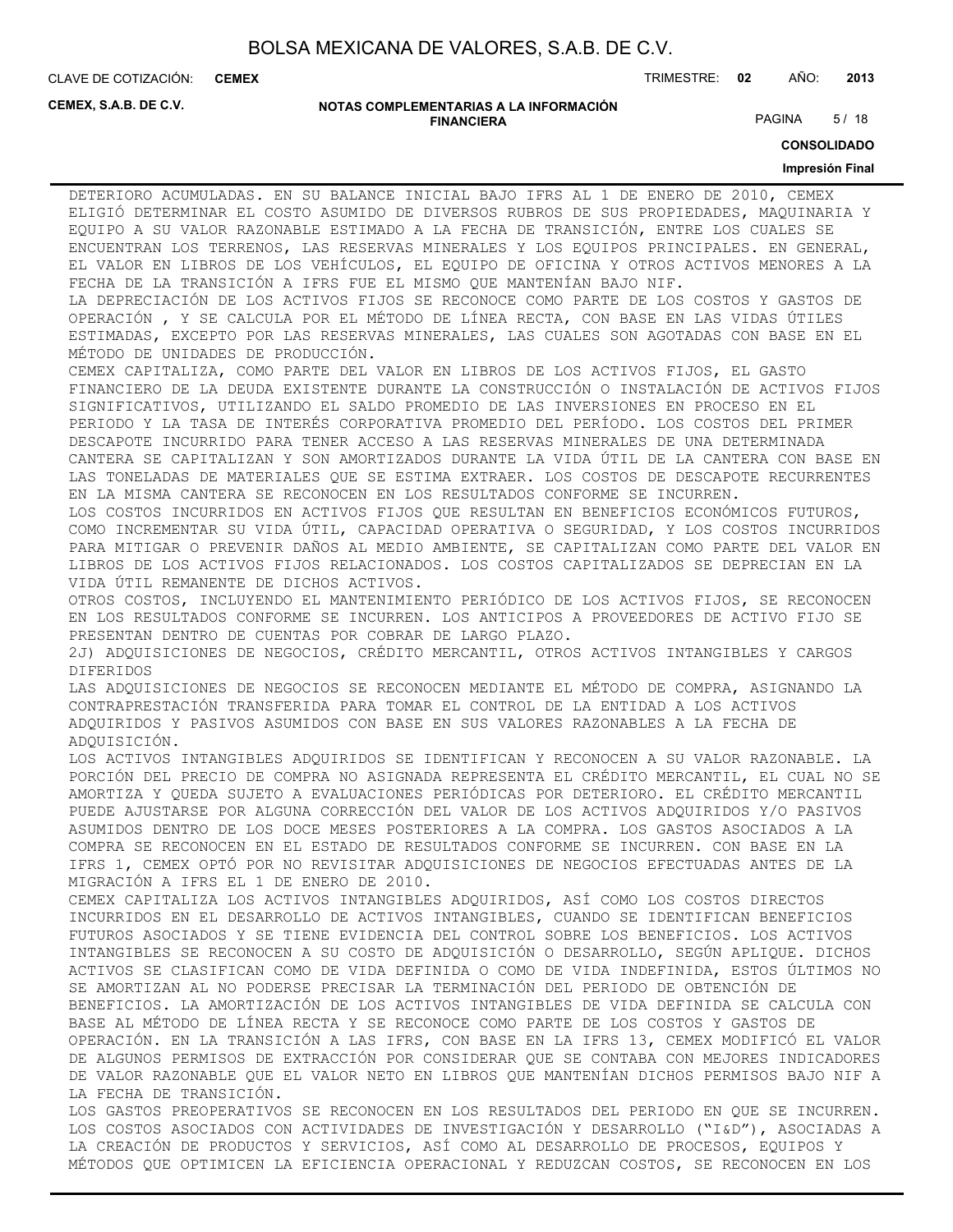**CEMEX**

CLAVE DE COTIZACIÓN: TRIMESTRE: **02** AÑO: **2013**

**CEMEX, S.A.B. DE C.V.**

#### **NOTAS COMPLEMENTARIAS A LA INFORMACIÓN FINANCIERA**

PAGINA 5/18

**CONSOLIDADO**

#### **Impresión Final**

DETERIORO ACUMULADAS. EN SU BALANCE INICIAL BAJO IFRS AL 1 DE ENERO DE 2010, CEMEX ELIGIÓ DETERMINAR EL COSTO ASUMIDO DE DIVERSOS RUBROS DE SUS PROPIEDADES, MAQUINARIA Y EQUIPO A SU VALOR RAZONABLE ESTIMADO A LA FECHA DE TRANSICIÓN, ENTRE LOS CUALES SE ENCUENTRAN LOS TERRENOS, LAS RESERVAS MINERALES Y LOS EQUIPOS PRINCIPALES. EN GENERAL, EL VALOR EN LIBROS DE LOS VEHÍCULOS, EL EQUIPO DE OFICINA Y OTROS ACTIVOS MENORES A LA FECHA DE LA TRANSICIÓN A IFRS FUE EL MISMO QUE MANTENÍAN BAJO NIF.

LA DEPRECIACIÓN DE LOS ACTIVOS FIJOS SE RECONOCE COMO PARTE DE LOS COSTOS Y GASTOS DE OPERACIÓN , Y SE CALCULA POR EL MÉTODO DE LÍNEA RECTA, CON BASE EN LAS VIDAS ÚTILES ESTIMADAS, EXCEPTO POR LAS RESERVAS MINERALES, LAS CUALES SON AGOTADAS CON BASE EN EL MÉTODO DE UNIDADES DE PRODUCCIÓN.

CEMEX CAPITALIZA, COMO PARTE DEL VALOR EN LIBROS DE LOS ACTIVOS FIJOS, EL GASTO FINANCIERO DE LA DEUDA EXISTENTE DURANTE LA CONSTRUCCIÓN O INSTALACIÓN DE ACTIVOS FIJOS SIGNIFICATIVOS, UTILIZANDO EL SALDO PROMEDIO DE LAS INVERSIONES EN PROCESO EN EL PERIODO Y LA TASA DE INTERÉS CORPORATIVA PROMEDIO DEL PERÍODO. LOS COSTOS DEL PRIMER DESCAPOTE INCURRIDO PARA TENER ACCESO A LAS RESERVAS MINERALES DE UNA DETERMINADA CANTERA SE CAPITALIZAN Y SON AMORTIZADOS DURANTE LA VIDA ÚTIL DE LA CANTERA CON BASE EN LAS TONELADAS DE MATERIALES QUE SE ESTIMA EXTRAER. LOS COSTOS DE DESCAPOTE RECURRENTES EN LA MISMA CANTERA SE RECONOCEN EN LOS RESULTADOS CONFORME SE INCURREN.

LOS COSTOS INCURRIDOS EN ACTIVOS FIJOS QUE RESULTAN EN BENEFICIOS ECONÓMICOS FUTUROS, COMO INCREMENTAR SU VIDA ÚTIL, CAPACIDAD OPERATIVA O SEGURIDAD, Y LOS COSTOS INCURRIDOS PARA MITIGAR O PREVENIR DAÑOS AL MEDIO AMBIENTE, SE CAPITALIZAN COMO PARTE DEL VALOR EN LIBROS DE LOS ACTIVOS FIJOS RELACIONADOS. LOS COSTOS CAPITALIZADOS SE DEPRECIAN EN LA VIDA ÚTIL REMANENTE DE DICHOS ACTIVOS.

OTROS COSTOS, INCLUYENDO EL MANTENIMIENTO PERIÓDICO DE LOS ACTIVOS FIJOS, SE RECONOCEN EN LOS RESULTADOS CONFORME SE INCURREN. LOS ANTICIPOS A PROVEEDORES DE ACTIVO FIJO SE PRESENTAN DENTRO DE CUENTAS POR COBRAR DE LARGO PLAZO.

2J) ADQUISICIONES DE NEGOCIOS, CRÉDITO MERCANTIL, OTROS ACTIVOS INTANGIBLES Y CARGOS DIFERIDOS

LAS ADQUISICIONES DE NEGOCIOS SE RECONOCEN MEDIANTE EL MÉTODO DE COMPRA, ASIGNANDO LA CONTRAPRESTACIÓN TRANSFERIDA PARA TOMAR EL CONTROL DE LA ENTIDAD A LOS ACTIVOS ADQUIRIDOS Y PASIVOS ASUMIDOS CON BASE EN SUS VALORES RAZONABLES A LA FECHA DE ADQUISICIÓN.

LOS ACTIVOS INTANGIBLES ADQUIRIDOS SE IDENTIFICAN Y RECONOCEN A SU VALOR RAZONABLE. LA PORCIÓN DEL PRECIO DE COMPRA NO ASIGNADA REPRESENTA EL CRÉDITO MERCANTIL, EL CUAL NO SE AMORTIZA Y QUEDA SUJETO A EVALUACIONES PERIÓDICAS POR DETERIORO. EL CRÉDITO MERCANTIL PUEDE AJUSTARSE POR ALGUNA CORRECCIÓN DEL VALOR DE LOS ACTIVOS ADQUIRIDOS Y/O PASIVOS ASUMIDOS DENTRO DE LOS DOCE MESES POSTERIORES A LA COMPRA. LOS GASTOS ASOCIADOS A LA COMPRA SE RECONOCEN EN EL ESTADO DE RESULTADOS CONFORME SE INCURREN. CON BASE EN LA IFRS 1, CEMEX OPTÓ POR NO REVISITAR ADQUISICIONES DE NEGOCIOS EFECTUADAS ANTES DE LA MIGRACIÓN A IFRS EL 1 DE ENERO DE 2010.

CEMEX CAPITALIZA LOS ACTIVOS INTANGIBLES ADQUIRIDOS, ASÍ COMO LOS COSTOS DIRECTOS INCURRIDOS EN EL DESARROLLO DE ACTIVOS INTANGIBLES, CUANDO SE IDENTIFICAN BENEFICIOS FUTUROS ASOCIADOS Y SE TIENE EVIDENCIA DEL CONTROL SOBRE LOS BENEFICIOS. LOS ACTIVOS INTANGIBLES SE RECONOCEN A SU COSTO DE ADQUISICIÓN O DESARROLLO, SEGÚN APLIQUE. DICHOS ACTIVOS SE CLASIFICAN COMO DE VIDA DEFINIDA O COMO DE VIDA INDEFINIDA, ESTOS ÚLTIMOS NO SE AMORTIZAN AL NO PODERSE PRECISAR LA TERMINACIÓN DEL PERIODO DE OBTENCIÓN DE BENEFICIOS. LA AMORTIZACIÓN DE LOS ACTIVOS INTANGIBLES DE VIDA DEFINIDA SE CALCULA CON BASE AL MÉTODO DE LÍNEA RECTA Y SE RECONOCE COMO PARTE DE LOS COSTOS Y GASTOS DE OPERACIÓN. EN LA TRANSICIÓN A LAS IFRS, CON BASE EN LA IFRS 13, CEMEX MODIFICÓ EL VALOR DE ALGUNOS PERMISOS DE EXTRACCIÓN POR CONSIDERAR QUE SE CONTABA CON MEJORES INDICADORES DE VALOR RAZONABLE QUE EL VALOR NETO EN LIBROS QUE MANTENÍAN DICHOS PERMISOS BAJO NIF A LA FECHA DE TRANSICIÓN.

LOS GASTOS PREOPERATIVOS SE RECONOCEN EN LOS RESULTADOS DEL PERIODO EN QUE SE INCURREN. LOS COSTOS ASOCIADOS CON ACTIVIDADES DE INVESTIGACIÓN Y DESARROLLO ("I&D"), ASOCIADAS A LA CREACIÓN DE PRODUCTOS Y SERVICIOS, ASÍ COMO AL DESARROLLO DE PROCESOS, EQUIPOS Y MÉTODOS QUE OPTIMICEN LA EFICIENCIA OPERACIONAL Y REDUZCAN COSTOS, SE RECONOCEN EN LOS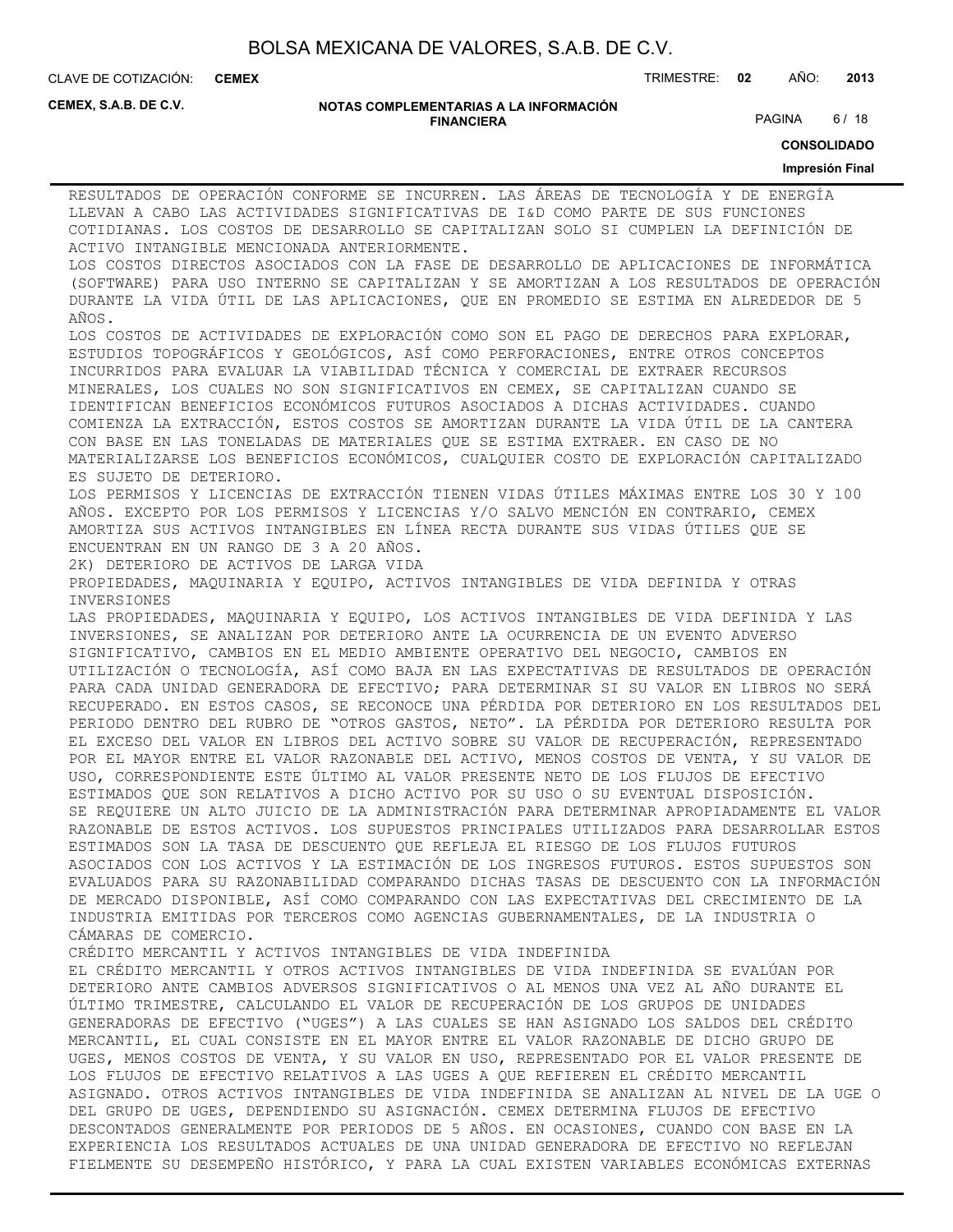**CEMEX**

CLAVE DE COTIZACIÓN: TRIMESTRE: **02** AÑO: **2013**

**CEMEX, S.A.B. DE C.V.**

#### **NOTAS COMPLEMENTARIAS A LA INFORMACIÓN FINANCIERA**

PAGINA 6/18

**CONSOLIDADO**

#### **Impresión Final**

RESULTADOS DE OPERACIÓN CONFORME SE INCURREN. LAS ÁREAS DE TECNOLOGÍA Y DE ENERGÍA LLEVAN A CABO LAS ACTIVIDADES SIGNIFICATIVAS DE I&D COMO PARTE DE SUS FUNCIONES COTIDIANAS. LOS COSTOS DE DESARROLLO SE CAPITALIZAN SOLO SI CUMPLEN LA DEFINICIÓN DE ACTIVO INTANGIBLE MENCIONADA ANTERIORMENTE. LOS COSTOS DIRECTOS ASOCIADOS CON LA FASE DE DESARROLLO DE APLICACIONES DE INFORMÁTICA (SOFTWARE) PARA USO INTERNO SE CAPITALIZAN Y SE AMORTIZAN A LOS RESULTADOS DE OPERACIÓN DURANTE LA VIDA ÚTIL DE LAS APLICACIONES, QUE EN PROMEDIO SE ESTIMA EN ALREDEDOR DE 5 AÑOS. LOS COSTOS DE ACTIVIDADES DE EXPLORACIÓN COMO SON EL PAGO DE DERECHOS PARA EXPLORAR, ESTUDIOS TOPOGRÁFICOS Y GEOLÓGICOS, ASÍ COMO PERFORACIONES, ENTRE OTROS CONCEPTOS INCURRIDOS PARA EVALUAR LA VIABILIDAD TÉCNICA Y COMERCIAL DE EXTRAER RECURSOS MINERALES, LOS CUALES NO SON SIGNIFICATIVOS EN CEMEX, SE CAPITALIZAN CUANDO SE IDENTIFICAN BENEFICIOS ECONÓMICOS FUTUROS ASOCIADOS A DICHAS ACTIVIDADES. CUANDO COMIENZA LA EXTRACCIÓN, ESTOS COSTOS SE AMORTIZAN DURANTE LA VIDA ÚTIL DE LA CANTERA CON BASE EN LAS TONELADAS DE MATERIALES QUE SE ESTIMA EXTRAER. EN CASO DE NO MATERIALIZARSE LOS BENEFICIOS ECONÓMICOS, CUALQUIER COSTO DE EXPLORACIÓN CAPITALIZADO ES SUJETO DE DETERIORO. LOS PERMISOS Y LICENCIAS DE EXTRACCIÓN TIENEN VIDAS ÚTILES MÁXIMAS ENTRE LOS 30 Y 100 AÑOS. EXCEPTO POR LOS PERMISOS Y LICENCIAS Y/O SALVO MENCIÓN EN CONTRARIO, CEMEX AMORTIZA SUS ACTIVOS INTANGIBLES EN LÍNEA RECTA DURANTE SUS VIDAS ÚTILES QUE SE ENCUENTRAN EN UN RANGO DE 3 A 20 AÑOS. 2K) DETERIORO DE ACTIVOS DE LARGA VIDA PROPIEDADES, MAQUINARIA Y EQUIPO, ACTIVOS INTANGIBLES DE VIDA DEFINIDA Y OTRAS INVERSIONES LAS PROPIEDADES, MAQUINARIA Y EQUIPO, LOS ACTIVOS INTANGIBLES DE VIDA DEFINIDA Y LAS INVERSIONES, SE ANALIZAN POR DETERIORO ANTE LA OCURRENCIA DE UN EVENTO ADVERSO SIGNIFICATIVO, CAMBIOS EN EL MEDIO AMBIENTE OPERATIVO DEL NEGOCIO, CAMBIOS EN UTILIZACIÓN O TECNOLOGÍA, ASÍ COMO BAJA EN LAS EXPECTATIVAS DE RESULTADOS DE OPERACIÓN PARA CADA UNIDAD GENERADORA DE EFECTIVO; PARA DETERMINAR SI SU VALOR EN LIBROS NO SERÁ RECUPERADO. EN ESTOS CASOS, SE RECONOCE UNA PÉRDIDA POR DETERIORO EN LOS RESULTADOS DEL PERIODO DENTRO DEL RUBRO DE "OTROS GASTOS, NETO". LA PÉRDIDA POR DETERIORO RESULTA POR EL EXCESO DEL VALOR EN LIBROS DEL ACTIVO SOBRE SU VALOR DE RECUPERACIÓN, REPRESENTADO POR EL MAYOR ENTRE EL VALOR RAZONABLE DEL ACTIVO, MENOS COSTOS DE VENTA, Y SU VALOR DE USO, CORRESPONDIENTE ESTE ÚLTIMO AL VALOR PRESENTE NETO DE LOS FLUJOS DE EFECTIVO ESTIMADOS QUE SON RELATIVOS A DICHO ACTIVO POR SU USO O SU EVENTUAL DISPOSICIÓN. SE REQUIERE UN ALTO JUICIO DE LA ADMINISTRACIÓN PARA DETERMINAR APROPIADAMENTE EL VALOR RAZONABLE DE ESTOS ACTIVOS. LOS SUPUESTOS PRINCIPALES UTILIZADOS PARA DESARROLLAR ESTOS ESTIMADOS SON LA TASA DE DESCUENTO QUE REFLEJA EL RIESGO DE LOS FLUJOS FUTUROS ASOCIADOS CON LOS ACTIVOS Y LA ESTIMACIÓN DE LOS INGRESOS FUTUROS. ESTOS SUPUESTOS SON EVALUADOS PARA SU RAZONABILIDAD COMPARANDO DICHAS TASAS DE DESCUENTO CON LA INFORMACIÓN DE MERCADO DISPONIBLE, ASÍ COMO COMPARANDO CON LAS EXPECTATIVAS DEL CRECIMIENTO DE LA INDUSTRIA EMITIDAS POR TERCEROS COMO AGENCIAS GUBERNAMENTALES, DE LA INDUSTRIA O CÁMARAS DE COMERCIO. CRÉDITO MERCANTIL Y ACTIVOS INTANGIBLES DE VIDA INDEFINIDA EL CRÉDITO MERCANTIL Y OTROS ACTIVOS INTANGIBLES DE VIDA INDEFINIDA SE EVALÚAN POR DETERIORO ANTE CAMBIOS ADVERSOS SIGNIFICATIVOS O AL MENOS UNA VEZ AL AÑO DURANTE EL ÚLTIMO TRIMESTRE, CALCULANDO EL VALOR DE RECUPERACIÓN DE LOS GRUPOS DE UNIDADES GENERADORAS DE EFECTIVO ("UGES") A LAS CUALES SE HAN ASIGNADO LOS SALDOS DEL CRÉDITO MERCANTIL, EL CUAL CONSISTE EN EL MAYOR ENTRE EL VALOR RAZONABLE DE DICHO GRUPO DE UGES, MENOS COSTOS DE VENTA, Y SU VALOR EN USO, REPRESENTADO POR EL VALOR PRESENTE DE LOS FLUJOS DE EFECTIVO RELATIVOS A LAS UGES A QUE REFIEREN EL CRÉDITO MERCANTIL ASIGNADO. OTROS ACTIVOS INTANGIBLES DE VIDA INDEFINIDA SE ANALIZAN AL NIVEL DE LA UGE O DEL GRUPO DE UGES, DEPENDIENDO SU ASIGNACIÓN. CEMEX DETERMINA FLUJOS DE EFECTIVO DESCONTADOS GENERALMENTE POR PERIODOS DE 5 AÑOS. EN OCASIONES, CUANDO CON BASE EN LA EXPERIENCIA LOS RESULTADOS ACTUALES DE UNA UNIDAD GENERADORA DE EFECTIVO NO REFLEJAN FIELMENTE SU DESEMPEÑO HISTÓRICO, Y PARA LA CUAL EXISTEN VARIABLES ECONÓMICAS EXTERNAS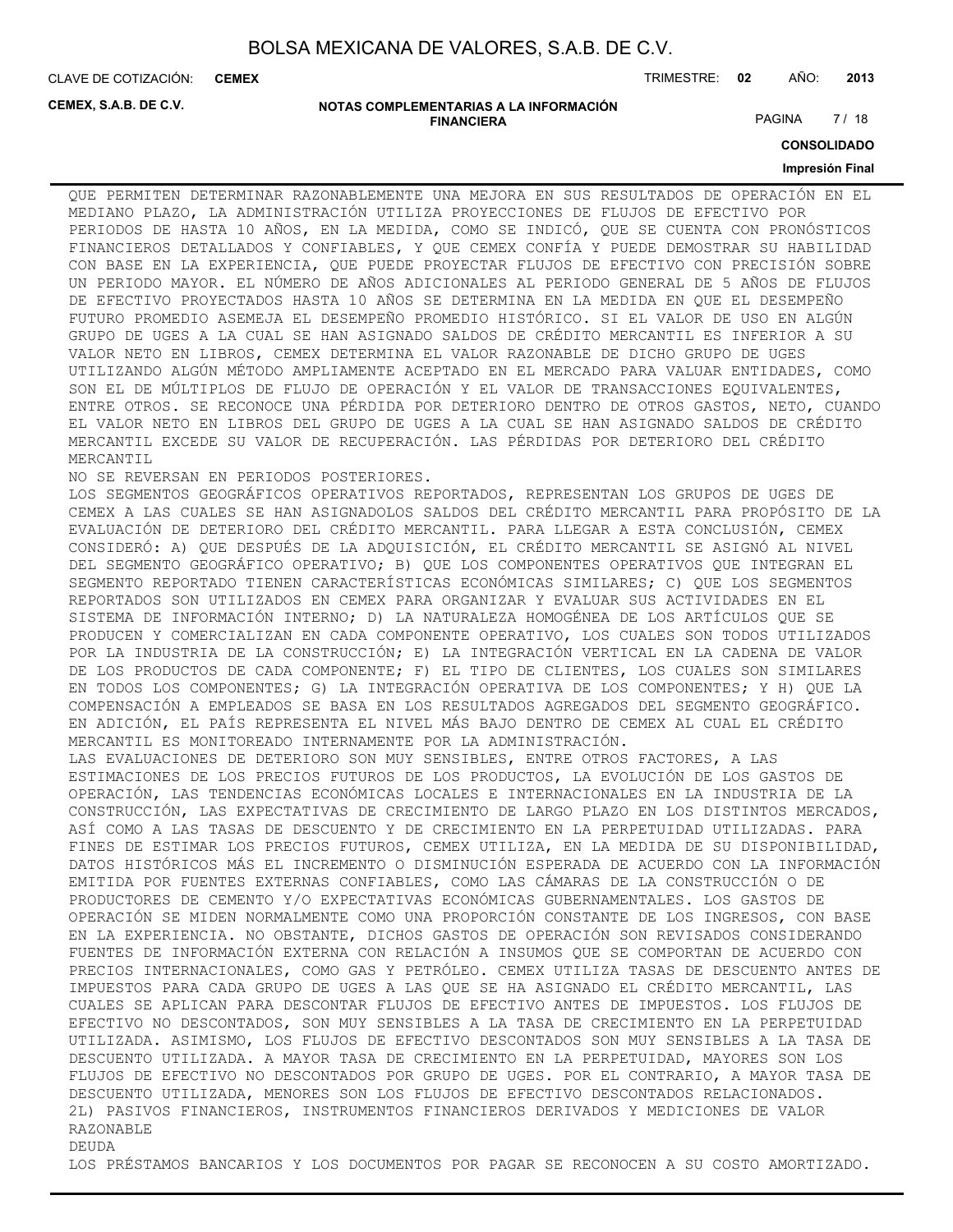CLAVE DE COTIZACIÓN: TRIMESTRE: **02** AÑO: **2013 CEMEX**

**CEMEX, S.A.B. DE C.V.**

#### **NOTAS COMPLEMENTARIAS A LA INFORMACIÓN FINANCIERA**

PAGINA 7 / 18

**CONSOLIDADO**

#### **Impresión Final**

QUE PERMITEN DETERMINAR RAZONABLEMENTE UNA MEJORA EN SUS RESULTADOS DE OPERACIÓN EN EL MEDIANO PLAZO, LA ADMINISTRACIÓN UTILIZA PROYECCIONES DE FLUJOS DE EFECTIVO POR PERIODOS DE HASTA 10 AÑOS, EN LA MEDIDA, COMO SE INDICÓ, QUE SE CUENTA CON PRONÓSTICOS FINANCIEROS DETALLADOS Y CONFIABLES, Y QUE CEMEX CONFÍA Y PUEDE DEMOSTRAR SU HABILIDAD CON BASE EN LA EXPERIENCIA, QUE PUEDE PROYECTAR FLUJOS DE EFECTIVO CON PRECISIÓN SOBRE UN PERIODO MAYOR. EL NÚMERO DE AÑOS ADICIONALES AL PERIODO GENERAL DE 5 AÑOS DE FLUJOS DE EFECTIVO PROYECTADOS HASTA 10 AÑOS SE DETERMINA EN LA MEDIDA EN QUE EL DESEMPEÑO FUTURO PROMEDIO ASEMEJA EL DESEMPEÑO PROMEDIO HISTÓRICO. SI EL VALOR DE USO EN ALGÚN GRUPO DE UGES A LA CUAL SE HAN ASIGNADO SALDOS DE CRÉDITO MERCANTIL ES INFERIOR A SU VALOR NETO EN LIBROS, CEMEX DETERMINA EL VALOR RAZONABLE DE DICHO GRUPO DE UGES UTILIZANDO ALGÚN MÉTODO AMPLIAMENTE ACEPTADO EN EL MERCADO PARA VALUAR ENTIDADES, COMO SON EL DE MÚLTIPLOS DE FLUJO DE OPERACIÓN Y EL VALOR DE TRANSACCIONES EQUIVALENTES, ENTRE OTROS. SE RECONOCE UNA PÉRDIDA POR DETERIORO DENTRO DE OTROS GASTOS, NETO, CUANDO EL VALOR NETO EN LIBROS DEL GRUPO DE UGES A LA CUAL SE HAN ASIGNADO SALDOS DE CRÉDITO MERCANTIL EXCEDE SU VALOR DE RECUPERACIÓN. LAS PÉRDIDAS POR DETERIORO DEL CRÉDITO MERCANTIL

NO SE REVERSAN EN PERIODOS POSTERIORES.

LOS SEGMENTOS GEOGRÁFICOS OPERATIVOS REPORTADOS, REPRESENTAN LOS GRUPOS DE UGES DE CEMEX A LAS CUALES SE HAN ASIGNADOLOS SALDOS DEL CRÉDITO MERCANTIL PARA PROPÓSITO DE LA EVALUACIÓN DE DETERIORO DEL CRÉDITO MERCANTIL. PARA LLEGAR A ESTA CONCLUSIÓN, CEMEX CONSIDERÓ: A) QUE DESPUÉS DE LA ADQUISICIÓN, EL CRÉDITO MERCANTIL SE ASIGNÓ AL NIVEL DEL SEGMENTO GEOGRÁFICO OPERATIVO; B) QUE LOS COMPONENTES OPERATIVOS QUE INTEGRAN EL SEGMENTO REPORTADO TIENEN CARACTERÍSTICAS ECONÓMICAS SIMILARES; C) QUE LOS SEGMENTOS REPORTADOS SON UTILIZADOS EN CEMEX PARA ORGANIZAR Y EVALUAR SUS ACTIVIDADES EN EL SISTEMA DE INFORMACIÓN INTERNO; D) LA NATURALEZA HOMOGÉNEA DE LOS ARTÍCULOS QUE SE PRODUCEN Y COMERCIALIZAN EN CADA COMPONENTE OPERATIVO, LOS CUALES SON TODOS UTILIZADOS POR LA INDUSTRIA DE LA CONSTRUCCIÓN; E) LA INTEGRACIÓN VERTICAL EN LA CADENA DE VALOR DE LOS PRODUCTOS DE CADA COMPONENTE; F) EL TIPO DE CLIENTES, LOS CUALES SON SIMILARES EN TODOS LOS COMPONENTES; G) LA INTEGRACIÓN OPERATIVA DE LOS COMPONENTES; Y H) QUE LA COMPENSACIÓN A EMPLEADOS SE BASA EN LOS RESULTADOS AGREGADOS DEL SEGMENTO GEOGRÁFICO. EN ADICIÓN, EL PAÍS REPRESENTA EL NIVEL MÁS BAJO DENTRO DE CEMEX AL CUAL EL CRÉDITO MERCANTIL ES MONITOREADO INTERNAMENTE POR LA ADMINISTRACIÓN. LAS EVALUACIONES DE DETERIORO SON MUY SENSIBLES, ENTRE OTROS FACTORES, A LAS ESTIMACIONES DE LOS PRECIOS FUTUROS DE LOS PRODUCTOS, LA EVOLUCIÓN DE LOS GASTOS DE OPERACIÓN, LAS TENDENCIAS ECONÓMICAS LOCALES E INTERNACIONALES EN LA INDUSTRIA DE LA CONSTRUCCIÓN, LAS EXPECTATIVAS DE CRECIMIENTO DE LARGO PLAZO EN LOS DISTINTOS MERCADOS, ASÍ COMO A LAS TASAS DE DESCUENTO Y DE CRECIMIENTO EN LA PERPETUIDAD UTILIZADAS. PARA FINES DE ESTIMAR LOS PRECIOS FUTUROS, CEMEX UTILIZA, EN LA MEDIDA DE SU DISPONIBILIDAD, DATOS HISTÓRICOS MÁS EL INCREMENTO O DISMINUCIÓN ESPERADA DE ACUERDO CON LA INFORMACIÓN EMITIDA POR FUENTES EXTERNAS CONFIABLES, COMO LAS CÁMARAS DE LA CONSTRUCCIÓN O DE PRODUCTORES DE CEMENTO Y/O EXPECTATIVAS ECONÓMICAS GUBERNAMENTALES. LOS GASTOS DE OPERACIÓN SE MIDEN NORMALMENTE COMO UNA PROPORCIÓN CONSTANTE DE LOS INGRESOS, CON BASE EN LA EXPERIENCIA. NO OBSTANTE, DICHOS GASTOS DE OPERACIÓN SON REVISADOS CONSIDERANDO FUENTES DE INFORMACIÓN EXTERNA CON RELACIÓN A INSUMOS QUE SE COMPORTAN DE ACUERDO CON PRECIOS INTERNACIONALES, COMO GAS Y PETRÓLEO. CEMEX UTILIZA TASAS DE DESCUENTO ANTES DE IMPUESTOS PARA CADA GRUPO DE UGES A LAS QUE SE HA ASIGNADO EL CRÉDITO MERCANTIL, LAS CUALES SE APLICAN PARA DESCONTAR FLUJOS DE EFECTIVO ANTES DE IMPUESTOS. LOS FLUJOS DE EFECTIVO NO DESCONTADOS, SON MUY SENSIBLES A LA TASA DE CRECIMIENTO EN LA PERPETUIDAD UTILIZADA. ASIMISMO, LOS FLUJOS DE EFECTIVO DESCONTADOS SON MUY SENSIBLES A LA TASA DE DESCUENTO UTILIZADA. A MAYOR TASA DE CRECIMIENTO EN LA PERPETUIDAD, MAYORES SON LOS FLUJOS DE EFECTIVO NO DESCONTADOS POR GRUPO DE UGES. POR EL CONTRARIO, A MAYOR TASA DE DESCUENTO UTILIZADA, MENORES SON LOS FLUJOS DE EFECTIVO DESCONTADOS RELACIONADOS. 2L) PASIVOS FINANCIEROS, INSTRUMENTOS FINANCIEROS DERIVADOS Y MEDICIONES DE VALOR RAZONABLE DEUDA

LOS PRÉSTAMOS BANCARIOS Y LOS DOCUMENTOS POR PAGAR SE RECONOCEN A SU COSTO AMORTIZADO.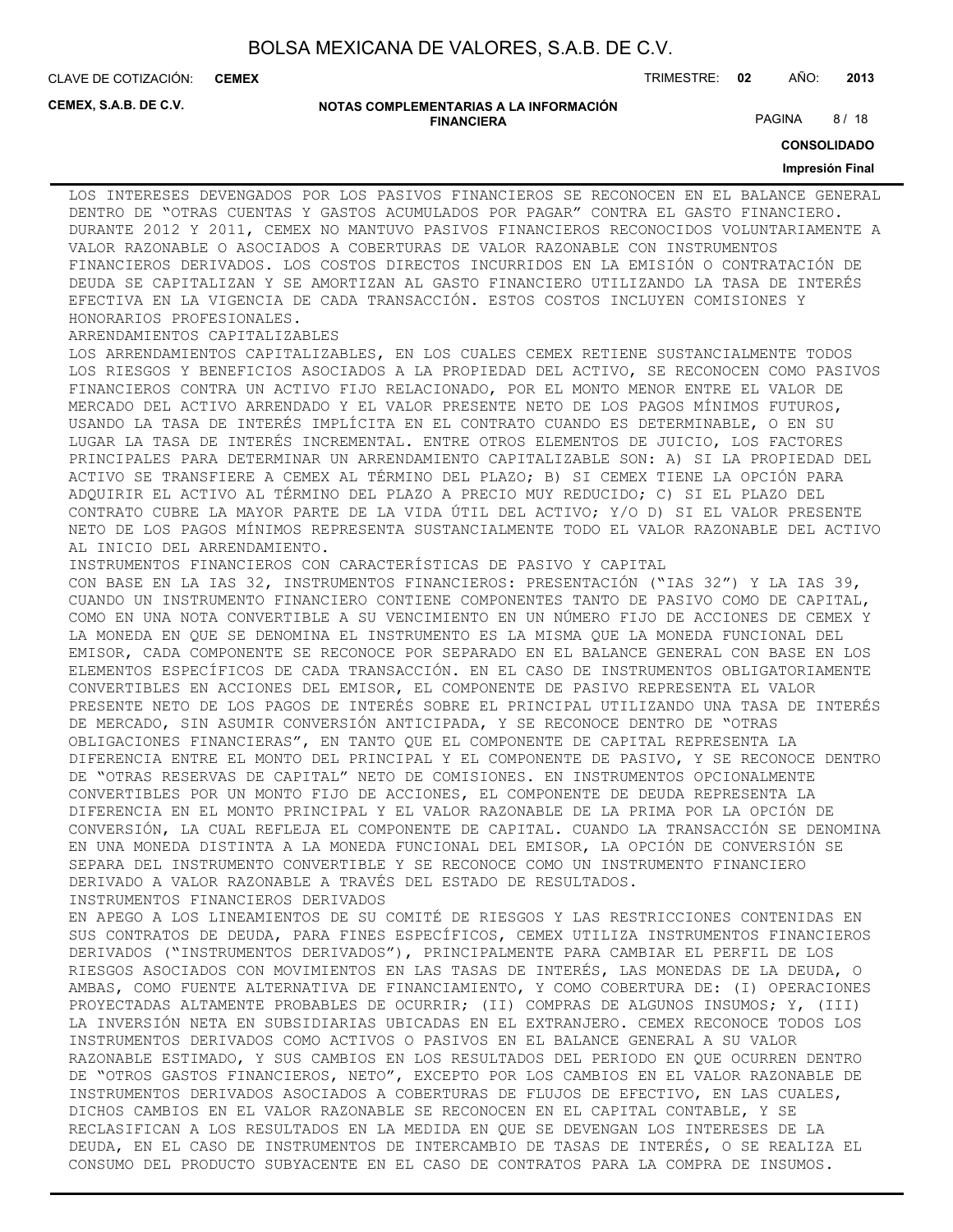**CEMEX**

CLAVE DE COTIZACIÓN: TRIMESTRE: **02** AÑO: **2013**

**CEMEX, S.A.B. DE C.V.**

#### **NOTAS COMPLEMENTARIAS A LA INFORMACIÓN FINANCIERA**

PAGINA 8/18

**CONSOLIDADO**

#### **Impresión Final**

LOS INTERESES DEVENGADOS POR LOS PASIVOS FINANCIEROS SE RECONOCEN EN EL BALANCE GENERAL DENTRO DE "OTRAS CUENTAS Y GASTOS ACUMULADOS POR PAGAR" CONTRA EL GASTO FINANCIERO. DURANTE 2012 Y 2011, CEMEX NO MANTUVO PASIVOS FINANCIEROS RECONOCIDOS VOLUNTARIAMENTE A VALOR RAZONABLE O ASOCIADOS A COBERTURAS DE VALOR RAZONABLE CON INSTRUMENTOS FINANCIEROS DERIVADOS. LOS COSTOS DIRECTOS INCURRIDOS EN LA EMISIÓN O CONTRATACIÓN DE DEUDA SE CAPITALIZAN Y SE AMORTIZAN AL GASTO FINANCIERO UTILIZANDO LA TASA DE INTERÉS EFECTIVA EN LA VIGENCIA DE CADA TRANSACCIÓN. ESTOS COSTOS INCLUYEN COMISIONES Y HONORARIOS PROFESIONALES.

#### ARRENDAMIENTOS CAPITALIZABLES

LOS ARRENDAMIENTOS CAPITALIZABLES, EN LOS CUALES CEMEX RETIENE SUSTANCIALMENTE TODOS LOS RIESGOS Y BENEFICIOS ASOCIADOS A LA PROPIEDAD DEL ACTIVO, SE RECONOCEN COMO PASIVOS FINANCIEROS CONTRA UN ACTIVO FIJO RELACIONADO, POR EL MONTO MENOR ENTRE EL VALOR DE MERCADO DEL ACTIVO ARRENDADO Y EL VALOR PRESENTE NETO DE LOS PAGOS MÍNIMOS FUTUROS, USANDO LA TASA DE INTERÉS IMPLÍCITA EN EL CONTRATO CUANDO ES DETERMINABLE, O EN SU LUGAR LA TASA DE INTERÉS INCREMENTAL. ENTRE OTROS ELEMENTOS DE JUICIO, LOS FACTORES PRINCIPALES PARA DETERMINAR UN ARRENDAMIENTO CAPITALIZABLE SON: A) SI LA PROPIEDAD DEL ACTIVO SE TRANSFIERE A CEMEX AL TÉRMINO DEL PLAZO; B) SI CEMEX TIENE LA OPCIÓN PARA ADQUIRIR EL ACTIVO AL TÉRMINO DEL PLAZO A PRECIO MUY REDUCIDO; C) SI EL PLAZO DEL CONTRATO CUBRE LA MAYOR PARTE DE LA VIDA ÚTIL DEL ACTIVO; Y/O D) SI EL VALOR PRESENTE NETO DE LOS PAGOS MÍNIMOS REPRESENTA SUSTANCIALMENTE TODO EL VALOR RAZONABLE DEL ACTIVO

AL INICIO DEL ARRENDAMIENTO. INSTRUMENTOS FINANCIEROS CON CARACTERÍSTICAS DE PASIVO Y CAPITAL CON BASE EN LA IAS 32, INSTRUMENTOS FINANCIEROS: PRESENTACIÓN ("IAS 32") Y LA IAS 39, CUANDO UN INSTRUMENTO FINANCIERO CONTIENE COMPONENTES TANTO DE PASIVO COMO DE CAPITAL, COMO EN UNA NOTA CONVERTIBLE A SU VENCIMIENTO EN UN NÚMERO FIJO DE ACCIONES DE CEMEX Y LA MONEDA EN QUE SE DENOMINA EL INSTRUMENTO ES LA MISMA QUE LA MONEDA FUNCIONAL DEL EMISOR, CADA COMPONENTE SE RECONOCE POR SEPARADO EN EL BALANCE GENERAL CON BASE EN LOS ELEMENTOS ESPECÍFICOS DE CADA TRANSACCIÓN. EN EL CASO DE INSTRUMENTOS OBLIGATORIAMENTE CONVERTIBLES EN ACCIONES DEL EMISOR, EL COMPONENTE DE PASIVO REPRESENTA EL VALOR PRESENTE NETO DE LOS PAGOS DE INTERÉS SOBRE EL PRINCIPAL UTILIZANDO UNA TASA DE INTERÉS DE MERCADO, SIN ASUMIR CONVERSIÓN ANTICIPADA, Y SE RECONOCE DENTRO DE "OTRAS OBLIGACIONES FINANCIERAS", EN TANTO QUE EL COMPONENTE DE CAPITAL REPRESENTA LA DIFERENCIA ENTRE EL MONTO DEL PRINCIPAL Y EL COMPONENTE DE PASIVO, Y SE RECONOCE DENTRO DE "OTRAS RESERVAS DE CAPITAL" NETO DE COMISIONES. EN INSTRUMENTOS OPCIONALMENTE CONVERTIBLES POR UN MONTO FIJO DE ACCIONES, EL COMPONENTE DE DEUDA REPRESENTA LA DIFERENCIA EN EL MONTO PRINCIPAL Y EL VALOR RAZONABLE DE LA PRIMA POR LA OPCIÓN DE CONVERSIÓN, LA CUAL REFLEJA EL COMPONENTE DE CAPITAL. CUANDO LA TRANSACCIÓN SE DENOMINA EN UNA MONEDA DISTINTA A LA MONEDA FUNCIONAL DEL EMISOR, LA OPCIÓN DE CONVERSIÓN SE

SEPARA DEL INSTRUMENTO CONVERTIBLE Y SE RECONOCE COMO UN INSTRUMENTO FINANCIERO DERIVADO A VALOR RAZONABLE A TRAVÉS DEL ESTADO DE RESULTADOS. INSTRUMENTOS FINANCIEROS DERIVADOS EN APEGO A LOS LINEAMIENTOS DE SU COMITÉ DE RIESGOS Y LAS RESTRICCIONES CONTENIDAS EN SUS CONTRATOS DE DEUDA, PARA FINES ESPECÍFICOS, CEMEX UTILIZA INSTRUMENTOS FINANCIEROS DERIVADOS ("INSTRUMENTOS DERIVADOS"), PRINCIPALMENTE PARA CAMBIAR EL PERFIL DE LOS RIESGOS ASOCIADOS CON MOVIMIENTOS EN LAS TASAS DE INTERÉS, LAS MONEDAS DE LA DEUDA, O AMBAS, COMO FUENTE ALTERNATIVA DE FINANCIAMIENTO, Y COMO COBERTURA DE: (I) OPERACIONES PROYECTADAS ALTAMENTE PROBABLES DE OCURRIR; (II) COMPRAS DE ALGUNOS INSUMOS; Y, (III) LA INVERSIÓN NETA EN SUBSIDIARIAS UBICADAS EN EL EXTRANJERO. CEMEX RECONOCE TODOS LOS INSTRUMENTOS DERIVADOS COMO ACTIVOS O PASIVOS EN EL BALANCE GENERAL A SU VALOR RAZONABLE ESTIMADO, Y SUS CAMBIOS EN LOS RESULTADOS DEL PERIODO EN QUE OCURREN DENTRO DE "OTROS GASTOS FINANCIEROS, NETO", EXCEPTO POR LOS CAMBIOS EN EL VALOR RAZONABLE DE INSTRUMENTOS DERIVADOS ASOCIADOS A COBERTURAS DE FLUJOS DE EFECTIVO, EN LAS CUALES,

DICHOS CAMBIOS EN EL VALOR RAZONABLE SE RECONOCEN EN EL CAPITAL CONTABLE, Y SE RECLASIFICAN A LOS RESULTADOS EN LA MEDIDA EN QUE SE DEVENGAN LOS INTERESES DE LA DEUDA, EN EL CASO DE INSTRUMENTOS DE INTERCAMBIO DE TASAS DE INTERÉS, O SE REALIZA EL CONSUMO DEL PRODUCTO SUBYACENTE EN EL CASO DE CONTRATOS PARA LA COMPRA DE INSUMOS.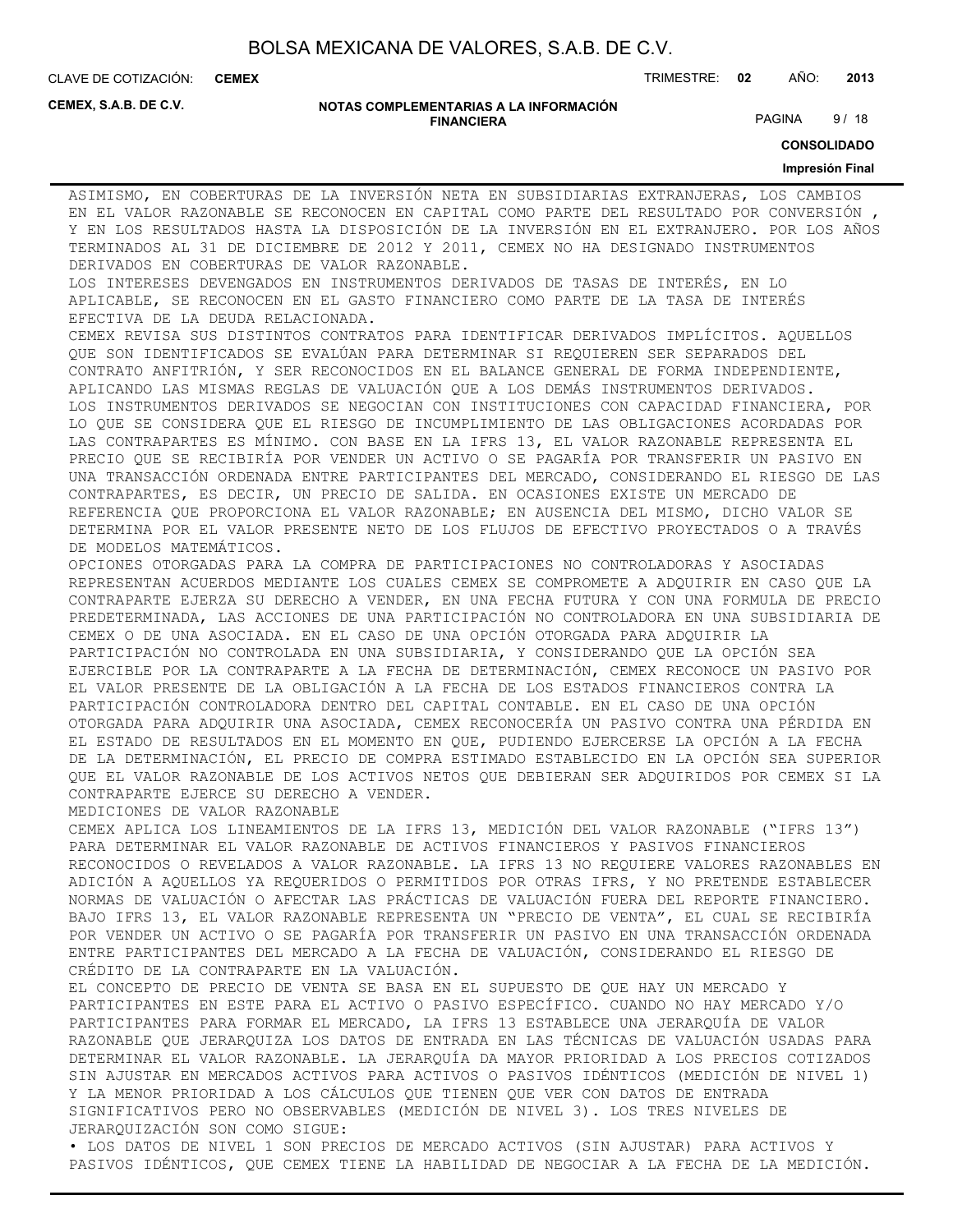**CEMEX**

CLAVE DE COTIZACIÓN: TRIMESTRE: **02** AÑO: **2013**

**CEMEX, S.A.B. DE C.V.**

#### **NOTAS COMPLEMENTARIAS A LA INFORMACIÓN FINANCIERA**

PAGINA 9/18

**CONSOLIDADO**

#### **Impresión Final**

ASIMISMO, EN COBERTURAS DE LA INVERSIÓN NETA EN SUBSIDIARIAS EXTRANJERAS, LOS CAMBIOS EN EL VALOR RAZONABLE SE RECONOCEN EN CAPITAL COMO PARTE DEL RESULTADO POR CONVERSIÓN , Y EN LOS RESULTADOS HASTA LA DISPOSICIÓN DE LA INVERSIÓN EN EL EXTRANJERO. POR LOS AÑOS TERMINADOS AL 31 DE DICIEMBRE DE 2012 Y 2011, CEMEX NO HA DESIGNADO INSTRUMENTOS DERIVADOS EN COBERTURAS DE VALOR RAZONABLE.

LOS INTERESES DEVENGADOS EN INSTRUMENTOS DERIVADOS DE TASAS DE INTERÉS, EN LO APLICABLE, SE RECONOCEN EN EL GASTO FINANCIERO COMO PARTE DE LA TASA DE INTERÉS EFECTIVA DE LA DEUDA RELACIONADA.

CEMEX REVISA SUS DISTINTOS CONTRATOS PARA IDENTIFICAR DERIVADOS IMPLÍCITOS. AQUELLOS QUE SON IDENTIFICADOS SE EVALÚAN PARA DETERMINAR SI REQUIEREN SER SEPARADOS DEL CONTRATO ANFITRIÓN, Y SER RECONOCIDOS EN EL BALANCE GENERAL DE FORMA INDEPENDIENTE, APLICANDO LAS MISMAS REGLAS DE VALUACIÓN QUE A LOS DEMÁS INSTRUMENTOS DERIVADOS. LOS INSTRUMENTOS DERIVADOS SE NEGOCIAN CON INSTITUCIONES CON CAPACIDAD FINANCIERA, POR LO QUE SE CONSIDERA QUE EL RIESGO DE INCUMPLIMIENTO DE LAS OBLIGACIONES ACORDADAS POR LAS CONTRAPARTES ES MÍNIMO. CON BASE EN LA IFRS 13, EL VALOR RAZONABLE REPRESENTA EL PRECIO QUE SE RECIBIRÍA POR VENDER UN ACTIVO O SE PAGARÍA POR TRANSFERIR UN PASIVO EN UNA TRANSACCIÓN ORDENADA ENTRE PARTICIPANTES DEL MERCADO, CONSIDERANDO EL RIESGO DE LAS CONTRAPARTES, ES DECIR, UN PRECIO DE SALIDA. EN OCASIONES EXISTE UN MERCADO DE REFERENCIA QUE PROPORCIONA EL VALOR RAZONABLE; EN AUSENCIA DEL MISMO, DICHO VALOR SE DETERMINA POR EL VALOR PRESENTE NETO DE LOS FLUJOS DE EFECTIVO PROYECTADOS O A TRAVÉS DE MODELOS MATEMÁTICOS.

OPCIONES OTORGADAS PARA LA COMPRA DE PARTICIPACIONES NO CONTROLADORAS Y ASOCIADAS REPRESENTAN ACUERDOS MEDIANTE LOS CUALES CEMEX SE COMPROMETE A ADQUIRIR EN CASO QUE LA CONTRAPARTE EJERZA SU DERECHO A VENDER, EN UNA FECHA FUTURA Y CON UNA FORMULA DE PRECIO PREDETERMINADA, LAS ACCIONES DE UNA PARTICIPACIÓN NO CONTROLADORA EN UNA SUBSIDIARIA DE CEMEX O DE UNA ASOCIADA. EN EL CASO DE UNA OPCIÓN OTORGADA PARA ADQUIRIR LA PARTICIPACIÓN NO CONTROLADA EN UNA SUBSIDIARIA, Y CONSIDERANDO QUE LA OPCIÓN SEA EJERCIBLE POR LA CONTRAPARTE A LA FECHA DE DETERMINACIÓN, CEMEX RECONOCE UN PASIVO POR EL VALOR PRESENTE DE LA OBLIGACIÓN A LA FECHA DE LOS ESTADOS FINANCIEROS CONTRA LA PARTICIPACIÓN CONTROLADORA DENTRO DEL CAPITAL CONTABLE. EN EL CASO DE UNA OPCIÓN OTORGADA PARA ADQUIRIR UNA ASOCIADA, CEMEX RECONOCERÍA UN PASIVO CONTRA UNA PÉRDIDA EN EL ESTADO DE RESULTADOS EN EL MOMENTO EN QUE, PUDIENDO EJERCERSE LA OPCIÓN A LA FECHA DE LA DETERMINACIÓN, EL PRECIO DE COMPRA ESTIMADO ESTABLECIDO EN LA OPCIÓN SEA SUPERIOR QUE EL VALOR RAZONABLE DE LOS ACTIVOS NETOS QUE DEBIERAN SER ADQUIRIDOS POR CEMEX SI LA CONTRAPARTE EJERCE SU DERECHO A VENDER.

MEDICIONES DE VALOR RAZONABLE

CEMEX APLICA LOS LINEAMIENTOS DE LA IFRS 13, MEDICIÓN DEL VALOR RAZONABLE ("IFRS 13") PARA DETERMINAR EL VALOR RAZONABLE DE ACTIVOS FINANCIEROS Y PASIVOS FINANCIEROS RECONOCIDOS O REVELADOS A VALOR RAZONABLE. LA IFRS 13 NO REQUIERE VALORES RAZONABLES EN ADICIÓN A AQUELLOS YA REQUERIDOS O PERMITIDOS POR OTRAS IFRS, Y NO PRETENDE ESTABLECER NORMAS DE VALUACIÓN O AFECTAR LAS PRÁCTICAS DE VALUACIÓN FUERA DEL REPORTE FINANCIERO. BAJO IFRS 13, EL VALOR RAZONABLE REPRESENTA UN "PRECIO DE VENTA", EL CUAL SE RECIBIRÍA POR VENDER UN ACTIVO O SE PAGARÍA POR TRANSFERIR UN PASIVO EN UNA TRANSACCIÓN ORDENADA ENTRE PARTICIPANTES DEL MERCADO A LA FECHA DE VALUACIÓN, CONSIDERANDO EL RIESGO DE CRÉDITO DE LA CONTRAPARTE EN LA VALUACIÓN.

EL CONCEPTO DE PRECIO DE VENTA SE BASA EN EL SUPUESTO DE QUE HAY UN MERCADO Y PARTICIPANTES EN ESTE PARA EL ACTIVO O PASIVO ESPECÍFICO. CUANDO NO HAY MERCADO Y/O PARTICIPANTES PARA FORMAR EL MERCADO, LA IFRS 13 ESTABLECE UNA JERARQUÍA DE VALOR RAZONABLE QUE JERARQUIZA LOS DATOS DE ENTRADA EN LAS TÉCNICAS DE VALUACIÓN USADAS PARA DETERMINAR EL VALOR RAZONABLE. LA JERARQUÍA DA MAYOR PRIORIDAD A LOS PRECIOS COTIZADOS SIN AJUSTAR EN MERCADOS ACTIVOS PARA ACTIVOS O PASIVOS IDÉNTICOS (MEDICIÓN DE NIVEL 1) Y LA MENOR PRIORIDAD A LOS CÁLCULOS QUE TIENEN QUE VER CON DATOS DE ENTRADA SIGNIFICATIVOS PERO NO OBSERVABLES (MEDICIÓN DE NIVEL 3). LOS TRES NIVELES DE JERARQUIZACIÓN SON COMO SIGUE:

• LOS DATOS DE NIVEL 1 SON PRECIOS DE MERCADO ACTIVOS (SIN AJUSTAR) PARA ACTIVOS Y PASIVOS IDÉNTICOS, QUE CEMEX TIENE LA HABILIDAD DE NEGOCIAR A LA FECHA DE LA MEDICIÓN.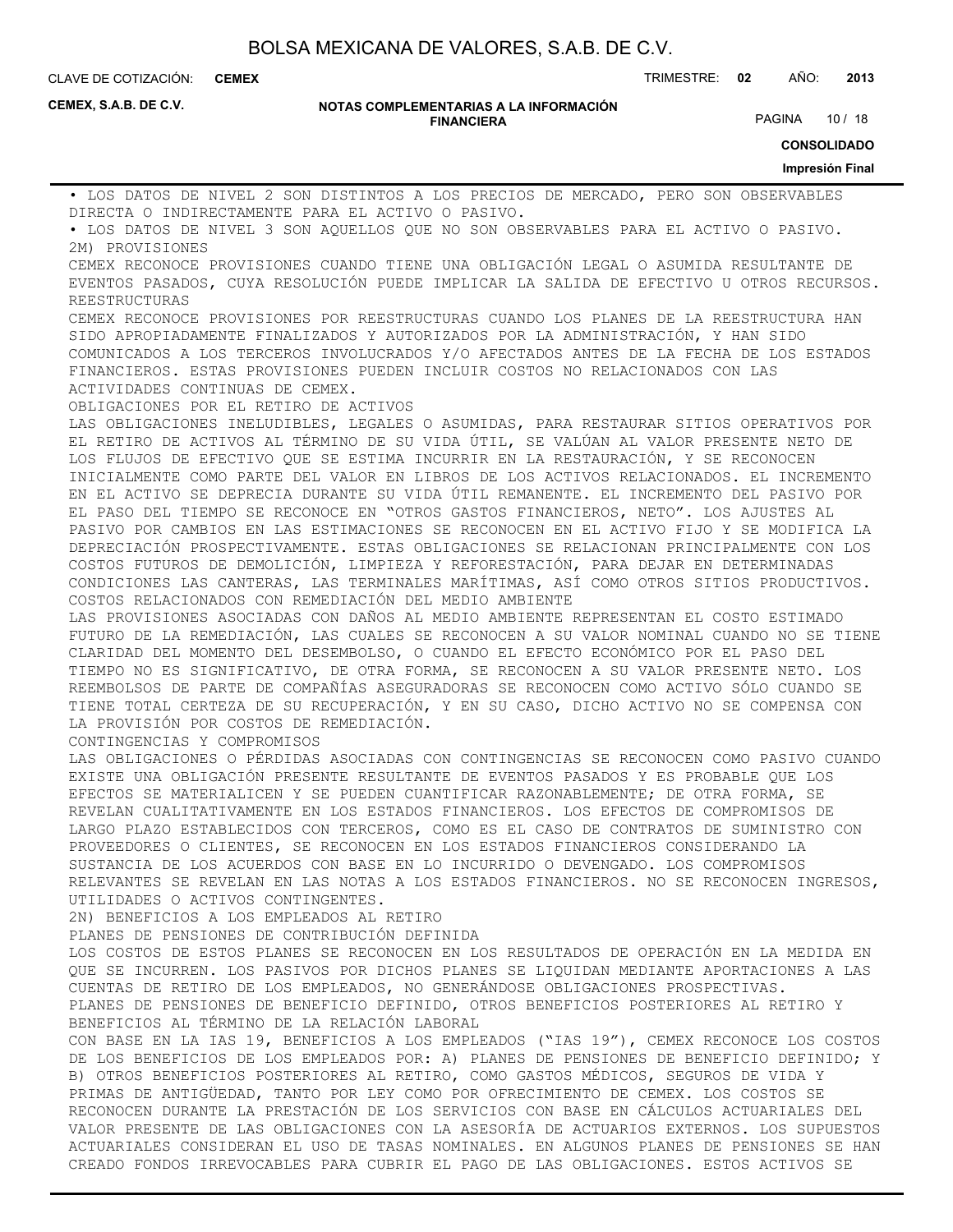**CEMEX**

CLAVE DE COTIZACIÓN: TRIMESTRE: **02** AÑO: **2013**

**CEMEX, S.A.B. DE C.V.**

#### **NOTAS COMPLEMENTARIAS A LA INFORMACIÓN FINANCIERA**

PAGINA 10 / 18

**CONSOLIDADO**

**Impresión Final** • LOS DATOS DE NIVEL 2 SON DISTINTOS A LOS PRECIOS DE MERCADO, PERO SON OBSERVABLES DIRECTA O INDIRECTAMENTE PARA EL ACTIVO O PASIVO. • LOS DATOS DE NIVEL 3 SON AQUELLOS QUE NO SON OBSERVABLES PARA EL ACTIVO O PASIVO. 2M) PROVISIONES CEMEX RECONOCE PROVISIONES CUANDO TIENE UNA OBLIGACIÓN LEGAL O ASUMIDA RESULTANTE DE EVENTOS PASADOS, CUYA RESOLUCIÓN PUEDE IMPLICAR LA SALIDA DE EFECTIVO U OTROS RECURSOS. REESTRUCTURAS CEMEX RECONOCE PROVISIONES POR REESTRUCTURAS CUANDO LOS PLANES DE LA REESTRUCTURA HAN SIDO APROPIADAMENTE FINALIZADOS Y AUTORIZADOS POR LA ADMINISTRACIÓN, Y HAN SIDO COMUNICADOS A LOS TERCEROS INVOLUCRADOS Y/O AFECTADOS ANTES DE LA FECHA DE LOS ESTADOS FINANCIEROS. ESTAS PROVISIONES PUEDEN INCLUIR COSTOS NO RELACIONADOS CON LAS ACTIVIDADES CONTINUAS DE CEMEX. OBLIGACIONES POR EL RETIRO DE ACTIVOS LAS OBLIGACIONES INELUDIBLES, LEGALES O ASUMIDAS, PARA RESTAURAR SITIOS OPERATIVOS POR EL RETIRO DE ACTIVOS AL TÉRMINO DE SU VIDA ÚTIL, SE VALÚAN AL VALOR PRESENTE NETO DE LOS FLUJOS DE EFECTIVO QUE SE ESTIMA INCURRIR EN LA RESTAURACIÓN, Y SE RECONOCEN INICIALMENTE COMO PARTE DEL VALOR EN LIBROS DE LOS ACTIVOS RELACIONADOS. EL INCREMENTO EN EL ACTIVO SE DEPRECIA DURANTE SU VIDA ÚTIL REMANENTE. EL INCREMENTO DEL PASIVO POR EL PASO DEL TIEMPO SE RECONOCE EN "OTROS GASTOS FINANCIEROS, NETO". LOS AJUSTES AL PASIVO POR CAMBIOS EN LAS ESTIMACIONES SE RECONOCEN EN EL ACTIVO FIJO Y SE MODIFICA LA DEPRECIACIÓN PROSPECTIVAMENTE. ESTAS OBLIGACIONES SE RELACIONAN PRINCIPALMENTE CON LOS COSTOS FUTUROS DE DEMOLICIÓN, LIMPIEZA Y REFORESTACIÓN, PARA DEJAR EN DETERMINADAS CONDICIONES LAS CANTERAS, LAS TERMINALES MARÍTIMAS, ASÍ COMO OTROS SITIOS PRODUCTIVOS. COSTOS RELACIONADOS CON REMEDIACIÓN DEL MEDIO AMBIENTE LAS PROVISIONES ASOCIADAS CON DAÑOS AL MEDIO AMBIENTE REPRESENTAN EL COSTO ESTIMADO FUTURO DE LA REMEDIACIÓN, LAS CUALES SE RECONOCEN A SU VALOR NOMINAL CUANDO NO SE TIENE CLARIDAD DEL MOMENTO DEL DESEMBOLSO, O CUANDO EL EFECTO ECONÓMICO POR EL PASO DEL TIEMPO NO ES SIGNIFICATIVO, DE OTRA FORMA, SE RECONOCEN A SU VALOR PRESENTE NETO. LOS REEMBOLSOS DE PARTE DE COMPAÑÍAS ASEGURADORAS SE RECONOCEN COMO ACTIVO SÓLO CUANDO SE TIENE TOTAL CERTEZA DE SU RECUPERACIÓN, Y EN SU CASO, DICHO ACTIVO NO SE COMPENSA CON LA PROVISIÓN POR COSTOS DE REMEDIACIÓN. CONTINGENCIAS Y COMPROMISOS LAS OBLIGACIONES O PÉRDIDAS ASOCIADAS CON CONTINGENCIAS SE RECONOCEN COMO PASIVO CUANDO EXISTE UNA OBLIGACIÓN PRESENTE RESULTANTE DE EVENTOS PASADOS Y ES PROBABLE QUE LOS EFECTOS SE MATERIALICEN Y SE PUEDEN CUANTIFICAR RAZONABLEMENTE; DE OTRA FORMA, SE REVELAN CUALITATIVAMENTE EN LOS ESTADOS FINANCIEROS. LOS EFECTOS DE COMPROMISOS DE LARGO PLAZO ESTABLECIDOS CON TERCEROS, COMO ES EL CASO DE CONTRATOS DE SUMINISTRO CON PROVEEDORES O CLIENTES, SE RECONOCEN EN LOS ESTADOS FINANCIEROS CONSIDERANDO LA SUSTANCIA DE LOS ACUERDOS CON BASE EN LO INCURRIDO O DEVENGADO. LOS COMPROMISOS RELEVANTES SE REVELAN EN LAS NOTAS A LOS ESTADOS FINANCIEROS. NO SE RECONOCEN INGRESOS, UTILIDADES O ACTIVOS CONTINGENTES. 2N) BENEFICIOS A LOS EMPLEADOS AL RETIRO PLANES DE PENSIONES DE CONTRIBUCIÓN DEFINIDA LOS COSTOS DE ESTOS PLANES SE RECONOCEN EN LOS RESULTADOS DE OPERACIÓN EN LA MEDIDA EN QUE SE INCURREN. LOS PASIVOS POR DICHOS PLANES SE LIQUIDAN MEDIANTE APORTACIONES A LAS CUENTAS DE RETIRO DE LOS EMPLEADOS, NO GENERÁNDOSE OBLIGACIONES PROSPECTIVAS. PLANES DE PENSIONES DE BENEFICIO DEFINIDO, OTROS BENEFICIOS POSTERIORES AL RETIRO Y BENEFICIOS AL TÉRMINO DE LA RELACIÓN LABORAL CON BASE EN LA IAS 19, BENEFICIOS A LOS EMPLEADOS ("IAS 19"), CEMEX RECONOCE LOS COSTOS DE LOS BENEFICIOS DE LOS EMPLEADOS POR: A) PLANES DE PENSIONES DE BENEFICIO DEFINIDO; Y B) OTROS BENEFICIOS POSTERIORES AL RETIRO, COMO GASTOS MÉDICOS, SEGUROS DE VIDA Y PRIMAS DE ANTIGÜEDAD, TANTO POR LEY COMO POR OFRECIMIENTO DE CEMEX. LOS COSTOS SE RECONOCEN DURANTE LA PRESTACIÓN DE LOS SERVICIOS CON BASE EN CÁLCULOS ACTUARIALES DEL VALOR PRESENTE DE LAS OBLIGACIONES CON LA ASESORÍA DE ACTUARIOS EXTERNOS. LOS SUPUESTOS ACTUARIALES CONSIDERAN EL USO DE TASAS NOMINALES. EN ALGUNOS PLANES DE PENSIONES SE HAN CREADO FONDOS IRREVOCABLES PARA CUBRIR EL PAGO DE LAS OBLIGACIONES. ESTOS ACTIVOS SE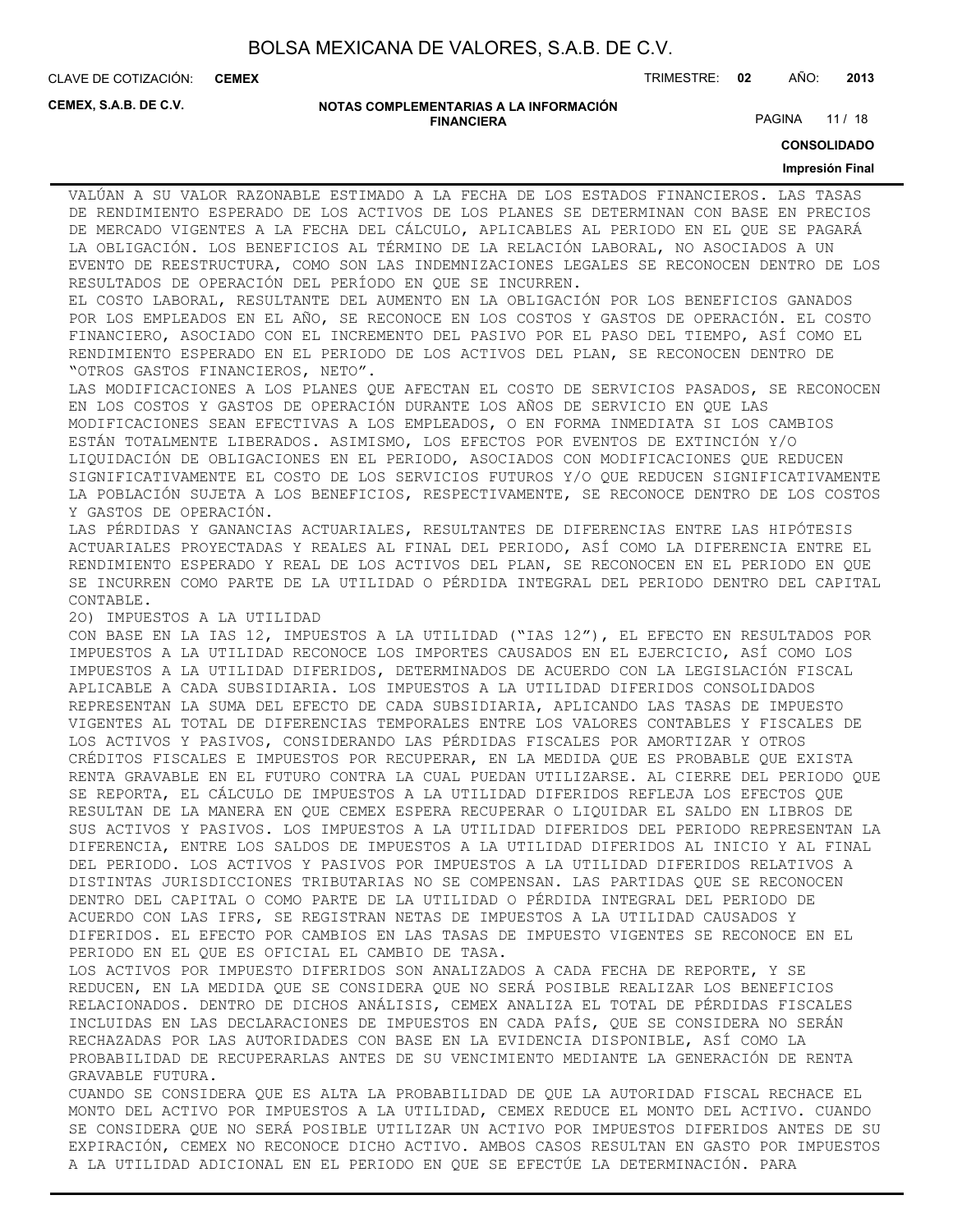**CEMEX**

CLAVE DE COTIZACIÓN: TRIMESTRE: **02** AÑO: **2013**

**CEMEX, S.A.B. DE C.V.**

#### **NOTAS COMPLEMENTARIAS A LA INFORMACIÓN FINANCIERA**

PAGINA 11 / 18

**CONSOLIDADO**

#### **Impresión Final**

VALÚAN A SU VALOR RAZONABLE ESTIMADO A LA FECHA DE LOS ESTADOS FINANCIEROS. LAS TASAS DE RENDIMIENTO ESPERADO DE LOS ACTIVOS DE LOS PLANES SE DETERMINAN CON BASE EN PRECIOS DE MERCADO VIGENTES A LA FECHA DEL CÁLCULO, APLICABLES AL PERIODO EN EL QUE SE PAGARÁ LA OBLIGACIÓN. LOS BENEFICIOS AL TÉRMINO DE LA RELACIÓN LABORAL, NO ASOCIADOS A UN EVENTO DE REESTRUCTURA, COMO SON LAS INDEMNIZACIONES LEGALES SE RECONOCEN DENTRO DE LOS RESULTADOS DE OPERACIÓN DEL PERÍODO EN QUE SE INCURREN.

EL COSTO LABORAL, RESULTANTE DEL AUMENTO EN LA OBLIGACIÓN POR LOS BENEFICIOS GANADOS POR LOS EMPLEADOS EN EL AÑO, SE RECONOCE EN LOS COSTOS Y GASTOS DE OPERACIÓN. EL COSTO FINANCIERO, ASOCIADO CON EL INCREMENTO DEL PASIVO POR EL PASO DEL TIEMPO, ASÍ COMO EL RENDIMIENTO ESPERADO EN EL PERIODO DE LOS ACTIVOS DEL PLAN, SE RECONOCEN DENTRO DE "OTROS GASTOS FINANCIEROS, NETO".

LAS MODIFICACIONES A LOS PLANES QUE AFECTAN EL COSTO DE SERVICIOS PASADOS, SE RECONOCEN EN LOS COSTOS Y GASTOS DE OPERACIÓN DURANTE LOS AÑOS DE SERVICIO EN QUE LAS MODIFICACIONES SEAN EFECTIVAS A LOS EMPLEADOS, O EN FORMA INMEDIATA SI LOS CAMBIOS ESTÁN TOTALMENTE LIBERADOS. ASIMISMO, LOS EFECTOS POR EVENTOS DE EXTINCIÓN Y/O LIQUIDACIÓN DE OBLIGACIONES EN EL PERIODO, ASOCIADOS CON MODIFICACIONES QUE REDUCEN SIGNIFICATIVAMENTE EL COSTO DE LOS SERVICIOS FUTUROS Y/O QUE REDUCEN SIGNIFICATIVAMENTE LA POBLACIÓN SUJETA A LOS BENEFICIOS, RESPECTIVAMENTE, SE RECONOCE DENTRO DE LOS COSTOS Y GASTOS DE OPERACIÓN.

LAS PÉRDIDAS Y GANANCIAS ACTUARIALES, RESULTANTES DE DIFERENCIAS ENTRE LAS HIPÓTESIS ACTUARIALES PROYECTADAS Y REALES AL FINAL DEL PERIODO, ASÍ COMO LA DIFERENCIA ENTRE EL RENDIMIENTO ESPERADO Y REAL DE LOS ACTIVOS DEL PLAN, SE RECONOCEN EN EL PERIODO EN QUE SE INCURREN COMO PARTE DE LA UTILIDAD O PÉRDIDA INTEGRAL DEL PERIODO DENTRO DEL CAPITAL CONTABLE.

2O) IMPUESTOS A LA UTILIDAD

CON BASE EN LA IAS 12, IMPUESTOS A LA UTILIDAD ("IAS 12"), EL EFECTO EN RESULTADOS POR IMPUESTOS A LA UTILIDAD RECONOCE LOS IMPORTES CAUSADOS EN EL EJERCICIO, ASÍ COMO LOS IMPUESTOS A LA UTILIDAD DIFERIDOS, DETERMINADOS DE ACUERDO CON LA LEGISLACIÓN FISCAL APLICABLE A CADA SUBSIDIARIA. LOS IMPUESTOS A LA UTILIDAD DIFERIDOS CONSOLIDADOS REPRESENTAN LA SUMA DEL EFECTO DE CADA SUBSIDIARIA, APLICANDO LAS TASAS DE IMPUESTO VIGENTES AL TOTAL DE DIFERENCIAS TEMPORALES ENTRE LOS VALORES CONTABLES Y FISCALES DE LOS ACTIVOS Y PASIVOS, CONSIDERANDO LAS PÉRDIDAS FISCALES POR AMORTIZAR Y OTROS CRÉDITOS FISCALES E IMPUESTOS POR RECUPERAR, EN LA MEDIDA QUE ES PROBABLE QUE EXISTA RENTA GRAVABLE EN EL FUTURO CONTRA LA CUAL PUEDAN UTILIZARSE. AL CIERRE DEL PERIODO QUE SE REPORTA, EL CÁLCULO DE IMPUESTOS A LA UTILIDAD DIFERIDOS REFLEJA LOS EFECTOS QUE RESULTAN DE LA MANERA EN QUE CEMEX ESPERA RECUPERAR O LIQUIDAR EL SALDO EN LIBROS DE SUS ACTIVOS Y PASIVOS. LOS IMPUESTOS A LA UTILIDAD DIFERIDOS DEL PERIODO REPRESENTAN LA DIFERENCIA, ENTRE LOS SALDOS DE IMPUESTOS A LA UTILIDAD DIFERIDOS AL INICIO Y AL FINAL DEL PERIODO. LOS ACTIVOS Y PASIVOS POR IMPUESTOS A LA UTILIDAD DIFERIDOS RELATIVOS A DISTINTAS JURISDICCIONES TRIBUTARIAS NO SE COMPENSAN. LAS PARTIDAS QUE SE RECONOCEN DENTRO DEL CAPITAL O COMO PARTE DE LA UTILIDAD O PÉRDIDA INTEGRAL DEL PERIODO DE ACUERDO CON LAS IFRS, SE REGISTRAN NETAS DE IMPUESTOS A LA UTILIDAD CAUSADOS Y DIFERIDOS. EL EFECTO POR CAMBIOS EN LAS TASAS DE IMPUESTO VIGENTES SE RECONOCE EN EL PERIODO EN EL QUE ES OFICIAL EL CAMBIO DE TASA.

LOS ACTIVOS POR IMPUESTO DIFERIDOS SON ANALIZADOS A CADA FECHA DE REPORTE, Y SE REDUCEN, EN LA MEDIDA QUE SE CONSIDERA QUE NO SERÁ POSIBLE REALIZAR LOS BENEFICIOS RELACIONADOS. DENTRO DE DICHOS ANÁLISIS, CEMEX ANALIZA EL TOTAL DE PÉRDIDAS FISCALES INCLUIDAS EN LAS DECLARACIONES DE IMPUESTOS EN CADA PAÍS, QUE SE CONSIDERA NO SERÁN RECHAZADAS POR LAS AUTORIDADES CON BASE EN LA EVIDENCIA DISPONIBLE, ASÍ COMO LA PROBABILIDAD DE RECUPERARLAS ANTES DE SU VENCIMIENTO MEDIANTE LA GENERACIÓN DE RENTA GRAVABLE FUTURA.

CUANDO SE CONSIDERA QUE ES ALTA LA PROBABILIDAD DE QUE LA AUTORIDAD FISCAL RECHACE EL MONTO DEL ACTIVO POR IMPUESTOS A LA UTILIDAD, CEMEX REDUCE EL MONTO DEL ACTIVO. CUANDO SE CONSIDERA QUE NO SERÁ POSIBLE UTILIZAR UN ACTIVO POR IMPUESTOS DIFERIDOS ANTES DE SU EXPIRACIÓN, CEMEX NO RECONOCE DICHO ACTIVO. AMBOS CASOS RESULTAN EN GASTO POR IMPUESTOS A LA UTILIDAD ADICIONAL EN EL PERIODO EN QUE SE EFECTÚE LA DETERMINACIÓN. PARA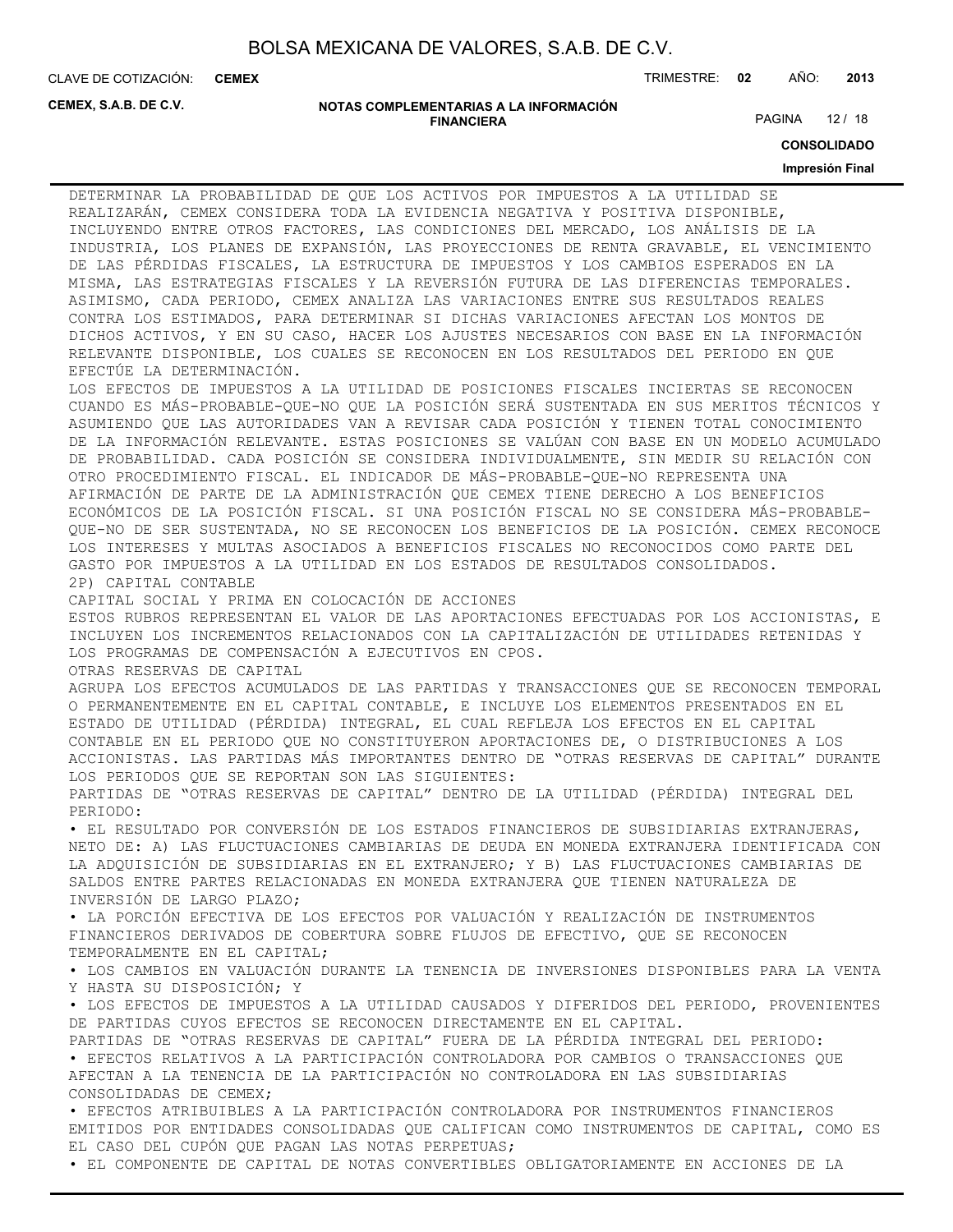**CEMEX**

CLAVE DE COTIZACIÓN: TRIMESTRE: **02** AÑO: **2013**

**CEMEX, S.A.B. DE C.V.**

#### **NOTAS COMPLEMENTARIAS A LA INFORMACIÓN FINANCIERA**

PAGINA 12 / 18

**CONSOLIDADO**

#### **Impresión Final**

DETERMINAR LA PROBABILIDAD DE QUE LOS ACTIVOS POR IMPUESTOS A LA UTILIDAD SE REALIZARÁN, CEMEX CONSIDERA TODA LA EVIDENCIA NEGATIVA Y POSITIVA DISPONIBLE, INCLUYENDO ENTRE OTROS FACTORES, LAS CONDICIONES DEL MERCADO, LOS ANÁLISIS DE LA INDUSTRIA, LOS PLANES DE EXPANSIÓN, LAS PROYECCIONES DE RENTA GRAVABLE, EL VENCIMIENTO DE LAS PÉRDIDAS FISCALES, LA ESTRUCTURA DE IMPUESTOS Y LOS CAMBIOS ESPERADOS EN LA MISMA, LAS ESTRATEGIAS FISCALES Y LA REVERSIÓN FUTURA DE LAS DIFERENCIAS TEMPORALES. ASIMISMO, CADA PERIODO, CEMEX ANALIZA LAS VARIACIONES ENTRE SUS RESULTADOS REALES CONTRA LOS ESTIMADOS, PARA DETERMINAR SI DICHAS VARIACIONES AFECTAN LOS MONTOS DE DICHOS ACTIVOS, Y EN SU CASO, HACER LOS AJUSTES NECESARIOS CON BASE EN LA INFORMACIÓN RELEVANTE DISPONIBLE, LOS CUALES SE RECONOCEN EN LOS RESULTADOS DEL PERIODO EN QUE EFECTÚE LA DETERMINACIÓN. LOS EFECTOS DE IMPUESTOS A LA UTILIDAD DE POSICIONES FISCALES INCIERTAS SE RECONOCEN CUANDO ES MÁS-PROBABLE-QUE-NO QUE LA POSICIÓN SERÁ SUSTENTADA EN SUS MERITOS TÉCNICOS Y ASUMIENDO QUE LAS AUTORIDADES VAN A REVISAR CADA POSICIÓN Y TIENEN TOTAL CONOCIMIENTO DE LA INFORMACIÓN RELEVANTE. ESTAS POSICIONES SE VALÚAN CON BASE EN UN MODELO ACUMULADO DE PROBABILIDAD. CADA POSICIÓN SE CONSIDERA INDIVIDUALMENTE, SIN MEDIR SU RELACIÓN CON OTRO PROCEDIMIENTO FISCAL. EL INDICADOR DE MÁS-PROBABLE-QUE-NO REPRESENTA UNA AFIRMACIÓN DE PARTE DE LA ADMINISTRACIÓN QUE CEMEX TIENE DERECHO A LOS BENEFICIOS ECONÓMICOS DE LA POSICIÓN FISCAL. SI UNA POSICIÓN FISCAL NO SE CONSIDERA MÁS-PROBABLE-QUE-NO DE SER SUSTENTADA, NO SE RECONOCEN LOS BENEFICIOS DE LA POSICIÓN. CEMEX RECONOCE LOS INTERESES Y MULTAS ASOCIADOS A BENEFICIOS FISCALES NO RECONOCIDOS COMO PARTE DEL GASTO POR IMPUESTOS A LA UTILIDAD EN LOS ESTADOS DE RESULTADOS CONSOLIDADOS. 2P) CAPITAL CONTABLE CAPITAL SOCIAL Y PRIMA EN COLOCACIÓN DE ACCIONES ESTOS RUBROS REPRESENTAN EL VALOR DE LAS APORTACIONES EFECTUADAS POR LOS ACCIONISTAS, E INCLUYEN LOS INCREMENTOS RELACIONADOS CON LA CAPITALIZACIÓN DE UTILIDADES RETENIDAS Y LOS PROGRAMAS DE COMPENSACIÓN A EJECUTIVOS EN CPOS. OTRAS RESERVAS DE CAPITAL AGRUPA LOS EFECTOS ACUMULADOS DE LAS PARTIDAS Y TRANSACCIONES QUE SE RECONOCEN TEMPORAL O PERMANENTEMENTE EN EL CAPITAL CONTABLE, E INCLUYE LOS ELEMENTOS PRESENTADOS EN EL ESTADO DE UTILIDAD (PÉRDIDA) INTEGRAL, EL CUAL REFLEJA LOS EFECTOS EN EL CAPITAL CONTABLE EN EL PERIODO QUE NO CONSTITUYERON APORTACIONES DE, O DISTRIBUCIONES A LOS ACCIONISTAS. LAS PARTIDAS MÁS IMPORTANTES DENTRO DE "OTRAS RESERVAS DE CAPITAL" DURANTE LOS PERIODOS QUE SE REPORTAN SON LAS SIGUIENTES: PARTIDAS DE "OTRAS RESERVAS DE CAPITAL" DENTRO DE LA UTILIDAD (PÉRDIDA) INTEGRAL DEL PERIODO: • EL RESULTADO POR CONVERSIÓN DE LOS ESTADOS FINANCIEROS DE SUBSIDIARIAS EXTRANJERAS, NETO DE: A) LAS FLUCTUACIONES CAMBIARIAS DE DEUDA EN MONEDA EXTRANJERA IDENTIFICADA CON LA ADQUISICIÓN DE SUBSIDIARIAS EN EL EXTRANJERO; Y B) LAS FLUCTUACIONES CAMBIARIAS DE SALDOS ENTRE PARTES RELACIONADAS EN MONEDA EXTRANJERA QUE TIENEN NATURALEZA DE INVERSIÓN DE LARGO PLAZO; • LA PORCIÓN EFECTIVA DE LOS EFECTOS POR VALUACIÓN Y REALIZACIÓN DE INSTRUMENTOS FINANCIEROS DERIVADOS DE COBERTURA SOBRE FLUJOS DE EFECTIVO, QUE SE RECONOCEN TEMPORALMENTE EN EL CAPITAL; • LOS CAMBIOS EN VALUACIÓN DURANTE LA TENENCIA DE INVERSIONES DISPONIBLES PARA LA VENTA Y HASTA SU DISPOSICIÓN; Y • LOS EFECTOS DE IMPUESTOS A LA UTILIDAD CAUSADOS Y DIFERIDOS DEL PERIODO, PROVENIENTES DE PARTIDAS CUYOS EFECTOS SE RECONOCEN DIRECTAMENTE EN EL CAPITAL. PARTIDAS DE "OTRAS RESERVAS DE CAPITAL" FUERA DE LA PÉRDIDA INTEGRAL DEL PERIODO: • EFECTOS RELATIVOS A LA PARTICIPACIÓN CONTROLADORA POR CAMBIOS O TRANSACCIONES QUE AFECTAN A LA TENENCIA DE LA PARTICIPACIÓN NO CONTROLADORA EN LAS SUBSIDIARIAS CONSOLIDADAS DE CEMEX; • EFECTOS ATRIBUIBLES A LA PARTICIPACIÓN CONTROLADORA POR INSTRUMENTOS FINANCIEROS EMITIDOS POR ENTIDADES CONSOLIDADAS QUE CALIFICAN COMO INSTRUMENTOS DE CAPITAL, COMO ES EL CASO DEL CUPÓN QUE PAGAN LAS NOTAS PERPETUAS;

• EL COMPONENTE DE CAPITAL DE NOTAS CONVERTIBLES OBLIGATORIAMENTE EN ACCIONES DE LA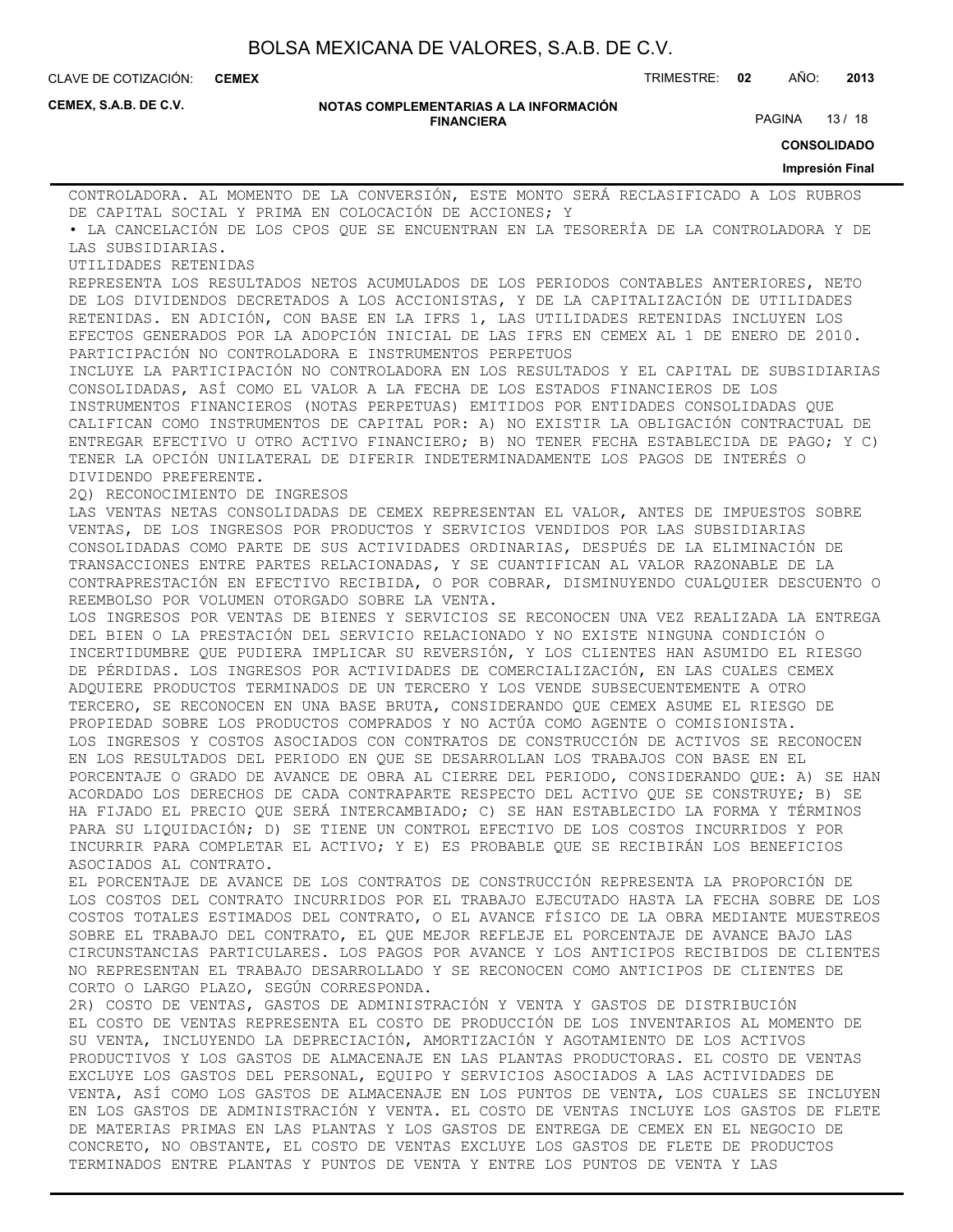**CEMEX**

CLAVE DE COTIZACIÓN: TRIMESTRE: **02** AÑO: **2013**

**CEMEX, S.A.B. DE C.V.**

#### **NOTAS COMPLEMENTARIAS A LA INFORMACIÓN FINANCIERA**

PAGINA 13 / 18

**CONSOLIDADO**

#### **Impresión Final**

CONTROLADORA. AL MOMENTO DE LA CONVERSIÓN, ESTE MONTO SERÁ RECLASIFICADO A LOS RUBROS DE CAPITAL SOCIAL Y PRIMA EN COLOCACIÓN DE ACCIONES; Y • LA CANCELACIÓN DE LOS CPOS QUE SE ENCUENTRAN EN LA TESORERÍA DE LA CONTROLADORA Y DE LAS SUBSIDIARIAS. UTILIDADES RETENIDAS REPRESENTA LOS RESULTADOS NETOS ACUMULADOS DE LOS PERIODOS CONTABLES ANTERIORES, NETO DE LOS DIVIDENDOS DECRETADOS A LOS ACCIONISTAS, Y DE LA CAPITALIZACIÓN DE UTILIDADES RETENIDAS. EN ADICIÓN, CON BASE EN LA IFRS 1, LAS UTILIDADES RETENIDAS INCLUYEN LOS EFECTOS GENERADOS POR LA ADOPCIÓN INICIAL DE LAS IFRS EN CEMEX AL 1 DE ENERO DE 2010. PARTICIPACIÓN NO CONTROLADORA E INSTRUMENTOS PERPETUOS INCLUYE LA PARTICIPACIÓN NO CONTROLADORA EN LOS RESULTADOS Y EL CAPITAL DE SUBSIDIARIAS CONSOLIDADAS, ASÍ COMO EL VALOR A LA FECHA DE LOS ESTADOS FINANCIEROS DE LOS INSTRUMENTOS FINANCIEROS (NOTAS PERPETUAS) EMITIDOS POR ENTIDADES CONSOLIDADAS QUE CALIFICAN COMO INSTRUMENTOS DE CAPITAL POR: A) NO EXISTIR LA OBLIGACIÓN CONTRACTUAL DE ENTREGAR EFECTIVO U OTRO ACTIVO FINANCIERO; B) NO TENER FECHA ESTABLECIDA DE PAGO; Y C) TENER LA OPCIÓN UNILATERAL DE DIFERIR INDETERMINADAMENTE LOS PAGOS DE INTERÉS O DIVIDENDO PREFERENTE. 2Q) RECONOCIMIENTO DE INGRESOS LAS VENTAS NETAS CONSOLIDADAS DE CEMEX REPRESENTAN EL VALOR, ANTES DE IMPUESTOS SOBRE VENTAS, DE LOS INGRESOS POR PRODUCTOS Y SERVICIOS VENDIDOS POR LAS SUBSIDIARIAS CONSOLIDADAS COMO PARTE DE SUS ACTIVIDADES ORDINARIAS, DESPUÉS DE LA ELIMINACIÓN DE TRANSACCIONES ENTRE PARTES RELACIONADAS, Y SE CUANTIFICAN AL VALOR RAZONABLE DE LA CONTRAPRESTACIÓN EN EFECTIVO RECIBIDA, O POR COBRAR, DISMINUYENDO CUALQUIER DESCUENTO O REEMBOLSO POR VOLUMEN OTORGADO SOBRE LA VENTA. LOS INGRESOS POR VENTAS DE BIENES Y SERVICIOS SE RECONOCEN UNA VEZ REALIZADA LA ENTREGA DEL BIEN O LA PRESTACIÓN DEL SERVICIO RELACIONADO Y NO EXISTE NINGUNA CONDICIÓN O INCERTIDUMBRE QUE PUDIERA IMPLICAR SU REVERSIÓN, Y LOS CLIENTES HAN ASUMIDO EL RIESGO DE PÉRDIDAS. LOS INGRESOS POR ACTIVIDADES DE COMERCIALIZACIÓN, EN LAS CUALES CEMEX ADQUIERE PRODUCTOS TERMINADOS DE UN TERCERO Y LOS VENDE SUBSECUENTEMENTE A OTRO TERCERO, SE RECONOCEN EN UNA BASE BRUTA, CONSIDERANDO QUE CEMEX ASUME EL RIESGO DE PROPIEDAD SOBRE LOS PRODUCTOS COMPRADOS Y NO ACTÚA COMO AGENTE O COMISIONISTA. LOS INGRESOS Y COSTOS ASOCIADOS CON CONTRATOS DE CONSTRUCCIÓN DE ACTIVOS SE RECONOCEN EN LOS RESULTADOS DEL PERIODO EN QUE SE DESARROLLAN LOS TRABAJOS CON BASE EN EL PORCENTAJE O GRADO DE AVANCE DE OBRA AL CIERRE DEL PERIODO, CONSIDERANDO QUE: A) SE HAN ACORDADO LOS DERECHOS DE CADA CONTRAPARTE RESPECTO DEL ACTIVO QUE SE CONSTRUYE; B) SE HA FIJADO EL PRECIO QUE SERÁ INTERCAMBIADO; C) SE HAN ESTABLECIDO LA FORMA Y TÉRMINOS PARA SU LIQUIDACIÓN; D) SE TIENE UN CONTROL EFECTIVO DE LOS COSTOS INCURRIDOS Y POR INCURRIR PARA COMPLETAR EL ACTIVO; Y E) ES PROBABLE QUE SE RECIBIRÁN LOS BENEFICIOS ASOCIADOS AL CONTRATO. EL PORCENTAJE DE AVANCE DE LOS CONTRATOS DE CONSTRUCCIÓN REPRESENTA LA PROPORCIÓN DE LOS COSTOS DEL CONTRATO INCURRIDOS POR EL TRABAJO EJECUTADO HASTA LA FECHA SOBRE DE LOS COSTOS TOTALES ESTIMADOS DEL CONTRATO, O EL AVANCE FÍSICO DE LA OBRA MEDIANTE MUESTREOS SOBRE EL TRABAJO DEL CONTRATO, EL QUE MEJOR REFLEJE EL PORCENTAJE DE AVANCE BAJO LAS CIRCUNSTANCIAS PARTICULARES. LOS PAGOS POR AVANCE Y LOS ANTICIPOS RECIBIDOS DE CLIENTES NO REPRESENTAN EL TRABAJO DESARROLLADO Y SE RECONOCEN COMO ANTICIPOS DE CLIENTES DE CORTO O LARGO PLAZO, SEGÚN CORRESPONDA. 2R) COSTO DE VENTAS, GASTOS DE ADMINISTRACIÓN Y VENTA Y GASTOS DE DISTRIBUCIÓN EL COSTO DE VENTAS REPRESENTA EL COSTO DE PRODUCCIÓN DE LOS INVENTARIOS AL MOMENTO DE SU VENTA, INCLUYENDO LA DEPRECIACIÓN, AMORTIZACIÓN Y AGOTAMIENTO DE LOS ACTIVOS PRODUCTIVOS Y LOS GASTOS DE ALMACENAJE EN LAS PLANTAS PRODUCTORAS. EL COSTO DE VENTAS EXCLUYE LOS GASTOS DEL PERSONAL, EQUIPO Y SERVICIOS ASOCIADOS A LAS ACTIVIDADES DE VENTA, ASÍ COMO LOS GASTOS DE ALMACENAJE EN LOS PUNTOS DE VENTA, LOS CUALES SE INCLUYEN EN LOS GASTOS DE ADMINISTRACIÓN Y VENTA. EL COSTO DE VENTAS INCLUYE LOS GASTOS DE FLETE DE MATERIAS PRIMAS EN LAS PLANTAS Y LOS GASTOS DE ENTREGA DE CEMEX EN EL NEGOCIO DE CONCRETO, NO OBSTANTE, EL COSTO DE VENTAS EXCLUYE LOS GASTOS DE FLETE DE PRODUCTOS

TERMINADOS ENTRE PLANTAS Y PUNTOS DE VENTA Y ENTRE LOS PUNTOS DE VENTA Y LAS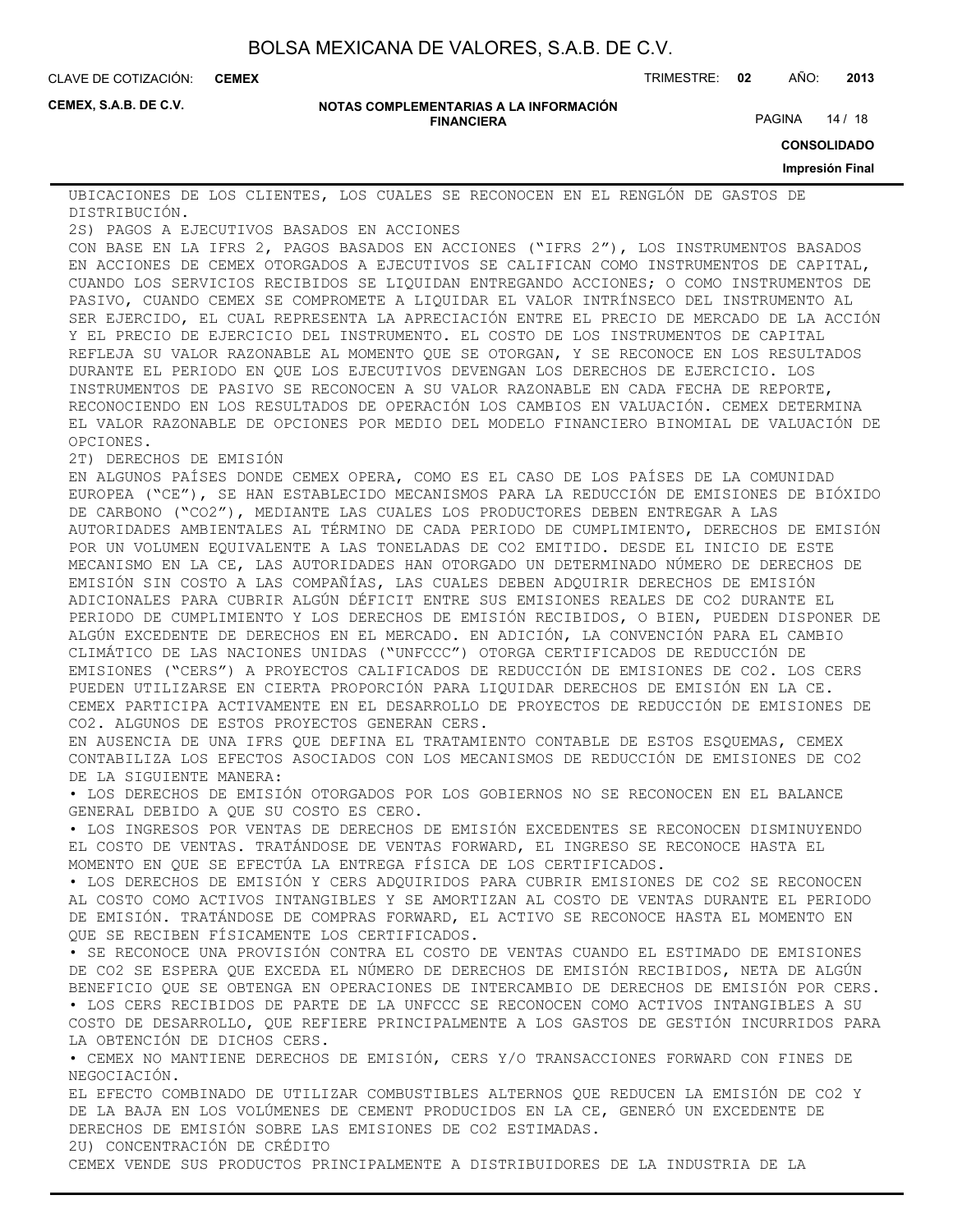**CEMEX**

CLAVE DE COTIZACIÓN: TRIMESTRE: **02** AÑO: **2013**

**CEMEX, S.A.B. DE C.V.**

#### **NOTAS COMPLEMENTARIAS A LA INFORMACIÓN FINANCIERA**

PAGINA 14 / 18

**CONSOLIDADO**

**Impresión Final**

UBICACIONES DE LOS CLIENTES, LOS CUALES SE RECONOCEN EN EL RENGLÓN DE GASTOS DE DISTRIBUCIÓN.

2S) PAGOS A EJECUTIVOS BASADOS EN ACCIONES

CON BASE EN LA IFRS 2, PAGOS BASADOS EN ACCIONES ("IFRS 2"), LOS INSTRUMENTOS BASADOS EN ACCIONES DE CEMEX OTORGADOS A EJECUTIVOS SE CALIFICAN COMO INSTRUMENTOS DE CAPITAL, CUANDO LOS SERVICIOS RECIBIDOS SE LIQUIDAN ENTREGANDO ACCIONES; O COMO INSTRUMENTOS DE PASIVO, CUANDO CEMEX SE COMPROMETE A LIQUIDAR EL VALOR INTRÍNSECO DEL INSTRUMENTO AL SER EJERCIDO, EL CUAL REPRESENTA LA APRECIACIÓN ENTRE EL PRECIO DE MERCADO DE LA ACCIÓN Y EL PRECIO DE EJERCICIO DEL INSTRUMENTO. EL COSTO DE LOS INSTRUMENTOS DE CAPITAL REFLEJA SU VALOR RAZONABLE AL MOMENTO QUE SE OTORGAN, Y SE RECONOCE EN LOS RESULTADOS DURANTE EL PERIODO EN QUE LOS EJECUTIVOS DEVENGAN LOS DERECHOS DE EJERCICIO. LOS INSTRUMENTOS DE PASIVO SE RECONOCEN A SU VALOR RAZONABLE EN CADA FECHA DE REPORTE, RECONOCIENDO EN LOS RESULTADOS DE OPERACIÓN LOS CAMBIOS EN VALUACIÓN. CEMEX DETERMINA EL VALOR RAZONABLE DE OPCIONES POR MEDIO DEL MODELO FINANCIERO BINOMIAL DE VALUACIÓN DE OPCIONES.

2T) DERECHOS DE EMISIÓN

EN ALGUNOS PAÍSES DONDE CEMEX OPERA, COMO ES EL CASO DE LOS PAÍSES DE LA COMUNIDAD EUROPEA ("CE"), SE HAN ESTABLECIDO MECANISMOS PARA LA REDUCCIÓN DE EMISIONES DE BIÓXIDO DE CARBONO ("CO2"), MEDIANTE LAS CUALES LOS PRODUCTORES DEBEN ENTREGAR A LAS AUTORIDADES AMBIENTALES AL TÉRMINO DE CADA PERIODO DE CUMPLIMIENTO, DERECHOS DE EMISIÓN POR UN VOLUMEN EQUIVALENTE A LAS TONELADAS DE CO2 EMITIDO. DESDE EL INICIO DE ESTE MECANISMO EN LA CE, LAS AUTORIDADES HAN OTORGADO UN DETERMINADO NÚMERO DE DERECHOS DE EMISIÓN SIN COSTO A LAS COMPAÑÍAS, LAS CUALES DEBEN ADQUIRIR DERECHOS DE EMISIÓN ADICIONALES PARA CUBRIR ALGÚN DÉFICIT ENTRE SUS EMISIONES REALES DE CO2 DURANTE EL PERIODO DE CUMPLIMIENTO Y LOS DERECHOS DE EMISIÓN RECIBIDOS, O BIEN, PUEDEN DISPONER DE ALGÚN EXCEDENTE DE DERECHOS EN EL MERCADO. EN ADICIÓN, LA CONVENCIÓN PARA EL CAMBIO CLIMÁTICO DE LAS NACIONES UNIDAS ("UNFCCC") OTORGA CERTIFICADOS DE REDUCCIÓN DE EMISIONES ("CERS") A PROYECTOS CALIFICADOS DE REDUCCIÓN DE EMISIONES DE CO2. LOS CERS PUEDEN UTILIZARSE EN CIERTA PROPORCIÓN PARA LIQUIDAR DERECHOS DE EMISIÓN EN LA CE. CEMEX PARTICIPA ACTIVAMENTE EN EL DESARROLLO DE PROYECTOS DE REDUCCIÓN DE EMISIONES DE CO2. ALGUNOS DE ESTOS PROYECTOS GENERAN CERS.

EN AUSENCIA DE UNA IFRS QUE DEFINA EL TRATAMIENTO CONTABLE DE ESTOS ESQUEMAS, CEMEX CONTABILIZA LOS EFECTOS ASOCIADOS CON LOS MECANISMOS DE REDUCCIÓN DE EMISIONES DE CO2 DE LA SIGUIENTE MANERA:

• LOS DERECHOS DE EMISIÓN OTORGADOS POR LOS GOBIERNOS NO SE RECONOCEN EN EL BALANCE GENERAL DEBIDO A QUE SU COSTO ES CERO.

• LOS INGRESOS POR VENTAS DE DERECHOS DE EMISIÓN EXCEDENTES SE RECONOCEN DISMINUYENDO EL COSTO DE VENTAS. TRATÁNDOSE DE VENTAS FORWARD, EL INGRESO SE RECONOCE HASTA EL MOMENTO EN QUE SE EFECTÚA LA ENTREGA FÍSICA DE LOS CERTIFICADOS.

• LOS DERECHOS DE EMISIÓN Y CERS ADQUIRIDOS PARA CUBRIR EMISIONES DE CO2 SE RECONOCEN AL COSTO COMO ACTIVOS INTANGIBLES Y SE AMORTIZAN AL COSTO DE VENTAS DURANTE EL PERIODO DE EMISIÓN. TRATÁNDOSE DE COMPRAS FORWARD, EL ACTIVO SE RECONOCE HASTA EL MOMENTO EN QUE SE RECIBEN FÍSICAMENTE LOS CERTIFICADOS.

• SE RECONOCE UNA PROVISIÓN CONTRA EL COSTO DE VENTAS CUANDO EL ESTIMADO DE EMISIONES DE CO2 SE ESPERA QUE EXCEDA EL NÚMERO DE DERECHOS DE EMISIÓN RECIBIDOS, NETA DE ALGÚN BENEFICIO QUE SE OBTENGA EN OPERACIONES DE INTERCAMBIO DE DERECHOS DE EMISIÓN POR CERS. • LOS CERS RECIBIDOS DE PARTE DE LA UNFCCC SE RECONOCEN COMO ACTIVOS INTANGIBLES A SU

COSTO DE DESARROLLO, QUE REFIERE PRINCIPALMENTE A LOS GASTOS DE GESTIÓN INCURRIDOS PARA LA OBTENCIÓN DE DICHOS CERS.

• CEMEX NO MANTIENE DERECHOS DE EMISIÓN, CERS Y/O TRANSACCIONES FORWARD CON FINES DE NEGOCIACIÓN.

EL EFECTO COMBINADO DE UTILIZAR COMBUSTIBLES ALTERNOS QUE REDUCEN LA EMISIÓN DE CO2 Y DE LA BAJA EN LOS VOLÚMENES DE CEMENT PRODUCIDOS EN LA CE, GENERÓ UN EXCEDENTE DE DERECHOS DE EMISIÓN SOBRE LAS EMISIONES DE CO2 ESTIMADAS.

2U) CONCENTRACIÓN DE CRÉDITO

CEMEX VENDE SUS PRODUCTOS PRINCIPALMENTE A DISTRIBUIDORES DE LA INDUSTRIA DE LA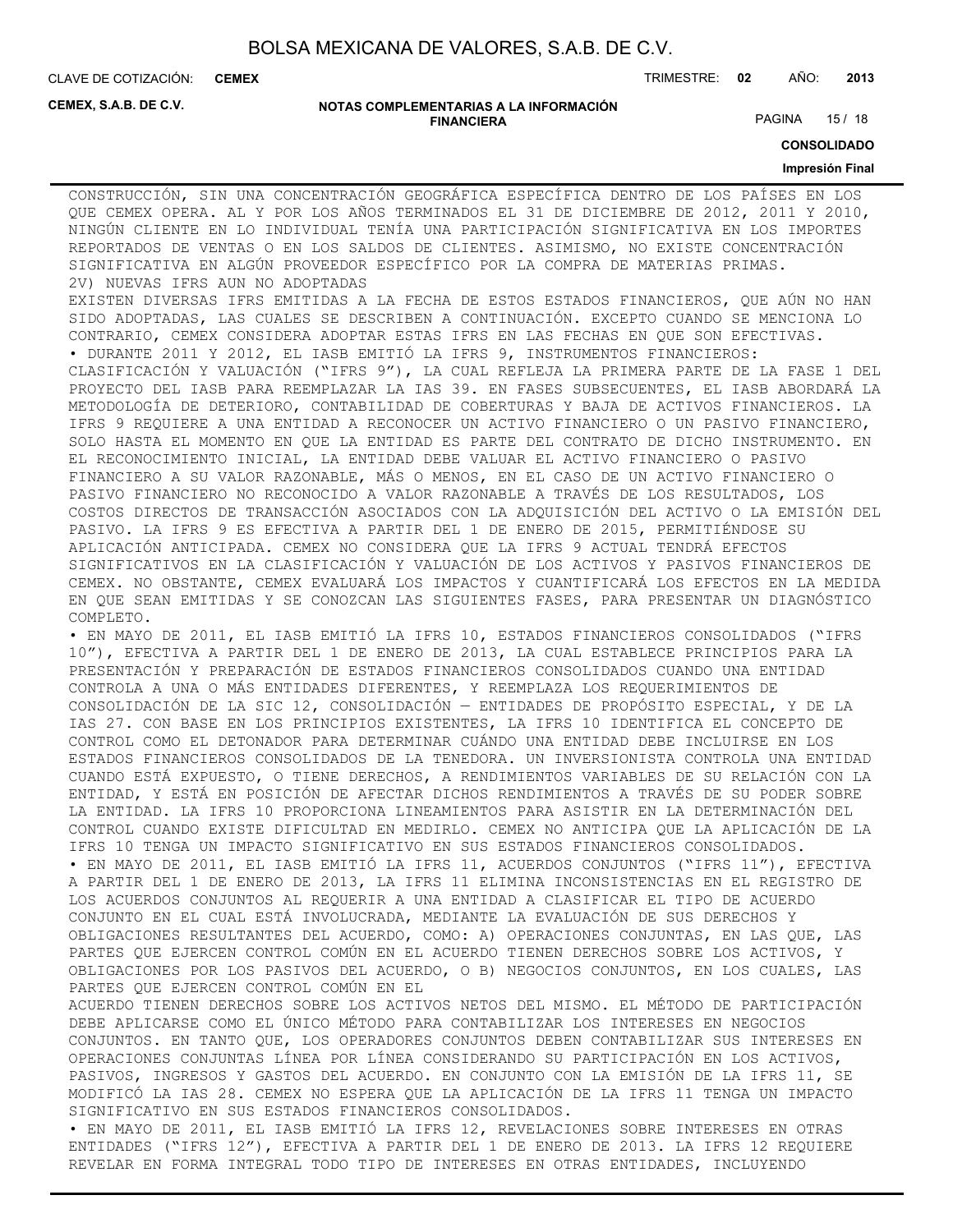**CEMEX**

CLAVE DE COTIZACIÓN: TRIMESTRE: **02** AÑO: **2013**

**CEMEX, S.A.B. DE C.V.**

#### **NOTAS COMPLEMENTARIAS A LA INFORMACIÓN FINANCIERA**

PAGINA 15 / 18

**CONSOLIDADO**

#### **Impresión Final**

CONSTRUCCIÓN, SIN UNA CONCENTRACIÓN GEOGRÁFICA ESPECÍFICA DENTRO DE LOS PAÍSES EN LOS QUE CEMEX OPERA. AL Y POR LOS AÑOS TERMINADOS EL 31 DE DICIEMBRE DE 2012, 2011 Y 2010, NINGÚN CLIENTE EN LO INDIVIDUAL TENÍA UNA PARTICIPACIÓN SIGNIFICATIVA EN LOS IMPORTES REPORTADOS DE VENTAS O EN LOS SALDOS DE CLIENTES. ASIMISMO, NO EXISTE CONCENTRACIÓN SIGNIFICATIVA EN ALGÚN PROVEEDOR ESPECÍFICO POR LA COMPRA DE MATERIAS PRIMAS. 2V) NUEVAS IFRS AUN NO ADOPTADAS

EXISTEN DIVERSAS IFRS EMITIDAS A LA FECHA DE ESTOS ESTADOS FINANCIEROS, QUE AÚN NO HAN SIDO ADOPTADAS, LAS CUALES SE DESCRIBEN A CONTINUACIÓN. EXCEPTO CUANDO SE MENCIONA LO CONTRARIO, CEMEX CONSIDERA ADOPTAR ESTAS IFRS EN LAS FECHAS EN QUE SON EFECTIVAS. • DURANTE 2011 Y 2012, EL IASB EMITIÓ LA IFRS 9, INSTRUMENTOS FINANCIEROS:

CLASIFICACIÓN Y VALUACIÓN ("IFRS 9"), LA CUAL REFLEJA LA PRIMERA PARTE DE LA FASE 1 DEL PROYECTO DEL IASB PARA REEMPLAZAR LA IAS 39. EN FASES SUBSECUENTES, EL IASB ABORDARÁ LA METODOLOGÍA DE DETERIORO, CONTABILIDAD DE COBERTURAS Y BAJA DE ACTIVOS FINANCIEROS. LA IFRS 9 REQUIERE A UNA ENTIDAD A RECONOCER UN ACTIVO FINANCIERO O UN PASIVO FINANCIERO, SOLO HASTA EL MOMENTO EN QUE LA ENTIDAD ES PARTE DEL CONTRATO DE DICHO INSTRUMENTO. EN EL RECONOCIMIENTO INICIAL, LA ENTIDAD DEBE VALUAR EL ACTIVO FINANCIERO O PASIVO FINANCIERO A SU VALOR RAZONABLE, MÁS O MENOS, EN EL CASO DE UN ACTIVO FINANCIERO O PASIVO FINANCIERO NO RECONOCIDO A VALOR RAZONABLE A TRAVÉS DE LOS RESULTADOS, LOS COSTOS DIRECTOS DE TRANSACCIÓN ASOCIADOS CON LA ADQUISICIÓN DEL ACTIVO O LA EMISIÓN DEL PASIVO. LA IFRS 9 ES EFECTIVA A PARTIR DEL 1 DE ENERO DE 2015, PERMITIÉNDOSE SU APLICACIÓN ANTICIPADA. CEMEX NO CONSIDERA QUE LA IFRS 9 ACTUAL TENDRÁ EFECTOS SIGNIFICATIVOS EN LA CLASIFICACIÓN Y VALUACIÓN DE LOS ACTIVOS Y PASIVOS FINANCIEROS DE CEMEX. NO OBSTANTE, CEMEX EVALUARÁ LOS IMPACTOS Y CUANTIFICARÁ LOS EFECTOS EN LA MEDIDA EN QUE SEAN EMITIDAS Y SE CONOZCAN LAS SIGUIENTES FASES, PARA PRESENTAR UN DIAGNÓSTICO COMPLETO.

• EN MAYO DE 2011, EL IASB EMITIÓ LA IFRS 10, ESTADOS FINANCIEROS CONSOLIDADOS ("IFRS 10"), EFECTIVA A PARTIR DEL 1 DE ENERO DE 2013, LA CUAL ESTABLECE PRINCIPIOS PARA LA PRESENTACIÓN Y PREPARACIÓN DE ESTADOS FINANCIEROS CONSOLIDADOS CUANDO UNA ENTIDAD CONTROLA A UNA O MÁS ENTIDADES DIFERENTES, Y REEMPLAZA LOS REQUERIMIENTOS DE CONSOLIDACIÓN DE LA SIC 12, CONSOLIDACIÓN — ENTIDADES DE PROPÓSITO ESPECIAL, Y DE LA IAS 27. CON BASE EN LOS PRINCIPIOS EXISTENTES, LA IFRS 10 IDENTIFICA EL CONCEPTO DE CONTROL COMO EL DETONADOR PARA DETERMINAR CUÁNDO UNA ENTIDAD DEBE INCLUIRSE EN LOS ESTADOS FINANCIEROS CONSOLIDADOS DE LA TENEDORA. UN INVERSIONISTA CONTROLA UNA ENTIDAD CUANDO ESTÁ EXPUESTO, O TIENE DERECHOS, A RENDIMIENTOS VARIABLES DE SU RELACIÓN CON LA ENTIDAD, Y ESTÁ EN POSICIÓN DE AFECTAR DICHOS RENDIMIENTOS A TRAVÉS DE SU PODER SOBRE LA ENTIDAD. LA IFRS 10 PROPORCIONA LINEAMIENTOS PARA ASISTIR EN LA DETERMINACIÓN DEL CONTROL CUANDO EXISTE DIFICULTAD EN MEDIRLO. CEMEX NO ANTICIPA QUE LA APLICACIÓN DE LA IFRS 10 TENGA UN IMPACTO SIGNIFICATIVO EN SUS ESTADOS FINANCIEROS CONSOLIDADOS. • EN MAYO DE 2011, EL IASB EMITIÓ LA IFRS 11, ACUERDOS CONJUNTOS ("IFRS 11"), EFECTIVA A PARTIR DEL 1 DE ENERO DE 2013, LA IFRS 11 ELIMINA INCONSISTENCIAS EN EL REGISTRO DE LOS ACUERDOS CONJUNTOS AL REQUERIR A UNA ENTIDAD A CLASIFICAR EL TIPO DE ACUERDO CONJUNTO EN EL CUAL ESTÁ INVOLUCRADA, MEDIANTE LA EVALUACIÓN DE SUS DERECHOS Y OBLIGACIONES RESULTANTES DEL ACUERDO, COMO: A) OPERACIONES CONJUNTAS, EN LAS QUE, LAS PARTES QUE EJERCEN CONTROL COMÚN EN EL ACUERDO TIENEN DERECHOS SOBRE LOS ACTIVOS, Y OBLIGACIONES POR LOS PASIVOS DEL ACUERDO, O B) NEGOCIOS CONJUNTOS, EN LOS CUALES, LAS PARTES QUE EJERCEN CONTROL COMÚN EN EL

ACUERDO TIENEN DERECHOS SOBRE LOS ACTIVOS NETOS DEL MISMO. EL MÉTODO DE PARTICIPACIÓN DEBE APLICARSE COMO EL ÚNICO MÉTODO PARA CONTABILIZAR LOS INTERESES EN NEGOCIOS CONJUNTOS. EN TANTO QUE, LOS OPERADORES CONJUNTOS DEBEN CONTABILIZAR SUS INTERESES EN OPERACIONES CONJUNTAS LÍNEA POR LÍNEA CONSIDERANDO SU PARTICIPACIÓN EN LOS ACTIVOS, PASIVOS, INGRESOS Y GASTOS DEL ACUERDO. EN CONJUNTO CON LA EMISIÓN DE LA IFRS 11, SE MODIFICÓ LA IAS 28. CEMEX NO ESPERA QUE LA APLICACIÓN DE LA IFRS 11 TENGA UN IMPACTO SIGNIFICATIVO EN SUS ESTADOS FINANCIEROS CONSOLIDADOS.

• EN MAYO DE 2011, EL IASB EMITIÓ LA IFRS 12, REVELACIONES SOBRE INTERESES EN OTRAS ENTIDADES ("IFRS 12"), EFECTIVA A PARTIR DEL 1 DE ENERO DE 2013. LA IFRS 12 REQUIERE REVELAR EN FORMA INTEGRAL TODO TIPO DE INTERESES EN OTRAS ENTIDADES, INCLUYENDO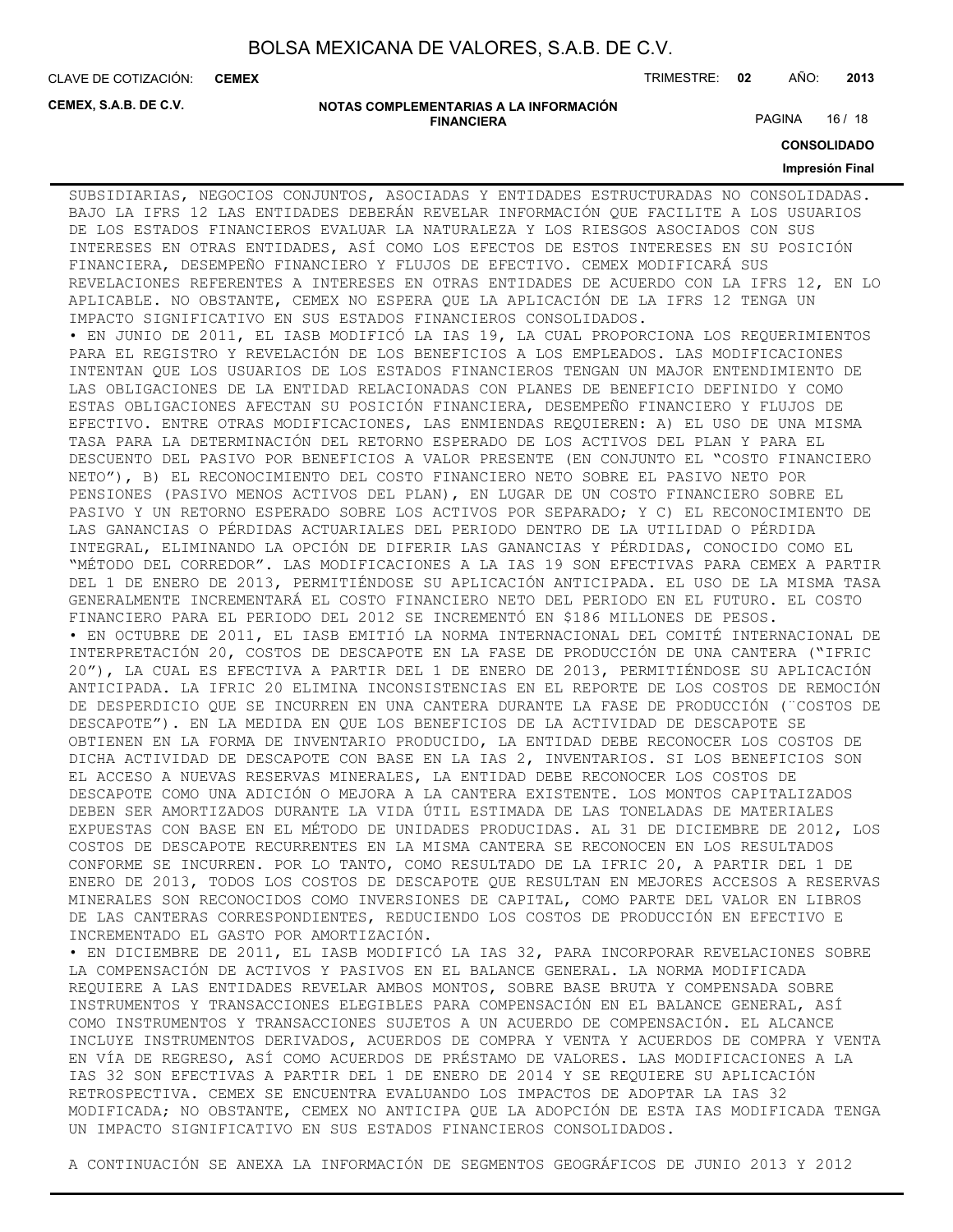**CEMEX**

CLAVE DE COTIZACIÓN: TRIMESTRE: **02** AÑO: **2013**

**CEMEX, S.A.B. DE C.V.**

#### **NOTAS COMPLEMENTARIAS A LA INFORMACIÓN FINANCIERA**

PAGINA 16 / 18

**CONSOLIDADO**

#### **Impresión Final**

SUBSIDIARIAS, NEGOCIOS CONJUNTOS, ASOCIADAS Y ENTIDADES ESTRUCTURADAS NO CONSOLIDADAS. BAJO LA IFRS 12 LAS ENTIDADES DEBERÁN REVELAR INFORMACIÓN QUE FACILITE A LOS USUARIOS DE LOS ESTADOS FINANCIEROS EVALUAR LA NATURALEZA Y LOS RIESGOS ASOCIADOS CON SUS INTERESES EN OTRAS ENTIDADES, ASÍ COMO LOS EFECTOS DE ESTOS INTERESES EN SU POSICIÓN FINANCIERA, DESEMPEÑO FINANCIERO Y FLUJOS DE EFECTIVO. CEMEX MODIFICARÁ SUS REVELACIONES REFERENTES A INTERESES EN OTRAS ENTIDADES DE ACUERDO CON LA IFRS 12, EN LO APLICABLE. NO OBSTANTE, CEMEX NO ESPERA QUE LA APLICACIÓN DE LA IFRS 12 TENGA UN IMPACTO SIGNIFICATIVO EN SUS ESTADOS FINANCIEROS CONSOLIDADOS. • EN JUNIO DE 2011, EL IASB MODIFICÓ LA IAS 19, LA CUAL PROPORCIONA LOS REQUERIMIENTOS PARA EL REGISTRO Y REVELACIÓN DE LOS BENEFICIOS A LOS EMPLEADOS. LAS MODIFICACIONES INTENTAN QUE LOS USUARIOS DE LOS ESTADOS FINANCIEROS TENGAN UN MAJOR ENTENDIMIENTO DE LAS OBLIGACIONES DE LA ENTIDAD RELACIONADAS CON PLANES DE BENEFICIO DEFINIDO Y COMO ESTAS OBLIGACIONES AFECTAN SU POSICIÓN FINANCIERA, DESEMPEÑO FINANCIERO Y FLUJOS DE EFECTIVO. ENTRE OTRAS MODIFICACIONES, LAS ENMIENDAS REQUIEREN: A) EL USO DE UNA MISMA TASA PARA LA DETERMINACIÓN DEL RETORNO ESPERADO DE LOS ACTIVOS DEL PLAN Y PARA EL DESCUENTO DEL PASIVO POR BENEFICIOS A VALOR PRESENTE (EN CONJUNTO EL "COSTO FINANCIERO NETO"), B) EL RECONOCIMIENTO DEL COSTO FINANCIERO NETO SOBRE EL PASIVO NETO POR PENSIONES (PASIVO MENOS ACTIVOS DEL PLAN), EN LUGAR DE UN COSTO FINANCIERO SOBRE EL PASIVO Y UN RETORNO ESPERADO SOBRE LOS ACTIVOS POR SEPARADO; Y C) EL RECONOCIMIENTO DE LAS GANANCIAS O PÉRDIDAS ACTUARIALES DEL PERIODO DENTRO DE LA UTILIDAD O PÉRDIDA INTEGRAL, ELIMINANDO LA OPCIÓN DE DIFERIR LAS GANANCIAS Y PÉRDIDAS, CONOCIDO COMO EL "MÉTODO DEL CORREDOR". LAS MODIFICACIONES A LA IAS 19 SON EFECTIVAS PARA CEMEX A PARTIR DEL 1 DE ENERO DE 2013, PERMITIÉNDOSE SU APLICACIÓN ANTICIPADA. EL USO DE LA MISMA TASA GENERALMENTE INCREMENTARÁ EL COSTO FINANCIERO NETO DEL PERIODO EN EL FUTURO. EL COSTO FINANCIERO PARA EL PERIODO DEL 2012 SE INCREMENTÓ EN \$186 MILLONES DE PESOS. • EN OCTUBRE DE 2011, EL IASB EMITIÓ LA NORMA INTERNACIONAL DEL COMITÉ INTERNACIONAL DE INTERPRETACIÓN 20, COSTOS DE DESCAPOTE EN LA FASE DE PRODUCCIÓN DE UNA CANTERA ("IFRIC 20"), LA CUAL ES EFECTIVA A PARTIR DEL 1 DE ENERO DE 2013, PERMITIÉNDOSE SU APLICACIÓN ANTICIPADA. LA IFRIC 20 ELIMINA INCONSISTENCIAS EN EL REPORTE DE LOS COSTOS DE REMOCIÓN DE DESPERDICIO QUE SE INCURREN EN UNA CANTERA DURANTE LA FASE DE PRODUCCIÓN (¨COSTOS DE DESCAPOTE"). EN LA MEDIDA EN QUE LOS BENEFICIOS DE LA ACTIVIDAD DE DESCAPOTE SE OBTIENEN EN LA FORMA DE INVENTARIO PRODUCIDO, LA ENTIDAD DEBE RECONOCER LOS COSTOS DE DICHA ACTIVIDAD DE DESCAPOTE CON BASE EN LA IAS 2, INVENTARIOS. SI LOS BENEFICIOS SON EL ACCESO A NUEVAS RESERVAS MINERALES, LA ENTIDAD DEBE RECONOCER LOS COSTOS DE DESCAPOTE COMO UNA ADICIÓN O MEJORA A LA CANTERA EXISTENTE. LOS MONTOS CAPITALIZADOS DEBEN SER AMORTIZADOS DURANTE LA VIDA ÚTIL ESTIMADA DE LAS TONELADAS DE MATERIALES EXPUESTAS CON BASE EN EL MÉTODO DE UNIDADES PRODUCIDAS. AL 31 DE DICIEMBRE DE 2012, LOS COSTOS DE DESCAPOTE RECURRENTES EN LA MISMA CANTERA SE RECONOCEN EN LOS RESULTADOS CONFORME SE INCURREN. POR LO TANTO, COMO RESULTADO DE LA IFRIC 20, A PARTIR DEL 1 DE ENERO DE 2013, TODOS LOS COSTOS DE DESCAPOTE QUE RESULTAN EN MEJORES ACCESOS A RESERVAS MINERALES SON RECONOCIDOS COMO INVERSIONES DE CAPITAL, COMO PARTE DEL VALOR EN LIBROS DE LAS CANTERAS CORRESPONDIENTES, REDUCIENDO LOS COSTOS DE PRODUCCIÓN EN EFECTIVO E INCREMENTADO EL GASTO POR AMORTIZACIÓN. • EN DICIEMBRE DE 2011, EL IASB MODIFICÓ LA IAS 32, PARA INCORPORAR REVELACIONES SOBRE

LA COMPENSACIÓN DE ACTIVOS Y PASIVOS EN EL BALANCE GENERAL. LA NORMA MODIFICADA REQUIERE A LAS ENTIDADES REVELAR AMBOS MONTOS, SOBRE BASE BRUTA Y COMPENSADA SOBRE INSTRUMENTOS Y TRANSACCIONES ELEGIBLES PARA COMPENSACIÓN EN EL BALANCE GENERAL, ASÍ COMO INSTRUMENTOS Y TRANSACCIONES SUJETOS A UN ACUERDO DE COMPENSACIÓN. EL ALCANCE INCLUYE INSTRUMENTOS DERIVADOS, ACUERDOS DE COMPRA Y VENTA Y ACUERDOS DE COMPRA Y VENTA EN VÍA DE REGRESO, ASÍ COMO ACUERDOS DE PRÉSTAMO DE VALORES. LAS MODIFICACIONES A LA IAS 32 SON EFECTIVAS A PARTIR DEL 1 DE ENERO DE 2014 Y SE REQUIERE SU APLICACIÓN RETROSPECTIVA. CEMEX SE ENCUENTRA EVALUANDO LOS IMPACTOS DE ADOPTAR LA IAS 32 MODIFICADA; NO OBSTANTE, CEMEX NO ANTICIPA QUE LA ADOPCIÓN DE ESTA IAS MODIFICADA TENGA UN IMPACTO SIGNIFICATIVO EN SUS ESTADOS FINANCIEROS CONSOLIDADOS.

A CONTINUACIÓN SE ANEXA LA INFORMACIÓN DE SEGMENTOS GEOGRÁFICOS DE JUNIO 2013 Y 2012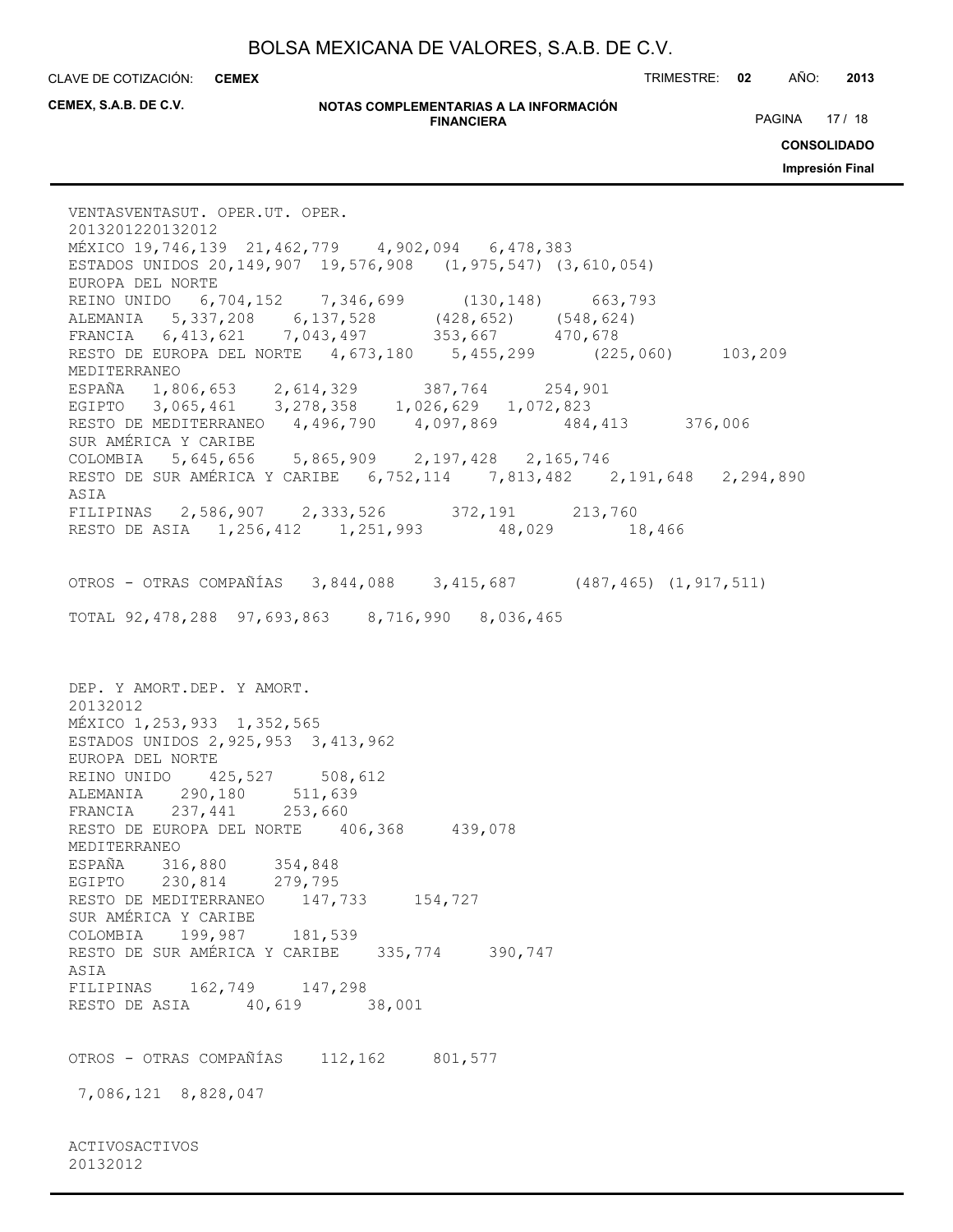CLAVE DE COTIZACIÓN: TRIMESTRE: **02** AÑO: **2013 CEMEX**

**CEMEX, S.A.B. DE C.V.**

20132012

#### **NOTAS COMPLEMENTARIAS A LA INFORMACIÓN FINANCIERA**

PAGINA 17 / 18

**CONSOLIDADO**

**Impresión Final**

VENTASVENTASUT. OPER.UT. OPER. 2013201220132012 MÉXICO 19,746,139 21,462,779 4,902,094 6,478,383 ESTADOS UNIDOS 20,149,907 19,576,908 (1,975,547) (3,610,054) EUROPA DEL NORTE REINO UNIDO 6,704,152 7,346,699 (130,148) 663,793 ALEMANIA 5,337,208 6,137,528 (428,652) (548,624) FRANCIA 6,413,621 7,043,497 353,667 470,678 RESTO DE EUROPA DEL NORTE 4,673,180 5,455,299 (225,060) 103,209 MEDITERRANEO ESPAÑA 1,806,653 2,614,329 387,764 254,901 EGIPTO 3,065,461 3,278,358 1,026,629 1,072,823 RESTO DE MEDITERRANEO 4,496,790 4,097,869 484,413 376,006 SUR AMÉRICA Y CARIBE COLOMBIA 5,645,656 5,865,909 2,197,428 2,165,746 RESTO DE SUR AMÉRICA Y CARIBE 6,752,114 7,813,482 2,191,648 2,294,890 ASIA FILIPINAS 2,586,907 2,333,526 372,191 213,760 RESTO DE ASIA 1,256,412 1,251,993 48,029 18,466 OTROS - OTRAS COMPAÑÍAS 3,844,088 3,415,687 (487,465) (1,917,511) TOTAL 92,478,288 97,693,863 8,716,990 8,036,465 DEP. Y AMORT.DEP. Y AMORT. 20132012 MÉXICO 1,253,933 1,352,565 ESTADOS UNIDOS 2,925,953 3,413,962 EUROPA DEL NORTE REINO UNIDO 425,527 508,612 ALEMANIA 290,180 511,639 FRANCIA 237,441 253,660 RESTO DE EUROPA DEL NORTE 406,368 439,078 MEDITERRANEO ESPAÑA 316,880 354,848 EGIPTO 230,814 279,795 RESTO DE MEDITERRANEO 147,733 154,727 SUR AMÉRICA Y CARIBE COLOMBIA 199,987 181,539 RESTO DE SUR AMÉRICA Y CARIBE 335,774 390,747 ASIA FILIPINAS 162,749 147,298 RESTO DE ASIA 40,619 38,001 OTROS - OTRAS COMPAÑÍAS 112,162 801,577 7,086,121 8,828,047 ACTIVOSACTIVOS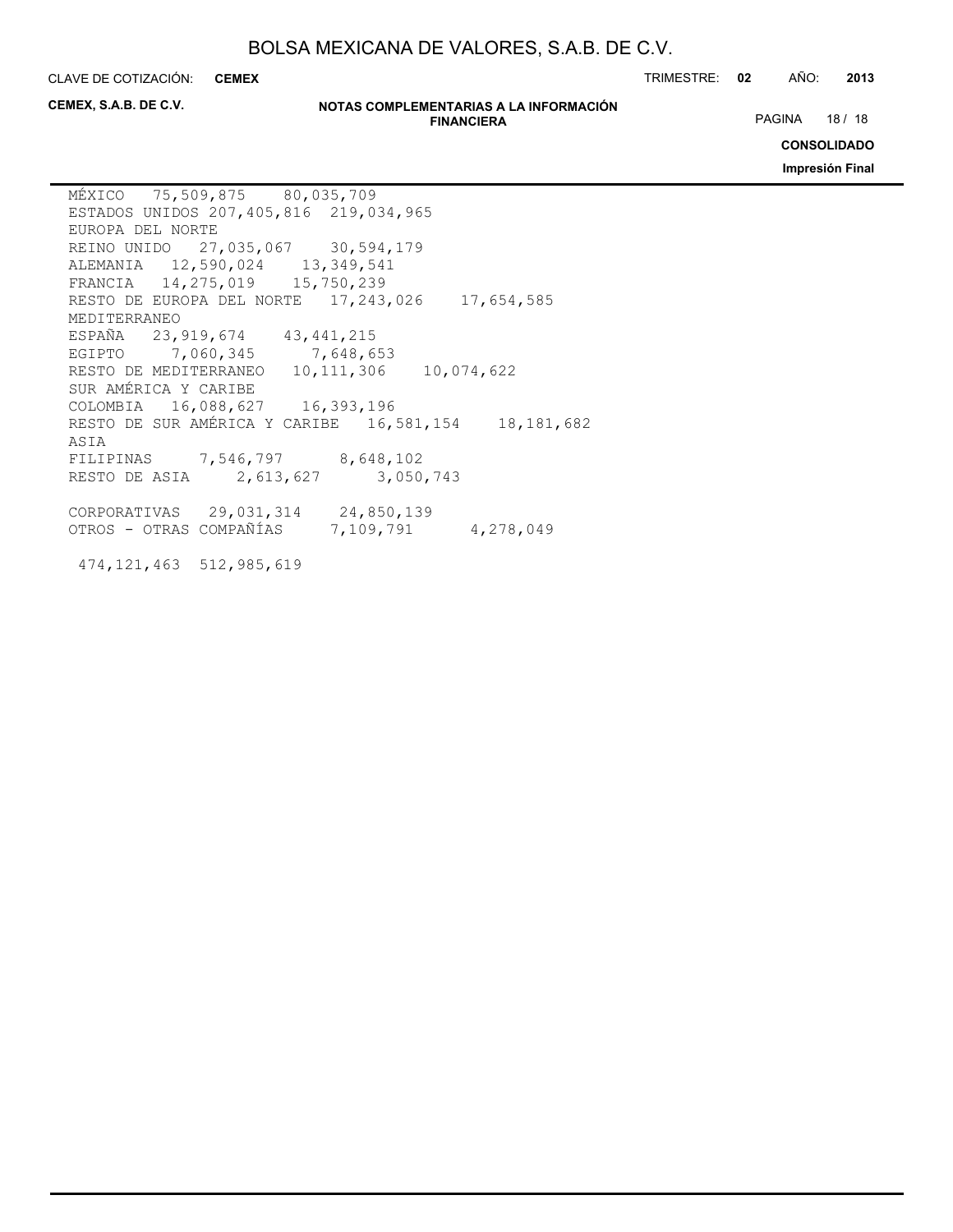**CEMEX**

474,121,463 512,985,619

CLAVE DE COTIZACIÓN: TRIMESTRE: **02** AÑO: **2013**

**CEMEX, S.A.B. DE C.V.**

#### **NOTAS COMPLEMENTARIAS A LA INFORMACIÓN FINANCIERA**

PAGINA 18 / 18

**CONSOLIDADO**

**Impresión Final**

MÉXICO 75,509,875 80,035,709 ESTADOS UNIDOS 207,405,816 219,034,965 EUROPA DEL NORTE REINO UNIDO 27,035,067 30,594,179 ALEMANIA 12,590,024 13,349,541 FRANCIA 14,275,019 15,750,239 RESTO DE EUROPA DEL NORTE 17,243,026 17,654,585 MEDITERRANEO ESPAÑA 23,919,674 43,441,215 EGIPTO 7,060,345 7,648,653 RESTO DE MEDITERRANEO 10,111,306 10,074,622 SUR AMÉRICA Y CARIBE COLOMBIA 16,088,627 16,393,196 RESTO DE SUR AMÉRICA Y CARIBE 16,581,154 18,181,682 ASIA FILIPINAS 7,546,797 8,648,102 RESTO DE ASIA 2,613,627 3,050,743 CORPORATIVAS 29,031,314 24,850,139 OTROS - OTRAS COMPAÑÍAS 7,109,791 4,278,049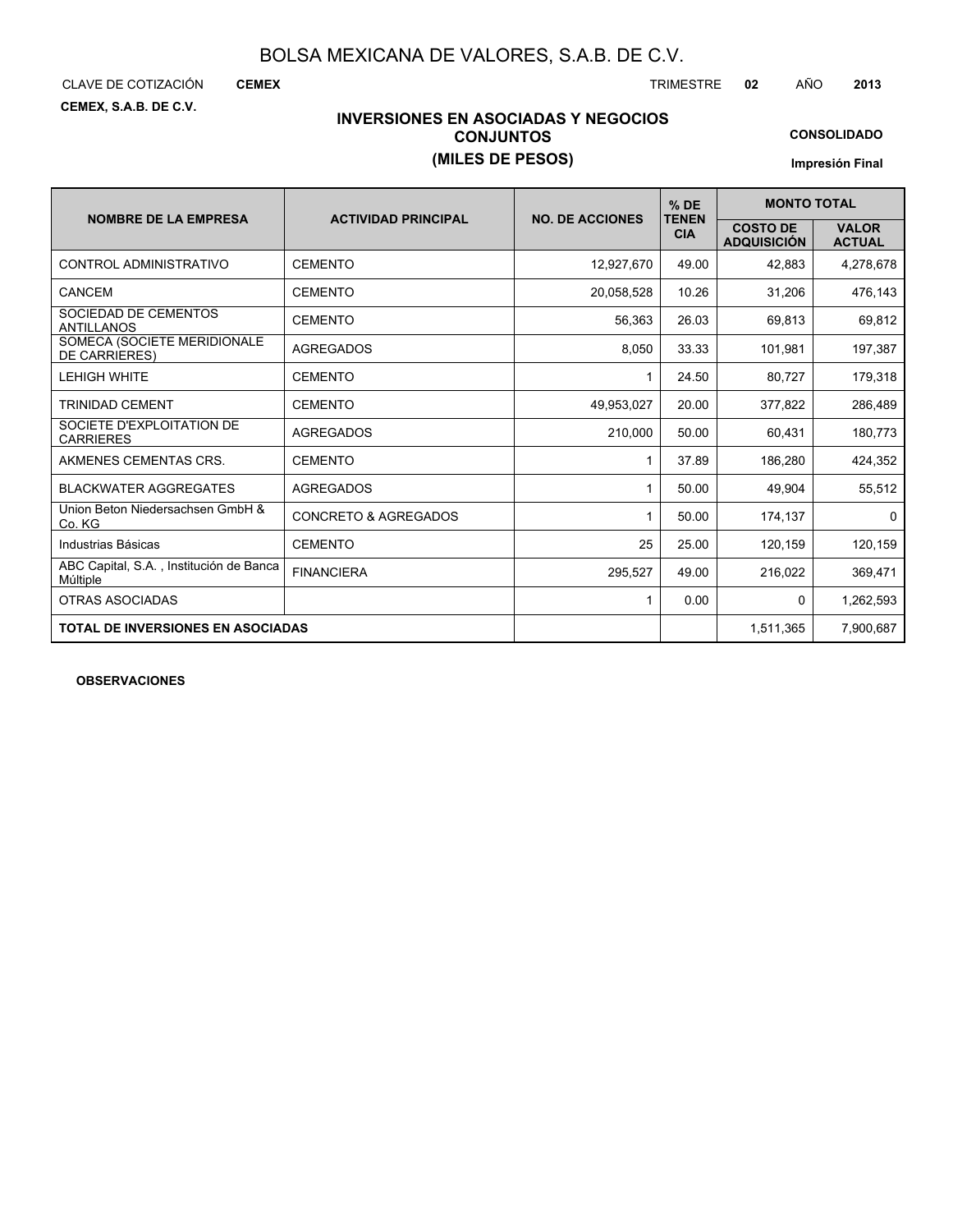CLAVE DE COTIZACIÓN TRIMESTRE **02** AÑO **2013**

**CEMEX**

**CEMEX, S.A.B. DE C.V.**

## **INVERSIONES EN ASOCIADAS Y NEGOCIOS CONJUNTOS (MILES DE PESOS)**

**CONSOLIDADO**

**Impresión Final**

|                                                     |                                 |                        | $%$ DE                     | <b>MONTO TOTAL</b>                    |                               |  |  |
|-----------------------------------------------------|---------------------------------|------------------------|----------------------------|---------------------------------------|-------------------------------|--|--|
| <b>NOMBRE DE LA EMPRESA</b>                         | <b>ACTIVIDAD PRINCIPAL</b>      | <b>NO. DE ACCIONES</b> | <b>TENEN</b><br><b>CIA</b> | <b>COSTO DE</b><br><b>ADQUISICIÓN</b> | <b>VALOR</b><br><b>ACTUAL</b> |  |  |
| CONTROL ADMINISTRATIVO                              | <b>CEMENTO</b>                  | 12,927,670             | 49.00                      | 42,883                                | 4,278,678                     |  |  |
| <b>CANCEM</b>                                       | <b>CEMENTO</b>                  | 20,058,528             | 10.26                      | 31,206                                | 476,143                       |  |  |
| SOCIEDAD DE CEMENTOS<br><b>ANTILLANOS</b>           | <b>CEMENTO</b>                  | 56.363                 | 26.03                      | 69,813                                | 69,812                        |  |  |
| SOMECA (SOCIETE MERIDIONALE<br><b>DE CARRIERES)</b> | <b>AGREGADOS</b>                | 8,050                  | 33.33                      | 101,981                               | 197,387                       |  |  |
| <b>LEHIGH WHITE</b>                                 | <b>CEMENTO</b>                  | 1                      | 24.50                      | 80,727                                | 179,318                       |  |  |
| <b>TRINIDAD CEMENT</b>                              | <b>CEMENTO</b>                  | 49,953,027             | 20.00                      | 377,822                               | 286,489                       |  |  |
| SOCIETE D'EXPLOITATION DE<br><b>CARRIERES</b>       | <b>AGREGADOS</b>                | 210.000                | 50.00                      | 60.431                                | 180,773                       |  |  |
| AKMENES CEMENTAS CRS.                               | <b>CEMENTO</b>                  | 1                      | 37.89                      | 186,280                               | 424,352                       |  |  |
| <b>BLACKWATER AGGREGATES</b>                        | <b>AGREGADOS</b>                | 1                      | 50.00                      | 49,904                                | 55,512                        |  |  |
| Union Beton Niedersachsen GmbH &<br>Co. KG          | <b>CONCRETO &amp; AGREGADOS</b> | 1                      | 50.00                      | 174,137                               | 0                             |  |  |
| Industrias Básicas                                  | <b>CEMENTO</b>                  | 25                     | 25.00                      | 120,159                               | 120,159                       |  |  |
| ABC Capital, S.A., Institución de Banca<br>Múltiple | <b>FINANCIERA</b>               | 295,527                | 49.00                      | 216,022                               | 369,471                       |  |  |
| OTRAS ASOCIADAS                                     |                                 | 1                      | 0.00                       | 0                                     | 1,262,593                     |  |  |
| <b>TOTAL DE INVERSIONES EN ASOCIADAS</b>            |                                 |                        |                            | 1,511,365                             | 7,900,687                     |  |  |

**OBSERVACIONES**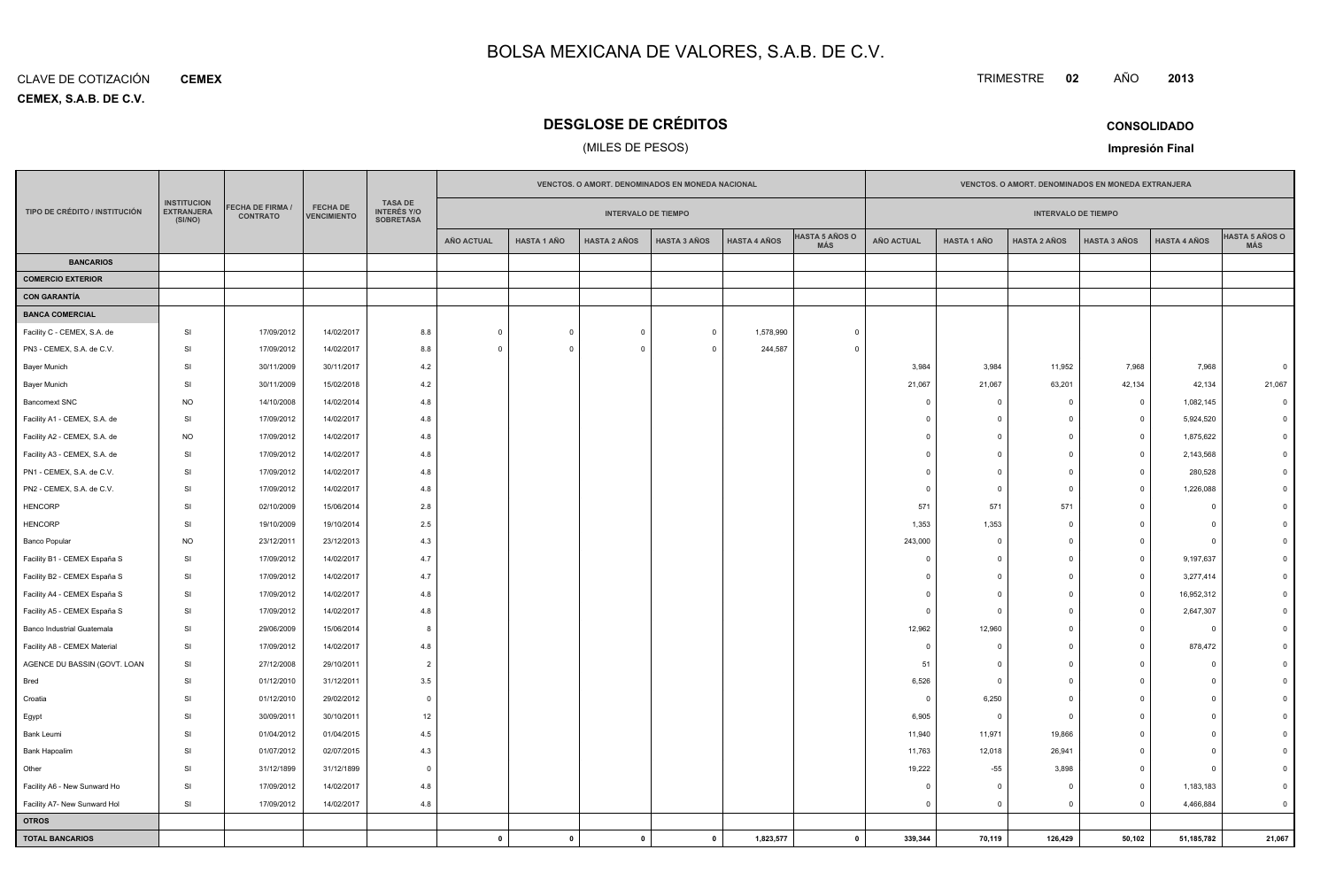**CEMEX, S.A.B. DE C.V.** CLAVE DE COTIZACIÓN**CEMEX**

Bred

Croatia

Egypt

Other

**OTROSTOTAL BANCARIOS**

Bank Hapoalim

Facility A6 - New Sunward Ho

Facility A7- New Sunward Hol

I SI

SI 31/12/1899

SI 17/09/2012

### **DESGLOSE DE CRÉDITOS**

### (MILES DE PESOS)

| CONSOLIDADO |  |
|-------------|--|

**<sup>02</sup>** AÑO

**TRIMESTRE** 

**Impresión Final**

**<sup>2013</sup>**

**AÑO ACTUAL HASTA 1 AÑO HASTA 2 AÑOS HASTA 3 AÑOS HASTA 4 AÑOS FECHA DE VENCIMIENTOHASTA 5 AÑOS OMÁSVENCTOS. O AMORT. DENOMINADOS EN MONEDA EXTRANJERAINTERVALO DE TIEMPOHASTA 5 AÑOS OMÁS AÑO ACTUAL HASTA 1 AÑO HASTA 2 AÑOS HASTA 3 AÑOS HASTA 4 AÑOS VENCTOS. O AMORT. DENOMINADOS EN MONEDA NACIONALINTERVALO DE TIEMPOTASA DE INTERÉS Y/O SOBRETASAFECHA DE FIRMA /CONTRATO TIPO DE CRÉDITO / INSTITUCIÓN INSTITUCION EXTRANJERA(SI/NO)BANCARIOSCOMERCIO EXTERIORCON GARANTÍABANCA COMERCIAL**Facility C - CEMEX, S.A. de SI 17/09/2012 14/02/2017 8.8 <sup>0</sup> <sup>0</sup> <sup>0</sup> <sup>0</sup> 1,578,990 <sup>0</sup> PN3 - CEMEX, S.A. de C.V. SI 17/09/20122 | 14/02/2017 | 8.8 | 0 | 0 | 0 | 0 | 244,587 | 0 Bayer Munich SI 30/11/2009 30/11/2017 4.2 3,984 3,984 11,952 7,968 7,968 <sup>0</sup> Bayer Munich SI 30/11/2009 15/02/2018 4.2 21,067 21,067 63,201 42,134 42,134 21,067 Bancomext SNCc NO 14/10/2008 14/02/2014 4.8 <sup>0</sup> <sup>0</sup> <sup>0</sup> <sup>0</sup> 1,082,145 <sup>0</sup> Facility A1 - CEMEX, S.A. de SI 17/09/2012 14/02/2017 4.8 <sup>0</sup> <sup>0</sup> <sup>0</sup> <sup>0</sup> 5,924,520 <sup>0</sup> Facility A2 - CEMEX, S.A. de NO 17/09/2012 14/02/2017 4.8 <sup>0</sup> <sup>0</sup> <sup>0</sup> <sup>0</sup> 1,875,622 <sup>0</sup> Facility A3 - CEMEX, S.A. dee | SI | 17/09/2012 | 14/02/2017 | 4.8 | | | | | | 0 | 0 | 0 | 2,143,568 | 0 PN1 - CEMEX, S.A. de C.V.SI 17/09/2012 14/02/2017 4.8 <sup>0</sup> <sup>0</sup> <sup>0</sup> <sup>0</sup> 280,528 <sup>0</sup> PN2 - CEMEX, S.A. de C.V.SI 17/09/2012 2 | 14/02/2017 | 4.8 | | | | | | | | | | | | | | | | | | | | | 1,226,088 | 0 HENCORPP 571 571 571 571 591 02/10/2009 15/06/2014 2.8 500 2014 2.8 571 571 571 9.571 9.571 9.1 0 0 0 0 0 HENCORP SI 19/10/2009 19/10/2014 2.5 1,353 1,353 <sup>0</sup> <sup>0</sup> <sup>0</sup> <sup>0</sup> Banco Popularr NO 23/12/2011 23/12/2013 4.3 243,000 <sup>0</sup> <sup>0</sup> <sup>0</sup> <sup>0</sup> <sup>0</sup> Facility B1 - CEMEX España S SI 17/09/2012 14/02/2017 4.7 <sup>0</sup> <sup>0</sup> <sup>0</sup> <sup>0</sup> 9,197,637 <sup>0</sup> Facility B2 - CEMEX España S SI 17/09/2012 14/02/2017 4.7 <sup>0</sup> <sup>0</sup> <sup>0</sup> <sup>0</sup> 3,277,414 <sup>0</sup> Facility A4 - CEMEX España S SI 17/09/2012 14/02/2017 4.8 <sup>0</sup> <sup>0</sup> <sup>0</sup> <sup>0</sup> 16,952,312 <sup>0</sup> Facility A5 - CEMEX España S SI 17/09/2012 14/02/2017 4.8 <sup>0</sup> <sup>0</sup> <sup>0</sup> <sup>0</sup> 2,647,307 <sup>0</sup> Banco Industrial Guatemalaa | SI | 29/06/2009 15/06/2014 | 8 | | | | | | | | | | | | | | 12,962 12,960 | 0 | 0 | 0 | 0 Facility A8 - CEMEX Material SI 17/09/2012 14/02/2017 4.8 <sup>0</sup> <sup>0</sup> <sup>0</sup> <sup>0</sup> 878,472 <sup>0</sup> AGENCE DU BASSIN (GOVT. LOANN SI 27/12/2008 29/10/2011 | 2 | | | | | | | | | 51 | 0 | 0 | 0 | 0 | SI 01/12/2010 31/12/2011 3.5 6,526 <sup>0</sup> <sup>0</sup> <sup>0</sup> <sup>0</sup> <sup>0</sup> a | SI | 01/12/2010 | 29/02/2012 | | | | | | 0 | 6,250 | 0 | 0 | 0 0 SI 30/09/20111 | 30/10/2011 | 12 | | | | | | | | | | | | | | 6,905 | 0 | 0 | 0 | 0 | 0 Bank Leumii SI SI 01/04/2012 01/04/2015 4.5 11,940 11,971 19,866 <sup>0</sup> <sup>0</sup> <sup>0</sup>

SI 01/07/2012 02/07/2015 4.3 11,763 12,018 26,941 <sup>0</sup> <sup>0</sup> <sup>0</sup>

SI 17/09/2012 14/02/2017 4.8 <sup>0</sup> <sup>0</sup> <sup>0</sup> <sup>0</sup> 1,183,183 <sup>0</sup>

**<sup>0</sup> <sup>0</sup> <sup>0</sup> <sup>0</sup> 1,823,577 <sup>0</sup> 339,344 70,119 126,429 50,102 51,185,782 21,067**

31/12/1899 <sup>0</sup> 19,222 -55 3,898 <sup>0</sup> <sup>0</sup> <sup>0</sup>

14/02/2017 4.8 <sup>0</sup> <sup>0</sup> <sup>0</sup> <sup>0</sup> 4,466,884 <sup>0</sup>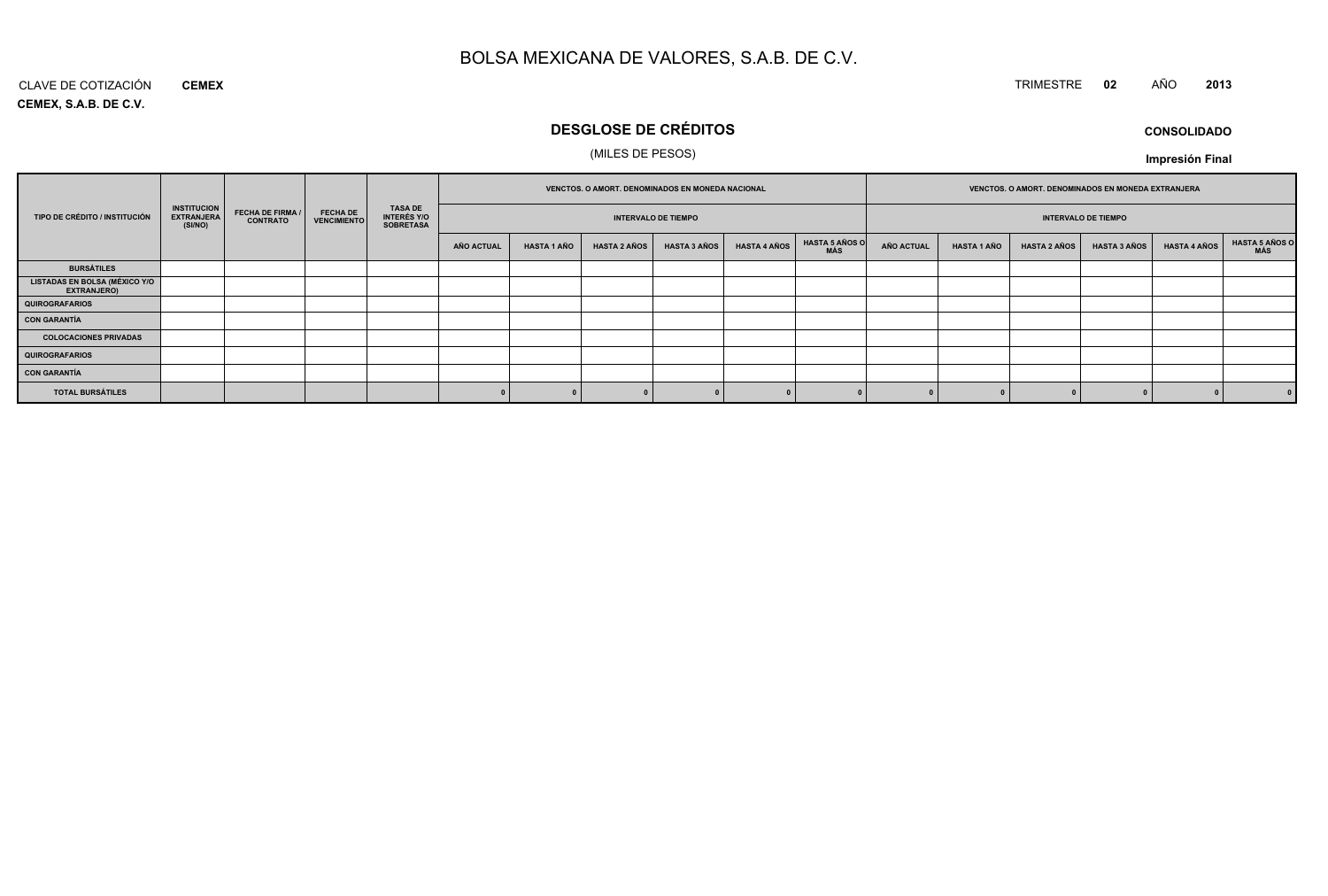#### CLAVE DE COTIZACIÓN TRIMESTRE **<sup>02</sup>** AÑO **<sup>2013</sup> CEMEX**

**CEMEX, S.A.B. DE C.V.**

# **DESGLOSE DE CRÉDITOS**

### (MILES DE PESOS)

| <b>CONSOLIDADO</b> |
|--------------------|
|--------------------|

**Impresión Final**

|                                                            |                                                    |                                     |                                       | TASA DE<br>INTERÉS Y/O<br><b>SOBRETASA</b> |                            |                    |                     | <b>VENCTOS, O AMORT, DENOMINADOS EN MONEDA NACIONAL</b> |                     |                              | VENCTOS. O AMORT. DENOMINADOS EN MONEDA EXTRANJERA |                    |                     |                     |                     |                              |
|------------------------------------------------------------|----------------------------------------------------|-------------------------------------|---------------------------------------|--------------------------------------------|----------------------------|--------------------|---------------------|---------------------------------------------------------|---------------------|------------------------------|----------------------------------------------------|--------------------|---------------------|---------------------|---------------------|------------------------------|
| TIPO DE CRÉDITO / INSTITUCIÓN                              | <b>INSTITUCION</b><br><b>EXTRANJERA</b><br>(SI/NO) | FECHA DE FIRMA /<br><b>CONTRATO</b> | <b>FECHA DE</b><br><b>VENCIMIENTO</b> |                                            | <b>INTERVALO DE TIEMPO</b> |                    |                     |                                                         |                     | <b>INTERVALO DE TIEMPO</b>   |                                                    |                    |                     |                     |                     |                              |
|                                                            |                                                    |                                     |                                       |                                            | <b>AÑO ACTUAL</b>          | <b>HASTA 1 AÑO</b> | <b>HASTA 2 AÑOS</b> | <b>HASTA 3 AÑOS</b>                                     | <b>HASTA 4 AÑOS</b> | <b>HASTA 5 AÑOS O</b><br>MÁS | <b>AÑO ACTUAL</b>                                  | <b>HASTA 1 AÑO</b> | <b>HASTA 2 AÑOS</b> | <b>HASTA 3 AÑOS</b> | <b>HASTA 4 AÑOS</b> | <b>HASTA 5 AÑOS O</b><br>MÁS |
| <b>BURSÁTILES</b>                                          |                                                    |                                     |                                       |                                            |                            |                    |                     |                                                         |                     |                              |                                                    |                    |                     |                     |                     |                              |
| <b>LISTADAS EN BOLSA (MÉXICO Y/O</b><br><b>EXTRANJERO)</b> |                                                    |                                     |                                       |                                            |                            |                    |                     |                                                         |                     |                              |                                                    |                    |                     |                     |                     |                              |
| QUIROGRAFARIOS                                             |                                                    |                                     |                                       |                                            |                            |                    |                     |                                                         |                     |                              |                                                    |                    |                     |                     |                     |                              |
| <b>CON GARANTÍA</b>                                        |                                                    |                                     |                                       |                                            |                            |                    |                     |                                                         |                     |                              |                                                    |                    |                     |                     |                     |                              |
| <b>COLOCACIONES PRIVADAS</b>                               |                                                    |                                     |                                       |                                            |                            |                    |                     |                                                         |                     |                              |                                                    |                    |                     |                     |                     |                              |
| <b>QUIROGRAFARIOS</b>                                      |                                                    |                                     |                                       |                                            |                            |                    |                     |                                                         |                     |                              |                                                    |                    |                     |                     |                     |                              |
| <b>CON GARANTÍA</b>                                        |                                                    |                                     |                                       |                                            |                            |                    |                     |                                                         |                     |                              |                                                    |                    |                     |                     |                     |                              |
| <b>TOTAL BURSÁTILES</b>                                    |                                                    |                                     |                                       |                                            |                            |                    |                     |                                                         |                     |                              |                                                    |                    |                     |                     |                     |                              |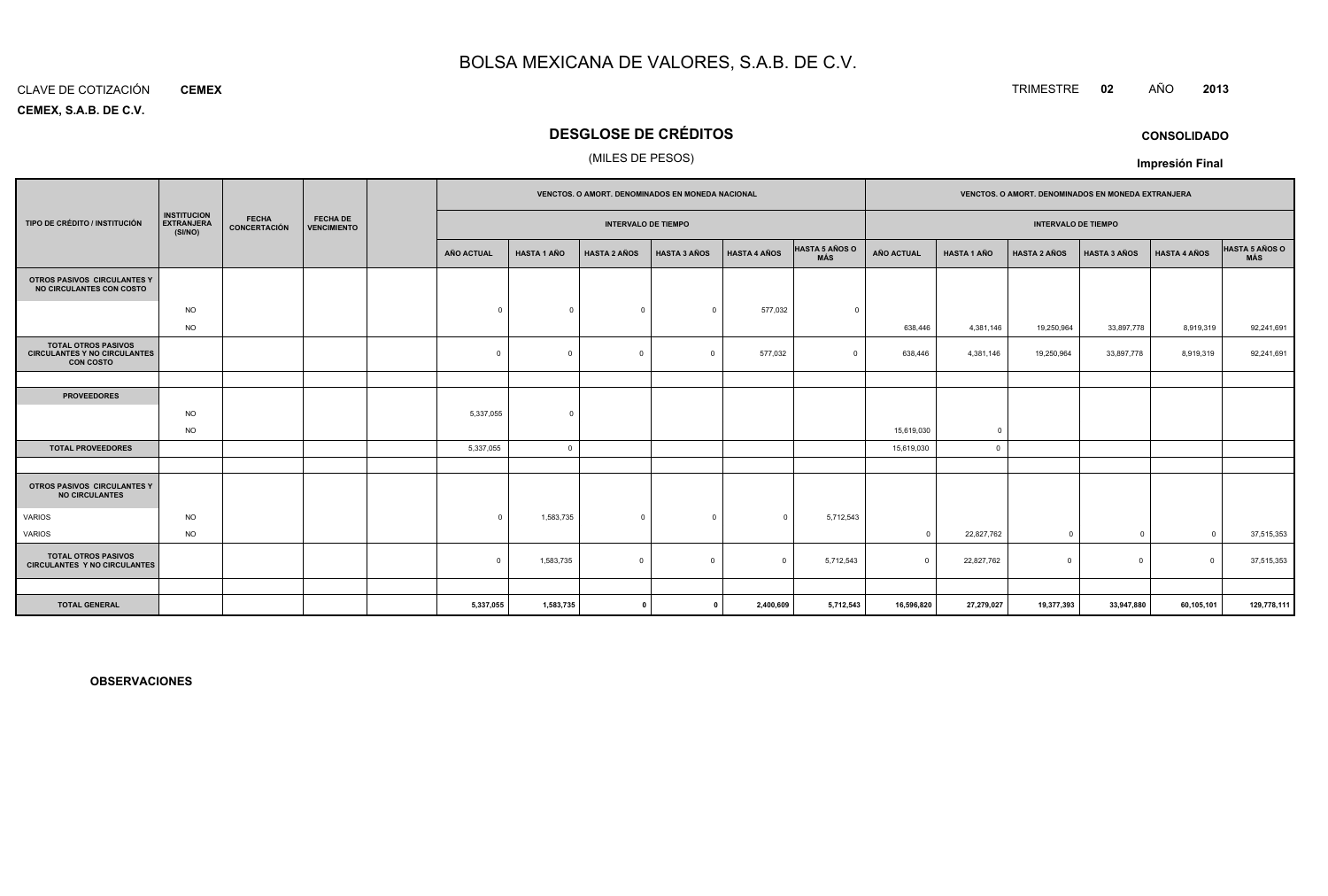#### CLAVE DE COTIZACIÓN**CEMEX**

**CEMEX, S.A.B. DE C.V.**

## **DESGLOSE DE CRÉDITOS**

### (MILES DE PESOS)

|                                                                                       |                                                    |                              |                                       | VENCTOS. O AMORT. DENOMINADOS EN MONEDA NACIONAL |                    |                     |                     |                     | VENCTOS. O AMORT. DENOMINADOS EN MONEDA EXTRANJERA |                   |                            |                     |                     |                     |                       |
|---------------------------------------------------------------------------------------|----------------------------------------------------|------------------------------|---------------------------------------|--------------------------------------------------|--------------------|---------------------|---------------------|---------------------|----------------------------------------------------|-------------------|----------------------------|---------------------|---------------------|---------------------|-----------------------|
| TIPO DE CRÉDITO / INSTITUCIÓN                                                         | <b>INSTITUCION</b><br><b>EXTRANJERA</b><br>(SI/NO) | <b>FECHA</b><br>CONCERTACIÓN | <b>FECHA DE</b><br><b>VENCIMIENTO</b> | <b>INTERVALO DE TIEMPO</b>                       |                    |                     |                     |                     |                                                    |                   | <b>INTERVALO DE TIEMPO</b> |                     |                     |                     |                       |
|                                                                                       |                                                    |                              |                                       | <b>AÑO ACTUAL</b>                                | <b>HASTA 1 AÑO</b> | <b>HASTA 2 AÑOS</b> | <b>HASTA 3 AÑOS</b> | <b>HASTA 4 AÑOS</b> | <b>HASTA 5 AÑOS O</b><br><b>MÁS</b>                | <b>AÑO ACTUAL</b> | <b>HASTA 1 AÑO</b>         | <b>HASTA 2 AÑOS</b> | <b>HASTA 3 AÑOS</b> | <b>HASTA 4 AÑOS</b> | HASTA 5 AÑOS O<br>MÁS |
| OTROS PASIVOS CIRCULANTES Y<br>NO CIRCULANTES CON COSTO                               |                                                    |                              |                                       |                                                  |                    |                     |                     |                     |                                                    |                   |                            |                     |                     |                     |                       |
|                                                                                       | <b>NO</b>                                          |                              |                                       | $\Omega$                                         | $\Omega$           | $^{\circ}$          | $\Omega$            | 577,032             | $\Omega$                                           |                   |                            |                     |                     |                     |                       |
|                                                                                       | <b>NO</b>                                          |                              |                                       |                                                  |                    |                     |                     |                     |                                                    | 638,446           | 4,381,146                  | 19,250,964          | 33,897,778          | 8,919,319           | 92,241,691            |
| <b>TOTAL OTROS PASIVOS</b><br><b>CIRCULANTES Y NO CIRCULANTES</b><br><b>CON COSTO</b> |                                                    |                              |                                       | $\mathbf 0$                                      | $\Omega$           | $\mathbf 0$         | $\overline{0}$      | 577,032             | $\Omega$                                           | 638,446           | 4,381,146                  | 19,250,964          | 33,897,778          | 8,919,319           | 92,241,691            |
|                                                                                       |                                                    |                              |                                       |                                                  |                    |                     |                     |                     |                                                    |                   |                            |                     |                     |                     |                       |
| <b>PROVEEDORES</b>                                                                    |                                                    |                              |                                       |                                                  |                    |                     |                     |                     |                                                    |                   |                            |                     |                     |                     |                       |
|                                                                                       | <b>NO</b>                                          |                              |                                       | 5,337,055                                        | $\Omega$           |                     |                     |                     |                                                    |                   |                            |                     |                     |                     |                       |
|                                                                                       | <b>NO</b>                                          |                              |                                       |                                                  |                    |                     |                     |                     |                                                    | 15,619,030        | $\overline{0}$             |                     |                     |                     |                       |
| <b>TOTAL PROVEEDORES</b>                                                              |                                                    |                              |                                       | 5,337,055                                        | $\Omega$           |                     |                     |                     |                                                    | 15,619,030        | $\mathbf{0}$               |                     |                     |                     |                       |
|                                                                                       |                                                    |                              |                                       |                                                  |                    |                     |                     |                     |                                                    |                   |                            |                     |                     |                     |                       |
| OTROS PASIVOS CIRCULANTES Y<br><b>NO CIRCULANTES</b>                                  |                                                    |                              |                                       |                                                  |                    |                     |                     |                     |                                                    |                   |                            |                     |                     |                     |                       |
| <b>VARIOS</b>                                                                         | <b>NO</b>                                          |                              |                                       | $\Omega$                                         | 1,583,735          | $\mathbf{0}$        | $^{\circ}$          | $\mathbf{0}$        | 5,712,543                                          |                   |                            |                     |                     |                     |                       |
| VARIOS                                                                                | <b>NO</b>                                          |                              |                                       |                                                  |                    |                     |                     |                     |                                                    | $\Omega$          | 22,827,762                 | $\mathbf 0$         | $^{\circ}$          | $\Omega$            | 37,515,353            |
| <b>TOTAL OTROS PASIVOS</b><br><b>CIRCULANTES Y NO CIRCULANTES</b>                     |                                                    |                              |                                       | $\Omega$                                         | 1,583,735          | $\mathbf 0$         | $\Omega$            | $\Omega$            | 5,712,543                                          | $\Omega$          | 22,827,762                 | $\Omega$            | $\mathbf 0$         | $\Omega$            | 37,515,353            |
|                                                                                       |                                                    |                              |                                       |                                                  |                    |                     |                     |                     |                                                    |                   |                            |                     |                     |                     |                       |
| <b>TOTAL GENERAL</b>                                                                  |                                                    |                              |                                       | 5,337,055                                        | 1,583,735          | $\mathbf{r}$        |                     | 2,400,609           | 5,712,543                                          | 16,596,820        | 27,279,027                 | 19,377,393          | 33,947,880          | 60,105,101          | 129,778,111           |

**OBSERVACIONES**

## TRIMESTRE **<sup>02</sup>** AÑO **<sup>2013</sup>**

**Impresión Final**

**CONSOLIDADO**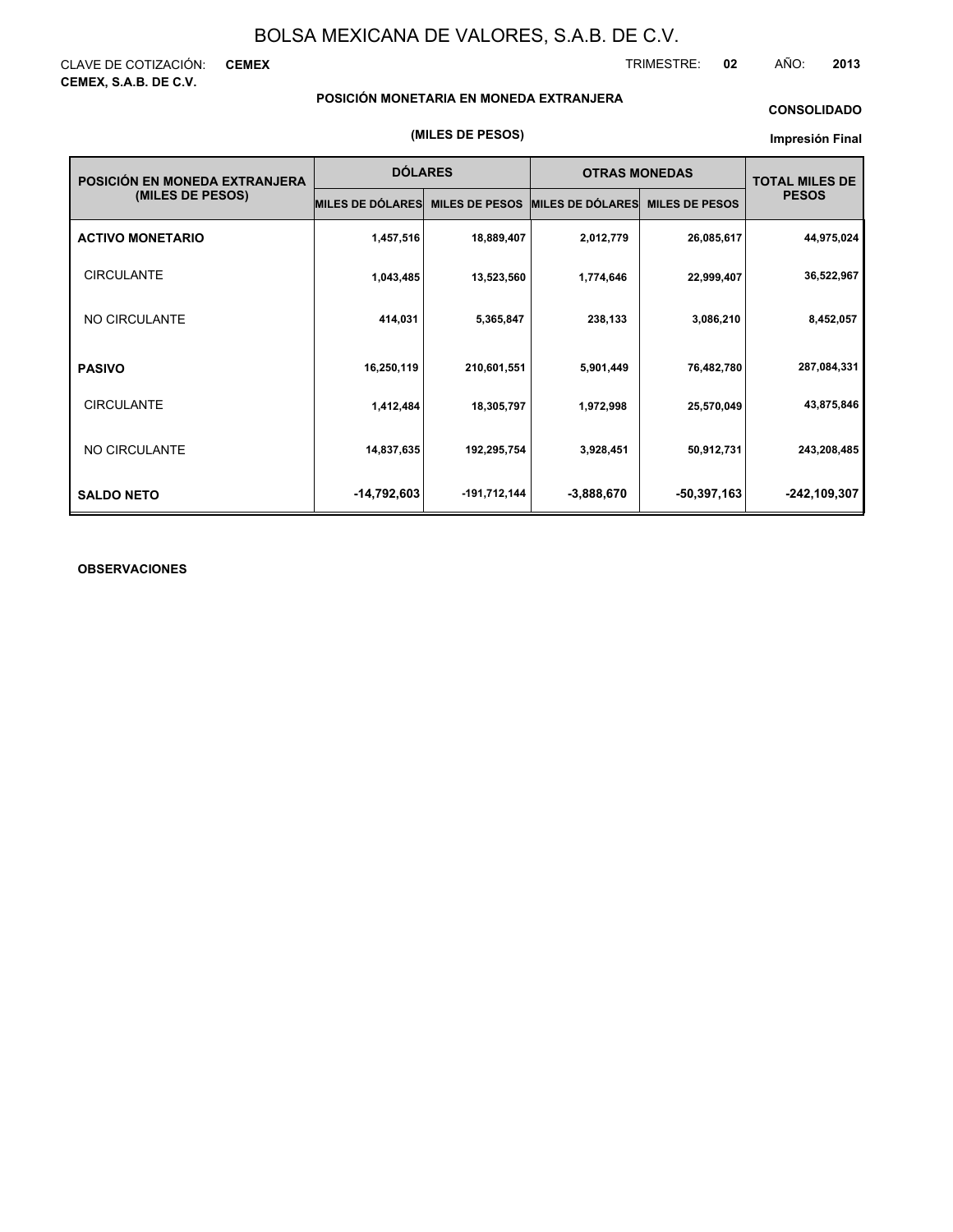CLAVE DE COTIZACIÓN: **CEMEX CEMEX, S.A.B. DE C.V.**

TRIMESTRE: **02** AÑO: **2013**

### **POSICIÓN MONETARIA EN MONEDA EXTRANJERA**

### **CONSOLIDADO**

#### **Impresión Final**

| POSICIÓN EN MONEDA EXTRANJERA | <b>DÓLARES</b>          |                       | <b>OTRAS MONEDAS</b>    | <b>TOTAL MILES DE</b> |              |
|-------------------------------|-------------------------|-----------------------|-------------------------|-----------------------|--------------|
| (MILES DE PESOS)              | <b>MILES DE DÓLARES</b> | <b>MILES DE PESOS</b> | <b>MILES DE DÓLARES</b> | <b>MILES DE PESOS</b> | <b>PESOS</b> |
| <b>ACTIVO MONETARIO</b>       | 1,457,516               | 18,889,407            | 2,012,779               | 26,085,617            | 44,975,024   |
| <b>CIRCULANTE</b>             | 1,043,485               | 13,523,560            | 1,774,646               | 22,999,407            | 36,522,967   |
| NO CIRCULANTE                 | 414,031                 | 5,365,847             | 238,133                 | 3,086,210             | 8,452,057    |
| <b>PASIVO</b>                 | 16,250,119              | 210,601,551           | 5,901,449               | 76,482,780            | 287,084,331  |
| <b>CIRCULANTE</b>             | 1,412,484               | 18,305,797            | 1,972,998               | 25,570,049            | 43,875,846   |
| NO CIRCULANTE                 | 14,837,635              | 192,295,754           | 3,928,451               | 50,912,731            | 243,208,485  |
| <b>SALDO NETO</b>             | -14,792,603             | -191,712,144          | $-3,888,670$            | $-50,397,163$         | -242,109,307 |

### **OBSERVACIONES**

#### **(MILES DE PESOS)**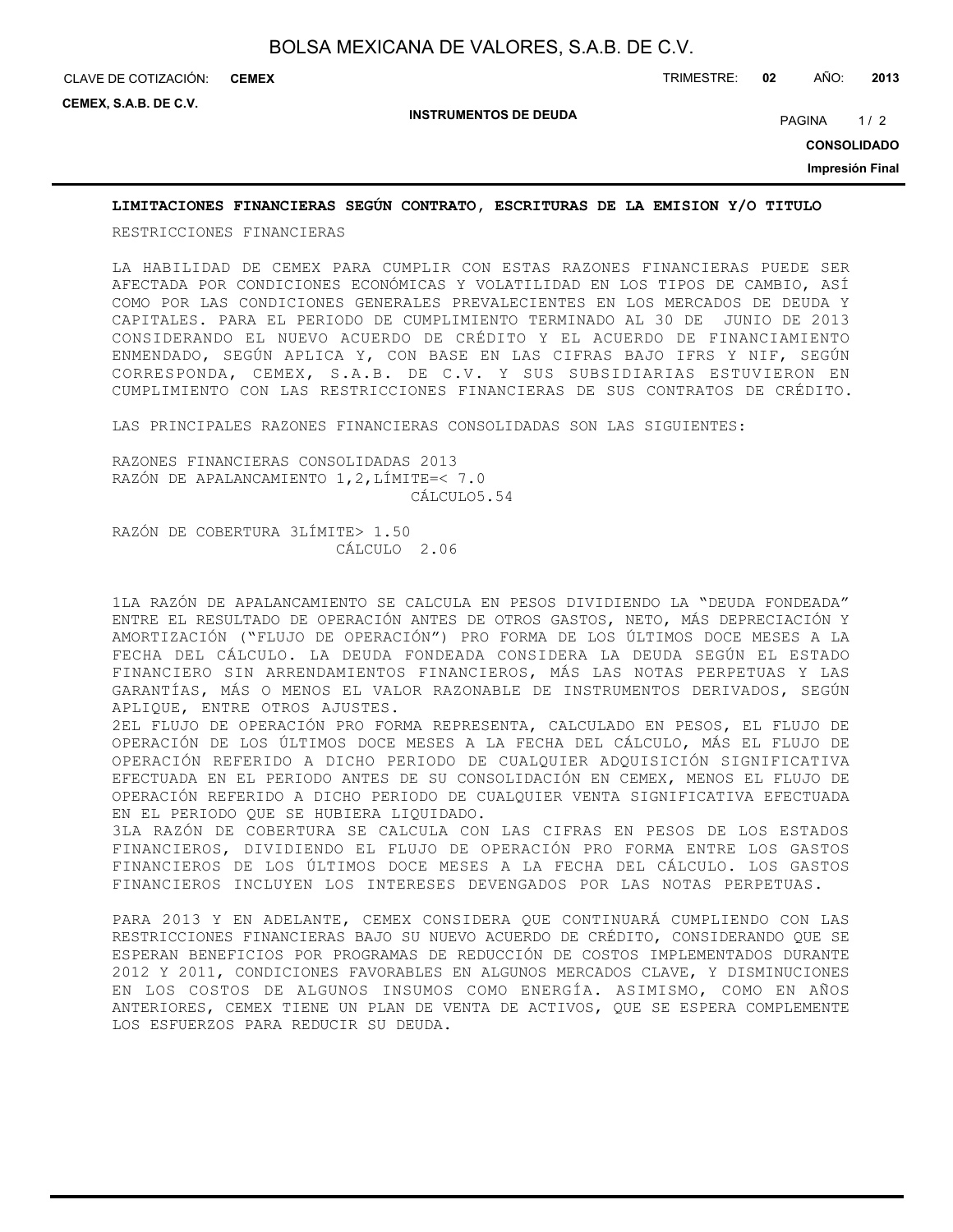**CEMEX**

**CEMEX, S.A.B. DE C.V.**

**INSTRUMENTOS DE DEUDA**

PAGINA 1/2

**CONSOLIDADO**

**Impresión Final**

### **LIMITACIONES FINANCIERAS SEGÚN CONTRATO, ESCRITURAS DE LA EMISION Y/O TITULO**

RESTRICCIONES FINANCIERAS

LA HABILIDAD DE CEMEX PARA CUMPLIR CON ESTAS RAZONES FINANCIERAS PUEDE SER AFECTADA POR CONDICIONES ECONÓMICAS Y VOLATILIDAD EN LOS TIPOS DE CAMBIO, ASÍ COMO POR LAS CONDICIONES GENERALES PREVALECIENTES EN LOS MERCADOS DE DEUDA Y CAPITALES. PARA EL PERIODO DE CUMPLIMIENTO TERMINADO AL 30 DE JUNIO DE 2013 CONSIDERANDO EL NUEVO ACUERDO DE CRÉDITO Y EL ACUERDO DE FINANCIAMIENTO ENMENDADO, SEGÚN APLICA Y, CON BASE EN LAS CIFRAS BAJO IFRS Y NIF, SEGÚN CORRESPONDA, CEMEX, S.A.B. DE C.V. Y SUS SUBSIDIARIAS ESTUVIERON EN CUMPLIMIENTO CON LAS RESTRICCIONES FINANCIERAS DE SUS CONTRATOS DE CRÉDITO.

LAS PRINCIPALES RAZONES FINANCIERAS CONSOLIDADAS SON LAS SIGUIENTES:

RAZONES FINANCIERAS CONSOLIDADAS 2013 RAZÓN DE APALANCAMIENTO 1,2,LÍMITE=< 7.0 CÁLCULO5.54

RAZÓN DE COBERTURA 3LÍMITE> 1.50 CÁLCULO 2.06

1LA RAZÓN DE APALANCAMIENTO SE CALCULA EN PESOS DIVIDIENDO LA "DEUDA FONDEADA" ENTRE EL RESULTADO DE OPERACIÓN ANTES DE OTROS GASTOS, NETO, MÁS DEPRECIACIÓN Y AMORTIZACIÓN ("FLUJO DE OPERACIÓN") PRO FORMA DE LOS ÚLTIMOS DOCE MESES A LA FECHA DEL CÁLCULO. LA DEUDA FONDEADA CONSIDERA LA DEUDA SEGÚN EL ESTADO FINANCIERO SIN ARRENDAMIENTOS FINANCIEROS, MÁS LAS NOTAS PERPETUAS Y LAS GARANTÍAS, MÁS O MENOS EL VALOR RAZONABLE DE INSTRUMENTOS DERIVADOS, SEGÚN APLIQUE, ENTRE OTROS AJUSTES.

2EL FLUJO DE OPERACIÓN PRO FORMA REPRESENTA, CALCULADO EN PESOS, EL FLUJO DE OPERACIÓN DE LOS ÚLTIMOS DOCE MESES A LA FECHA DEL CÁLCULO, MÁS EL FLUJO DE OPERACIÓN REFERIDO A DICHO PERIODO DE CUALQUIER ADQUISICIÓN SIGNIFICATIVA EFECTUADA EN EL PERIODO ANTES DE SU CONSOLIDACIÓN EN CEMEX, MENOS EL FLUJO DE OPERACIÓN REFERIDO A DICHO PERIODO DE CUALQUIER VENTA SIGNIFICATIVA EFECTUADA EN EL PERIODO QUE SE HUBIERA LIQUIDADO.

3LA RAZÓN DE COBERTURA SE CALCULA CON LAS CIFRAS EN PESOS DE LOS ESTADOS FINANCIEROS, DIVIDIENDO EL FLUJO DE OPERACIÓN PRO FORMA ENTRE LOS GASTOS FINANCIEROS DE LOS ÚLTIMOS DOCE MESES A LA FECHA DEL CÁLCULO. LOS GASTOS FINANCIEROS INCLUYEN LOS INTERESES DEVENGADOS POR LAS NOTAS PERPETUAS.

PARA 2013 Y EN ADELANTE, CEMEX CONSIDERA QUE CONTINUARÁ CUMPLIENDO CON LAS RESTRICCIONES FINANCIERAS BAJO SU NUEVO ACUERDO DE CRÉDITO, CONSIDERANDO QUE SE ESPERAN BENEFICIOS POR PROGRAMAS DE REDUCCIÓN DE COSTOS IMPLEMENTADOS DURANTE 2012 Y 2011, CONDICIONES FAVORABLES EN ALGUNOS MERCADOS CLAVE, Y DISMINUCIONES EN LOS COSTOS DE ALGUNOS INSUMOS COMO ENERGÍA. ASIMISMO, COMO EN AÑOS ANTERIORES, CEMEX TIENE UN PLAN DE VENTA DE ACTIVOS, QUE SE ESPERA COMPLEMENTE LOS ESFUERZOS PARA REDUCIR SU DEUDA.

CLAVE DE COTIZACIÓN: TRIMESTRE: **02** AÑO: **2013**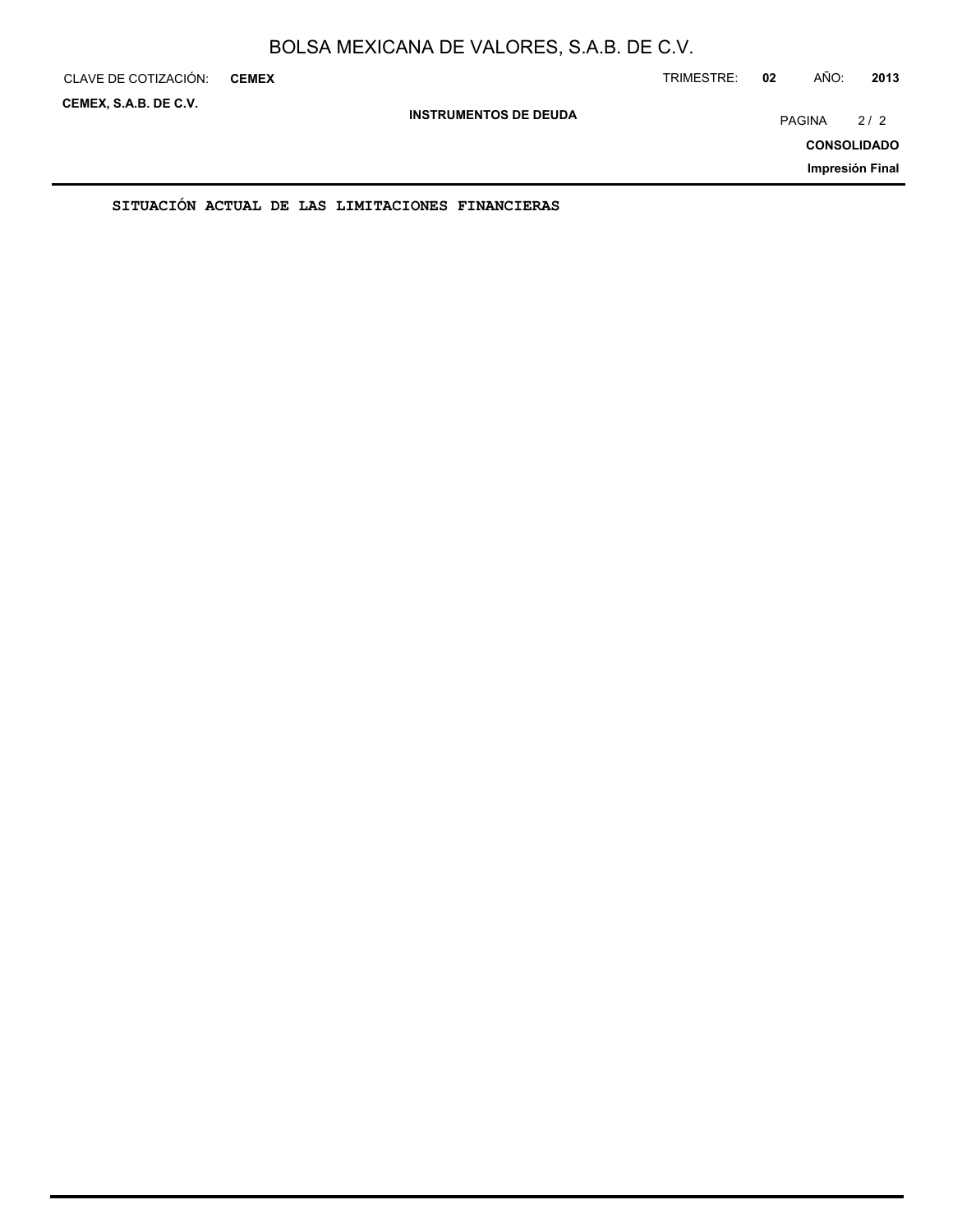| CLAVE DE COTIZACIÓN:  | <b>CEMEX</b> |                                                  |  | TRIMESTRE: | 02            | AÑO: | 2013               |
|-----------------------|--------------|--------------------------------------------------|--|------------|---------------|------|--------------------|
| CEMEX, S.A.B. DE C.V. |              | <b>INSTRUMENTOS DE DEUDA</b>                     |  |            | <b>PAGINA</b> | 2/2  |                    |
|                       |              |                                                  |  |            |               |      | <b>CONSOLIDADO</b> |
|                       |              |                                                  |  |            |               |      | Impresión Final    |
|                       |              | SITUACION ACTUAL DE LAS LIMITACIONES FINANCIERAS |  |            |               |      |                    |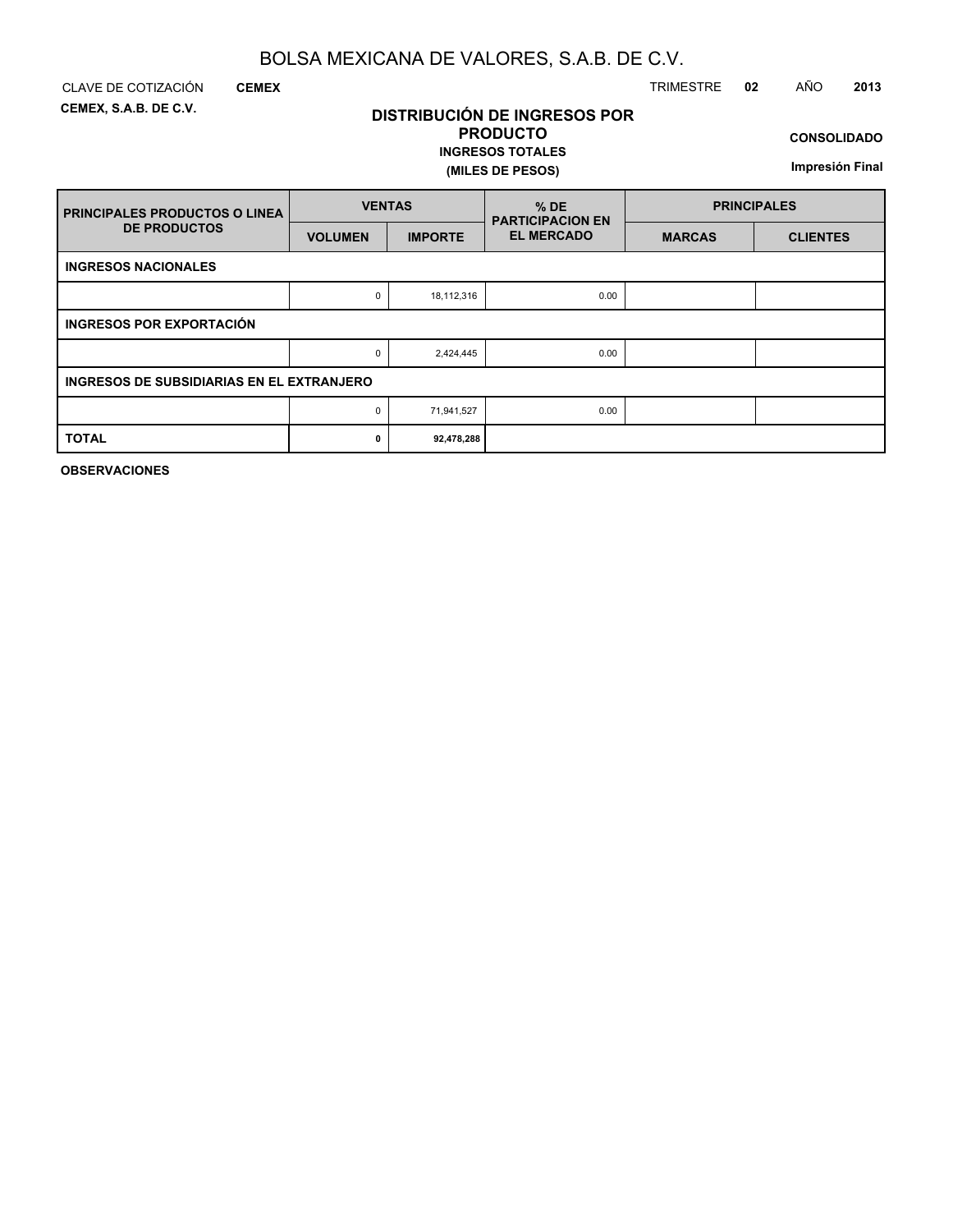**DISTRIBUCIÓN DE INGRESOS POR PRODUCTO**

**INGRESOS TOTALES**

**(MILES DE PESOS)**

**CEMEX, S.A.B. DE C.V.**

**CEMEX**

### CLAVE DE COTIZACIÓN TRIMESTRE **02** AÑO **2013**

**CONSOLIDADO**

**Impresión Final**

| <b>FRINCIPALES PRODUCTOS O LINEA</b>             | <b>VENTAS</b>  |                | $%$ DE<br><b>PARTICIPACION EN</b> | <b>PRINCIPALES</b> |                 |  |  |  |  |  |  |  |
|--------------------------------------------------|----------------|----------------|-----------------------------------|--------------------|-----------------|--|--|--|--|--|--|--|
| <b>DE PRODUCTOS</b>                              | <b>VOLUMEN</b> | <b>IMPORTE</b> | <b>EL MERCADO</b>                 | <b>MARCAS</b>      | <b>CLIENTES</b> |  |  |  |  |  |  |  |
| <b>INGRESOS NACIONALES</b>                       |                |                |                                   |                    |                 |  |  |  |  |  |  |  |
|                                                  | 0              | 18,112,316     | 0.00                              |                    |                 |  |  |  |  |  |  |  |
| <b>INGRESOS POR EXPORTACIÓN</b>                  |                |                |                                   |                    |                 |  |  |  |  |  |  |  |
|                                                  | 0              | 2,424,445      | 0.00                              |                    |                 |  |  |  |  |  |  |  |
| <b>INGRESOS DE SUBSIDIARIAS EN EL EXTRANJERO</b> |                |                |                                   |                    |                 |  |  |  |  |  |  |  |
|                                                  | 0              | 71,941,527     | 0.00                              |                    |                 |  |  |  |  |  |  |  |
| <b>TOTAL</b>                                     | 0              | 92,478,288     |                                   |                    |                 |  |  |  |  |  |  |  |

**OBSERVACIONES**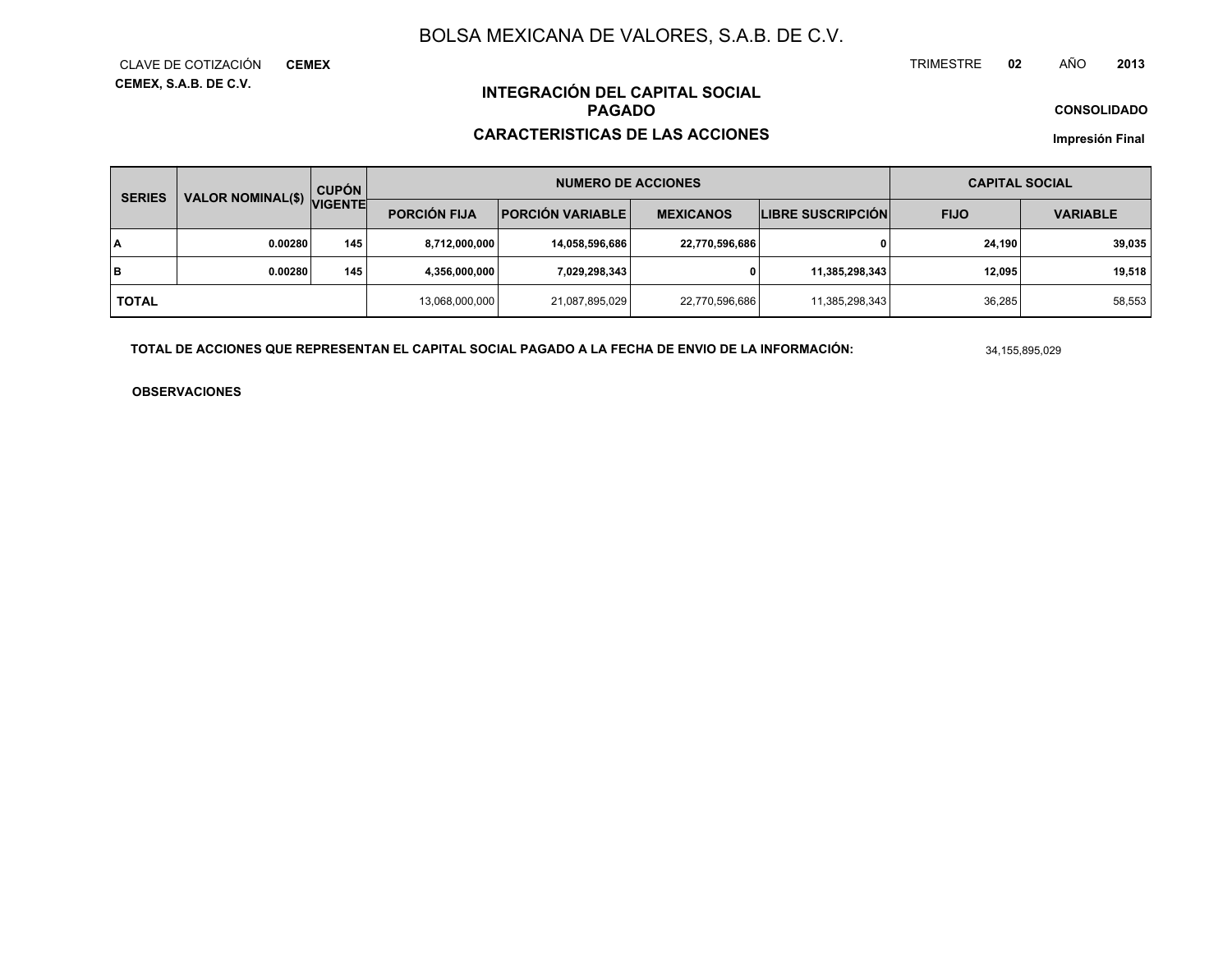**CEMEX, S.A.B. DE C.V.** CLAVE DE COTIZACIÓN**CEMEX** TRIMESTRE **<sup>02</sup>** AÑO**<sup>2013</sup>**

**CONSOLIDADO**

### **INTEGRACIÓN DEL CAPITAL SOCIALPAGADO**

### **CARACTERISTICAS DE LAS ACCIONES**

**Impresión Final**

| <b>SERIES</b> | VALOR NOMINAL(\$) | <b>CUPÓN</b>   |                     | <b>NUMERO DE ACCIONES</b> | <b>CAPITAL SOCIAL</b> |                          |             |                 |
|---------------|-------------------|----------------|---------------------|---------------------------|-----------------------|--------------------------|-------------|-----------------|
|               |                   | <b>VIGENTE</b> | <b>PORCIÓN FIJA</b> | <b>PORCIÓN VARIABLE</b>   | <b>MEXICANOS</b>      | <b>LIBRE SUSCRIPCIÓN</b> | <b>FIJO</b> | <b>VARIABLE</b> |
| I٨            | 0.00280           | 145            | 8,712,000,000       | 14,058,596,686            | 22,770,596,686        | 0                        | 24.190      | 39,035          |
| lв            | 0.00280           | 145            | 4,356,000,000       | 7,029,298,343             | 0                     | 11,385,298,343           | 12.095      | 19,518          |
| <b>TOTAL</b>  |                   |                | 13,068,000,000      | 21,087,895,029            | 22,770,596,686        | 11,385,298,343           | 36.285      | 58,553          |

**TOTAL DE ACCIONES QUE REPRESENTAN EL CAPITAL SOCIAL PAGADO A LA FECHA DE ENVIO DE LA INFORMACIÓN:**

34,155,895,029

**OBSERVACIONES**